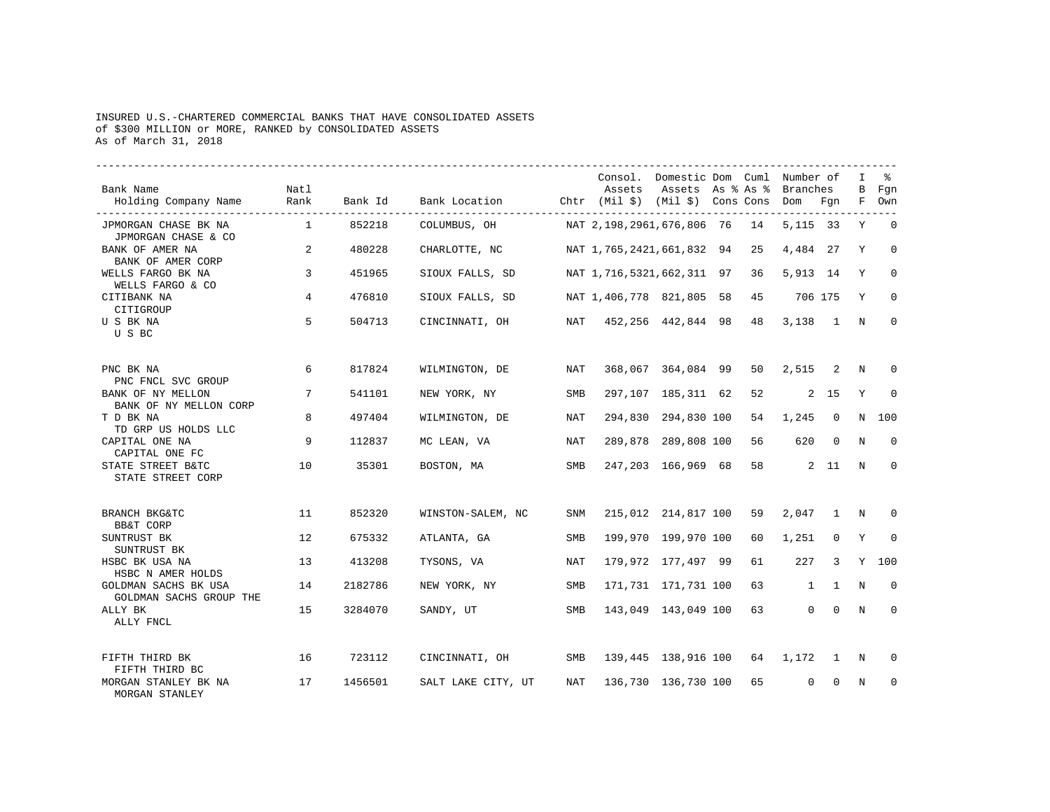## INSURED U.S.-CHARTERED COMMERCIAL BANKS THAT HAVE CONSOLIDATED ASSETS of \$300 MILLION or MORE, RANKED by CONSOLIDATED ASSETS As of March 31, 2018

| Bank Name<br>Holding Company Name                           | Natl<br>Rank   | Bank Id | Bank Location Chtr (Mil \$) (Mil \$) Cons Cons Dom Fgn |            | Assets                    | Consol. Domestic Dom Cuml Number of<br>Assets As % As % |    | Branches     |                | $\mathbb{I}$<br>B<br>F | ႜႜ<br>Fqn<br>Own |
|-------------------------------------------------------------|----------------|---------|--------------------------------------------------------|------------|---------------------------|---------------------------------------------------------|----|--------------|----------------|------------------------|------------------|
| JPMORGAN CHASE BK NA                                        | $\overline{1}$ | 852218  | COLUMBUS, OH                                           |            | NAT 2,198,2961,676,806 76 |                                                         | 14 | 5, 115 33    |                | Y                      | $\mathbf 0$      |
| JPMORGAN CHASE & CO<br>BANK OF AMER NA<br>BANK OF AMER CORP | 2              | 480228  | CHARLOTTE, NC                                          |            | NAT 1,765,2421,661,832 94 |                                                         | 25 | 4,484 27     |                | Y                      | $\Omega$         |
| WELLS FARGO BK NA<br>WELLS FARGO & CO                       | $\overline{3}$ | 451965  | SIOUX FALLS, SD                                        |            | NAT 1,716,5321,662,311 97 |                                                         | 36 | 5,913 14     |                | Y                      | $\Omega$         |
| CITIBANK NA<br>CITIGROUP                                    | 4              | 476810  | SIOUX FALLS, SD                                        |            | NAT 1,406,778 821,805 58  |                                                         | 45 | 706 175      |                | Y                      | $\mathbf 0$      |
| U S BK NA<br>U S BC                                         | 5              | 504713  | CINCINNATI, OH                                         | NAT        |                           | 452,256 442,844 98                                      | 48 | 3,138        | $\overline{1}$ | N                      | 0                |
| PNC BK NA<br>PNC FNCL SVC GROUP                             | 6              | 817824  | WILMINGTON, DE                                         | NAT        |                           | 368,067 364,084 99                                      | 50 | 2,515 2      |                | N                      | $\Omega$         |
| BANK OF NY MELLON<br>BANK OF NY MELLON CORP                 | 7              | 541101  | NEW YORK, NY                                           | SMB        |                           | 297,107 185,311 62                                      | 52 |              | $2 \quad 15$   | Y                      | $\mathbf 0$      |
| T D BK NA<br>TD GRP US HOLDS LLC                            | 8              | 497404  | WILMINGTON, DE                                         | NAT        |                           | 294,830 294,830 100                                     | 54 | 1,245        | $\mathbf 0$    | N                      | 100              |
| CAPITAL ONE NA<br>CAPITAL ONE FC                            | 9              | 112837  | MC LEAN, VA                                            | NAT        |                           | 289,878 289,808 100                                     | 56 | 620          | $\Omega$       | N                      | $\Omega$         |
| STATE STREET B&TC<br>STATE STREET CORP                      | 10             | 35301   | BOSTON, MA                                             | SMB        |                           | 247,203 166,969 68                                      | 58 |              | $2 \t11$       | N                      | $\mathbf 0$      |
| BRANCH BKG&TC<br>BB&T CORP                                  | 11             | 852320  | WINSTON-SALEM, NC                                      | SNM        |                           | 215,012 214,817 100                                     | 59 | 2,047        | $\overline{1}$ | $_{\rm N}$             | $\Omega$         |
| SUNTRUST BK<br>SUNTRUST BK                                  | 12             | 675332  | ATLANTA, GA                                            | <b>SMB</b> |                           | 199,970 199,970 100                                     | 60 | 1,251        | $\Omega$       | Y                      | $\Omega$         |
| HSBC BK USA NA<br>HSBC N AMER HOLDS                         | 13             | 413208  | TYSONS, VA                                             | <b>NAT</b> |                           | 179,972 177,497 99                                      | 61 | 227          | 3              | Y                      | 100              |
| GOLDMAN SACHS BK USA<br>GOLDMAN SACHS GROUP THE             | 14             | 2182786 | NEW YORK, NY                                           | SMB        |                           | 171,731 171,731 100                                     | 63 | $\mathbf{1}$ | $\mathbf{1}$   | N                      | $\Omega$         |
| ALLY BK<br>ALLY FNCL                                        | 15             | 3284070 | SANDY, UT                                              | SMB        |                           | 143,049 143,049 100                                     | 63 | $\Omega$     | $\Omega$       | N                      | $\Omega$         |
| FIFTH THIRD BK<br>FIFTH THIRD BC                            | 16             | 723112  | CINCINNATI, OH                                         | SMB        |                           | 139,445 138,916 100                                     | 64 | 1,172        | 1              | N                      | $\Omega$         |
| MORGAN STANLEY BK NA<br>MORGAN STANLEY                      | 17             | 1456501 | SALT LAKE CITY, UT                                     | NAT        |                           | 136,730 136,730 100                                     | 65 | $\mathbf 0$  | $\Omega$       | N                      | $\mathbf 0$      |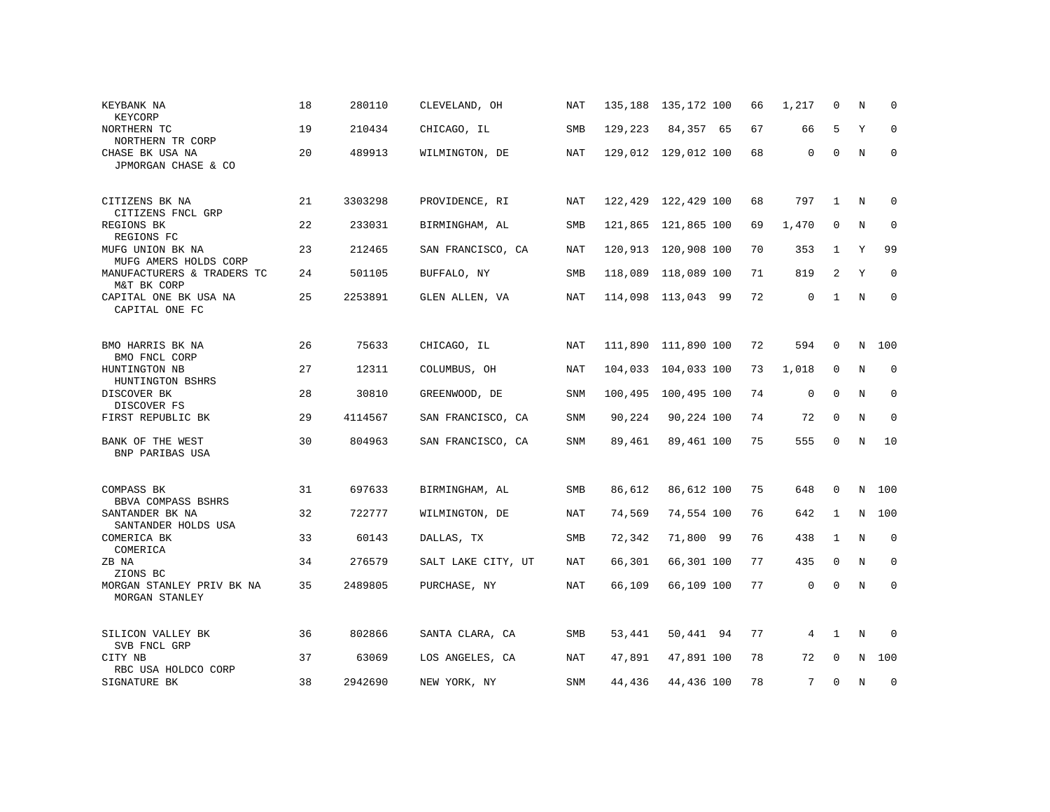| KEYBANK NA<br>KEYCORP                                        | 18 | 280110  | CLEVELAND, OH      | <b>NAT</b> |         | 135, 188 135, 172 100 | 66 | 1,217           | $\mathbf 0$  | N           | $\Omega$     |
|--------------------------------------------------------------|----|---------|--------------------|------------|---------|-----------------------|----|-----------------|--------------|-------------|--------------|
| NORTHERN TC<br>NORTHERN TR CORP                              | 19 | 210434  | CHICAGO, IL        | <b>SMB</b> | 129,223 | 84,357 65             | 67 | 66              | 5            | Y           | $\mathbf 0$  |
| CHASE BK USA NA<br>JPMORGAN CHASE & CO                       | 20 | 489913  | WILMINGTON, DE     | NAT        |         | 129,012 129,012 100   | 68 | 0               | $\mathbf 0$  | $\mathbf N$ | $\mathbf{0}$ |
| CITIZENS BK NA<br>CITIZENS FNCL GRP                          | 21 | 3303298 | PROVIDENCE, RI     | NAT        |         | 122,429 122,429 100   | 68 | 797             | 1            | N           | 0            |
| REGIONS BK<br>REGIONS FC                                     | 22 | 233031  | BIRMINGHAM, AL     | SMB        |         | 121,865 121,865 100   | 69 | 1,470           | $\mathbf 0$  | N           | $\mathbf 0$  |
| MUFG UNION BK NA<br>MUFG AMERS HOLDS CORP                    | 23 | 212465  | SAN FRANCISCO, CA  | NAT        |         | 120,913 120,908 100   | 70 | 353             | $\mathbf{1}$ | Y           | 99           |
| MANUFACTURERS & TRADERS TC<br>M&T BK CORP                    | 24 | 501105  | BUFFALO, NY        | SMB        |         | 118,089 118,089 100   | 71 | 819             | 2            | Y           | $\mathbf 0$  |
| CAPITAL ONE BK USA NA<br>CAPITAL ONE FC                      | 25 | 2253891 | GLEN ALLEN, VA     | <b>NAT</b> |         | 114,098 113,043 99    | 72 | 0               | $\mathbf{1}$ | N           | $\mathbf{0}$ |
| BMO HARRIS BK NA                                             | 26 | 75633   | CHICAGO, IL        | NAT        |         | 111,890 111,890 100   | 72 | 594             | $\mathbf 0$  | N           | 100          |
| BMO FNCL CORP<br>HUNTINGTON NB<br>HUNTINGTON BSHRS           | 27 | 12311   | COLUMBUS, OH       | <b>NAT</b> |         | 104,033 104,033 100   | 73 | 1,018           | $\mathbf 0$  | N           | $\mathbf 0$  |
| DISCOVER BK<br>DISCOVER FS                                   | 28 | 30810   | GREENWOOD, DE      | <b>SNM</b> |         | 100,495 100,495 100   | 74 | $\mathsf 0$     | $\mathbf 0$  | N           | $\mathbf{0}$ |
| FIRST REPUBLIC BK                                            | 29 | 4114567 | SAN FRANCISCO, CA  | SNM        | 90,224  | 90,224 100            | 74 | 72              | $\mathbf 0$  | N           | $\mathbf 0$  |
| BANK OF THE WEST<br>BNP PARIBAS USA                          | 30 | 804963  | SAN FRANCISCO, CA  | SNM        | 89,461  | 89,461 100            | 75 | 555             | $\mathbf 0$  | N           | 10           |
| COMPASS BK                                                   | 31 | 697633  | BIRMINGHAM, AL     | <b>SMB</b> | 86,612  | 86,612 100            | 75 | 648             | $\mathbf 0$  | N           | 100          |
| BBVA COMPASS BSHRS<br>SANTANDER BK NA<br>SANTANDER HOLDS USA | 32 | 722777  | WILMINGTON, DE     | NAT        | 74,569  | 74,554 100            | 76 | 642             | 1            | N           | 100          |
| COMERICA BK<br>COMERICA                                      | 33 | 60143   | DALLAS, TX         | SMB        | 72,342  | 71,800 99             | 76 | 438             | $\mathbf{1}$ | N           | 0            |
| ZB NA<br>ZIONS BC                                            | 34 | 276579  | SALT LAKE CITY, UT | NAT        | 66,301  | 66,301 100            | 77 | 435             | 0            | N           | 0            |
| MORGAN STANLEY PRIV BK NA<br>MORGAN STANLEY                  | 35 | 2489805 | PURCHASE, NY       | NAT        | 66,109  | 66,109 100            | 77 | $\mathbf 0$     | $\Omega$     | $\mathbf N$ | $\mathbf 0$  |
| SILICON VALLEY BK<br>SVB FNCL GRP                            | 36 | 802866  | SANTA CLARA, CA    | SMB        | 53,441  | 50,441 94             | 77 | $4\overline{ }$ | $\mathbf{1}$ | N           | $\mathbf 0$  |
| CITY NB<br>RBC USA HOLDCO CORP                               | 37 | 63069   | LOS ANGELES, CA    | NAT        | 47,891  | 47,891 100            | 78 | 72              | 0            | N           | 100          |
| SIGNATURE BK                                                 | 38 | 2942690 | NEW YORK, NY       | SNM        | 44,436  | 44,436 100            | 78 | 7               | $\mathbf 0$  | $\rm N$     | $\mathbf 0$  |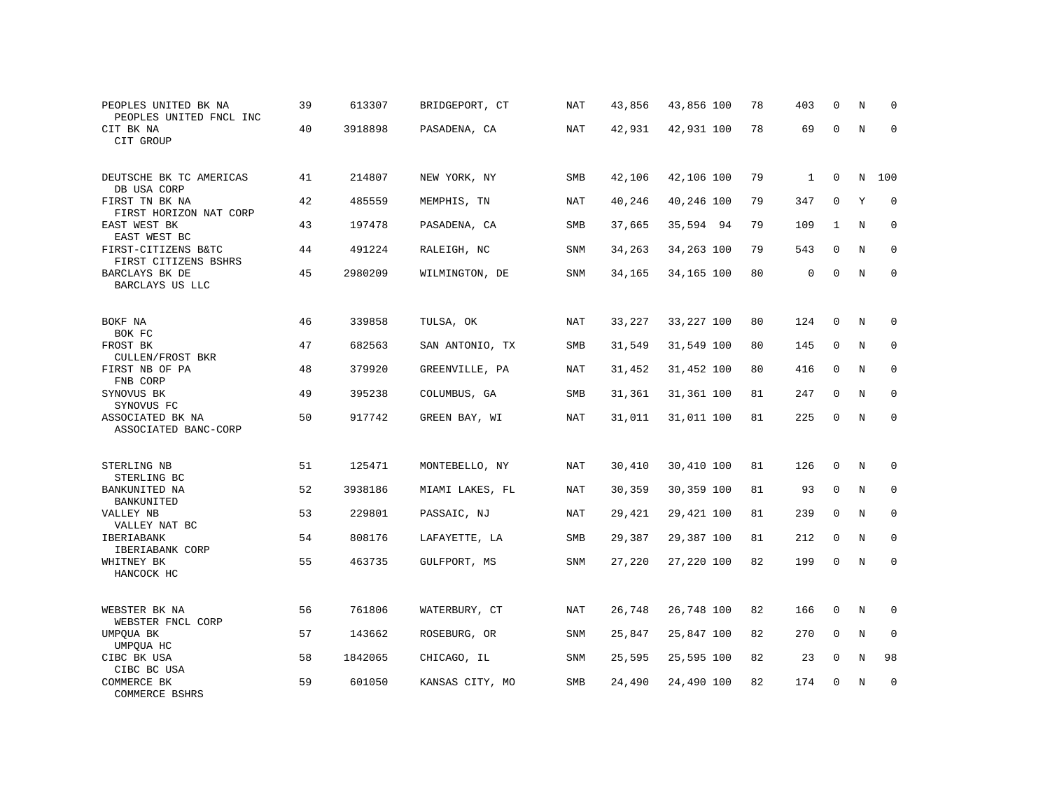| PEOPLES UNITED BK NA<br>PEOPLES UNITED FNCL INC           | 39 | 613307  | BRIDGEPORT, CT  | NAT        | 43,856 | 43,856 100 | 78 | 403          | 0            | N          | $\Omega$    |
|-----------------------------------------------------------|----|---------|-----------------|------------|--------|------------|----|--------------|--------------|------------|-------------|
| CIT BK NA<br>CIT GROUP                                    | 40 | 3918898 | PASADENA, CA    | NAT        | 42,931 | 42,931 100 | 78 | 69           | $\mathbf 0$  | N          | $\mathbf 0$ |
| DEUTSCHE BK TC AMERICAS<br>DB USA CORP                    | 41 | 214807  | NEW YORK, NY    | <b>SMB</b> | 42,106 | 42,106 100 | 79 | $\mathbf{1}$ | $\Omega$     | N          | 100         |
| FIRST TN BK NA<br>FIRST HORIZON NAT CORP                  | 42 | 485559  | MEMPHIS, TN     | NAT        | 40,246 | 40,246 100 | 79 | 347          | 0            | Υ          | $\mathbf 0$ |
| EAST WEST BK                                              | 43 | 197478  | PASADENA, CA    | SMB        | 37,665 | 35,594 94  | 79 | 109          | $\mathbf{1}$ | N          | $\mathbf 0$ |
| EAST WEST BC<br>FIRST-CITIZENS B&TC                       | 44 | 491224  | RALEIGH, NC     | SNM        | 34,263 | 34,263 100 | 79 | 543          | $\mathbf 0$  | N          | $\mathbf 0$ |
| FIRST CITIZENS BSHRS<br>BARCLAYS BK DE<br>BARCLAYS US LLC | 45 | 2980209 | WILMINGTON, DE  | SNM        | 34,165 | 34,165 100 | 80 | $\mathbf 0$  | $\mathbf 0$  | N          | $\mathbf 0$ |
|                                                           |    |         |                 |            |        |            |    |              |              |            |             |
| BOKF NA<br>BOK FC                                         | 46 | 339858  | TULSA, OK       | NAT        | 33,227 | 33,227 100 | 80 | 124          | $\mathbf 0$  | $\rm N$    | 0           |
| FROST BK<br>CULLEN/FROST BKR                              | 47 | 682563  | SAN ANTONIO, TX | SMB        | 31,549 | 31,549 100 | 80 | 145          | 0            | N          | $\mathbf 0$ |
| FIRST NB OF PA<br>FNB CORP                                | 48 | 379920  | GREENVILLE, PA  | NAT        | 31,452 | 31,452 100 | 80 | 416          | $\mathbf{0}$ | N          | $\mathbf 0$ |
| SYNOVUS BK<br>SYNOVUS FC                                  | 49 | 395238  | COLUMBUS, GA    | SMB        | 31,361 | 31,361 100 | 81 | 247          | 0            | N          | 0           |
| ASSOCIATED BK NA<br>ASSOCIATED BANC-CORP                  | 50 | 917742  | GREEN BAY, WI   | NAT        | 31,011 | 31,011 100 | 81 | 225          | $\mathbf 0$  | $_{\rm N}$ | $\mathbf 0$ |
| STERLING NB                                               | 51 | 125471  | MONTEBELLO, NY  | NAT        | 30,410 | 30,410 100 | 81 | 126          | 0            | N          | $\mathbf 0$ |
| STERLING BC<br>BANKUNITED NA                              | 52 | 3938186 | MIAMI LAKES, FL | NAT        | 30,359 | 30,359 100 | 81 | 93           | 0            | N          | 0           |
| BANKUNITED<br>VALLEY NB                                   | 53 | 229801  | PASSAIC, NJ     | NAT        | 29,421 | 29,421 100 | 81 | 239          | $\mathsf 0$  | N          | $\mathbf 0$ |
| VALLEY NAT BC                                             |    |         |                 |            |        |            |    |              |              |            |             |
| IBERIABANK<br>IBERIABANK CORP                             | 54 | 808176  | LAFAYETTE, LA   | SMB        | 29,387 | 29,387 100 | 81 | 212          | $\mathbf 0$  | N          | $\mathbf 0$ |
| WHITNEY BK<br>HANCOCK HC                                  | 55 | 463735  | GULFPORT, MS    | SNM        | 27,220 | 27,220 100 | 82 | 199          | $\mathbf 0$  | N          | $\mathbf 0$ |
| WEBSTER BK NA                                             | 56 | 761806  | WATERBURY, CT   | NAT        | 26,748 | 26,748 100 | 82 | 166          | $\mathsf 0$  | N          | $\mathbf 0$ |
| WEBSTER FNCL CORP<br>UMPOUA BK                            | 57 | 143662  | ROSEBURG, OR    | <b>SNM</b> | 25,847 | 25,847 100 | 82 | 270          | $\mathbf 0$  | N          | $\mathbf 0$ |
| UMPQUA HC<br>CIBC BK USA                                  | 58 | 1842065 | CHICAGO, IL     | SNM        | 25,595 | 25,595 100 | 82 | 23           | $\mathbf 0$  | N          | 98          |
| CIBC BC USA<br>COMMERCE BK<br>COMMERCE BSHRS              | 59 | 601050  | KANSAS CITY, MO | SMB        | 24,490 | 24,490 100 | 82 | 174          | 0            | N          | $\mathbf 0$ |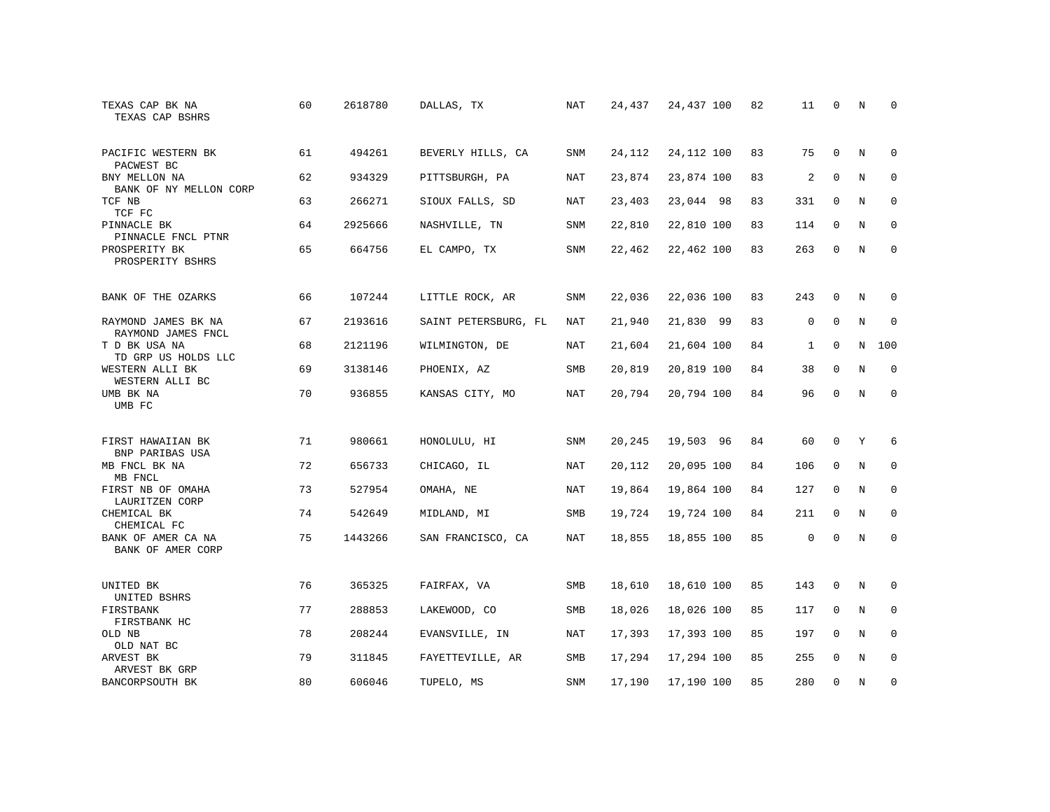| TEXAS CAP BK NA<br>TEXAS CAP BSHRS        | 60 | 2618780 | DALLAS, TX           | <b>NAT</b> | 24,437 | 24,437 100 | 82 | 11           | $\Omega$     | N           | $\Omega$     |
|-------------------------------------------|----|---------|----------------------|------------|--------|------------|----|--------------|--------------|-------------|--------------|
| PACIFIC WESTERN BK<br>PACWEST BC          | 61 | 494261  | BEVERLY HILLS, CA    | SNM        | 24,112 | 24,112 100 | 83 | 75           | $\mathbf 0$  | N           | 0            |
| BNY MELLON NA<br>BANK OF NY MELLON CORP   | 62 | 934329  | PITTSBURGH, PA       | <b>NAT</b> | 23,874 | 23,874 100 | 83 | 2            | $\mathbf{0}$ | N           | $\mathbf 0$  |
| TCF NB<br>TCF FC                          | 63 | 266271  | SIOUX FALLS, SD      | NAT        | 23,403 | 23,044 98  | 83 | 331          | $\mathbf 0$  | N           | 0            |
| PINNACLE BK<br>PINNACLE FNCL PTNR         | 64 | 2925666 | NASHVILLE, TN        | <b>SNM</b> | 22,810 | 22,810 100 | 83 | 114          | $\mathbf 0$  | N           | $\mathbf 0$  |
| PROSPERITY BK<br>PROSPERITY BSHRS         | 65 | 664756  | EL CAMPO, TX         | SNM        | 22,462 | 22,462 100 | 83 | 263          | 0            | N           | $\mathbf 0$  |
| BANK OF THE OZARKS                        | 66 | 107244  | LITTLE ROCK, AR      | SNM        | 22,036 | 22,036 100 | 83 | 243          | $\mathbf 0$  | N           | $\mathbf 0$  |
| RAYMOND JAMES BK NA<br>RAYMOND JAMES FNCL | 67 | 2193616 | SAINT PETERSBURG, FL | NAT        | 21,940 | 21,830 99  | 83 | 0            | $\mathbf 0$  | $\rm N$     | 0            |
| T D BK USA NA<br>TD GRP US HOLDS LLC      | 68 | 2121196 | WILMINGTON, DE       | <b>NAT</b> | 21,604 | 21,604 100 | 84 | $\mathbf{1}$ | $\mathbf 0$  | N           | 100          |
| WESTERN ALLI BK<br>WESTERN ALLI BC        | 69 | 3138146 | PHOENIX, AZ          | SMB        | 20,819 | 20,819 100 | 84 | 38           | $\mathbf 0$  | N           | $\mathbf 0$  |
| UMB BK NA<br>UMB FC                       | 70 | 936855  | KANSAS CITY, MO      | NAT        | 20,794 | 20,794 100 | 84 | 96           | $\mathbf 0$  | N           | $\mathbf 0$  |
| FIRST HAWAIIAN BK<br>BNP PARIBAS USA      | 71 | 980661  | HONOLULU, HI         | SNM        | 20,245 | 19,503 96  | 84 | 60           | 0            | Υ           | 6            |
| MB FNCL BK NA<br>MB FNCL                  | 72 | 656733  | CHICAGO, IL          | NAT        | 20,112 | 20,095 100 | 84 | 106          | $\mathbf 0$  | N           | $\mathbf 0$  |
| FIRST NB OF OMAHA<br>LAURITZEN CORP       | 73 | 527954  | OMAHA, NE            | NAT        | 19,864 | 19,864 100 | 84 | 127          | $\mathbf 0$  | N           | 0            |
| CHEMICAL BK<br>CHEMICAL FC                | 74 | 542649  | MIDLAND, MI          | <b>SMB</b> | 19,724 | 19,724 100 | 84 | 211          | 0            | N           | $\mathbf 0$  |
| BANK OF AMER CA NA<br>BANK OF AMER CORP   | 75 | 1443266 | SAN FRANCISCO, CA    | NAT        | 18,855 | 18,855 100 | 85 | $\mathbf 0$  | $\mathbf 0$  | $\mathbf N$ | $\mathsf{O}$ |
| UNITED BK<br>UNITED BSHRS                 | 76 | 365325  | FAIRFAX, VA          | SMB        | 18,610 | 18,610 100 | 85 | 143          | 0            | N           | 0            |
| FIRSTBANK<br>FIRSTBANK HC                 | 77 | 288853  | LAKEWOOD, CO         | SMB        | 18,026 | 18,026 100 | 85 | 117          | $\mathbf 0$  | N           | 0            |
| OLD NB<br>OLD NAT BC                      | 78 | 208244  | EVANSVILLE, IN       | NAT        | 17,393 | 17,393 100 | 85 | 197          | $\mathbf 0$  | N           | $\mathbf 0$  |
| ARVEST BK<br>ARVEST BK GRP                | 79 | 311845  | FAYETTEVILLE, AR     | SMB        | 17,294 | 17,294 100 | 85 | 255          | $\mathbf 0$  | N           | $\mathbf 0$  |
| BANCORPSOUTH BK                           | 80 | 606046  | TUPELO, MS           | SNM        | 17,190 | 17,190 100 | 85 | 280          | $\mathbf 0$  | N           | 0            |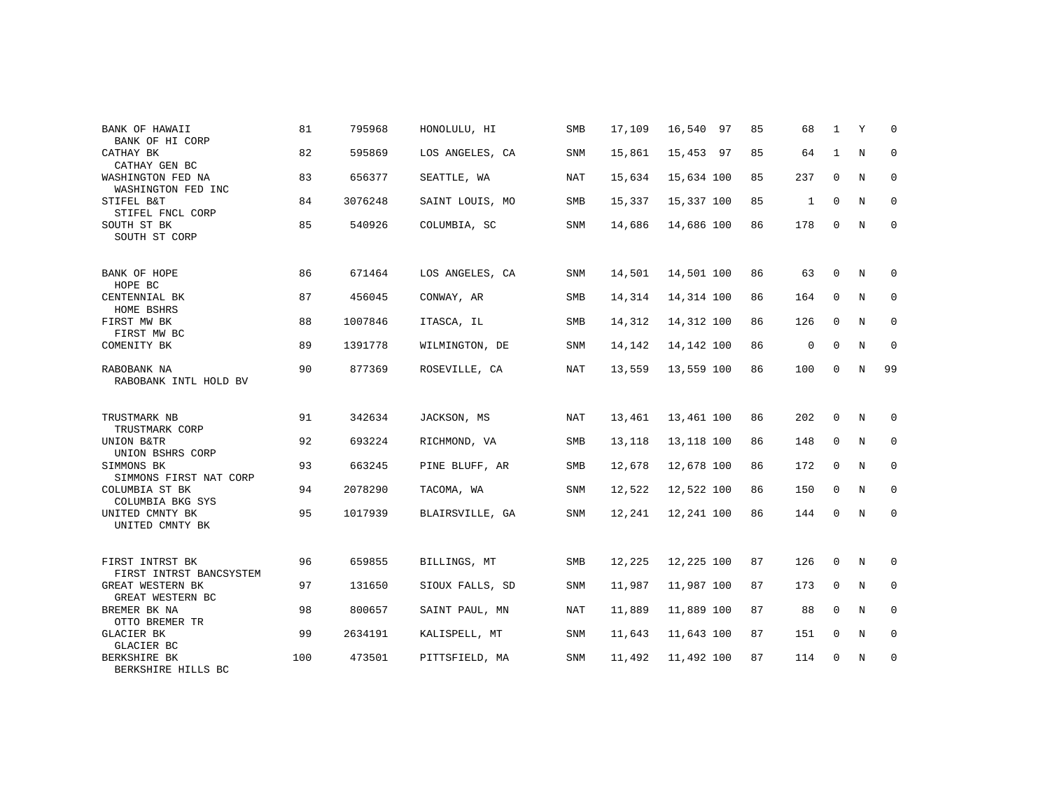| BANK OF HAWAII<br>BANK OF HI CORP           | 81  | 795968  | HONOLULU, HI    | SMB        | 17,109 | 16,540 97  | 85 | 68           | 1           | Y       | 0            |
|---------------------------------------------|-----|---------|-----------------|------------|--------|------------|----|--------------|-------------|---------|--------------|
| CATHAY BK<br>CATHAY GEN BC                  | 82  | 595869  | LOS ANGELES, CA | SNM        | 15,861 | 15,453 97  | 85 | 64           | 1           | N       | $\mathbf 0$  |
| WASHINGTON FED NA<br>WASHINGTON FED INC     | 83  | 656377  | SEATTLE, WA     | NAT        | 15,634 | 15,634 100 | 85 | 237          | $\mathbf 0$ | N       | $\mathbf 0$  |
| STIFEL B&T<br>STIFEL FNCL CORP              | 84  | 3076248 | SAINT LOUIS, MO | SMB        | 15,337 | 15,337 100 | 85 | $\mathbf{1}$ | $\Omega$    | N       | $\mathbf{0}$ |
| SOUTH ST BK<br>SOUTH ST CORP                | 85  | 540926  | COLUMBIA, SC    | <b>SNM</b> | 14,686 | 14,686 100 | 86 | 178          | $\Omega$    | N       | $\mathbf{0}$ |
| BANK OF HOPE<br>HOPE BC                     | 86  | 671464  | LOS ANGELES, CA | SNM        | 14,501 | 14,501 100 | 86 | 63           | $\mathbf 0$ | N       | 0            |
| CENTENNIAL BK<br>HOME BSHRS                 | 87  | 456045  | CONWAY, AR      | SMB        | 14,314 | 14,314 100 | 86 | 164          | $\mathbf 0$ | N       | $\mathbf 0$  |
| FIRST MW BK<br>FIRST MW BC                  | 88  | 1007846 | ITASCA, IL      | SMB        | 14,312 | 14,312 100 | 86 | 126          | $\mathbf 0$ | N       | 0            |
| COMENITY BK                                 | 89  | 1391778 | WILMINGTON, DE  | <b>SNM</b> | 14,142 | 14,142 100 | 86 | $\mathsf 0$  | $\mathbf 0$ | N       | $\mathbf 0$  |
| RABOBANK NA<br>RABOBANK INTL HOLD BV        | 90  | 877369  | ROSEVILLE, CA   | NAT        | 13,559 | 13,559 100 | 86 | 100          | 0           | $\rm N$ | 99           |
| TRUSTMARK NB<br>TRUSTMARK CORP              | 91  | 342634  | JACKSON, MS     | NAT        | 13,461 | 13,461 100 | 86 | 202          | $\mathbf 0$ | N       | $\mathbf 0$  |
| UNION B&TR<br>UNION BSHRS CORP              | 92  | 693224  | RICHMOND, VA    | SMB        | 13,118 | 13,118 100 | 86 | 148          | $\mathbf 0$ | N       | 0            |
| SIMMONS BK<br>SIMMONS FIRST NAT CORP        | 93  | 663245  | PINE BLUFF, AR  | SMB        | 12,678 | 12,678 100 | 86 | 172          | 0           | N       | $\mathbf{0}$ |
| COLUMBIA ST BK<br>COLUMBIA BKG SYS          | 94  | 2078290 | TACOMA, WA      | SNM        | 12,522 | 12,522 100 | 86 | 150          | $\mathbf 0$ | N       | 0            |
| UNITED CMNTY BK<br>UNITED CMNTY BK          | 95  | 1017939 | BLAIRSVILLE, GA | <b>SNM</b> | 12,241 | 12,241 100 | 86 | 144          | $\Omega$    | N       | $\mathbf{0}$ |
| FIRST INTRST BK<br>FIRST INTRST BANCSYSTEM  | 96  | 659855  | BILLINGS, MT    | SMB        | 12,225 | 12,225 100 | 87 | 126          | $\mathbf 0$ | N       | 0            |
| <b>GREAT WESTERN BK</b><br>GREAT WESTERN BC | 97  | 131650  | SIOUX FALLS, SD | <b>SNM</b> | 11,987 | 11,987 100 | 87 | 173          | $\mathbf 0$ | N       | $\mathbf{0}$ |
| BREMER BK NA<br>OTTO BREMER TR              | 98  | 800657  | SAINT PAUL, MN  | NAT        | 11,889 | 11,889 100 | 87 | 88           | $\mathbf 0$ | N       | 0            |
| <b>GLACIER BK</b><br>GLACIER BC             | 99  | 2634191 | KALISPELL, MT   | SNM        | 11,643 | 11,643 100 | 87 | 151          | $\mathbf 0$ | N       | $\mathbf 0$  |
| BERKSHIRE BK<br>BERKSHIRE HILLS BC          | 100 | 473501  | PITTSFIELD, MA  | SNM        | 11,492 | 11,492 100 | 87 | 114          | $\mathbf 0$ | N       | 0            |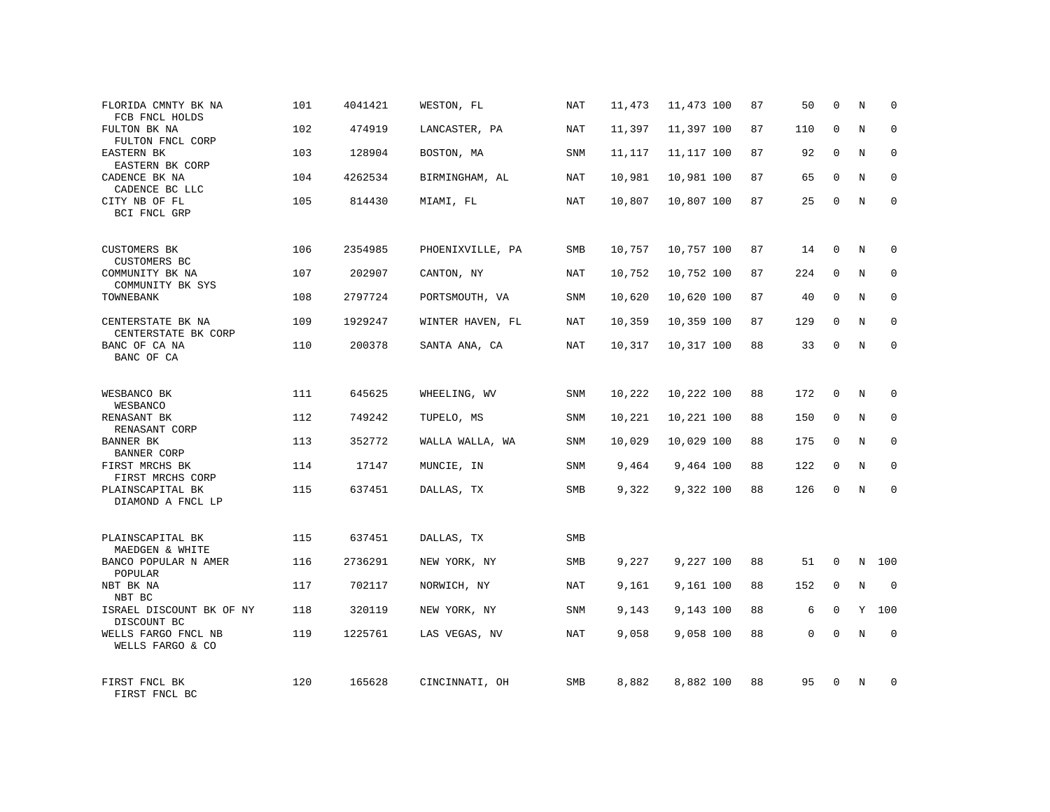| FLORIDA CMNTY BK NA<br>FCB FNCL HOLDS               | 101 | 4041421 | WESTON, FL       | <b>NAT</b> | 11,473 | 11,473 100 | 87 | 50  | $\mathbf 0$  | N              | $\mathbf 0$  |
|-----------------------------------------------------|-----|---------|------------------|------------|--------|------------|----|-----|--------------|----------------|--------------|
| FULTON BK NA<br>FULTON FNCL CORP                    | 102 | 474919  | LANCASTER, PA    | NAT        | 11,397 | 11,397 100 | 87 | 110 | $\mathbf 0$  | $\rm N$        | $\mathbf 0$  |
| <b>EASTERN BK</b><br>EASTERN BK CORP                | 103 | 128904  | BOSTON, MA       | SNM        | 11,117 | 11,117 100 | 87 | 92  | $\mathbf 0$  | N              | $\mathbf{0}$ |
| CADENCE BK NA<br>CADENCE BC LLC                     | 104 | 4262534 | BIRMINGHAM, AL   | NAT        | 10,981 | 10,981 100 | 87 | 65  | $\mathbf{0}$ | N              | 0            |
| CITY NB OF FL<br>BCI FNCL GRP                       | 105 | 814430  | MIAMI, FL        | NAT        | 10,807 | 10,807 100 | 87 | 25  | 0            | N              | $\mathbf 0$  |
| <b>CUSTOMERS BK</b>                                 | 106 | 2354985 | PHOENIXVILLE, PA | <b>SMB</b> | 10,757 | 10,757 100 | 87 | 14  | 0            | N              | $\mathbf 0$  |
| CUSTOMERS BC<br>COMMUNITY BK NA<br>COMMUNITY BK SYS | 107 | 202907  | CANTON, NY       | NAT        | 10,752 | 10,752 100 | 87 | 224 | 0            | N              | 0            |
| TOWNEBANK                                           | 108 | 2797724 | PORTSMOUTH, VA   | SNM        | 10,620 | 10,620 100 | 87 | 40  | 0            | N              | 0            |
| CENTERSTATE BK NA<br>CENTERSTATE BK CORP            | 109 | 1929247 | WINTER HAVEN, FL | NAT        | 10,359 | 10,359 100 | 87 | 129 | $\mathbf 0$  | N              | 0            |
| BANC OF CA NA<br>BANC OF CA                         | 110 | 200378  | SANTA ANA, CA    | NAT        | 10,317 | 10,317 100 | 88 | 33  | $\mathbf 0$  | N              | $\mathbf{0}$ |
| WESBANCO BK<br>WESBANCO                             | 111 | 645625  | WHEELING, WV     | SNM        | 10,222 | 10,222 100 | 88 | 172 | 0            | N              | 0            |
| RENASANT BK<br>RENASANT CORP                        | 112 | 749242  | TUPELO, MS       | <b>SNM</b> | 10,221 | 10,221 100 | 88 | 150 | $\mathbf 0$  | N              | $\mathbf 0$  |
| BANNER BK<br>BANNER CORP                            | 113 | 352772  | WALLA WALLA, WA  | <b>SNM</b> | 10,029 | 10,029 100 | 88 | 175 | $\mathbf{0}$ | N              | $\Omega$     |
| FIRST MRCHS BK<br>FIRST MRCHS CORP                  | 114 | 17147   | MUNCIE, IN       | SNM        | 9,464  | 9,464 100  | 88 | 122 | $\mathbf{0}$ | N              | $\mathbf 0$  |
| PLAINSCAPITAL BK<br>DIAMOND A FNCL LP               | 115 | 637451  | DALLAS, TX       | SMB        | 9,322  | 9,322 100  | 88 | 126 | $\mathbf 0$  | N              | $\mathbf 0$  |
| PLAINSCAPITAL BK<br>MAEDGEN & WHITE                 | 115 | 637451  | DALLAS, TX       | <b>SMB</b> |        |            |    |     |              |                |              |
| BANCO POPULAR N AMER<br>POPULAR                     | 116 | 2736291 | NEW YORK, NY     | SMB        | 9,227  | 9,227 100  | 88 | 51  | $\mathbf{0}$ | N              | 100          |
| NBT BK NA<br>NBT BC                                 | 117 | 702117  | NORWICH, NY      | NAT        | 9,161  | 9,161 100  | 88 | 152 | $\mathbf 0$  | $\rm N$        | $\mathbf 0$  |
| ISRAEL DISCOUNT BK OF NY<br>DISCOUNT BC             | 118 | 320119  | NEW YORK, NY     | SNM        | 9,143  | 9,143 100  | 88 | 6   | $\mathbf{0}$ |                | Y 100        |
| WELLS FARGO FNCL NB<br>WELLS FARGO & CO             | 119 | 1225761 | LAS VEGAS, NV    | NAT        | 9,058  | 9,058 100  | 88 | 0   | $\Omega$     | $\overline{N}$ | $\Omega$     |
| FIRST FNCL BK<br>FIRST FNCL BC                      | 120 | 165628  | CINCINNATI, OH   | SMB        | 8,882  | 8,882 100  | 88 | 95  | $\Omega$     | N              | $\mathbf 0$  |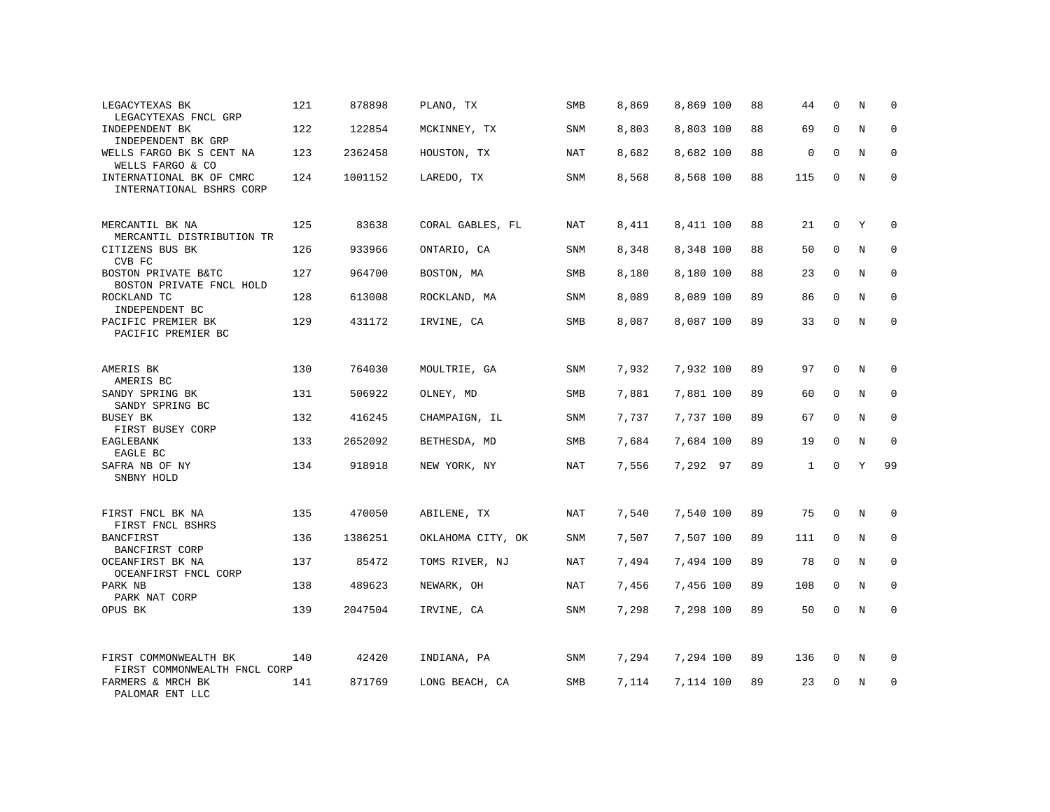| LEGACYTEXAS BK<br>LEGACYTEXAS FNCL GRP                 | 121 | 878898  | PLANO, TX         | SMB        | 8,869 | 8,869 100 | 88 | 44  | $\mathbf 0$ | N | $\mathbf 0$ |
|--------------------------------------------------------|-----|---------|-------------------|------------|-------|-----------|----|-----|-------------|---|-------------|
| INDEPENDENT BK<br>INDEPENDENT BK GRP                   | 122 | 122854  | MCKINNEY, TX      | SNM        | 8,803 | 8,803 100 | 88 | 69  | $\mathbf 0$ | N | $\mathbf 0$ |
| WELLS FARGO BK S CENT NA<br>WELLS FARGO & CO           | 123 | 2362458 | HOUSTON, TX       | NAT        | 8,682 | 8,682 100 | 88 | 0   | $\Omega$    | N | $\Omega$    |
| INTERNATIONAL BK OF CMRC<br>INTERNATIONAL BSHRS CORP   | 124 | 1001152 | LAREDO, TX        | SNM        | 8,568 | 8,568 100 | 88 | 115 | $\mathbf 0$ | N | $\Omega$    |
| MERCANTIL BK NA                                        | 125 | 83638   | CORAL GABLES, FL  | NAT        | 8,411 | 8,411 100 | 88 | 21  | 0           | Y | $\mathbf 0$ |
| MERCANTIL DISTRIBUTION TR<br>CITIZENS BUS BK<br>CVB FC | 126 | 933966  | ONTARIO, CA       | SNM        | 8,348 | 8,348 100 | 88 | 50  | $\mathbf 0$ | N | $\mathbf 0$ |
| BOSTON PRIVATE B&TC<br>BOSTON PRIVATE FNCL HOLD        | 127 | 964700  | BOSTON, MA        | SMB        | 8,180 | 8,180 100 | 88 | 23  | $\Omega$    | N | $\mathbf 0$ |
| ROCKLAND TC<br>INDEPENDENT BC                          | 128 | 613008  | ROCKLAND, MA      | SNM        | 8,089 | 8,089 100 | 89 | 86  | $\mathbf 0$ | N | $\mathbf 0$ |
| PACIFIC PREMIER BK<br>PACIFIC PREMIER BC               | 129 | 431172  | IRVINE, CA        | SMB        | 8,087 | 8,087 100 | 89 | 33  | $\Omega$    | N | $\Omega$    |
| AMERIS BK<br>AMERIS BC                                 | 130 | 764030  | MOULTRIE, GA      | <b>SNM</b> | 7,932 | 7,932 100 | 89 | 97  | $\mathbf 0$ | N | $\mathbf 0$ |
| SANDY SPRING BK<br>SANDY SPRING BC                     | 131 | 506922  | OLNEY, MD         | SMB        | 7,881 | 7,881 100 | 89 | 60  | $\Omega$    | N | $\mathbf 0$ |
| BUSEY BK<br>FIRST BUSEY CORP                           | 132 | 416245  | CHAMPAIGN, IL     | SNM        | 7,737 | 7,737 100 | 89 | 67  | $\mathbf 0$ | N | $\mathbf 0$ |
| EAGLEBANK<br>EAGLE BC                                  | 133 | 2652092 | BETHESDA, MD      | <b>SMB</b> | 7,684 | 7,684 100 | 89 | 19  | $\Omega$    | N | $\mathbf 0$ |
| SAFRA NB OF NY<br>SNBNY HOLD                           | 134 | 918918  | NEW YORK, NY      | NAT        | 7,556 | 7,292 97  | 89 | 1   | $\mathbf 0$ | Y | 99          |
| FIRST FNCL BK NA<br>FIRST FNCL BSHRS                   | 135 | 470050  | ABILENE, TX       | <b>NAT</b> | 7,540 | 7,540 100 | 89 | 75  | $\mathbf 0$ | N | $\mathbf 0$ |
| <b>BANCFIRST</b><br>BANCFIRST CORP                     | 136 | 1386251 | OKLAHOMA CITY, OK | SNM        | 7,507 | 7,507 100 | 89 | 111 | 0           | N | 0           |
| OCEANFIRST BK NA<br>OCEANFIRST FNCL CORP               | 137 | 85472   | TOMS RIVER, NJ    | NAT        | 7,494 | 7,494 100 | 89 | 78  | $\mathbf 0$ | N | $\mathbf 0$ |
| PARK NB<br>PARK NAT CORP                               | 138 | 489623  | NEWARK, OH        | NAT        | 7,456 | 7,456 100 | 89 | 108 | $\mathbf 0$ | N | 0           |
| OPUS BK                                                | 139 | 2047504 | IRVINE, CA        | SNM        | 7,298 | 7,298 100 | 89 | 50  | $\mathbf 0$ | N | $\mathbf 0$ |
| FIRST COMMONWEALTH BK<br>FIRST COMMONWEALTH FNCL CORP  | 140 | 42420   | INDIANA, PA       | SNM        | 7,294 | 7,294 100 | 89 | 136 | 0           | N | 0           |
| FARMERS & MRCH BK<br>PALOMAR ENT LLC                   | 141 | 871769  | LONG BEACH, CA    | <b>SMB</b> | 7,114 | 7,114 100 | 89 | 23  | $\Omega$    | N | $\mathbf 0$ |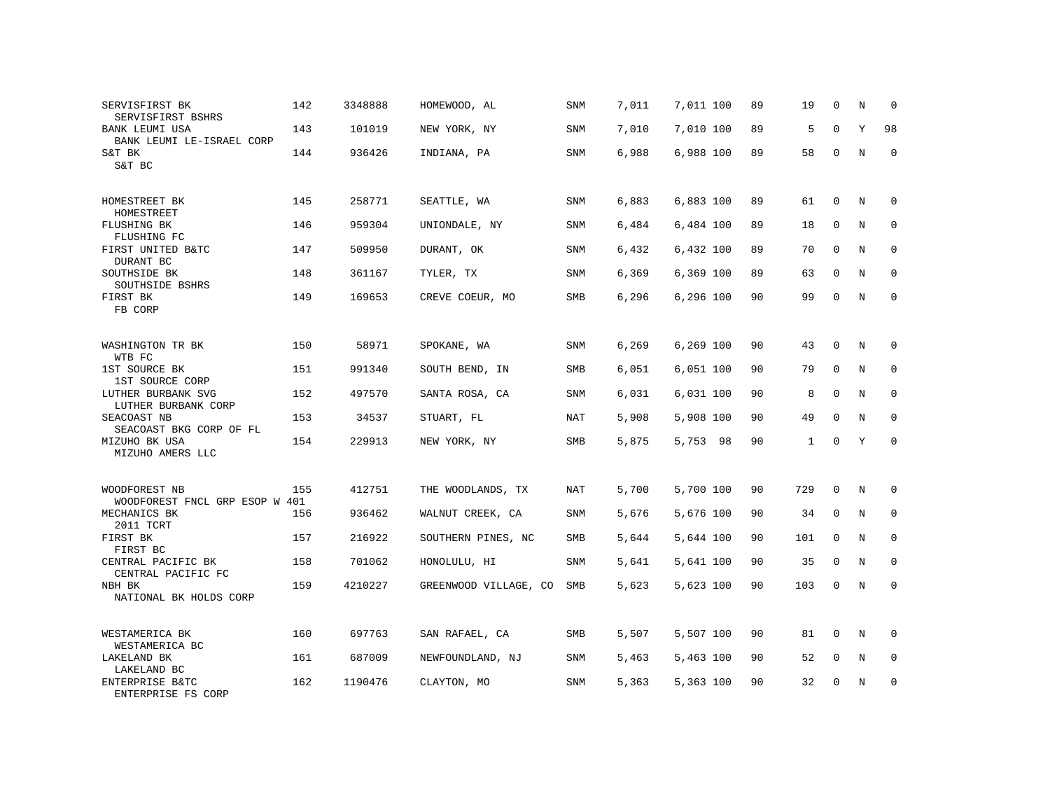| SERVISFIRST BK<br>SERVISFIRST BSHRS             | 142 | 3348888 | HOMEWOOD, AL          | SNM        | 7,011 | 7,011 100 | 89 | 19  | 0            | N | $\Omega$    |
|-------------------------------------------------|-----|---------|-----------------------|------------|-------|-----------|----|-----|--------------|---|-------------|
| BANK LEUMI USA<br>BANK LEUMI LE-ISRAEL CORP     | 143 | 101019  | NEW YORK, NY          | <b>SNM</b> | 7,010 | 7,010 100 | 89 | 5   | $\Omega$     | Υ | 98          |
| S&T BK<br>S&T BC                                | 144 | 936426  | INDIANA, PA           | <b>SNM</b> | 6,988 | 6,988 100 | 89 | 58  | $\mathbf 0$  | N | $\Omega$    |
| HOMESTREET BK<br>HOMESTREET                     | 145 | 258771  | SEATTLE, WA           | SNM        | 6,883 | 6,883 100 | 89 | 61  | $\Omega$     | N | $\Omega$    |
| FLUSHING BK<br>FLUSHING FC                      | 146 | 959304  | UNIONDALE, NY         | SNM        | 6,484 | 6,484 100 | 89 | 18  | $\mathbf 0$  | N | $\mathbf 0$ |
| FIRST UNITED B&TC<br>DURANT BC                  | 147 | 509950  | DURANT, OK            | SNM        | 6,432 | 6,432 100 | 89 | 70  | $\Omega$     | N | $\Omega$    |
| SOUTHSIDE BK<br>SOUTHSIDE BSHRS                 | 148 | 361167  | TYLER, TX             | SNM        | 6,369 | 6,369 100 | 89 | 63  | $\Omega$     | N | $\mathbf 0$ |
| FIRST BK<br>FB CORP                             | 149 | 169653  | CREVE COEUR, MO       | SMB        | 6,296 | 6,296 100 | 90 | 99  | $\Omega$     | N | $\Omega$    |
| WASHINGTON TR BK<br>WTB FC                      | 150 | 58971   | SPOKANE, WA           | <b>SNM</b> | 6,269 | 6,269 100 | 90 | 43  | $\Omega$     | N | $\Omega$    |
| 1ST SOURCE BK<br>1ST SOURCE CORP                | 151 | 991340  | SOUTH BEND, IN        | SMB        | 6,051 | 6,051 100 | 90 | 79  | $\mathbf{0}$ | N | $\mathbf 0$ |
| LUTHER BURBANK SVG<br>LUTHER BURBANK CORP       | 152 | 497570  | SANTA ROSA, CA        | SNM        | 6,031 | 6,031 100 | 90 | 8   | $\Omega$     | N | $\Omega$    |
| SEACOAST NB<br>SEACOAST BKG CORP OF FL          | 153 | 34537   | STUART, FL            | <b>NAT</b> | 5,908 | 5,908 100 | 90 | 49  | $\Omega$     | N | $\Omega$    |
| MIZUHO BK USA<br>MIZUHO AMERS LLC               | 154 | 229913  | NEW YORK, NY          | SMB        | 5,875 | 5,753 98  | 90 | 1   | $\mathbf{0}$ | Y | $\Omega$    |
| WOODFOREST NB<br>WOODFOREST FNCL GRP ESOP W 401 | 155 | 412751  | THE WOODLANDS, TX     | NAT        | 5,700 | 5,700 100 | 90 | 729 | $\mathbf 0$  | N | $\mathbf 0$ |
| MECHANICS BK<br>2011 TCRT                       | 156 | 936462  | WALNUT CREEK, CA      | <b>SNM</b> | 5,676 | 5,676 100 | 90 | 34  | $\mathbf{0}$ | N | $\mathbf 0$ |
| FIRST BK<br>FIRST BC                            | 157 | 216922  | SOUTHERN PINES, NC    | SMB        | 5,644 | 5,644 100 | 90 | 101 | $\mathbf{0}$ | N | $\mathbf 0$ |
| CENTRAL PACIFIC BK<br>CENTRAL PACIFIC FC        | 158 | 701062  | HONOLULU, HI          | SNM        | 5,641 | 5,641 100 | 90 | 35  | $\mathbf{0}$ | N | $\mathbf 0$ |
| NBH BK<br>NATIONAL BK HOLDS CORP                | 159 | 4210227 | GREENWOOD VILLAGE, CO | SMB        | 5,623 | 5,623 100 | 90 | 103 | $\Omega$     | N | $\Omega$    |
| WESTAMERICA BK<br>WESTAMERICA BC                | 160 | 697763  | SAN RAFAEL, CA        | <b>SMB</b> | 5,507 | 5,507 100 | 90 | 81  | $\mathbf{0}$ | N | $\mathbf 0$ |
| LAKELAND BK<br>LAKELAND BC                      | 161 | 687009  | NEWFOUNDLAND, NJ      | <b>SNM</b> | 5,463 | 5,463 100 | 90 | 52  | 0            | N | 0           |
| ENTERPRISE B&TC<br>ENTERPRISE FS CORP           | 162 | 1190476 | CLAYTON, MO           | <b>SNM</b> | 5,363 | 5,363 100 | 90 | 32  | $\Omega$     | N | $\mathbf 0$ |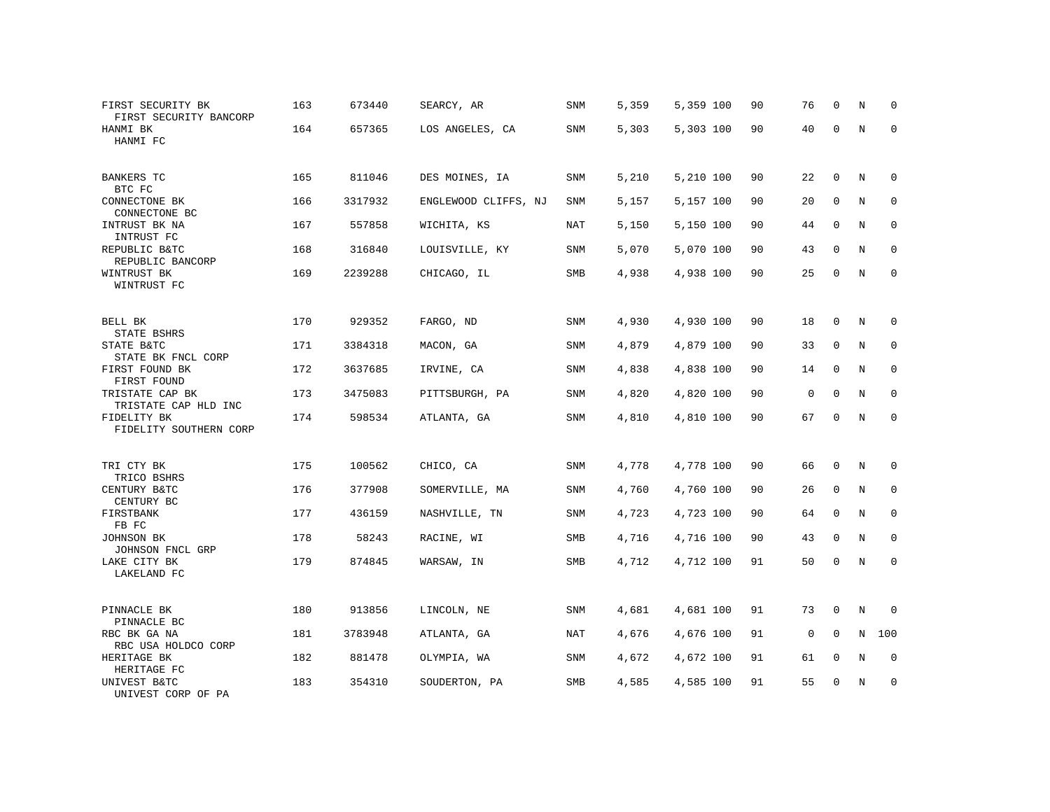| FIRST SECURITY BK<br>FIRST SECURITY BANCORP | 163 | 673440  | SEARCY, AR           | SNM        | 5,359 | 5,359 100 | 90 | 76          | $\mathbf 0$  | N       | $\mathbf 0$ |
|---------------------------------------------|-----|---------|----------------------|------------|-------|-----------|----|-------------|--------------|---------|-------------|
| HANMI BK<br>HANMI FC                        | 164 | 657365  | LOS ANGELES, CA      | SNM        | 5,303 | 5,303 100 | 90 | 40          | $\mathbf{0}$ | N       | $\mathbf 0$ |
| BANKERS TC<br>BTC FC                        | 165 | 811046  | DES MOINES, IA       | SNM        | 5,210 | 5,210 100 | 90 | 22          | 0            | N       | $\mathbf 0$ |
| CONNECTONE BK<br>CONNECTONE BC              | 166 | 3317932 | ENGLEWOOD CLIFFS, NJ | SNM        | 5,157 | 5,157 100 | 90 | 20          | $\Omega$     | N       | $\mathbf 0$ |
| INTRUST BK NA<br>INTRUST FC                 | 167 | 557858  | WICHITA, KS          | NAT        | 5,150 | 5,150 100 | 90 | 44          | 0            | N       | 0           |
| REPUBLIC B&TC<br>REPUBLIC BANCORP           | 168 | 316840  | LOUISVILLE, KY       | SNM        | 5,070 | 5,070 100 | 90 | 43          | $\mathbf 0$  | N       | $\mathbf 0$ |
| WINTRUST BK<br>WINTRUST FC                  | 169 | 2239288 | CHICAGO, IL          | SMB        | 4,938 | 4,938 100 | 90 | 25          | $\mathbf{0}$ | N       | $\Omega$    |
| BELL BK<br>STATE BSHRS                      | 170 | 929352  | FARGO, ND            | SNM        | 4,930 | 4,930 100 | 90 | 18          | $\mathbf 0$  | N       | $\mathbf 0$ |
| STATE B&TC<br>STATE BK FNCL CORP            | 171 | 3384318 | MACON, GA            | SNM        | 4,879 | 4,879 100 | 90 | 33          | 0            | N       | 0           |
| FIRST FOUND BK<br>FIRST FOUND               | 172 | 3637685 | IRVINE, CA           | SNM        | 4,838 | 4,838 100 | 90 | 14          | $\mathbf 0$  | N       | 0           |
| TRISTATE CAP BK<br>TRISTATE CAP HLD INC     | 173 | 3475083 | PITTSBURGH, PA       | <b>SNM</b> | 4,820 | 4,820 100 | 90 | 0           | $\Omega$     | N       | $\Omega$    |
| FIDELITY BK<br>FIDELITY SOUTHERN CORP       | 174 | 598534  | ATLANTA, GA          | SNM        | 4,810 | 4,810 100 | 90 | 67          | $\mathbf 0$  | N       | $\mathbf 0$ |
| TRI CTY BK<br>TRICO BSHRS                   | 175 | 100562  | CHICO, CA            | SNM        | 4,778 | 4,778 100 | 90 | 66          | 0            | Ν       | 0           |
| CENTURY B&TC<br>CENTURY BC                  | 176 | 377908  | SOMERVILLE, MA       | SNM        | 4,760 | 4,760 100 | 90 | 26          | 0            | N       | 0           |
| FIRSTBANK<br>FB FC                          | 177 | 436159  | NASHVILLE, TN        | SNM        | 4,723 | 4,723 100 | 90 | 64          | $\mathbf 0$  | N       | $\mathbf 0$ |
| JOHNSON BK<br>JOHNSON FNCL GRP              | 178 | 58243   | RACINE, WI           | SMB        | 4,716 | 4,716 100 | 90 | 43          | 0            | N       | 0           |
| LAKE CITY BK<br>LAKELAND FC                 | 179 | 874845  | WARSAW, IN           | <b>SMB</b> | 4,712 | 4,712 100 | 91 | 50          | $\mathbf 0$  | N       | $\mathbf 0$ |
| PINNACLE BK<br>PINNACLE BC                  | 180 | 913856  | LINCOLN, NE          | SNM        | 4,681 | 4,681 100 | 91 | 73          | 0            | N       | $\mathbf 0$ |
| RBC BK GA NA<br>RBC USA HOLDCO CORP         | 181 | 3783948 | ATLANTA, GA          | NAT        | 4,676 | 4,676 100 | 91 | $\mathbf 0$ | 0            | N       | 100         |
| HERITAGE BK<br>HERITAGE FC                  | 182 | 881478  | OLYMPIA, WA          | SNM        | 4,672 | 4,672 100 | 91 | 61          | 0            | $\rm N$ | 0           |
| UNIVEST B&TC<br>UNIVEST CORP OF PA          | 183 | 354310  | SOUDERTON, PA        | <b>SMB</b> | 4,585 | 4,585 100 | 91 | 55          | 0            | N       | $\mathbf 0$ |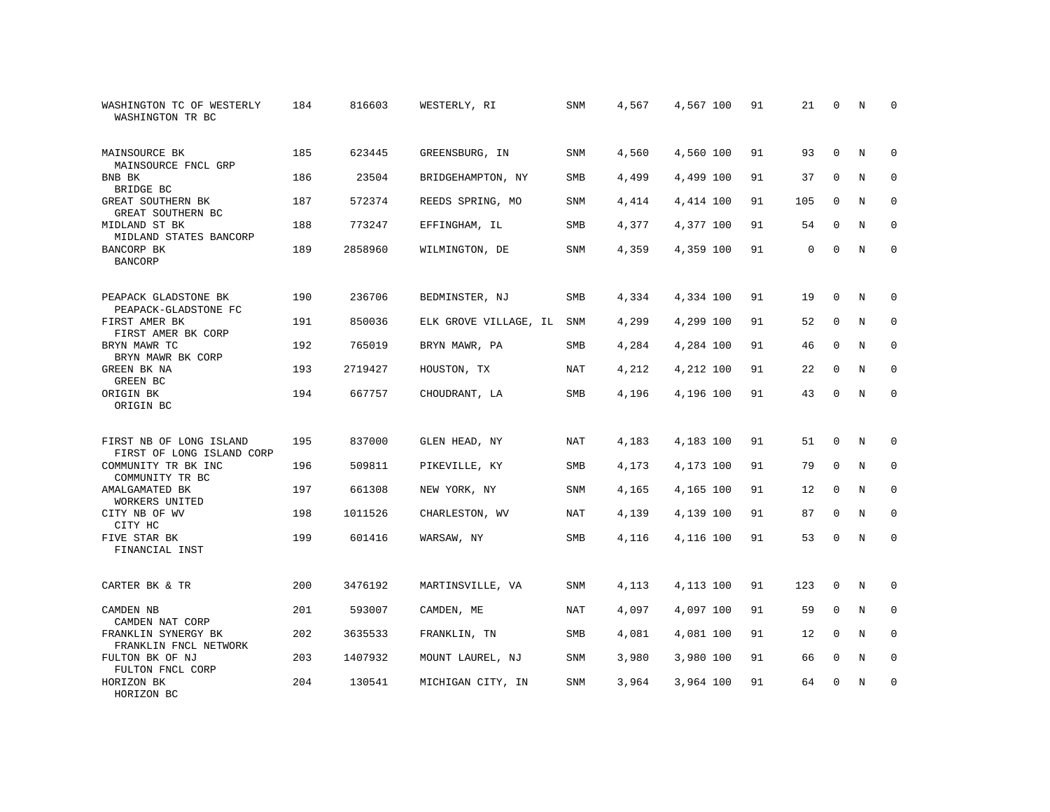| WASHINGTON TC OF WESTERLY<br>WASHINGTON TR BC        | 184 | 816603  | WESTERLY, RI          | SNM        | 4,567 | 4,567 100 | 91 | 21  | $\mathbf 0$  | N | $\mathbf 0$ |
|------------------------------------------------------|-----|---------|-----------------------|------------|-------|-----------|----|-----|--------------|---|-------------|
| MAINSOURCE BK<br>MAINSOURCE FNCL GRP                 | 185 | 623445  | GREENSBURG, IN        | <b>SNM</b> | 4,560 | 4,560 100 | 91 | 93  | $\Omega$     | N | $\mathbf 0$ |
| BNB BK<br>BRIDGE BC                                  | 186 | 23504   | BRIDGEHAMPTON, NY     | SMB        | 4,499 | 4,499 100 | 91 | 37  | $\mathbf 0$  | N | $\mathbf 0$ |
| <b>GREAT SOUTHERN BK</b><br>GREAT SOUTHERN BC        | 187 | 572374  | REEDS SPRING, MO      | <b>SNM</b> | 4,414 | 4,414 100 | 91 | 105 | $\Omega$     | N | $\mathbf 0$ |
| MIDLAND ST BK<br>MIDLAND STATES BANCORP              | 188 | 773247  | EFFINGHAM, IL         | <b>SMB</b> | 4,377 | 4,377 100 | 91 | 54  | $\Omega$     | N | $\mathbf 0$ |
| BANCORP BK<br><b>BANCORP</b>                         | 189 | 2858960 | WILMINGTON, DE        | <b>SNM</b> | 4,359 | 4,359 100 | 91 | 0   | $\mathbf 0$  | N | $\mathbf 0$ |
| PEAPACK GLADSTONE BK<br>PEAPACK-GLADSTONE FC         | 190 | 236706  | BEDMINSTER, NJ        | SMB        | 4,334 | 4,334 100 | 91 | 19  | $\mathbf{0}$ | N | 0           |
| FIRST AMER BK<br>FIRST AMER BK CORP                  | 191 | 850036  | ELK GROVE VILLAGE, IL | SNM        | 4,299 | 4,299 100 | 91 | 52  | $\mathbf{0}$ | N | 0           |
| BRYN MAWR TC<br>BRYN MAWR BK CORP                    | 192 | 765019  | BRYN MAWR, PA         | <b>SMB</b> | 4,284 | 4,284 100 | 91 | 46  | $\Omega$     | N | $\mathbf 0$ |
| GREEN BK NA<br>GREEN BC                              | 193 | 2719427 | HOUSTON, TX           | NAT        | 4,212 | 4,212 100 | 91 | 22  | $\mathbf 0$  | N | 0           |
| ORIGIN BK<br>ORIGIN BC                               | 194 | 667757  | CHOUDRANT, LA         | SMB        | 4,196 | 4,196 100 | 91 | 43  | $\mathbf{0}$ | N | $\mathbf 0$ |
| FIRST NB OF LONG ISLAND<br>FIRST OF LONG ISLAND CORP | 195 | 837000  | GLEN HEAD, NY         | NAT        | 4,183 | 4,183 100 | 91 | 51  | $\mathbf 0$  | Ν | 0           |
| COMMUNITY TR BK INC<br>COMMUNITY TR BC               | 196 | 509811  | PIKEVILLE, KY         | SMB        | 4,173 | 4,173 100 | 91 | 79  | $\mathbf{0}$ | N | 0           |
| AMALGAMATED BK<br>WORKERS UNITED                     | 197 | 661308  | NEW YORK, NY          | SNM        | 4,165 | 4,165 100 | 91 | 12  | $\Omega$     | N | $\mathbf 0$ |
| CITY NB OF WV<br>CITY HC                             | 198 | 1011526 | CHARLESTON, WV        | NAT        | 4,139 | 4,139 100 | 91 | 87  | $\mathbf 0$  | N | 0           |
| FIVE STAR BK<br>FINANCIAL INST                       | 199 | 601416  | WARSAW, NY            | SMB        | 4,116 | 4,116 100 | 91 | 53  | $\mathbf{0}$ | N | $\mathbf 0$ |
| CARTER BK & TR                                       | 200 | 3476192 | MARTINSVILLE, VA      | SNM        | 4,113 | 4,113 100 | 91 | 123 | $\mathbf 0$  | N | 0           |
| CAMDEN NB<br>CAMDEN NAT CORP                         | 201 | 593007  | CAMDEN, ME            | NAT        | 4,097 | 4,097 100 | 91 | 59  | $\mathbf{0}$ | N | $\mathbf 0$ |
| FRANKLIN SYNERGY BK<br>FRANKLIN FNCL NETWORK         | 202 | 3635533 | FRANKLIN, TN          | SMB        | 4,081 | 4,081 100 | 91 | 12  | $\mathbf{0}$ | N | $\mathbf 0$ |
| FULTON BK OF NJ<br>FULTON FNCL CORP                  | 203 | 1407932 | MOUNT LAUREL, NJ      | SNM        | 3,980 | 3,980 100 | 91 | 66  | $\mathbf 0$  | N | 0           |
| HORIZON BK<br>HORIZON BC                             | 204 | 130541  | MICHIGAN CITY, IN     | <b>SNM</b> | 3,964 | 3,964 100 | 91 | 64  | $\Omega$     | N | $\mathbf 0$ |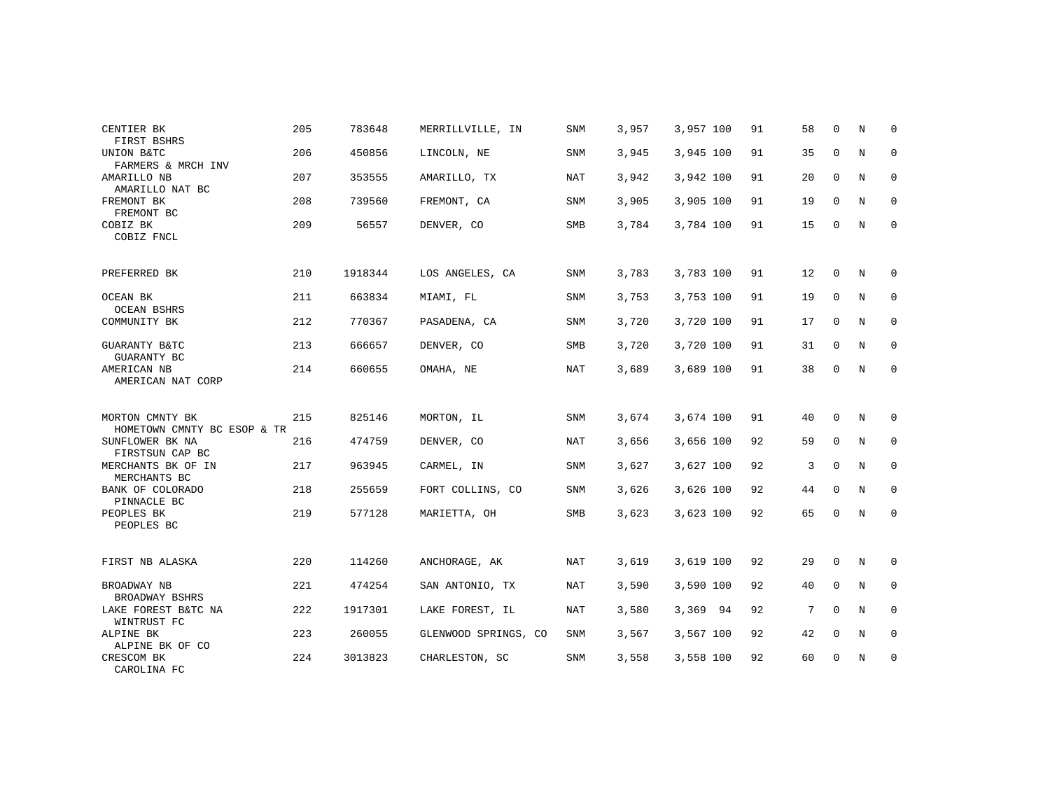| CENTIER BK<br>FIRST BSHRS                      | 205 | 783648  | MERRILLVILLE, IN     | <b>SNM</b> | 3,957 | 3,957 100 | 91 | 58 | $\Omega$     | N | $\Omega$    |
|------------------------------------------------|-----|---------|----------------------|------------|-------|-----------|----|----|--------------|---|-------------|
| UNION B&TC<br>FARMERS & MRCH INV               | 206 | 450856  | LINCOLN, NE          | <b>SNM</b> | 3,945 | 3,945 100 | 91 | 35 | 0            | N | $\mathbf 0$ |
| AMARILLO NB<br>AMARILLO NAT BC                 | 207 | 353555  | AMARILLO, TX         | <b>NAT</b> | 3,942 | 3,942 100 | 91 | 20 | $\Omega$     | N | $\mathbf 0$ |
| FREMONT BK<br>FREMONT BC                       | 208 | 739560  | FREMONT, CA          | SNM        | 3,905 | 3,905 100 | 91 | 19 | 0            | N | $\mathbf 0$ |
| COBIZ BK<br>COBIZ FNCL                         | 209 | 56557   | DENVER, CO           | <b>SMB</b> | 3,784 | 3,784 100 | 91 | 15 | $\mathbf 0$  | N | $\mathbf 0$ |
| PREFERRED BK                                   | 210 | 1918344 | LOS ANGELES, CA      | SNM        | 3,783 | 3,783 100 | 91 | 12 | $\mathbf 0$  | N | $\mathbf 0$ |
| OCEAN BK<br><b>OCEAN BSHRS</b>                 | 211 | 663834  | MIAMI, FL            | SNM        | 3,753 | 3,753 100 | 91 | 19 | $\mathbf 0$  | N | 0           |
| COMMUNITY BK                                   | 212 | 770367  | PASADENA, CA         | <b>SNM</b> | 3,720 | 3,720 100 | 91 | 17 | $\mathbf{0}$ | N | $\mathbf 0$ |
| GUARANTY B&TC<br>GUARANTY BC                   | 213 | 666657  | DENVER, CO           | SMB        | 3,720 | 3,720 100 | 91 | 31 | 0            | N | 0           |
| AMERICAN NB<br>AMERICAN NAT CORP               | 214 | 660655  | OMAHA, NE            | NAT        | 3,689 | 3,689 100 | 91 | 38 | $\mathbf 0$  | N | $\mathbf 0$ |
| MORTON CMNTY BK                                | 215 | 825146  | MORTON, IL           | SNM        | 3,674 | 3,674 100 | 91 | 40 | $\Omega$     | N | $\mathbf 0$ |
| HOMETOWN CMNTY BC ESOP & TR<br>SUNFLOWER BK NA | 216 | 474759  | DENVER, CO           | NAT        | 3,656 | 3,656 100 | 92 | 59 | $\mathbf{0}$ | N | $\mathbf 0$ |
| FIRSTSUN CAP BC<br>MERCHANTS BK OF IN          | 217 | 963945  | CARMEL, IN           | SNM        | 3,627 | 3,627 100 | 92 | 3  | $\mathbf 0$  | N | $\mathbf 0$ |
| MERCHANTS BC<br>BANK OF COLORADO               | 218 | 255659  | FORT COLLINS, CO     | SNM        | 3,626 | 3,626 100 | 92 | 44 | $\mathbf 0$  | N | $\mathbf 0$ |
| PINNACLE BC<br>PEOPLES BK                      | 219 | 577128  | MARIETTA, OH         | SMB        | 3,623 | 3,623 100 | 92 | 65 | $\mathbf 0$  | N | $\mathbf 0$ |
| PEOPLES BC                                     |     |         |                      |            |       |           |    |    |              |   |             |
| FIRST NB ALASKA                                | 220 | 114260  | ANCHORAGE, AK        | NAT        | 3,619 | 3,619 100 | 92 | 29 | $\mathbf 0$  | N | $\mathbf 0$ |
| BROADWAY NB<br>BROADWAY BSHRS                  | 221 | 474254  | SAN ANTONIO, TX      | NAT        | 3,590 | 3,590 100 | 92 | 40 | $\mathbf 0$  | N | $\mathbf 0$ |
| LAKE FOREST B&TC NA<br>WINTRUST FC             | 222 | 1917301 | LAKE FOREST, IL      | <b>NAT</b> | 3,580 | 3,369 94  | 92 | 7  | $\Omega$     | N | $\mathbf 0$ |
| ALPINE BK<br>ALPINE BK OF CO                   | 223 | 260055  | GLENWOOD SPRINGS, CO | SNM        | 3,567 | 3,567 100 | 92 | 42 | $\mathbf 0$  | N | $\mathbf 0$ |
| CRESCOM BK<br>CAROLINA FC                      | 224 | 3013823 | CHARLESTON, SC       | <b>SNM</b> | 3,558 | 3,558 100 | 92 | 60 | $\mathbf 0$  | N | $\mathbf 0$ |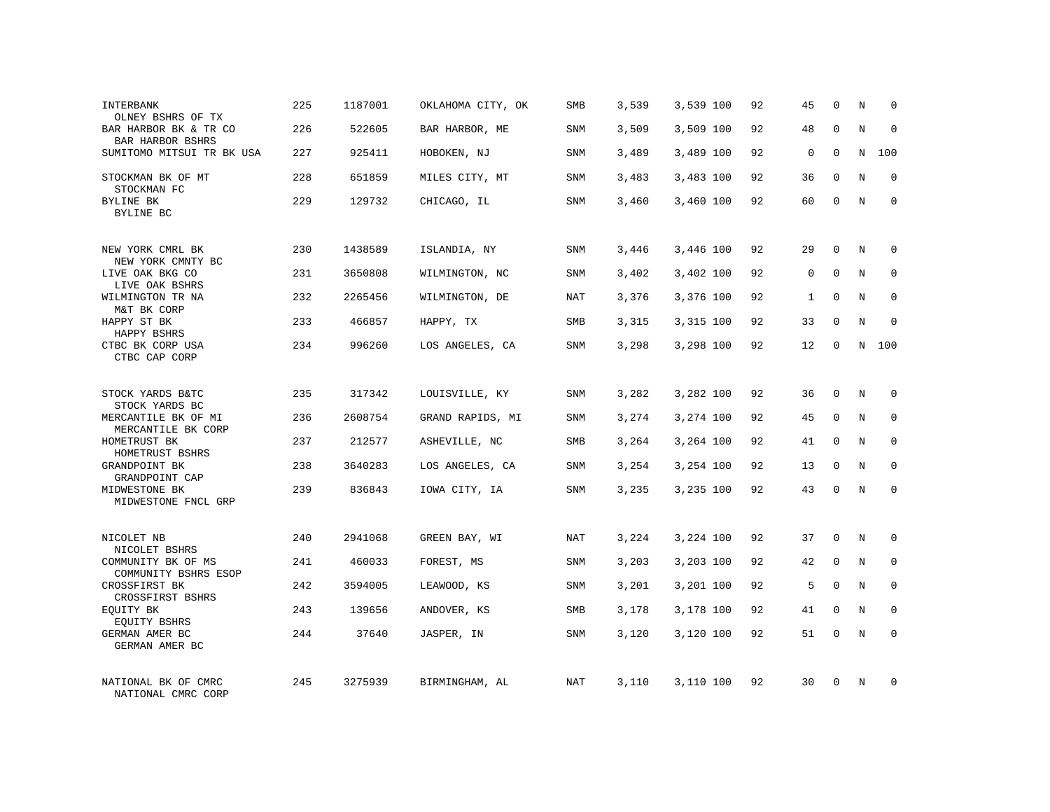| INTERBANK<br>OLNEY BSHRS OF TX                         | 225 | 1187001 | OKLAHOMA CITY, OK | SMB        | 3,539 | 3,539 100 | 92 | 45          | $\Omega$     | N              | $\mathbf 0$  |
|--------------------------------------------------------|-----|---------|-------------------|------------|-------|-----------|----|-------------|--------------|----------------|--------------|
| BAR HARBOR BK & TR CO<br>BAR HARBOR BSHRS              | 226 | 522605  | BAR HARBOR, ME    | <b>SNM</b> | 3,509 | 3,509 100 | 92 | 48          | $\Omega$     | $\overline{N}$ | $\Omega$     |
| SUMITOMO MITSUI TR BK USA                              | 227 | 925411  | HOBOKEN, NJ       | SNM        | 3,489 | 3,489 100 | 92 | $\mathbf 0$ | 0            | N              | 100          |
| STOCKMAN BK OF MT<br>STOCKMAN FC                       | 228 | 651859  | MILES CITY, MT    | <b>SNM</b> | 3,483 | 3,483 100 | 92 | 36          | $\Omega$     | $\overline{N}$ | $\Omega$     |
| BYLINE BK<br>BYLINE BC                                 | 229 | 129732  | CHICAGO, IL       | <b>SNM</b> | 3,460 | 3,460 100 | 92 | 60          | $\mathbf 0$  | N              | $\mathbf{0}$ |
| NEW YORK CMRL BK                                       | 230 | 1438589 | ISLANDIA, NY      | <b>SNM</b> | 3,446 | 3,446 100 | 92 | 29          | $\Omega$     | N              | $\mathbf 0$  |
| NEW YORK CMNTY BC<br>LIVE OAK BKG CO<br>LIVE OAK BSHRS | 231 | 3650808 | WILMINGTON, NC    | SNM        | 3,402 | 3,402 100 | 92 | 0           | 0            | N              | 0            |
| WILMINGTON TR NA<br>M&T BK CORP                        | 232 | 2265456 | WILMINGTON, DE    | NAT        | 3,376 | 3,376 100 | 92 | 1           | $\Omega$     | N              | $\mathbf 0$  |
| HAPPY ST BK<br>HAPPY BSHRS                             | 233 | 466857  | HAPPY, TX         | SMB        | 3,315 | 3,315 100 | 92 | 33          | 0            | N              | $\mathbf 0$  |
| CTBC BK CORP USA<br>CTBC CAP CORP                      | 234 | 996260  | LOS ANGELES, CA   | <b>SNM</b> | 3,298 | 3,298 100 | 92 | 12          | $\Omega$     | N              | 100          |
| STOCK YARDS B&TC<br>STOCK YARDS BC                     | 235 | 317342  | LOUISVILLE, KY    | SNM        | 3,282 | 3,282 100 | 92 | 36          | $\mathbf 0$  | N              | $\mathbf 0$  |
| MERCANTILE BK OF MI<br>MERCANTILE BK CORP              | 236 | 2608754 | GRAND RAPIDS, MI  | SNM        | 3,274 | 3,274 100 | 92 | 45          | 0            | N              | $\mathbf 0$  |
| HOMETRUST BK<br>HOMETRUST BSHRS                        | 237 | 212577  | ASHEVILLE, NC     | SMB        | 3,264 | 3,264 100 | 92 | 41          | $\Omega$     | N              | $\mathbf 0$  |
| GRANDPOINT BK<br>GRANDPOINT CAP                        | 238 | 3640283 | LOS ANGELES, CA   | SNM        | 3,254 | 3,254 100 | 92 | 13          | $\Omega$     | N              | $\mathbf 0$  |
| MIDWESTONE BK<br>MIDWESTONE FNCL GRP                   | 239 | 836843  | IOWA CITY, IA     | SNM        | 3,235 | 3,235 100 | 92 | 43          | 0            | N              | $\Omega$     |
| NICOLET NB<br>NICOLET BSHRS                            | 240 | 2941068 | GREEN BAY, WI     | NAT        | 3,224 | 3,224 100 | 92 | 37          | $\mathbf 0$  | N              | $\mathbf 0$  |
| COMMUNITY BK OF MS<br>COMMUNITY BSHRS ESOP             | 241 | 460033  | FOREST, MS        | <b>SNM</b> | 3,203 | 3,203 100 | 92 | 42          | $\mathbf 0$  | N              | $\mathbf 0$  |
| CROSSFIRST BK<br>CROSSFIRST BSHRS                      | 242 | 3594005 | LEAWOOD, KS       | <b>SNM</b> | 3,201 | 3,201 100 | 92 | 5           | $\mathbf 0$  | N              | $\mathbf 0$  |
| EQUITY BK<br>EQUITY BSHRS                              | 243 | 139656  | ANDOVER, KS       | SMB        | 3,178 | 3,178 100 | 92 | 41          | $\mathbf{0}$ | N              | $\mathbf 0$  |
| GERMAN AMER BC<br>GERMAN AMER BC                       | 244 | 37640   | JASPER, IN        | <b>SNM</b> | 3,120 | 3,120 100 | 92 | 51          | $\mathbf 0$  | N              | $\mathbf 0$  |
| NATIONAL BK OF CMRC<br>NATIONAL CMRC CORP              | 245 | 3275939 | BIRMINGHAM, AL    | NAT        | 3,110 | 3,110 100 | 92 | 30          | $\Omega$     | N              | $\mathbf 0$  |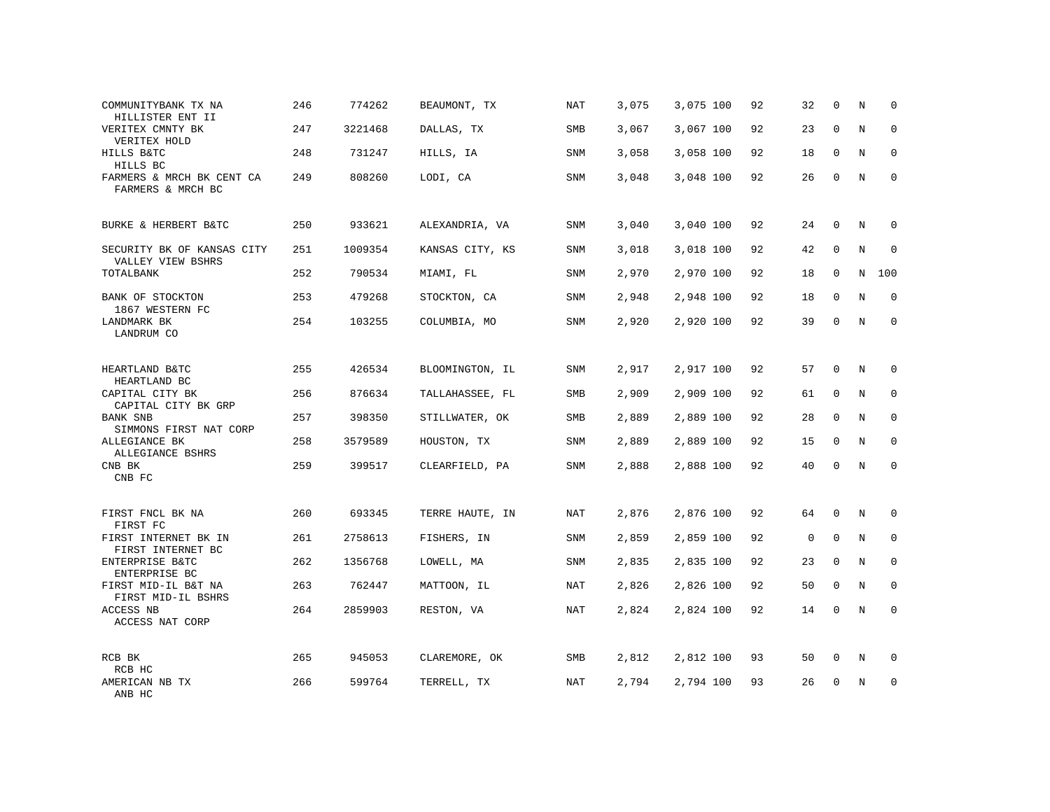| COMMUNITYBANK TX NA<br>HILLISTER ENT II         | 246 | 774262  | BEAUMONT, TX    | NAT        | 3,075 | 3,075 100 | 92 | 32 | $\mathbf 0$  | N           | 0           |
|-------------------------------------------------|-----|---------|-----------------|------------|-------|-----------|----|----|--------------|-------------|-------------|
| VERITEX CMNTY BK<br>VERITEX HOLD                | 247 | 3221468 | DALLAS, TX      | SMB        | 3,067 | 3,067 100 | 92 | 23 | $\mathbf 0$  | N           | $\mathbf 0$ |
| HILLS B&TC<br>HILLS BC                          | 248 | 731247  | HILLS, IA       | SNM        | 3,058 | 3,058 100 | 92 | 18 | $\mathbf{0}$ | N           | $\mathbf 0$ |
| FARMERS & MRCH BK CENT CA<br>FARMERS & MRCH BC  | 249 | 808260  | LODI, CA        | SNM        | 3,048 | 3,048 100 | 92 | 26 | $\Omega$     | N           | $\Omega$    |
| BURKE & HERBERT B&TC                            | 250 | 933621  | ALEXANDRIA, VA  | SNM        | 3,040 | 3,040 100 | 92 | 24 | $\mathbf 0$  | N           | 0           |
| SECURITY BK OF KANSAS CITY<br>VALLEY VIEW BSHRS | 251 | 1009354 | KANSAS CITY, KS | SNM        | 3,018 | 3,018 100 | 92 | 42 | $\mathbf 0$  | N           | 0           |
| TOTALBANK                                       | 252 | 790534  | MIAMI, FL       | SNM        | 2,970 | 2,970 100 | 92 | 18 | $\mathbf 0$  | N           | 100         |
| BANK OF STOCKTON<br>1867 WESTERN FC             | 253 | 479268  | STOCKTON, CA    | SNM        | 2,948 | 2,948 100 | 92 | 18 | $\mathbf 0$  | N           | $\mathbf 0$ |
| LANDMARK BK<br>LANDRUM CO                       | 254 | 103255  | COLUMBIA, MO    | SNM        | 2,920 | 2,920 100 | 92 | 39 | $\mathbf 0$  | N           | $\mathbf 0$ |
| HEARTLAND B&TC<br>HEARTLAND BC                  | 255 | 426534  | BLOOMINGTON, IL | <b>SNM</b> | 2,917 | 2,917 100 | 92 | 57 | 0            | N           | 0           |
| CAPITAL CITY BK<br>CAPITAL CITY BK GRP          | 256 | 876634  | TALLAHASSEE, FL | <b>SMB</b> | 2,909 | 2,909 100 | 92 | 61 | 0            | N           | 0           |
| <b>BANK SNB</b><br>SIMMONS FIRST NAT CORP       | 257 | 398350  | STILLWATER, OK  | SMB        | 2,889 | 2,889 100 | 92 | 28 | $\mathbf{0}$ | $\mathbf N$ | 0           |
| ALLEGIANCE BK<br>ALLEGIANCE BSHRS               | 258 | 3579589 | HOUSTON, TX     | <b>SNM</b> | 2,889 | 2,889 100 | 92 | 15 | 0            | N           | $\mathbf 0$ |
| CNB BK<br>CNB FC                                | 259 | 399517  | CLEARFIELD, PA  | SNM        | 2,888 | 2,888 100 | 92 | 40 | $\Omega$     | N           | $\mathbf 0$ |
| FIRST FNCL BK NA<br>FIRST FC                    | 260 | 693345  | TERRE HAUTE, IN | NAT        | 2,876 | 2,876 100 | 92 | 64 | $\mathbf 0$  | N           | 0           |
| FIRST INTERNET BK IN<br>FIRST INTERNET BC       | 261 | 2758613 | FISHERS, IN     | SNM        | 2,859 | 2,859 100 | 92 | 0  | $\mathbf 0$  | N           | $\mathbf 0$ |
| ENTERPRISE B&TC<br>ENTERPRISE BC                | 262 | 1356768 | LOWELL, MA      | SNM        | 2,835 | 2,835 100 | 92 | 23 | $\mathbf 0$  | N           | 0           |
| FIRST MID-IL B&T NA<br>FIRST MID-IL BSHRS       | 263 | 762447  | MATTOON, IL     | <b>NAT</b> | 2,826 | 2,826 100 | 92 | 50 | $\mathbf 0$  | $\mathbf N$ | $\mathbf 0$ |
| ACCESS NB<br>ACCESS NAT CORP                    | 264 | 2859903 | RESTON, VA      | NAT        | 2,824 | 2,824 100 | 92 | 14 | $\Omega$     | N           | $\mathbf 0$ |
| RCB BK<br>RCB HC                                | 265 | 945053  | CLAREMORE, OK   | SMB        | 2,812 | 2,812 100 | 93 | 50 | $\mathbf 0$  | N           | 0           |
| AMERICAN NB TX<br>ANB HC                        | 266 | 599764  | TERRELL, TX     | NAT        | 2,794 | 2,794 100 | 93 | 26 | $\Omega$     | N           | $\mathbf 0$ |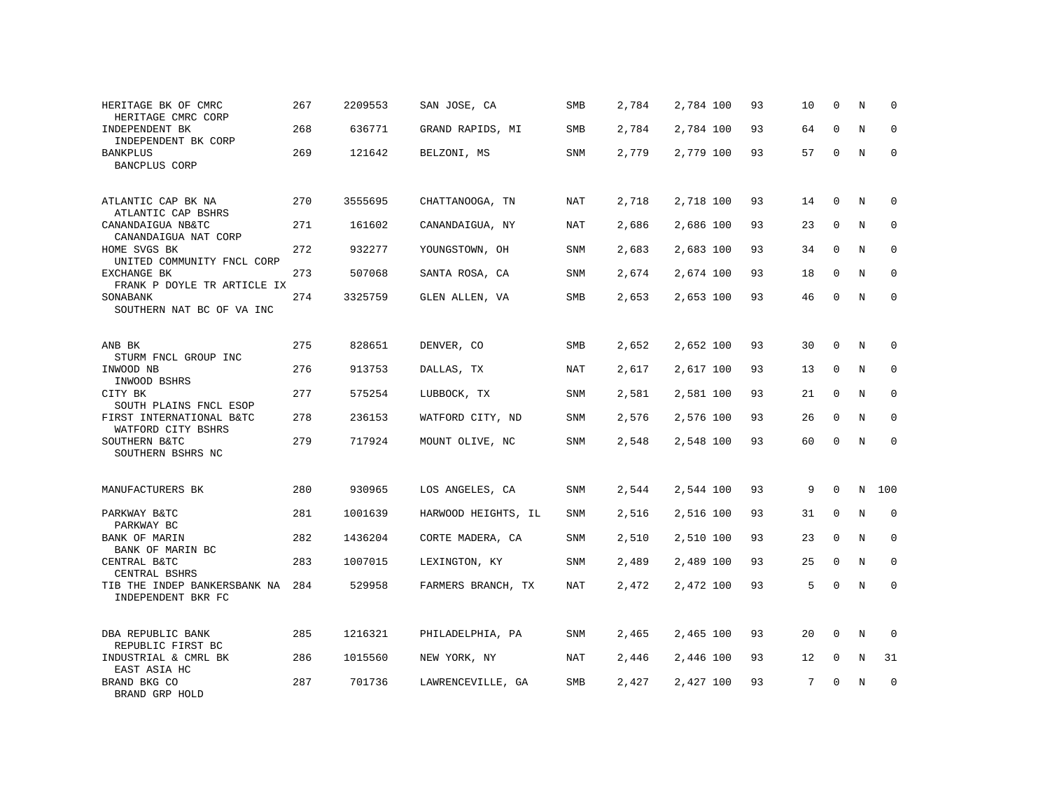| HERITAGE BK OF CMRC<br>HERITAGE CMRC CORP          | 267 | 2209553 | SAN JOSE, CA        | SMB        | 2,784 | 2,784 100 | 93 | 10 | $\mathbf 0$ | N | $\mathbf 0$ |
|----------------------------------------------------|-----|---------|---------------------|------------|-------|-----------|----|----|-------------|---|-------------|
| INDEPENDENT BK<br>INDEPENDENT BK CORP              | 268 | 636771  | GRAND RAPIDS, MI    | SMB        | 2,784 | 2,784 100 | 93 | 64 | $\Omega$    | N | $\Omega$    |
| <b>BANKPLUS</b><br>BANCPLUS CORP                   | 269 | 121642  | BELZONI, MS         | SNM        | 2,779 | 2,779 100 | 93 | 57 | $\mathbf 0$ | N | $\Omega$    |
| ATLANTIC CAP BK NA<br>ATLANTIC CAP BSHRS           | 270 | 3555695 | CHATTANOOGA, TN     | NAT        | 2,718 | 2,718 100 | 93 | 14 | $\mathbf 0$ | N | 0           |
| CANANDAIGUA NB&TC<br>CANANDAIGUA NAT CORP          | 271 | 161602  | CANANDAIGUA, NY     | NAT        | 2,686 | 2,686 100 | 93 | 23 | $\mathbf 0$ | N | $\mathbf 0$ |
| HOME SVGS BK<br>UNITED COMMUNITY FNCL CORP         | 272 | 932277  | YOUNGSTOWN, OH      | SNM        | 2,683 | 2,683 100 | 93 | 34 | $\Omega$    | N | $\mathbf 0$ |
| EXCHANGE BK<br>FRANK P DOYLE TR ARTICLE IX         | 273 | 507068  | SANTA ROSA, CA      | SNM        | 2,674 | 2,674 100 | 93 | 18 | $\Omega$    | N | $\Omega$    |
| SONABANK<br>SOUTHERN NAT BC OF VA INC              | 274 | 3325759 | GLEN ALLEN, VA      | SMB        | 2,653 | 2,653 100 | 93 | 46 | $\mathbf 0$ | N | $\Omega$    |
| ANB BK<br>STURM FNCL GROUP INC                     | 275 | 828651  | DENVER, CO          | SMB        | 2,652 | 2,652 100 | 93 | 30 | $\mathbf 0$ | N | $\Omega$    |
| INWOOD NB<br>INWOOD BSHRS                          | 276 | 913753  | DALLAS, TX          | NAT        | 2,617 | 2,617 100 | 93 | 13 | $\mathbf 0$ | N | $\mathbf 0$ |
| CITY BK<br>SOUTH PLAINS FNCL ESOP                  | 277 | 575254  | LUBBOCK, TX         | SNM        | 2,581 | 2,581 100 | 93 | 21 | $\Omega$    | N | $\Omega$    |
| FIRST INTERNATIONAL B&TC<br>WATFORD CITY BSHRS     | 278 | 236153  | WATFORD CITY, ND    | SNM        | 2,576 | 2,576 100 | 93 | 26 | $\Omega$    | N | $\mathbf 0$ |
| SOUTHERN B&TC<br>SOUTHERN BSHRS NC                 | 279 | 717924  | MOUNT OLIVE, NC     | <b>SNM</b> | 2,548 | 2,548 100 | 93 | 60 | $\Omega$    | N | $\Omega$    |
| MANUFACTURERS BK                                   | 280 | 930965  | LOS ANGELES, CA     | <b>SNM</b> | 2,544 | 2,544 100 | 93 | 9  | $\Omega$    | N | 100         |
| PARKWAY B&TC<br>PARKWAY BC                         | 281 | 1001639 | HARWOOD HEIGHTS, IL | SNM        | 2,516 | 2,516 100 | 93 | 31 | $\mathbf 0$ | N | $\mathbf 0$ |
| <b>BANK OF MARIN</b><br>BANK OF MARIN BC           | 282 | 1436204 | CORTE MADERA, CA    | <b>SNM</b> | 2,510 | 2,510 100 | 93 | 23 | $\Omega$    | N | $\mathbf 0$ |
| CENTRAL B&TC<br>CENTRAL BSHRS                      | 283 | 1007015 | LEXINGTON, KY       | SNM        | 2,489 | 2,489 100 | 93 | 25 | $\mathbf 0$ | N | $\mathbf 0$ |
| TIB THE INDEP BANKERSBANK NA<br>INDEPENDENT BKR FC | 284 | 529958  | FARMERS BRANCH, TX  | NAT        | 2,472 | 2,472 100 | 93 | 5  | $\Omega$    | N | $\Omega$    |
| DBA REPUBLIC BANK<br>REPUBLIC FIRST BC             | 285 | 1216321 | PHILADELPHIA, PA    | <b>SNM</b> | 2,465 | 2,465 100 | 93 | 20 | $\mathbf 0$ | N | $\mathbf 0$ |
| INDUSTRIAL & CMRL BK<br>EAST ASIA HC               | 286 | 1015560 | NEW YORK, NY        | NAT        | 2,446 | 2,446 100 | 93 | 12 | 0           | N | 31          |
| BRAND BKG CO<br>BRAND GRP HOLD                     | 287 | 701736  | LAWRENCEVILLE, GA   | SMB        | 2,427 | 2,427 100 | 93 | 7  | $\Omega$    | N | $\mathbf 0$ |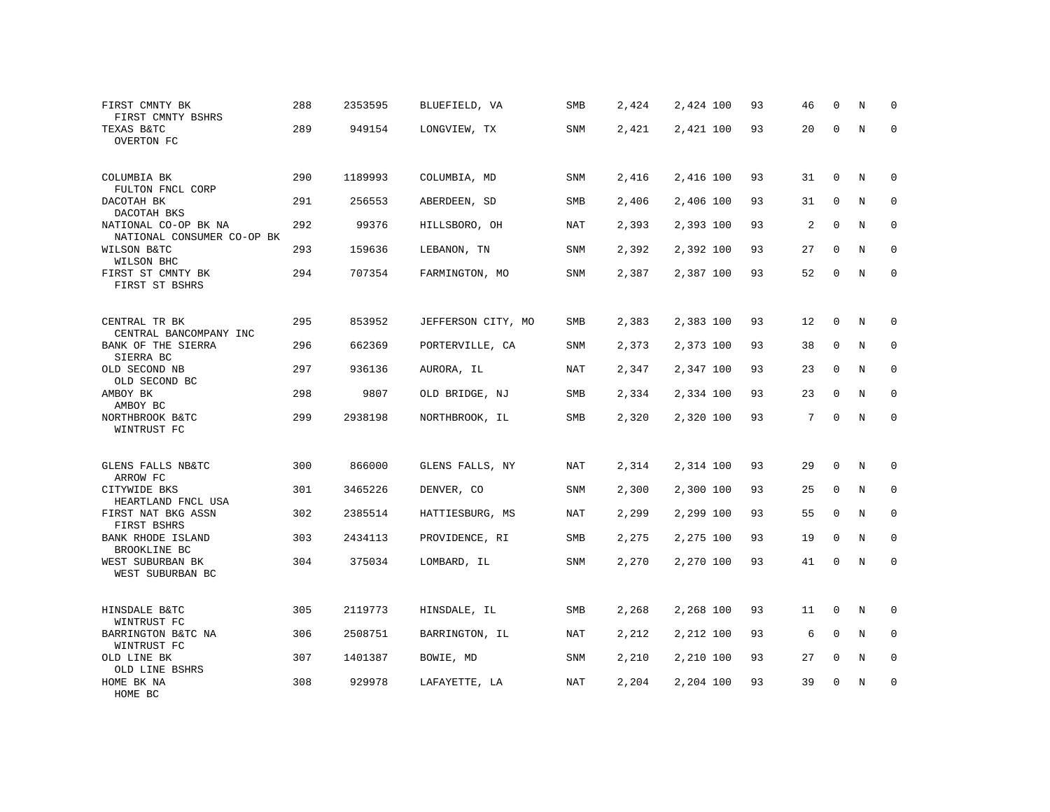| FIRST CMNTY BK<br>FIRST CMNTY BSHRS                       | 288 | 2353595 | BLUEFIELD, VA      | SMB        | 2,424 | 2,424 100 | 93 | 46 | $\mathbf 0$ | Ν       | $\mathbf 0$ |
|-----------------------------------------------------------|-----|---------|--------------------|------------|-------|-----------|----|----|-------------|---------|-------------|
| TEXAS B&TC<br>OVERTON FC                                  | 289 | 949154  | LONGVIEW, TX       | SNM        | 2,421 | 2,421 100 | 93 | 20 | $\mathbf 0$ | N       | $\mathbf 0$ |
| COLUMBIA BK<br>FULTON FNCL CORP                           | 290 | 1189993 | COLUMBIA, MD       | SNM        | 2,416 | 2,416 100 | 93 | 31 | 0           | Ν       | $\mathbf 0$ |
| DACOTAH BK<br>DACOTAH BKS                                 | 291 | 256553  | ABERDEEN, SD       | <b>SMB</b> | 2,406 | 2,406 100 | 93 | 31 | $\mathbf 0$ | N       | $\mathbf 0$ |
| NATIONAL CO-OP BK NA<br>NATIONAL CONSUMER CO-OP BK        | 292 | 99376   | HILLSBORO, OH      | NAT        | 2,393 | 2,393 100 | 93 | 2  | $\mathbf 0$ | N       | 0           |
| WILSON B&TC<br>WILSON BHC                                 | 293 | 159636  | LEBANON, TN        | SNM        | 2,392 | 2,392 100 | 93 | 27 | $\mathbf 0$ | N       | $\mathbf 0$ |
| FIRST ST CMNTY BK<br>FIRST ST BSHRS                       | 294 | 707354  | FARMINGTON, MO     | SNM        | 2,387 | 2,387 100 | 93 | 52 | $\mathbf 0$ | $\rm N$ | $\mathbf 0$ |
| CENTRAL TR BK                                             | 295 | 853952  | JEFFERSON CITY, MO | SMB        | 2,383 | 2,383 100 | 93 | 12 | 0           | N       | $\mathbf 0$ |
| CENTRAL BANCOMPANY INC<br>BANK OF THE SIERRA<br>SIERRA BC | 296 | 662369  | PORTERVILLE, CA    | SNM        | 2,373 | 2,373 100 | 93 | 38 | 0           | N       | 0           |
| OLD SECOND NB<br>OLD SECOND BC                            | 297 | 936136  | AURORA, IL         | <b>NAT</b> | 2,347 | 2,347 100 | 93 | 23 | $\mathbf 0$ | N       | $\mathbf 0$ |
| AMBOY BK<br>AMBOY BC                                      | 298 | 9807    | OLD BRIDGE, NJ     | SMB        | 2,334 | 2,334 100 | 93 | 23 | 0           | N       | $\mathbf 0$ |
| NORTHBROOK B&TC<br>WINTRUST FC                            | 299 | 2938198 | NORTHBROOK, IL     | SMB        | 2,320 | 2,320 100 | 93 | 7  | $\mathbf 0$ | N       | $\mathbf 0$ |
| GLENS FALLS NB&TC<br>ARROW FC                             | 300 | 866000  | GLENS FALLS, NY    | NAT        | 2,314 | 2,314 100 | 93 | 29 | 0           | N       | 0           |
| CITYWIDE BKS<br>HEARTLAND FNCL USA                        | 301 | 3465226 | DENVER, CO         | SNM        | 2,300 | 2,300 100 | 93 | 25 | $\mathbf 0$ | N       | $\mathbf 0$ |
| FIRST NAT BKG ASSN<br>FIRST BSHRS                         | 302 | 2385514 | HATTIESBURG, MS    | NAT        | 2,299 | 2,299 100 | 93 | 55 | 0           | $\rm N$ | $\mathbf 0$ |
| BANK RHODE ISLAND<br>BROOKLINE BC                         | 303 | 2434113 | PROVIDENCE, RI     | SMB        | 2,275 | 2,275 100 | 93 | 19 | $\mathbf 0$ | N       | $\mathbf 0$ |
| WEST SUBURBAN BK<br>WEST SUBURBAN BC                      | 304 | 375034  | LOMBARD, IL        | <b>SNM</b> | 2,270 | 2,270 100 | 93 | 41 | $\mathbf 0$ | N       | $\mathbf 0$ |
| HINSDALE B&TC<br>WINTRUST FC                              | 305 | 2119773 | HINSDALE, IL       | SMB        | 2,268 | 2,268 100 | 93 | 11 | $\mathbf 0$ | N       | $\mathbf 0$ |
| BARRINGTON B&TC NA<br>WINTRUST FC                         | 306 | 2508751 | BARRINGTON, IL     | NAT        | 2,212 | 2,212 100 | 93 | 6  | 0           | N       | 0           |
| OLD LINE BK<br>OLD LINE BSHRS                             | 307 | 1401387 | BOWIE, MD          | SNM        | 2,210 | 2,210 100 | 93 | 27 | $\mathbf 0$ | N       | $\mathbf 0$ |
| HOME BK NA<br>HOME BC                                     | 308 | 929978  | LAFAYETTE, LA      | NAT        | 2,204 | 2,204 100 | 93 | 39 | $\Omega$    | N       | $\mathbf 0$ |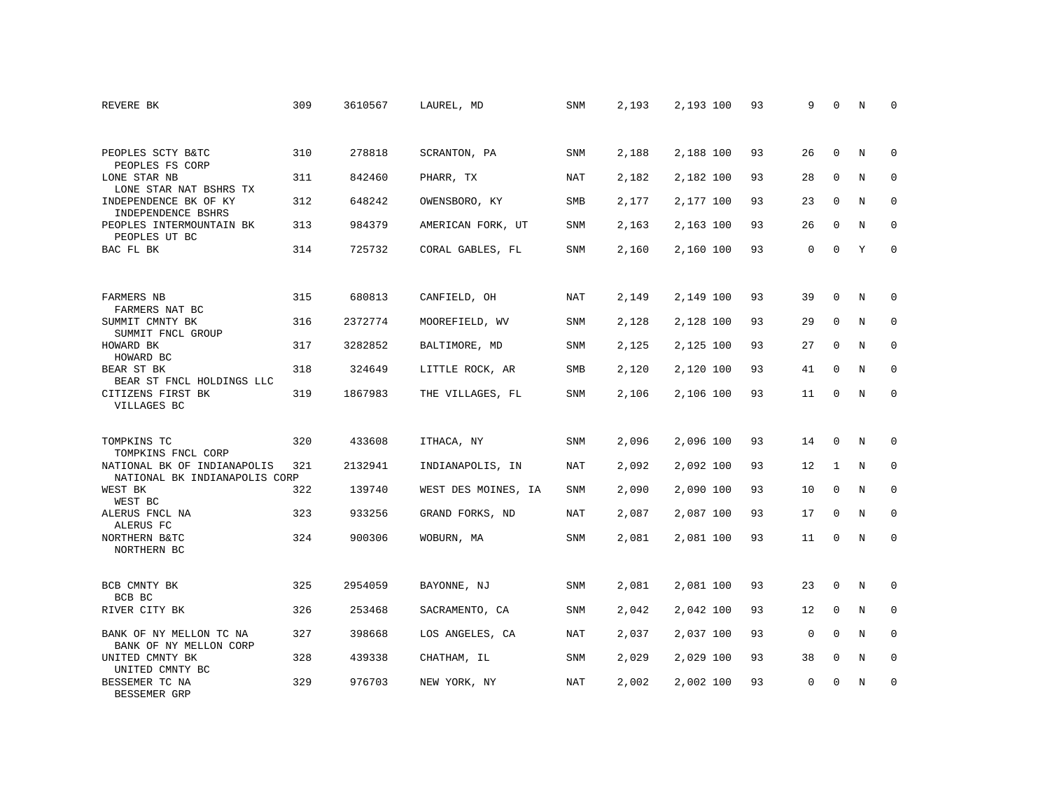| REVERE BK                                         | 309 | 3610567 | LAUREL, MD          | SNM        | 2,193 | 2,193 100 | 93 | 9           | $\Omega$    | N | $\Omega$    |
|---------------------------------------------------|-----|---------|---------------------|------------|-------|-----------|----|-------------|-------------|---|-------------|
|                                                   |     |         |                     |            |       |           |    |             |             |   |             |
| PEOPLES SCTY B&TC<br>PEOPLES FS CORP              | 310 | 278818  | SCRANTON, PA        | SNM        | 2,188 | 2,188 100 | 93 | 26          | $\Omega$    | N | $\Omega$    |
| LONE STAR NB<br>LONE STAR NAT BSHRS TX            | 311 | 842460  | PHARR, TX           | NAT        | 2,182 | 2,182 100 | 93 | 28          | $\mathbf 0$ | N | $\mathbf 0$ |
| INDEPENDENCE BK OF KY<br>INDEPENDENCE BSHRS       | 312 | 648242  | OWENSBORO, KY       | <b>SMB</b> | 2,177 | 2,177 100 | 93 | 23          | $\Omega$    | N | $\Omega$    |
| PEOPLES INTERMOUNTAIN BK<br>PEOPLES UT BC         | 313 | 984379  | AMERICAN FORK, UT   | SNM        | 2,163 | 2,163 100 | 93 | 26          | $\mathbf 0$ | N | $\mathbf 0$ |
| BAC FL BK                                         | 314 | 725732  | CORAL GABLES, FL    | <b>SNM</b> | 2,160 | 2,160 100 | 93 | 0           | $\mathbf 0$ | Y | $\mathbf 0$ |
|                                                   |     |         |                     |            |       |           |    |             |             |   |             |
| <b>FARMERS NB</b><br>FARMERS NAT BC               | 315 | 680813  | CANFIELD, OH        | NAT        | 2,149 | 2,149 100 | 93 | 39          | $\mathbf 0$ | N | $\mathbf 0$ |
| SUMMIT CMNTY BK<br>SUMMIT FNCL GROUP              | 316 | 2372774 | MOOREFIELD, WV      | <b>SNM</b> | 2,128 | 2,128 100 | 93 | 29          | $\Omega$    | N | $\mathbf 0$ |
| HOWARD BK<br>HOWARD BC                            | 317 | 3282852 | BALTIMORE, MD       | SNM        | 2,125 | 2,125 100 | 93 | 27          | $\mathbf 0$ | N | $\mathbf 0$ |
| BEAR ST BK<br>BEAR ST FNCL HOLDINGS LLC           | 318 | 324649  | LITTLE ROCK, AR     | SMB        | 2,120 | 2,120 100 | 93 | 41          | $\Omega$    | N | $\mathbf 0$ |
| CITIZENS FIRST BK<br>VILLAGES BC                  | 319 | 1867983 | THE VILLAGES, FL    | <b>SNM</b> | 2,106 | 2,106 100 | 93 | 11          | $\Omega$    | N | $\Omega$    |
| TOMPKINS TC                                       | 320 | 433608  | ITHACA, NY          | SNM        | 2,096 | 2,096 100 | 93 | 14          | $\mathbf 0$ | N | $\mathbf 0$ |
| TOMPKINS FNCL CORP<br>NATIONAL BK OF INDIANAPOLIS | 321 | 2132941 | INDIANAPOLIS, IN    | NAT        | 2,092 | 2,092 100 | 93 | 12          | 1           | N | 0           |
| NATIONAL BK INDIANAPOLIS CORP                     |     |         |                     |            |       |           |    |             |             |   |             |
| WEST BK<br>WEST BC                                | 322 | 139740  | WEST DES MOINES, IA | <b>SNM</b> | 2,090 | 2,090 100 | 93 | 10          | $\Omega$    | N | $\mathbf 0$ |
| ALERUS FNCL NA<br>ALERUS FC                       | 323 | 933256  | GRAND FORKS, ND     | <b>NAT</b> | 2,087 | 2,087 100 | 93 | 17          | $\Omega$    | N | $\mathbf 0$ |
| NORTHERN B&TC<br>NORTHERN BC                      | 324 | 900306  | WOBURN, MA          | <b>SNM</b> | 2,081 | 2,081 100 | 93 | 11          | $\mathbf 0$ | N | $\mathbf 0$ |
| BCB CMNTY BK                                      | 325 | 2954059 | BAYONNE, NJ         | SNM        | 2,081 | 2,081 100 | 93 | 23          | $\mathbf 0$ | N | 0           |
| BCB BC                                            |     |         |                     |            |       |           |    |             | $\mathbf 0$ |   |             |
| RIVER CITY BK                                     | 326 | 253468  | SACRAMENTO, CA      | SNM        | 2,042 | 2,042 100 | 93 | 12          |             | N | $\mathbf 0$ |
| BANK OF NY MELLON TC NA<br>BANK OF NY MELLON CORP | 327 | 398668  | LOS ANGELES, CA     | <b>NAT</b> | 2,037 | 2,037 100 | 93 | $\mathbf 0$ | $\Omega$    | N | $\mathbf 0$ |
| UNITED CMNTY BK<br>UNITED CMNTY BC                | 328 | 439338  | CHATHAM, IL         | <b>SNM</b> | 2,029 | 2,029 100 | 93 | 38          | $\mathbf 0$ | N | $\mathbf 0$ |
| BESSEMER TC NA<br>BESSEMER GRP                    | 329 | 976703  | NEW YORK, NY        | NAT        | 2,002 | 2,002 100 | 93 | $\Omega$    | $\Omega$    | N | $\mathbf 0$ |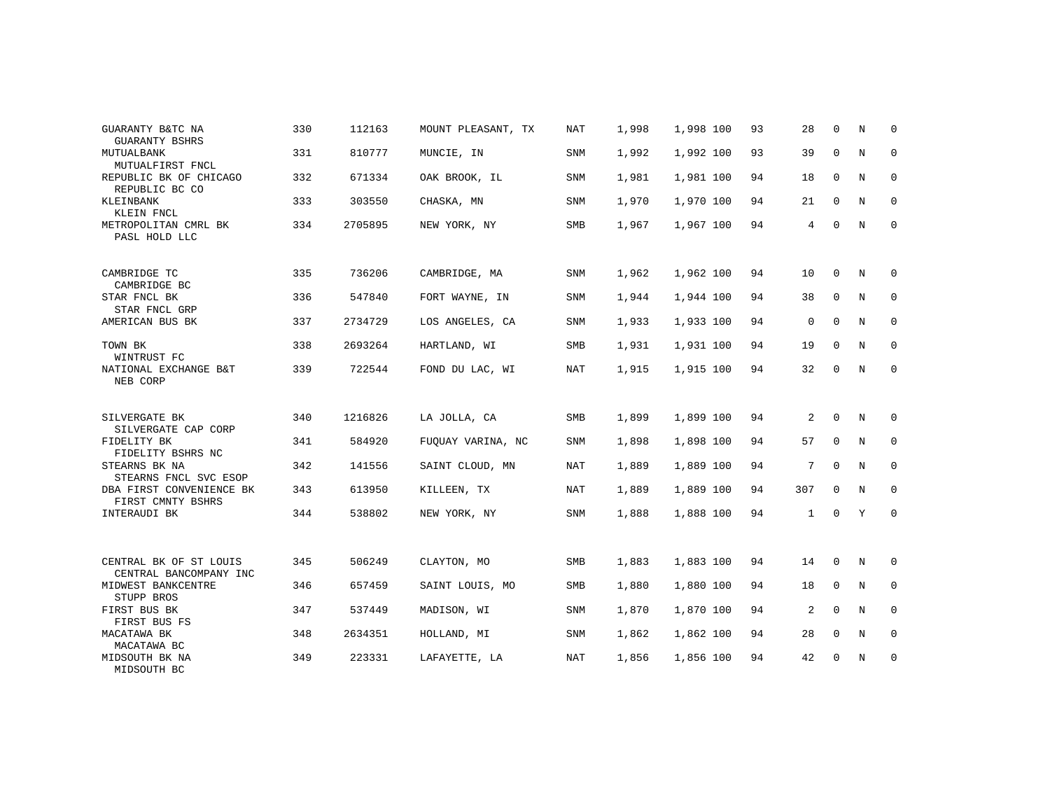| GUARANTY B&TC NA<br>GUARANTY BSHRS                      | 330 | 112163  | MOUNT PLEASANT, TX | <b>NAT</b> | 1,998 | 1,998 100 | 93 | 28           | $\Omega$     | N              | $\Omega$    |
|---------------------------------------------------------|-----|---------|--------------------|------------|-------|-----------|----|--------------|--------------|----------------|-------------|
| MUTUALBANK<br>MUTUALFIRST FNCL                          | 331 | 810777  | MUNCIE, IN         | <b>SNM</b> | 1,992 | 1,992 100 | 93 | 39           | $\mathbf 0$  | N              | $\mathbf 0$ |
| REPUBLIC BK OF CHICAGO<br>REPUBLIC BC CO                | 332 | 671334  | OAK BROOK, IL      | <b>SNM</b> | 1,981 | 1,981 100 | 94 | 18           | $\Omega$     | $\overline{N}$ | $\mathbf 0$ |
| KLEINBANK<br>KLEIN FNCL                                 | 333 | 303550  | CHASKA, MN         | SNM        | 1,970 | 1,970 100 | 94 | 21           | 0            | N              | $\mathbf 0$ |
| METROPOLITAN CMRL BK<br>PASL HOLD LLC                   | 334 | 2705895 | NEW YORK, NY       | SMB        | 1,967 | 1,967 100 | 94 | 4            | $\mathbf 0$  | N              | $\mathbf 0$ |
| CAMBRIDGE TC<br>CAMBRIDGE BC                            | 335 | 736206  | CAMBRIDGE, MA      | SNM        | 1,962 | 1,962 100 | 94 | 10           | $\mathbf 0$  | N              | $\mathbf 0$ |
| STAR FNCL BK<br>STAR FNCL GRP                           | 336 | 547840  | FORT WAYNE, IN     | SNM        | 1,944 | 1,944 100 | 94 | 38           | $\mathbf{0}$ | N              | $\mathbf 0$ |
| AMERICAN BUS BK                                         | 337 | 2734729 | LOS ANGELES, CA    | <b>SNM</b> | 1,933 | 1,933 100 | 94 | 0            | $\Omega$     | N              | $\mathbf 0$ |
| TOWN BK<br>WINTRUST FC                                  | 338 | 2693264 | HARTLAND, WI       | SMB        | 1,931 | 1,931 100 | 94 | 19           | $\mathbf{0}$ | N              | $\mathbf 0$ |
| NATIONAL EXCHANGE B&T<br>NEB CORP                       | 339 | 722544  | FOND DU LAC, WI    | NAT        | 1,915 | 1,915 100 | 94 | 32           | $\mathbf 0$  | N              | $\mathbf 0$ |
| SILVERGATE BK                                           | 340 | 1216826 | LA JOLLA, CA       | SMB        | 1,899 | 1,899 100 | 94 | 2            | $\Omega$     | N              | $\mathbf 0$ |
| SILVERGATE CAP CORP<br>FIDELITY BK<br>FIDELITY BSHRS NC | 341 | 584920  | FUQUAY VARINA, NC  | SNM        | 1,898 | 1,898 100 | 94 | 57           | $\mathbf{0}$ | N              | $\mathbf 0$ |
| STEARNS BK NA<br>STEARNS FNCL SVC ESOP                  | 342 | 141556  | SAINT CLOUD, MN    | NAT        | 1,889 | 1,889 100 | 94 | 7            | 0            | N              | $\mathbf 0$ |
| DBA FIRST CONVENIENCE BK<br>FIRST CMNTY BSHRS           | 343 | 613950  | KILLEEN, TX        | NAT        | 1,889 | 1,889 100 | 94 | 307          | $\Omega$     | N              | $\mathbf 0$ |
| INTERAUDI BK                                            | 344 | 538802  | NEW YORK, NY       | <b>SNM</b> | 1,888 | 1,888 100 | 94 | $\mathbf{1}$ | 0            | Y              | $\mathbf 0$ |
| CENTRAL BK OF ST LOUIS                                  | 345 | 506249  | CLAYTON, MO        | <b>SMB</b> | 1,883 | 1,883 100 | 94 | 14           | 0            | N              | $\mathbf 0$ |
| CENTRAL BANCOMPANY INC<br>MIDWEST BANKCENTRE            | 346 | 657459  | SAINT LOUIS, MO    | SMB        | 1,880 | 1,880 100 | 94 | 18           | $\mathbf 0$  | N              | $\mathbf 0$ |
| STUPP BROS                                              | 347 | 537449  |                    |            | 1,870 | 1,870 100 | 94 | 2            | $\Omega$     | N              | $\mathbf 0$ |
| FIRST BUS BK<br>FIRST BUS FS                            |     |         | MADISON, WI        | SNM        |       |           |    |              |              |                |             |
| MACATAWA BK<br>MACATAWA BC                              | 348 | 2634351 | HOLLAND, MI        | <b>SNM</b> | 1,862 | 1,862 100 | 94 | 28           | $\mathbf{0}$ | N              | $\mathbf 0$ |
| MIDSOUTH BK NA<br>MIDSOUTH BC                           | 349 | 223331  | LAFAYETTE, LA      | <b>NAT</b> | 1,856 | 1,856 100 | 94 | 42           | $\mathbf 0$  | N              | $\mathbf 0$ |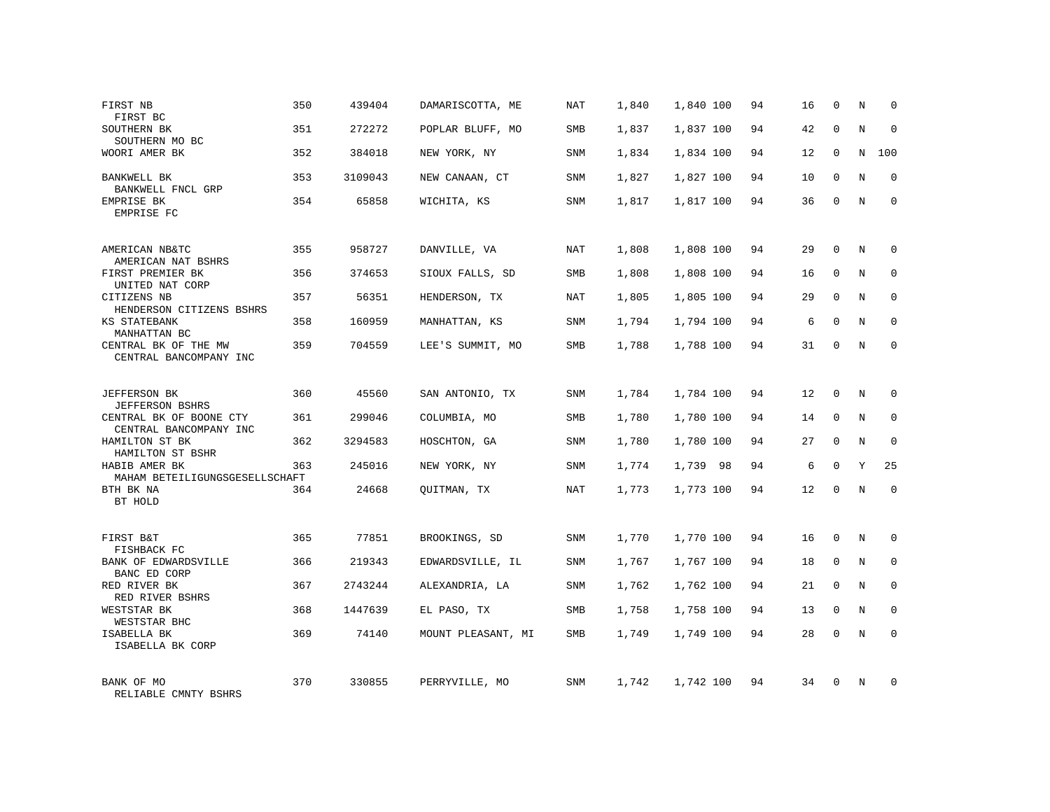| FIRST NB<br>FIRST BC                                      | 350 | 439404  | DAMARISCOTTA, ME   | NAT        | 1,840 | 1,840 100 | 94 | 16 | $\mathbf 0$  | N              | $\Omega$    |
|-----------------------------------------------------------|-----|---------|--------------------|------------|-------|-----------|----|----|--------------|----------------|-------------|
| SOUTHERN BK<br>SOUTHERN MO BC                             | 351 | 272272  | POPLAR BLUFF, MO   | <b>SMB</b> | 1,837 | 1,837 100 | 94 | 42 | $\Omega$     | $\rm N$        | $\Omega$    |
| WOORI AMER BK                                             | 352 | 384018  | NEW YORK, NY       | SNM        | 1,834 | 1,834 100 | 94 | 12 | 0            | N              | 100         |
| <b>BANKWELL BK</b><br>BANKWELL FNCL GRP                   | 353 | 3109043 | NEW CANAAN, CT     | SNM        | 1,827 | 1,827 100 | 94 | 10 | $\Omega$     | $\overline{N}$ | $\Omega$    |
| EMPRISE BK<br>EMPRISE FC                                  | 354 | 65858   | WICHITA, KS        | SNM        | 1,817 | 1,817 100 | 94 | 36 | $\Omega$     | N              | $\Omega$    |
| AMERICAN NB&TC                                            | 355 | 958727  | DANVILLE, VA       | NAT        | 1,808 | 1,808 100 | 94 | 29 | $\Omega$     | N              | $\Omega$    |
| AMERICAN NAT BSHRS<br>FIRST PREMIER BK<br>UNITED NAT CORP | 356 | 374653  | SIOUX FALLS, SD    | SMB        | 1,808 | 1,808 100 | 94 | 16 | $\Omega$     | N              | $\Omega$    |
| CITIZENS NB<br>HENDERSON CITIZENS BSHRS                   | 357 | 56351   | HENDERSON, TX      | NAT        | 1,805 | 1,805 100 | 94 | 29 | $\Omega$     | N              | $\Omega$    |
| KS STATEBANK<br>MANHATTAN BC                              | 358 | 160959  | MANHATTAN, KS      | SNM        | 1,794 | 1,794 100 | 94 | 6  | $\Omega$     | N              | $\Omega$    |
| CENTRAL BK OF THE MW<br>CENTRAL BANCOMPANY INC            | 359 | 704559  | LEE'S SUMMIT, MO   | SMB        | 1,788 | 1,788 100 | 94 | 31 | $\Omega$     | N              | $\Omega$    |
| <b>JEFFERSON BK</b><br><b>JEFFERSON BSHRS</b>             | 360 | 45560   | SAN ANTONIO, TX    | SNM        | 1,784 | 1,784 100 | 94 | 12 | $\Omega$     | N              | $\Omega$    |
| CENTRAL BK OF BOONE CTY<br>CENTRAL BANCOMPANY INC         | 361 | 299046  | COLUMBIA, MO       | SMB        | 1,780 | 1,780 100 | 94 | 14 | $\mathbf{0}$ | N              | $\mathbf 0$ |
| HAMILTON ST BK<br>HAMILTON ST BSHR                        | 362 | 3294583 | HOSCHTON, GA       | <b>SNM</b> | 1,780 | 1,780 100 | 94 | 27 | $\Omega$     | N              | $\Omega$    |
| HABIB AMER BK<br>MAHAM BETEILIGUNGSGESELLSCHAFT           | 363 | 245016  | NEW YORK, NY       | SNM        | 1,774 | 1,739 98  | 94 | 6  | $\mathbf 0$  | Y              | 25          |
| BTH BK NA<br>BT HOLD                                      | 364 | 24668   | OUITMAN, TX        | NAT        | 1,773 | 1,773 100 | 94 | 12 | $\Omega$     | N              | $\Omega$    |
| FIRST B&T<br>FISHBACK FC                                  | 365 | 77851   | BROOKINGS, SD      | SNM        | 1,770 | 1,770 100 | 94 | 16 | $\Omega$     | N              | $\mathbf 0$ |
| BANK OF EDWARDSVILLE<br>BANC ED CORP                      | 366 | 219343  | EDWARDSVILLE, IL   | <b>SNM</b> | 1,767 | 1,767 100 | 94 | 18 | $\mathbf 0$  | $\rm N$        | $\mathbf 0$ |
| RED RIVER BK<br>RED RIVER BSHRS                           | 367 | 2743244 | ALEXANDRIA, LA     | SNM        | 1,762 | 1,762 100 | 94 | 21 | $\Omega$     | N              | $\mathbf 0$ |
| WESTSTAR BK<br>WESTSTAR BHC                               | 368 | 1447639 | EL PASO, TX        | SMB        | 1,758 | 1,758 100 | 94 | 13 | $\mathbf 0$  | N              | $\mathbf 0$ |
| ISABELLA BK<br>ISABELLA BK CORP                           | 369 | 74140   | MOUNT PLEASANT, MI | SMB        | 1,749 | 1,749 100 | 94 | 28 | $\Omega$     | N              | $\mathbf 0$ |
| BANK OF MO<br>RELIABLE CMNTY BSHRS                        | 370 | 330855  | PERRYVILLE, MO     | SNM        | 1,742 | 1,742 100 | 94 | 34 | $\Omega$     | N              | $\Omega$    |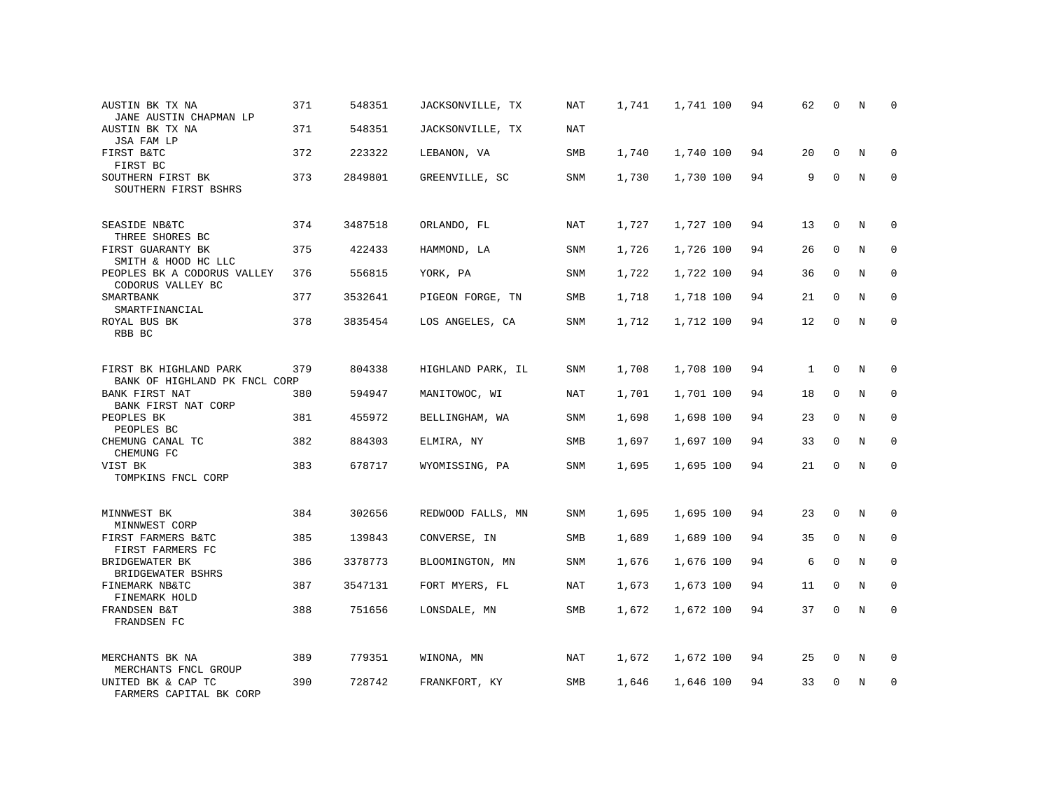| AUSTIN BK TX NA<br>JANE AUSTIN CHAPMAN LP                   | 371 | 548351  | JACKSONVILLE, TX  | NAT        | 1,741 | 1,741 100 | 94 | 62 | $\mathbf 0$  | N | 0           |
|-------------------------------------------------------------|-----|---------|-------------------|------------|-------|-----------|----|----|--------------|---|-------------|
| AUSTIN BK TX NA<br>JSA FAM LP                               | 371 | 548351  | JACKSONVILLE, TX  | NAT        |       |           |    |    |              |   |             |
| FIRST B&TC<br>FIRST BC                                      | 372 | 223322  | LEBANON, VA       | SMB        | 1,740 | 1,740 100 | 94 | 20 | $\mathbf 0$  | N | 0           |
| SOUTHERN FIRST BK<br>SOUTHERN FIRST BSHRS                   | 373 | 2849801 | GREENVILLE, SC    | <b>SNM</b> | 1,730 | 1,730 100 | 94 | 9  | $\Omega$     | N | $\mathbf 0$ |
| SEASIDE NB&TC                                               | 374 | 3487518 | ORLANDO, FL       | NAT        | 1,727 | 1,727 100 | 94 | 13 | $\mathbf 0$  | N | $\Omega$    |
| THREE SHORES BC<br>FIRST GUARANTY BK<br>SMITH & HOOD HC LLC | 375 | 422433  | HAMMOND, LA       | <b>SNM</b> | 1,726 | 1,726 100 | 94 | 26 | $\mathbf{0}$ | N | $\mathbf 0$ |
| PEOPLES BK A CODORUS VALLEY<br>CODORUS VALLEY BC            | 376 | 556815  | YORK, PA          | SNM        | 1,722 | 1,722 100 | 94 | 36 | $\mathbf 0$  | N | $\mathbf 0$ |
| SMARTBANK<br>SMARTFINANCIAL                                 | 377 | 3532641 | PIGEON FORGE, TN  | SMB        | 1,718 | 1,718 100 | 94 | 21 | $\mathbf{0}$ | N | $\mathbf 0$ |
| ROYAL BUS BK<br>RBB BC                                      | 378 | 3835454 | LOS ANGELES, CA   | SNM        | 1,712 | 1,712 100 | 94 | 12 | $\mathbf 0$  | N | $\Omega$    |
| FIRST BK HIGHLAND PARK<br>BANK OF HIGHLAND PK FNCL CORP     | 379 | 804338  | HIGHLAND PARK, IL | SNM        | 1,708 | 1,708 100 | 94 | 1  | $\mathbf 0$  | N | 0           |
| BANK FIRST NAT<br>BANK FIRST NAT CORP                       | 380 | 594947  | MANITOWOC, WI     | NAT        | 1,701 | 1,701 100 | 94 | 18 | $\Omega$     | N | $\Omega$    |
| PEOPLES BK<br>PEOPLES BC                                    | 381 | 455972  | BELLINGHAM, WA    | SNM        | 1,698 | 1,698 100 | 94 | 23 | $\mathbf 0$  | N | $\mathbf 0$ |
| CHEMUNG CANAL TC<br>CHEMUNG FC                              | 382 | 884303  | ELMIRA, NY        | <b>SMB</b> | 1,697 | 1,697 100 | 94 | 33 | $\Omega$     | N | $\Omega$    |
| VIST BK<br>TOMPKINS FNCL CORP                               | 383 | 678717  | WYOMISSING, PA    | SNM        | 1,695 | 1,695 100 | 94 | 21 | $\mathbf 0$  | N | $\mathbf 0$ |
| MINNWEST BK<br>MINNWEST CORP                                | 384 | 302656  | REDWOOD FALLS, MN | SNM        | 1,695 | 1,695 100 | 94 | 23 | 0            | N | $\mathbf 0$ |
| FIRST FARMERS B&TC<br>FIRST FARMERS FC                      | 385 | 139843  | CONVERSE, IN      | <b>SMB</b> | 1,689 | 1,689 100 | 94 | 35 | $\Omega$     | N | $\mathbf 0$ |
| BRIDGEWATER BK<br>BRIDGEWATER BSHRS                         | 386 | 3378773 | BLOOMINGTON, MN   | SNM        | 1,676 | 1,676 100 | 94 | 6  | $\mathbf{0}$ | N | $\mathbf 0$ |
| FINEMARK NB&TC<br>FINEMARK HOLD                             | 387 | 3547131 | FORT MYERS, FL    | NAT        | 1,673 | 1,673 100 | 94 | 11 | $\mathbf 0$  | N | $\mathbf 0$ |
| FRANDSEN B&T<br>FRANDSEN FC                                 | 388 | 751656  | LONSDALE, MN      | SMB        | 1,672 | 1,672 100 | 94 | 37 | $\mathbf 0$  | N | $\mathbf 0$ |
| MERCHANTS BK NA<br>MERCHANTS FNCL GROUP                     | 389 | 779351  | WINONA, MN        | NAT        | 1,672 | 1,672 100 | 94 | 25 | 0            | Ν | 0           |
| UNITED BK & CAP TC<br>FARMERS CAPITAL BK CORP               | 390 | 728742  | FRANKFORT, KY     | <b>SMB</b> | 1,646 | 1,646 100 | 94 | 33 | $\Omega$     | N | $\mathbf 0$ |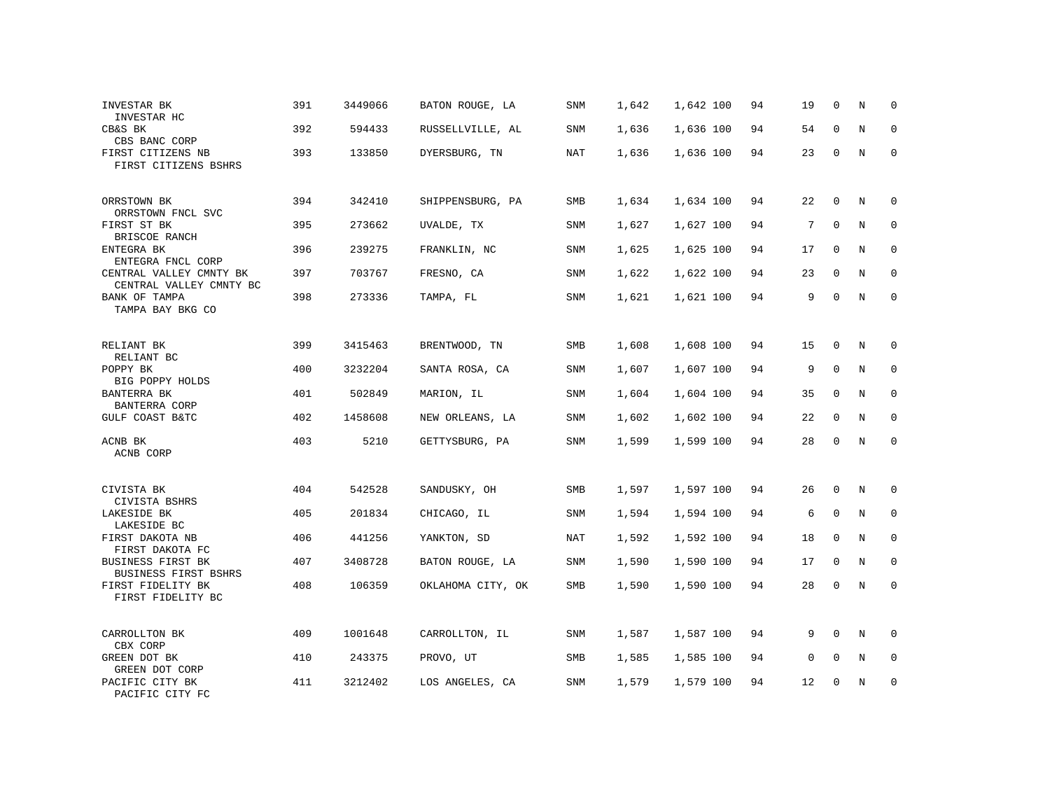| INVESTAR BK<br>INVESTAR HC                              | 391 | 3449066 | BATON ROUGE, LA   | SNM        | 1,642 | 1,642 100 | 94 | 19 | $\mathbf 0$  | N | $\mathbf 0$  |
|---------------------------------------------------------|-----|---------|-------------------|------------|-------|-----------|----|----|--------------|---|--------------|
| CB&S BK<br>CBS BANC CORP                                | 392 | 594433  | RUSSELLVILLE, AL  | SNM        | 1,636 | 1,636 100 | 94 | 54 | $\mathbf 0$  | N | $\mathbf 0$  |
| FIRST CITIZENS NB<br>FIRST CITIZENS BSHRS               | 393 | 133850  | DYERSBURG, TN     | NAT        | 1,636 | 1,636 100 | 94 | 23 | $\mathbf 0$  | N | $\mathbf 0$  |
| ORRSTOWN BK<br>ORRSTOWN FNCL SVC                        | 394 | 342410  | SHIPPENSBURG, PA  | SMB        | 1,634 | 1,634 100 | 94 | 22 | $\mathbf 0$  | N | 0            |
| FIRST ST BK<br>BRISCOE RANCH                            | 395 | 273662  | UVALDE, TX        | SNM        | 1,627 | 1,627 100 | 94 | 7  | $\Omega$     | N | $\mathbf 0$  |
| ENTEGRA BK<br>ENTEGRA FNCL CORP                         | 396 | 239275  | FRANKLIN, NC      | SNM        | 1,625 | 1,625 100 | 94 | 17 | $\mathbf 0$  | N | $\mathbf 0$  |
| CENTRAL VALLEY CMNTY BK<br>CENTRAL VALLEY CMNTY BC      | 397 | 703767  | FRESNO, CA        | SNM        | 1,622 | 1,622 100 | 94 | 23 | $\Omega$     | N | $\mathbf 0$  |
| BANK OF TAMPA<br>TAMPA BAY BKG CO                       | 398 | 273336  | TAMPA, FL         | SNM        | 1,621 | 1,621 100 | 94 | 9  | $\mathbf 0$  | N | $\mathbf 0$  |
| RELIANT BK                                              | 399 | 3415463 | BRENTWOOD, TN     | SMB        | 1,608 | 1,608 100 | 94 | 15 | $\mathbf 0$  | N | $\mathbf 0$  |
| RELIANT BC<br>POPPY BK<br>BIG POPPY HOLDS               | 400 | 3232204 | SANTA ROSA, CA    | SNM        | 1,607 | 1,607 100 | 94 | 9  | $\mathbf 0$  | N | $\mathbf 0$  |
| BANTERRA BK<br>BANTERRA CORP                            | 401 | 502849  | MARION, IL        | SNM        | 1,604 | 1,604 100 | 94 | 35 | $\Omega$     | N | $\Omega$     |
| GULF COAST B&TC                                         | 402 | 1458608 | NEW ORLEANS, LA   | SNM        | 1,602 | 1,602 100 | 94 | 22 | $\mathbf{0}$ | N | $\mathbf 0$  |
| ACNB BK<br>ACNB CORP                                    | 403 | 5210    | GETTYSBURG, PA    | <b>SNM</b> | 1,599 | 1,599 100 | 94 | 28 | $\Omega$     | N | $\Omega$     |
| CIVISTA BK<br>CIVISTA BSHRS                             | 404 | 542528  | SANDUSKY, OH      | <b>SMB</b> | 1,597 | 1,597 100 | 94 | 26 | $\Omega$     | N | $\Omega$     |
| LAKESIDE BK<br>LAKESIDE BC                              | 405 | 201834  | CHICAGO, IL       | SNM        | 1,594 | 1,594 100 | 94 | 6  | $\mathbf{0}$ | N | 0            |
| FIRST DAKOTA NB<br>FIRST DAKOTA FC                      | 406 | 441256  | YANKTON, SD       | NAT        | 1,592 | 1,592 100 | 94 | 18 | $\Omega$     | N | $\mathbf{0}$ |
| <b>BUSINESS FIRST BK</b><br><b>BUSINESS FIRST BSHRS</b> | 407 | 3408728 | BATON ROUGE, LA   | SNM        | 1,590 | 1,590 100 | 94 | 17 | $\mathbf 0$  | N | $\mathbf 0$  |
| FIRST FIDELITY BK<br>FIRST FIDELITY BC                  | 408 | 106359  | OKLAHOMA CITY, OK | SMB        | 1,590 | 1,590 100 | 94 | 28 | $\mathbf{0}$ | N | $\mathbf 0$  |
| CARROLLTON BK<br>CBX CORP                               | 409 | 1001648 | CARROLLTON, IL    | SNM        | 1,587 | 1,587 100 | 94 | 9  | $\mathbf{0}$ | N | $\mathbf 0$  |
| GREEN DOT BK<br>GREEN DOT CORP                          | 410 | 243375  | PROVO, UT         | SMB        | 1,585 | 1,585 100 | 94 | 0  | 0            | N | 0            |
| PACIFIC CITY BK<br>PACIFIC CITY FC                      | 411 | 3212402 | LOS ANGELES, CA   | <b>SNM</b> | 1,579 | 1,579 100 | 94 | 12 | $\Omega$     | N | $\mathbf 0$  |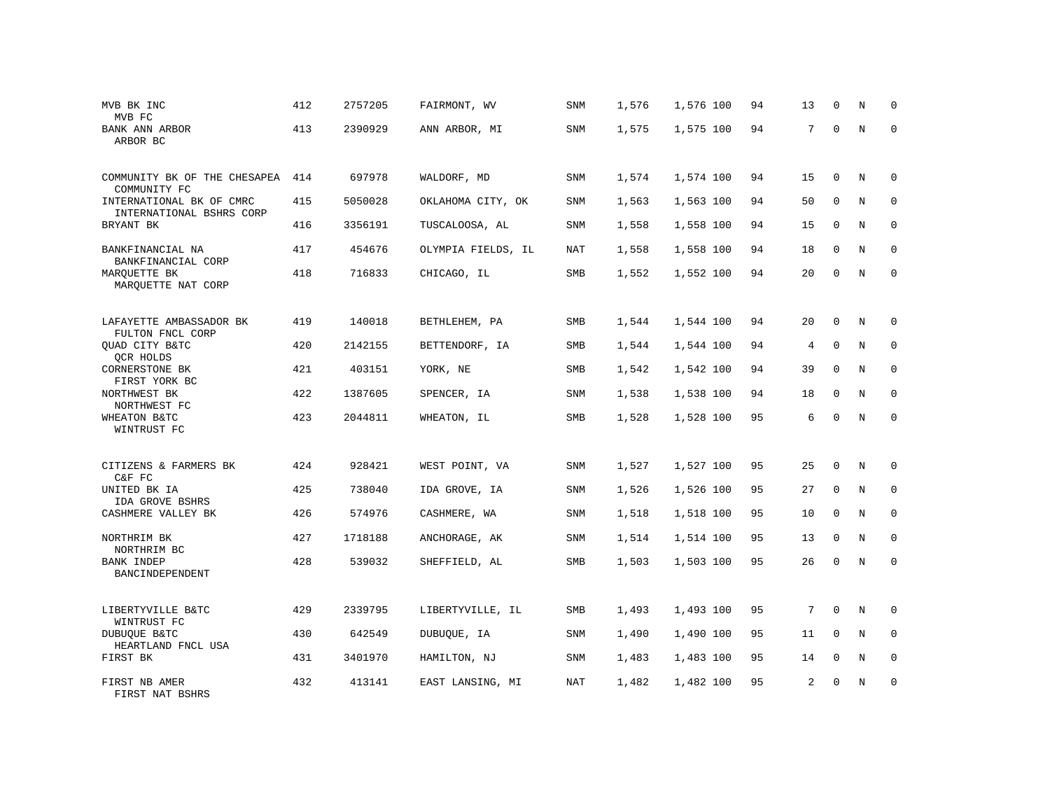| MVB BK INC<br>MVB FC                                 | 412 | 2757205 | FAIRMONT, WV       | SNM        | 1,576 | 1,576 100 | 94 | 13             | $\mathbf 0$  | N | $\mathbf 0$ |
|------------------------------------------------------|-----|---------|--------------------|------------|-------|-----------|----|----------------|--------------|---|-------------|
| BANK ANN ARBOR<br>ARBOR BC                           | 413 | 2390929 | ANN ARBOR, MI      | <b>SNM</b> | 1,575 | 1,575 100 | 94 | 7              | $\Omega$     | N | $\Omega$    |
| COMMUNITY BK OF THE CHESAPEA<br>COMMUNITY FC         | 414 | 697978  | WALDORF, MD        | <b>SNM</b> | 1,574 | 1,574 100 | 94 | 15             | $\mathbf 0$  | N | $\mathbf 0$ |
| INTERNATIONAL BK OF CMRC<br>INTERNATIONAL BSHRS CORP | 415 | 5050028 | OKLAHOMA CITY, OK  | SNM        | 1,563 | 1,563 100 | 94 | 50             | $\Omega$     | N | $\mathbf 0$ |
| BRYANT BK                                            | 416 | 3356191 | TUSCALOOSA, AL     | SNM        | 1,558 | 1,558 100 | 94 | 15             | $\Omega$     | N | $\mathbf 0$ |
| BANKFINANCIAL NA<br>BANKFINANCIAL CORP               | 417 | 454676  | OLYMPIA FIELDS, IL | <b>NAT</b> | 1,558 | 1,558 100 | 94 | 18             | $\Omega$     | N | $\mathbf 0$ |
| MAROUETTE BK<br>MAROUETTE NAT CORP                   | 418 | 716833  | CHICAGO, IL        | SMB        | 1,552 | 1,552 100 | 94 | 20             | $\Omega$     | N | $\Omega$    |
| LAFAYETTE AMBASSADOR BK<br>FULTON FNCL CORP          | 419 | 140018  | BETHLEHEM, PA      | SMB        | 1,544 | 1,544 100 | 94 | 20             | $\mathbf 0$  | N | $\mathbf 0$ |
| QUAD CITY B&TC<br>QCR HOLDS                          | 420 | 2142155 | BETTENDORF, IA     | SMB        | 1,544 | 1,544 100 | 94 | 4              | $\mathbf 0$  | N | $\mathbf 0$ |
| CORNERSTONE BK<br>FIRST YORK BC                      | 421 | 403151  | YORK, NE           | SMB        | 1,542 | 1,542 100 | 94 | 39             | $\mathbf{0}$ | N | $\mathbf 0$ |
| NORTHWEST BK<br>NORTHWEST FC                         | 422 | 1387605 | SPENCER, IA        | SNM        | 1,538 | 1,538 100 | 94 | 18             | $\Omega$     | N | $\Omega$    |
| WHEATON B&TC<br>WINTRUST FC                          | 423 | 2044811 | WHEATON, IL        | SMB        | 1,528 | 1,528 100 | 95 | 6              | $\Omega$     | N | $\Omega$    |
| CITIZENS & FARMERS BK<br>C&F FC                      | 424 | 928421  | WEST POINT, VA     | SNM        | 1,527 | 1,527 100 | 95 | 25             | $\mathbf{0}$ | N | $\mathbf 0$ |
| UNITED BK IA<br>IDA GROVE BSHRS                      | 425 | 738040  | IDA GROVE, IA      | <b>SNM</b> | 1,526 | 1,526 100 | 95 | 27             | $\Omega$     | N | $\Omega$    |
| CASHMERE VALLEY BK                                   | 426 | 574976  | CASHMERE, WA       | SNM        | 1,518 | 1,518 100 | 95 | 10             | $\mathbf{0}$ | N | $\mathbf 0$ |
| NORTHRIM BK<br>NORTHRIM BC                           | 427 | 1718188 | ANCHORAGE, AK      | SNM        | 1,514 | 1,514 100 | 95 | 13             | $\Omega$     | N | $\mathbf 0$ |
| BANK INDEP<br><b>BANCINDEPENDENT</b>                 | 428 | 539032  | SHEFFIELD, AL      | SMB        | 1,503 | 1,503 100 | 95 | 26             | $\mathbf 0$  | N | $\mathbf 0$ |
| LIBERTYVILLE B&TC<br>WINTRUST FC                     | 429 | 2339795 | LIBERTYVILLE, IL   | SMB        | 1,493 | 1,493 100 | 95 | 7              | $\mathbf{0}$ | N | $\mathbf 0$ |
| <b>DUBUOUE B&amp;TC</b><br>HEARTLAND FNCL USA        | 430 | 642549  | DUBUQUE, IA        | <b>SNM</b> | 1,490 | 1,490 100 | 95 | 11             | $\Omega$     | N | $\mathbf 0$ |
| FIRST BK                                             | 431 | 3401970 | HAMILTON, NJ       | <b>SNM</b> | 1,483 | 1,483 100 | 95 | 14             | $\mathbf 0$  | N | 0           |
| FIRST NB AMER<br>FIRST NAT BSHRS                     | 432 | 413141  | EAST LANSING, MI   | <b>NAT</b> | 1,482 | 1,482 100 | 95 | $\overline{2}$ | $\Omega$     | N | $\mathbf 0$ |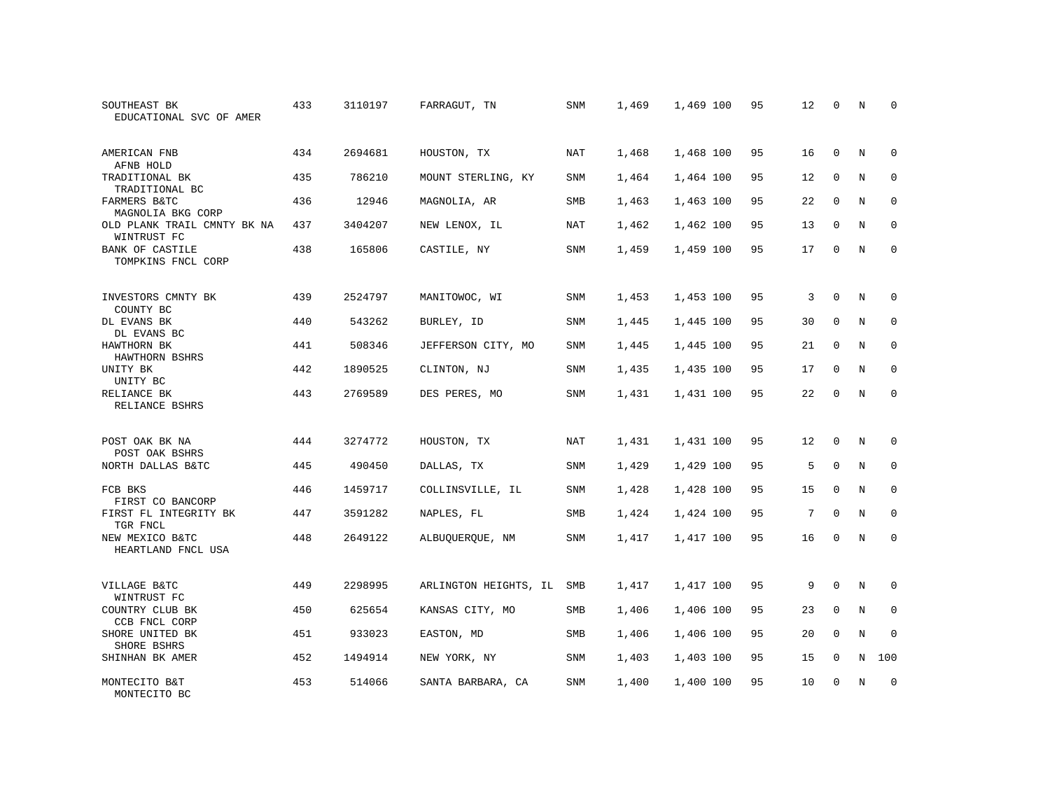| SOUTHEAST BK<br>EDUCATIONAL SVC OF AMER    | 433 | 3110197 | FARRAGUT, TN          | <b>SNM</b> | 1,469 | 1,469 100 | 95 | 12 | $\mathbf 0$ | N              | $\mathbf 0$ |
|--------------------------------------------|-----|---------|-----------------------|------------|-------|-----------|----|----|-------------|----------------|-------------|
| AMERICAN FNB<br>AFNB HOLD                  | 434 | 2694681 | HOUSTON, TX           | NAT        | 1,468 | 1,468 100 | 95 | 16 | $\Omega$    | N              | $\mathbf 0$ |
| TRADITIONAL BK<br>TRADITIONAL BC           | 435 | 786210  | MOUNT STERLING, KY    | SNM        | 1,464 | 1,464 100 | 95 | 12 | $\mathbf 0$ | N              | 0           |
| FARMERS B&TC<br>MAGNOLIA BKG CORP          | 436 | 12946   | MAGNOLIA, AR          | <b>SMB</b> | 1,463 | 1,463 100 | 95 | 22 | $\Omega$    | N              | $\mathbf 0$ |
| OLD PLANK TRAIL CMNTY BK NA<br>WINTRUST FC | 437 | 3404207 | NEW LENOX, IL         | NAT        | 1,462 | 1,462 100 | 95 | 13 | $\Omega$    | $\overline{N}$ | $\mathbf 0$ |
| BANK OF CASTILE<br>TOMPKINS FNCL CORP      | 438 | 165806  | CASTILE, NY           | <b>SNM</b> | 1,459 | 1,459 100 | 95 | 17 | 0           | N              | $\mathbf 0$ |
| INVESTORS CMNTY BK<br>COUNTY BC            | 439 | 2524797 | MANITOWOC, WI         | <b>SNM</b> | 1,453 | 1,453 100 | 95 | 3  | $\mathbf 0$ | N              | 0           |
| DL EVANS BK<br>DL EVANS BC                 | 440 | 543262  | BURLEY, ID            | SNM        | 1,445 | 1,445 100 | 95 | 30 | $\mathbf 0$ | N              | 0           |
| HAWTHORN BK<br>HAWTHORN BSHRS              | 441 | 508346  | JEFFERSON CITY, MO    | <b>SNM</b> | 1,445 | 1,445 100 | 95 | 21 | $\Omega$    | N              | $\mathbf 0$ |
| UNITY BK<br>UNITY BC                       | 442 | 1890525 | CLINTON, NJ           | SNM        | 1,435 | 1,435 100 | 95 | 17 | $\mathbf 0$ | N              | 0           |
| RELIANCE BK<br>RELIANCE BSHRS              | 443 | 2769589 | DES PERES, MO         | <b>SNM</b> | 1,431 | 1,431 100 | 95 | 22 | $\mathbf 0$ | N              | $\mathbf 0$ |
| POST OAK BK NA                             | 444 | 3274772 | HOUSTON, TX           | NAT        | 1,431 | 1,431 100 | 95 | 12 | 0           | N              | 0           |
| POST OAK BSHRS<br>NORTH DALLAS B&TC        | 445 | 490450  | DALLAS, TX            | <b>SNM</b> | 1,429 | 1,429 100 | 95 | 5  | $\mathbf 0$ | N              | 0           |
| FCB BKS<br>FIRST CO BANCORP                | 446 | 1459717 | COLLINSVILLE, IL      | <b>SNM</b> | 1,428 | 1,428 100 | 95 | 15 | $\Omega$    | N              | $\mathbf 0$ |
| FIRST FL INTEGRITY BK<br>TGR FNCL          | 447 | 3591282 | NAPLES, FL            | SMB        | 1,424 | 1,424 100 | 95 | 7  | $\mathbf 0$ | N              | 0           |
| NEW MEXICO B&TC<br>HEARTLAND FNCL USA      | 448 | 2649122 | ALBUQUERQUE, NM       | <b>SNM</b> | 1,417 | 1,417 100 | 95 | 16 | $\Omega$    | N              | $\mathbf 0$ |
| VILLAGE B&TC<br>WINTRUST FC                | 449 | 2298995 | ARLINGTON HEIGHTS, IL | SMB        | 1,417 | 1,417 100 | 95 | 9  | $\mathbf 0$ | N              | $\mathbf 0$ |
| COUNTRY CLUB BK<br>CCB FNCL CORP           | 450 | 625654  | KANSAS CITY, MO       | <b>SMB</b> | 1,406 | 1,406 100 | 95 | 23 | $\mathbf 0$ | N              | $\mathbf 0$ |
| SHORE UNITED BK<br>SHORE BSHRS             | 451 | 933023  | EASTON, MD            | SMB        | 1,406 | 1,406 100 | 95 | 20 | $\mathbf 0$ | $\mathbf N$    | $\mathbf 0$ |
| SHINHAN BK AMER                            | 452 | 1494914 | NEW YORK, NY          | <b>SNM</b> | 1,403 | 1,403 100 | 95 | 15 | $\mathbf 0$ | N              | 100         |
| MONTECITO B&T<br>MONTECITO BC              | 453 | 514066  | SANTA BARBARA, CA     | <b>SNM</b> | 1,400 | 1,400 100 | 95 | 10 | $\Omega$    | N              | $\mathbf 0$ |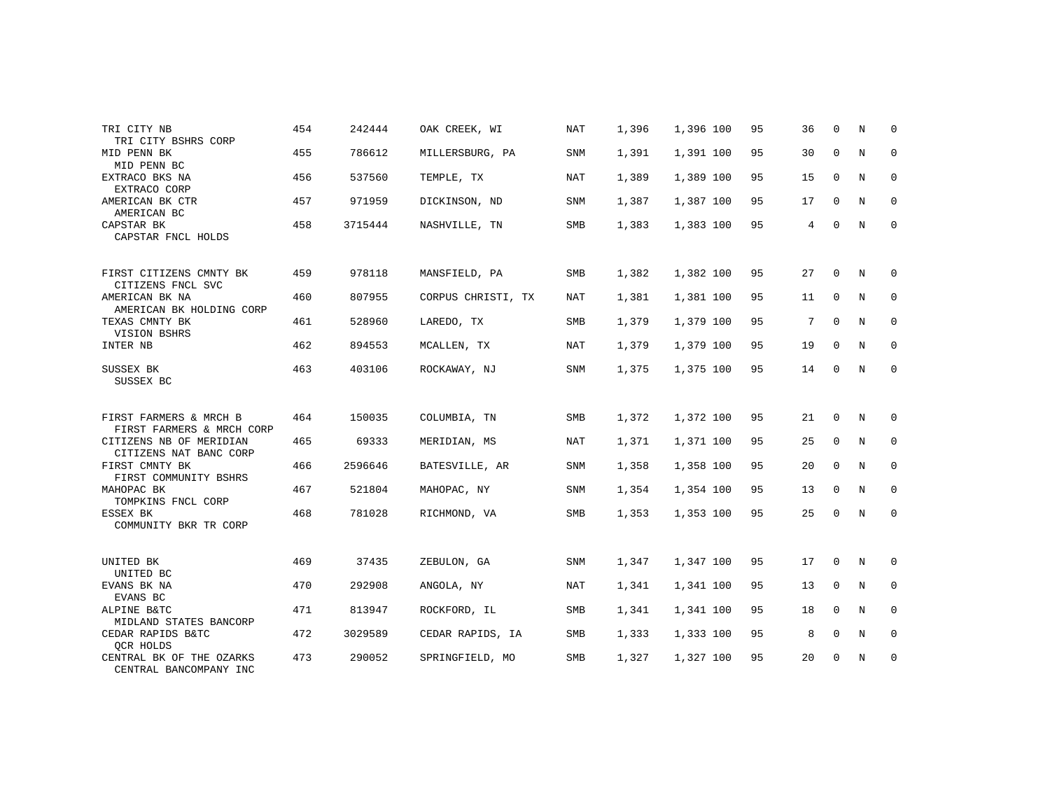| TRI CITY NB<br>TRI CITY BSHRS CORP                                             | 454 | 242444  | OAK CREEK, WI      | <b>NAT</b> | 1,396 | 1,396 100 | 95 | 36 | 0           | N | $\mathbf 0$  |
|--------------------------------------------------------------------------------|-----|---------|--------------------|------------|-------|-----------|----|----|-------------|---|--------------|
| MID PENN BK<br>MID PENN BC                                                     | 455 | 786612  | MILLERSBURG, PA    | <b>SNM</b> | 1,391 | 1,391 100 | 95 | 30 | 0           | N | 0            |
| EXTRACO BKS NA<br>EXTRACO CORP                                                 | 456 | 537560  | TEMPLE, TX         | NAT        | 1,389 | 1,389 100 | 95 | 15 | $\mathbf 0$ | N | $\mathbf 0$  |
| AMERICAN BK CTR<br>AMERICAN BC                                                 | 457 | 971959  | DICKINSON, ND      | SNM        | 1,387 | 1,387 100 | 95 | 17 | 0           | N | $\mathbf 0$  |
| CAPSTAR BK<br>CAPSTAR FNCL HOLDS                                               | 458 | 3715444 | NASHVILLE, TN      | SMB        | 1,383 | 1,383 100 | 95 | 4  | $\Omega$    | N | $\mathbf{0}$ |
| FIRST CITIZENS CMNTY BK<br>CITIZENS FNCL SVC                                   | 459 | 978118  | MANSFIELD, PA      | SMB        | 1,382 | 1,382 100 | 95 | 27 | 0           | N | $\mathbf 0$  |
| AMERICAN BK NA<br>AMERICAN BK HOLDING CORP                                     | 460 | 807955  | CORPUS CHRISTI, TX | NAT        | 1,381 | 1,381 100 | 95 | 11 | 0           | N | 0            |
| TEXAS CMNTY BK<br>VISION BSHRS                                                 | 461 | 528960  | LAREDO, TX         | SMB        | 1,379 | 1,379 100 | 95 | 7  | $\Omega$    | N | 0            |
| INTER NB                                                                       | 462 | 894553  | MCALLEN, TX        | NAT        | 1,379 | 1,379 100 | 95 | 19 | 0           | N | 0            |
| SUSSEX BK<br>SUSSEX BC                                                         | 463 | 403106  | ROCKAWAY, NJ       | SNM        | 1,375 | 1,375 100 | 95 | 14 | $\Omega$    | N | $\mathbf 0$  |
| FIRST FARMERS & MRCH B                                                         | 464 | 150035  | COLUMBIA, TN       | SMB        | 1,372 | 1,372 100 | 95 | 21 | $\mathbf 0$ | N | 0            |
| FIRST FARMERS & MRCH CORP<br>CITIZENS NB OF MERIDIAN<br>CITIZENS NAT BANC CORP | 465 | 69333   | MERIDIAN, MS       | NAT        | 1,371 | 1,371 100 | 95 | 25 | $\mathbf 0$ | N | $\mathbf 0$  |
| FIRST CMNTY BK<br>FIRST COMMUNITY BSHRS                                        | 466 | 2596646 | BATESVILLE, AR     | SNM        | 1,358 | 1,358 100 | 95 | 20 | 0           | N | 0            |
| MAHOPAC BK<br>TOMPKINS FNCL CORP                                               | 467 | 521804  | MAHOPAC, NY        | SNM        | 1,354 | 1,354 100 | 95 | 13 | $\Omega$    | N | $\mathbf 0$  |
| ESSEX BK<br>COMMUNITY BKR TR CORP                                              | 468 | 781028  | RICHMOND, VA       | SMB        | 1,353 | 1,353 100 | 95 | 25 | 0           | N | 0            |
| UNITED BK                                                                      | 469 | 37435   | ZEBULON, GA        | SNM        | 1,347 | 1,347 100 | 95 | 17 | 0           | N | 0            |
| UNITED BC<br>EVANS BK NA<br>EVANS BC                                           | 470 | 292908  | ANGOLA, NY         | NAT        | 1,341 | 1,341 100 | 95 | 13 | $\mathbf 0$ | N | $\mathbf 0$  |
| ALPINE B&TC<br>MIDLAND STATES BANCORP                                          | 471 | 813947  | ROCKFORD, IL       | SMB        | 1,341 | 1,341 100 | 95 | 18 | 0           | N | 0            |
| CEDAR RAPIDS B&TC<br>OCR HOLDS                                                 | 472 | 3029589 | CEDAR RAPIDS, IA   | SMB        | 1,333 | 1,333 100 | 95 | 8  | $\mathbf 0$ | N | $\mathbf 0$  |
| CENTRAL BK OF THE OZARKS<br>CENTRAL BANCOMPANY INC                             | 473 | 290052  | SPRINGFIELD, MO    | SMB        | 1,327 | 1,327 100 | 95 | 20 | 0           | N | $\mathbf 0$  |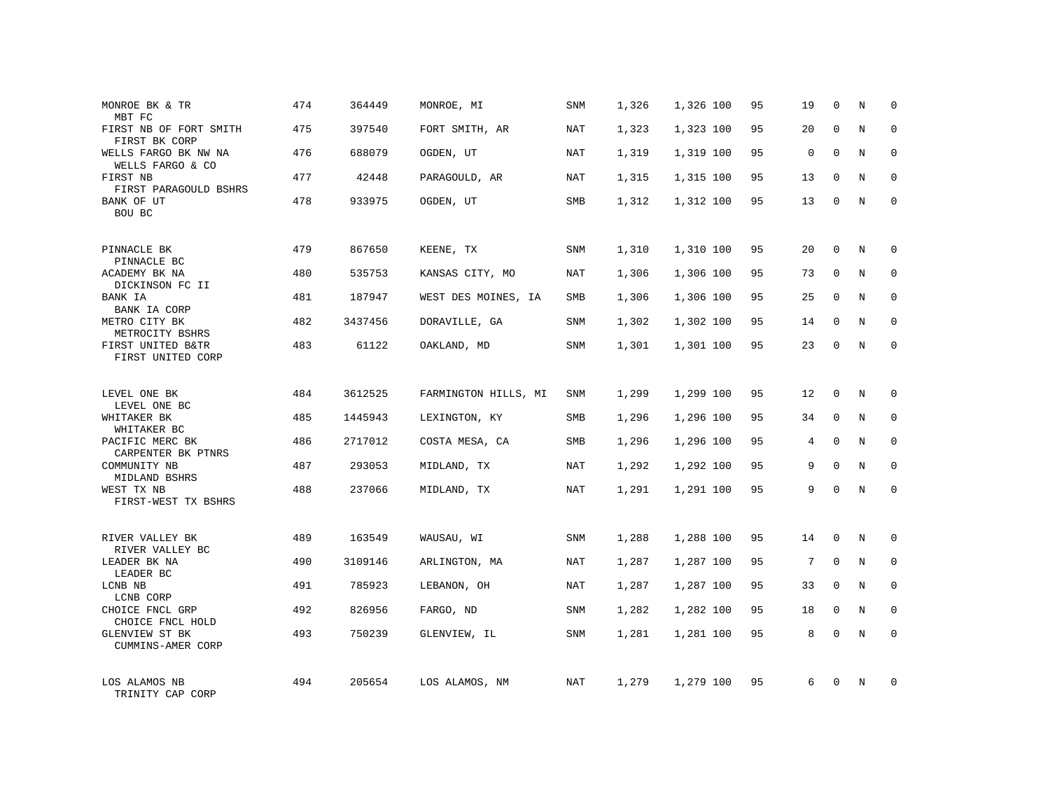| MONROE BK & TR<br>MBT FC                        | 474 | 364449  | MONROE, MI           | <b>SNM</b> | 1,326 | 1,326 100 | 95 | 19       | $\mathbf 0$ | N           | $\Omega$    |
|-------------------------------------------------|-----|---------|----------------------|------------|-------|-----------|----|----------|-------------|-------------|-------------|
| FIRST NB OF FORT SMITH<br>FIRST BK CORP         | 475 | 397540  | FORT SMITH, AR       | <b>NAT</b> | 1,323 | 1,323 100 | 95 | 20       | $\mathbf 0$ | N           | $\mathbf 0$ |
| WELLS FARGO BK NW NA<br>WELLS FARGO & CO        | 476 | 688079  | OGDEN, UT            | NAT        | 1,319 | 1,319 100 | 95 | $\Omega$ | $\Omega$    | N           | $\Omega$    |
| FIRST NB<br>FIRST PARAGOULD BSHRS               | 477 | 42448   | PARAGOULD, AR        | NAT        | 1,315 | 1,315 100 | 95 | 13       | $\Omega$    | N           | $\mathbf 0$ |
| BANK OF UT<br>BOU BC                            | 478 | 933975  | OGDEN, UT            | <b>SMB</b> | 1,312 | 1,312 100 | 95 | 13       | $\Omega$    | N           | $\Omega$    |
| PINNACLE BK                                     | 479 | 867650  | KEENE, TX            | <b>SNM</b> | 1,310 | 1,310 100 | 95 | 20       | $\mathbf 0$ | N           | $\mathbf 0$ |
| PINNACLE BC<br>ACADEMY BK NA<br>DICKINSON FC II | 480 | 535753  | KANSAS CITY, MO      | NAT        | 1,306 | 1,306 100 | 95 | 73       | $\Omega$    | N           | $\mathbf 0$ |
| BANK IA<br><b>BANK IA CORP</b>                  | 481 | 187947  | WEST DES MOINES, IA  | SMB        | 1,306 | 1,306 100 | 95 | 25       | $\mathbf 0$ | N           | $\mathbf 0$ |
| METRO CITY BK<br>METROCITY BSHRS                | 482 | 3437456 | DORAVILLE, GA        | SNM        | 1,302 | 1,302 100 | 95 | 14       | $\Omega$    | N           | $\mathbf 0$ |
| FIRST UNITED B&TR<br>FIRST UNITED CORP          | 483 | 61122   | OAKLAND, MD          | SNM        | 1,301 | 1,301 100 | 95 | 23       | $\mathbf 0$ | N           | $\mathbf 0$ |
| LEVEL ONE BK<br>LEVEL ONE BC                    | 484 | 3612525 | FARMINGTON HILLS, MI | <b>SNM</b> | 1,299 | 1,299 100 | 95 | 12       | $\Omega$    | N           | $\Omega$    |
| WHITAKER BK<br>WHITAKER BC                      | 485 | 1445943 | LEXINGTON, KY        | <b>SMB</b> | 1,296 | 1,296 100 | 95 | 34       | $\mathbf 0$ | N           | $\mathbf 0$ |
| PACIFIC MERC BK<br>CARPENTER BK PTNRS           | 486 | 2717012 | COSTA MESA, CA       | <b>SMB</b> | 1,296 | 1,296 100 | 95 | 4        | $\Omega$    | N           | $\mathbf 0$ |
| COMMUNITY NB<br>MIDLAND BSHRS                   | 487 | 293053  | MIDLAND, TX          | NAT        | 1,292 | 1,292 100 | 95 | 9        | $\mathbf 0$ | N           | 0           |
| WEST TX NB<br>FIRST-WEST TX BSHRS               | 488 | 237066  | MIDLAND, TX          | NAT        | 1,291 | 1,291 100 | 95 | 9        | $\Omega$    | N           | $\mathbf 0$ |
| RIVER VALLEY BK<br>RIVER VALLEY BC              | 489 | 163549  | WAUSAU, WI           | <b>SNM</b> | 1,288 | 1,288 100 | 95 | 14       | 0           | N           | $\mathbf 0$ |
| LEADER BK NA<br>LEADER BC                       | 490 | 3109146 | ARLINGTON, MA        | NAT        | 1,287 | 1,287 100 | 95 | 7        | $\mathbf 0$ | N           | $\mathbf 0$ |
| LCNB NB<br>LCNB CORP                            | 491 | 785923  | LEBANON, OH          | NAT        | 1,287 | 1,287 100 | 95 | 33       | 0           | N           | 0           |
| CHOICE FNCL GRP<br>CHOICE FNCL HOLD             | 492 | 826956  | FARGO, ND            | SNM        | 1,282 | 1,282 100 | 95 | 18       | $\mathbf 0$ | N           | $\mathbf 0$ |
| <b>GLENVIEW ST BK</b><br>CUMMINS-AMER CORP      | 493 | 750239  | GLENVIEW, IL         | SNM        | 1,281 | 1,281 100 | 95 | 8        | $\Omega$    | $\mathbf N$ | $\mathbf 0$ |
| LOS ALAMOS NB<br>TRINITY CAP CORP               | 494 | 205654  | LOS ALAMOS, NM       | NAT        | 1,279 | 1,279 100 | 95 | 6        | $\Omega$    | N           | $\mathbf 0$ |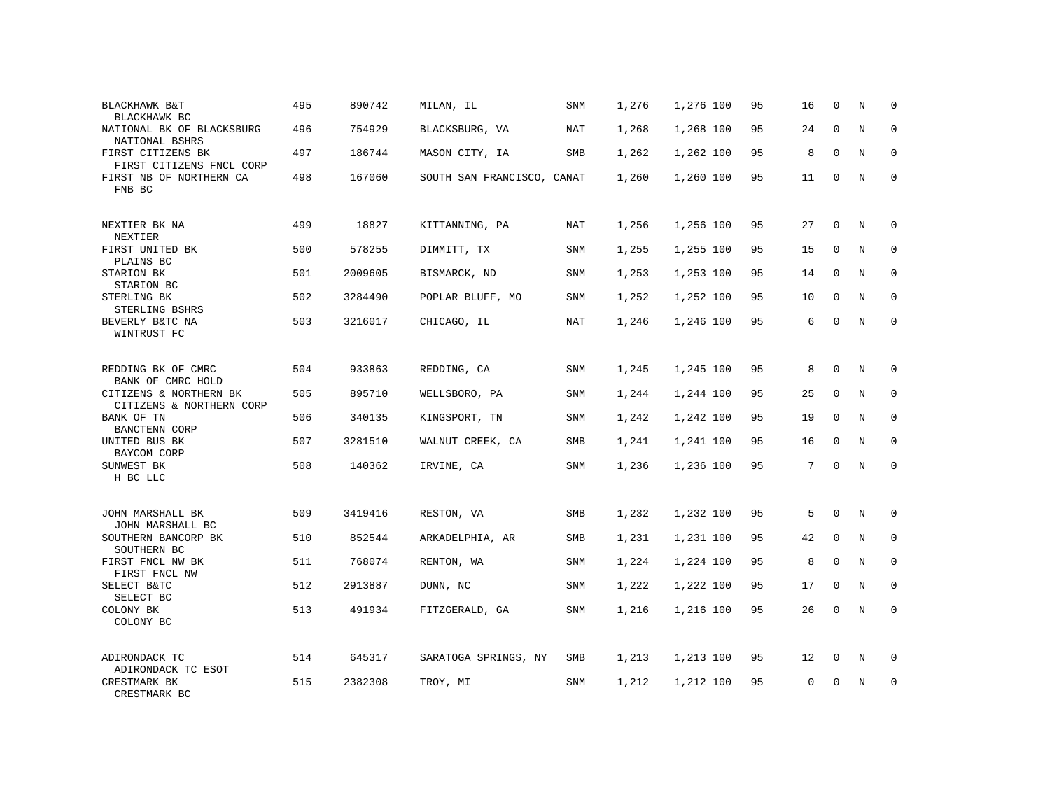| BLACKHAWK B&T<br>BLACKHAWK BC                      | 495 | 890742  | MILAN, IL                  | SNM        | 1,276 | 1,276 100 | 95 | 16          | $\mathbf 0$  | N | $\Omega$    |
|----------------------------------------------------|-----|---------|----------------------------|------------|-------|-----------|----|-------------|--------------|---|-------------|
| NATIONAL BK OF BLACKSBURG<br>NATIONAL BSHRS        | 496 | 754929  | BLACKSBURG, VA             | <b>NAT</b> | 1,268 | 1,268 100 | 95 | 24          | $\mathbf 0$  | N | $\mathbf 0$ |
| FIRST CITIZENS BK<br>FIRST CITIZENS FNCL CORP      | 497 | 186744  | MASON CITY, IA             | SMB        | 1,262 | 1,262 100 | 95 | 8           | $\Omega$     | N | $\Omega$    |
| FIRST NB OF NORTHERN CA<br>FNB BC                  | 498 | 167060  | SOUTH SAN FRANCISCO, CANAT |            | 1,260 | 1,260 100 | 95 | 11          | $\Omega$     | N | $\Omega$    |
| NEXTIER BK NA<br>NEXTIER                           | 499 | 18827   | KITTANNING, PA             | NAT        | 1,256 | 1,256 100 | 95 | 27          | $\mathbf 0$  | N | $\mathbf 0$ |
| FIRST UNITED BK<br>PLAINS BC                       | 500 | 578255  | DIMMITT, TX                | <b>SNM</b> | 1,255 | 1,255 100 | 95 | 15          | 0            | N | $\mathbf 0$ |
| STARION BK<br>STARION BC                           | 501 | 2009605 | BISMARCK, ND               | SNM        | 1,253 | 1,253 100 | 95 | 14          | $\Omega$     | N | $\mathbf 0$ |
| STERLING BK<br>STERLING BSHRS                      | 502 | 3284490 | POPLAR BLUFF, MO           | SNM        | 1,252 | 1,252 100 | 95 | 10          | $\mathbf 0$  | N | $\mathbf 0$ |
| BEVERLY B&TC NA<br>WINTRUST FC                     | 503 | 3216017 | CHICAGO, IL                | <b>NAT</b> | 1,246 | 1,246 100 | 95 | 6           | $\Omega$     | N | $\Omega$    |
| REDDING BK OF CMRC<br>BANK OF CMRC HOLD            | 504 | 933863  | REDDING, CA                | <b>SNM</b> | 1,245 | 1,245 100 | 95 | 8           | $\mathbf{0}$ | N | $\mathbf 0$ |
| CITIZENS & NORTHERN BK<br>CITIZENS & NORTHERN CORP | 505 | 895710  | WELLSBORO, PA              | SNM        | 1,244 | 1,244 100 | 95 | 25          | $\Omega$     | N | $\Omega$    |
| BANK OF TN<br>BANCTENN CORP                        | 506 | 340135  | KINGSPORT, TN              | <b>SNM</b> | 1,242 | 1,242 100 | 95 | 19          | $\mathbf 0$  | N | $\mathbf 0$ |
| UNITED BUS BK<br>BAYCOM CORP                       | 507 | 3281510 | WALNUT CREEK, CA           | SMB        | 1,241 | 1,241 100 | 95 | 16          | $\Omega$     | N | $\mathbf 0$ |
| SUNWEST BK<br>H BC LLC                             | 508 | 140362  | IRVINE, CA                 | SNM        | 1,236 | 1,236 100 | 95 | 7           | $\mathbf{0}$ | N | $\mathbf 0$ |
| JOHN MARSHALL BK<br>JOHN MARSHALL BC               | 509 | 3419416 | RESTON, VA                 | <b>SMB</b> | 1,232 | 1,232 100 | 95 | 5           | $\mathbf{0}$ | N | $\mathbf 0$ |
| SOUTHERN BANCORP BK<br>SOUTHERN BC                 | 510 | 852544  | ARKADELPHIA, AR            | SMB        | 1,231 | 1,231 100 | 95 | 42          | $\mathbf 0$  | N | 0           |
| FIRST FNCL NW BK<br>FIRST FNCL NW                  | 511 | 768074  | RENTON, WA                 | <b>SNM</b> | 1,224 | 1,224 100 | 95 | 8           | $\mathbf{0}$ | N | $\mathbf 0$ |
| SELECT B&TC<br>SELECT BC                           | 512 | 2913887 | DUNN, NC                   | SNM        | 1,222 | 1,222 100 | 95 | 17          | 0            | N | 0           |
| COLONY BK<br>COLONY BC                             | 513 | 491934  | FITZGERALD, GA             | SNM        | 1,216 | 1,216 100 | 95 | 26          | $\mathbf{0}$ | N | $\mathbf 0$ |
| ADIRONDACK TC<br>ADIRONDACK TC ESOT                | 514 | 645317  | SARATOGA SPRINGS, NY       | SMB        | 1,213 | 1,213 100 | 95 | 12          | 0            | N | 0           |
| CRESTMARK BK<br>CRESTMARK BC                       | 515 | 2382308 | TROY, MI                   | <b>SNM</b> | 1,212 | 1,212 100 | 95 | $\mathbf 0$ | $\Omega$     | N | $\mathbf 0$ |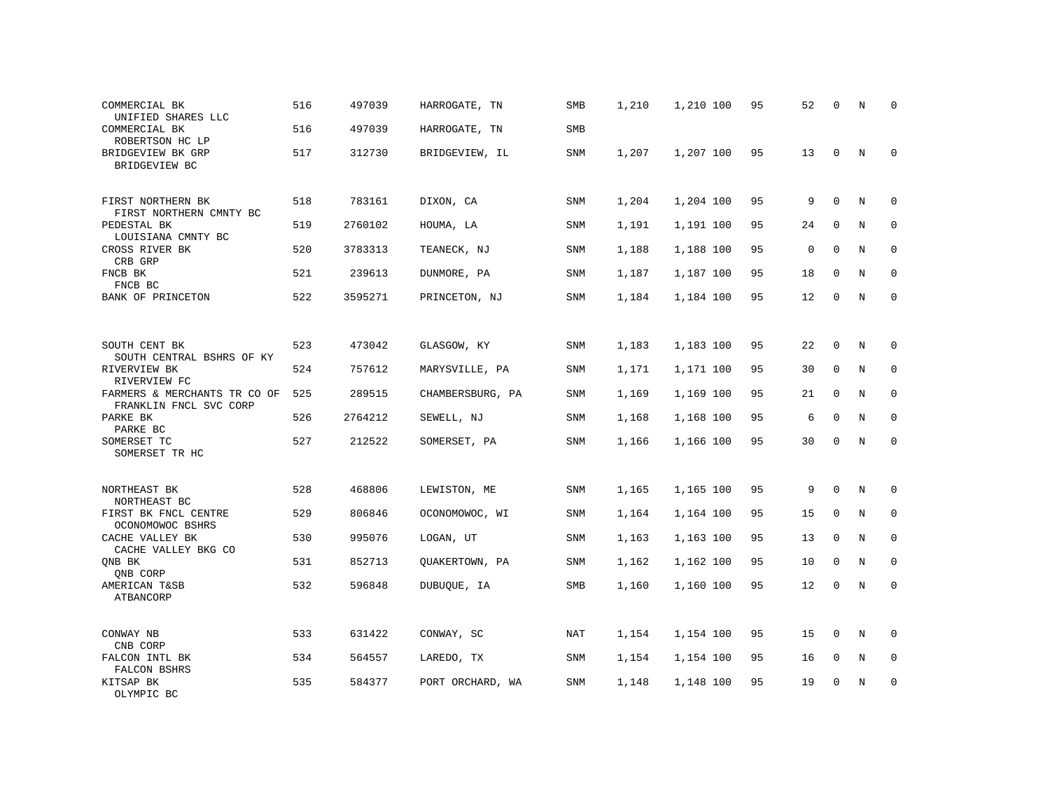| COMMERCIAL BK<br>UNIFIED SHARES LLC                    | 516 | 497039  | HARROGATE, TN    | <b>SMB</b> | 1,210 | 1,210 100 | 95 | 52 | 0           | N           | 0                   |
|--------------------------------------------------------|-----|---------|------------------|------------|-------|-----------|----|----|-------------|-------------|---------------------|
| COMMERCIAL BK<br>ROBERTSON HC LP                       | 516 | 497039  | HARROGATE, TN    | SMB        |       |           |    |    |             |             |                     |
| BRIDGEVIEW BK GRP<br>BRIDGEVIEW BC                     | 517 | 312730  | BRIDGEVIEW, IL   | <b>SNM</b> | 1,207 | 1,207 100 | 95 | 13 | $\mathbf 0$ | N           | $\mathbf 0$         |
| FIRST NORTHERN BK<br>FIRST NORTHERN CMNTY BC           | 518 | 783161  | DIXON, CA        | SNM        | 1,204 | 1,204 100 | 95 | 9  | $\Omega$    | N           | $\Omega$            |
| PEDESTAL BK<br>LOUISIANA CMNTY BC                      | 519 | 2760102 | HOUMA, LA        | SNM        | 1,191 | 1,191 100 | 95 | 24 | $\mathbf 0$ | N           | $\mathbf 0$         |
| CROSS RIVER BK<br>CRB GRP                              | 520 | 3783313 | TEANECK, NJ      | SNM        | 1,188 | 1,188 100 | 95 | 0  | $\mathbf 0$ | N           | $\mathbf 0$         |
| FNCB BK<br>FNCB BC                                     | 521 | 239613  | DUNMORE, PA      | SNM        | 1,187 | 1,187 100 | 95 | 18 | 0           | N           | 0                   |
| BANK OF PRINCETON                                      | 522 | 3595271 | PRINCETON, NJ    | SNM        | 1,184 | 1,184 100 | 95 | 12 | 0           | N           | $\mathbf 0$         |
|                                                        |     |         |                  |            |       |           |    |    |             |             |                     |
| SOUTH CENT BK<br>SOUTH CENTRAL BSHRS OF KY             | 523 | 473042  | GLASGOW, KY      | <b>SNM</b> | 1,183 | 1,183 100 | 95 | 22 | $\mathbf 0$ | N           | 0                   |
| RIVERVIEW BK<br>RIVERVIEW FC                           | 524 | 757612  | MARYSVILLE, PA   | <b>SNM</b> | 1,171 | 1,171 100 | 95 | 30 | $\mathbf 0$ | N           | $\mathsf{O}\xspace$ |
| FARMERS & MERCHANTS TR CO OF<br>FRANKLIN FNCL SVC CORP | 525 | 289515  | CHAMBERSBURG, PA | SNM        | 1,169 | 1,169 100 | 95 | 21 | $\Omega$    | N           | $\mathbf 0$         |
| PARKE BK<br>PARKE BC                                   | 526 | 2764212 | SEWELL, NJ       | <b>SNM</b> | 1,168 | 1,168 100 | 95 | 6  | $\mathbf 0$ | $\mathbf N$ | 0                   |
| SOMERSET TC<br>SOMERSET TR HC                          | 527 | 212522  | SOMERSET, PA     | SNM        | 1,166 | 1,166 100 | 95 | 30 | $\mathbf 0$ | N           | $\mathbf 0$         |
|                                                        |     |         |                  |            |       |           |    |    |             |             |                     |
| NORTHEAST BK<br>NORTHEAST BC                           | 528 | 468806  | LEWISTON, ME     | SNM        | 1,165 | 1,165 100 | 95 | 9  | 0           | N           | 0                   |
| FIRST BK FNCL CENTRE<br>OCONOMOWOC BSHRS               | 529 | 806846  | OCONOMOWOC, WI   | SNM        | 1,164 | 1,164 100 | 95 | 15 | $\mathbf 0$ | N           | 0                   |
| CACHE VALLEY BK<br>CACHE VALLEY BKG CO                 | 530 | 995076  | LOGAN, UT        | SNM        | 1,163 | 1,163 100 | 95 | 13 | $\mathbf 0$ | N           | $\mathbf 0$         |
| QNB BK<br>QNB CORP                                     | 531 | 852713  | QUAKERTOWN, PA   | <b>SNM</b> | 1,162 | 1,162 100 | 95 | 10 | $\Omega$    | N           | $\mathbf 0$         |
| AMERICAN T&SB<br>ATBANCORP                             | 532 | 596848  | DUBUQUE, IA      | SMB        | 1,160 | 1,160 100 | 95 | 12 | $\mathbf 0$ | N           | $\mathbf 0$         |
|                                                        |     |         |                  |            |       |           |    |    |             |             |                     |
| CONWAY NB<br>CNB CORP                                  | 533 | 631422  | CONWAY, SC       | NAT        | 1,154 | 1,154 100 | 95 | 15 | 0           | N           | 0                   |
| FALCON INTL BK<br>FALCON BSHRS                         | 534 | 564557  | LAREDO, TX       | SNM        | 1,154 | 1,154 100 | 95 | 16 | 0           | N           | 0                   |
| KITSAP BK<br>OLYMPIC BC                                | 535 | 584377  | PORT ORCHARD, WA | SNM        | 1,148 | 1,148 100 | 95 | 19 | $\Omega$    | N           | $\mathbf 0$         |
|                                                        |     |         |                  |            |       |           |    |    |             |             |                     |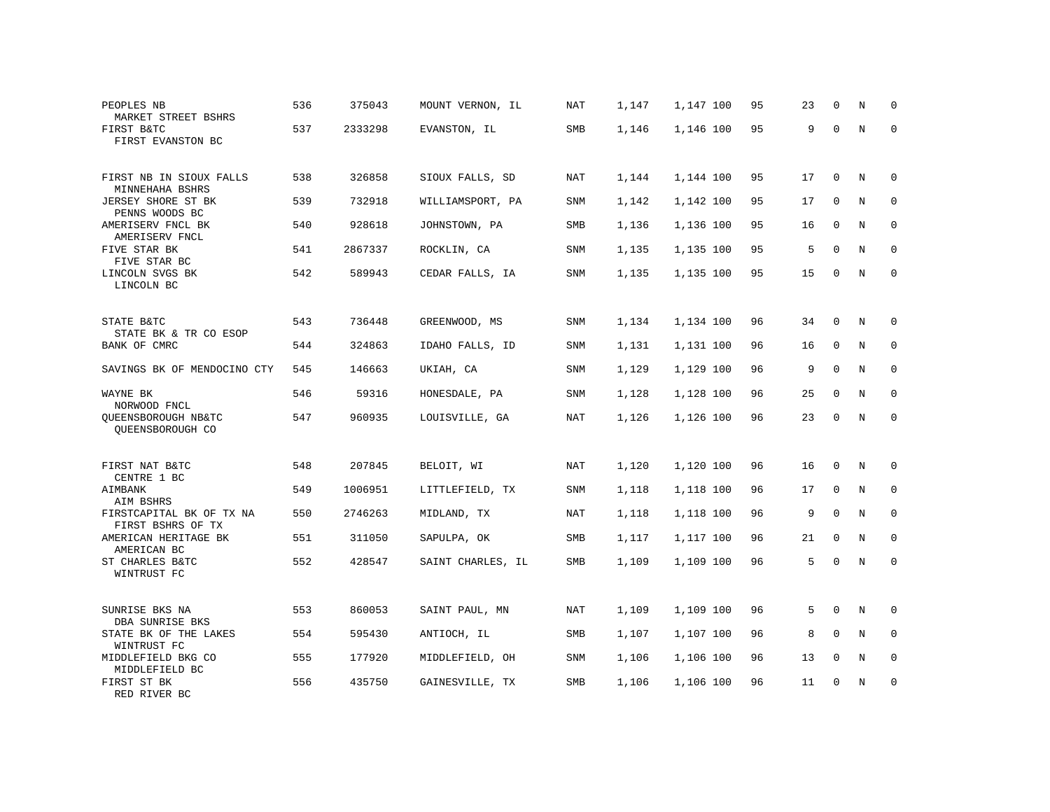| PEOPLES NB<br>MARKET STREET BSHRS                       | 536 | 375043  | MOUNT VERNON, IL  | NAT        | 1,147 | 1,147 100 | 95 | 23 | $\mathbf 0$ | N | $\mathbf 0$ |
|---------------------------------------------------------|-----|---------|-------------------|------------|-------|-----------|----|----|-------------|---|-------------|
| FIRST B&TC<br>FIRST EVANSTON BC                         | 537 | 2333298 | EVANSTON, IL      | SMB        | 1,146 | 1,146 100 | 95 | 9  | $\Omega$    | N | $\Omega$    |
| FIRST NB IN SIOUX FALLS<br>MINNEHAHA BSHRS              | 538 | 326858  | SIOUX FALLS, SD   | NAT        | 1,144 | 1,144 100 | 95 | 17 | $\mathbf 0$ | N | $\mathbf 0$ |
| JERSEY SHORE ST BK<br>PENNS WOODS BC                    | 539 | 732918  | WILLIAMSPORT, PA  | SNM        | 1,142 | 1,142 100 | 95 | 17 | $\Omega$    | N | $\mathbf 0$ |
| AMERISERV FNCL BK<br>AMERISERV FNCL                     | 540 | 928618  | JOHNSTOWN, PA     | SMB        | 1,136 | 1,136 100 | 95 | 16 | $\Omega$    | N | $\Omega$    |
| FIVE STAR BK<br>FIVE STAR BC                            | 541 | 2867337 | ROCKLIN, CA       | SNM        | 1,135 | 1,135 100 | 95 | 5  | $\mathbf 0$ | N | $\mathbf 0$ |
| LINCOLN SVGS BK<br>LINCOLN BC                           | 542 | 589943  | CEDAR FALLS, IA   | SNM        | 1,135 | 1,135 100 | 95 | 15 | $\mathbf 0$ | N | $\Omega$    |
| STATE B&TC<br>STATE BK & TR CO ESOP                     | 543 | 736448  | GREENWOOD, MS     | SNM        | 1,134 | 1,134 100 | 96 | 34 | $\mathbf 0$ | N | $\mathbf 0$ |
| BANK OF CMRC                                            | 544 | 324863  | IDAHO FALLS, ID   | SNM        | 1,131 | 1,131 100 | 96 | 16 | $\mathbf 0$ | N | $\mathbf 0$ |
| SAVINGS BK OF MENDOCINO CTY                             | 545 | 146663  | UKIAH, CA         | SNM        | 1,129 | 1,129 100 | 96 | 9  | $\Omega$    | N | $\Omega$    |
| WAYNE BK                                                | 546 | 59316   | HONESDALE, PA     | SNM        | 1,128 | 1,128 100 | 96 | 25 | $\Omega$    | N | $\mathbf 0$ |
| NORWOOD FNCL<br>QUEENSBOROUGH NB&TC<br>QUEENSBOROUGH CO | 547 | 960935  | LOUISVILLE, GA    | NAT        | 1,126 | 1,126 100 | 96 | 23 | $\mathbf 0$ | N | $\mathbf 0$ |
| FIRST NAT B&TC                                          | 548 | 207845  | BELOIT, WI        | <b>NAT</b> | 1,120 | 1,120 100 | 96 | 16 | $\mathbf 0$ | N | $\Omega$    |
| CENTRE 1 BC<br>AIMBANK<br>AIM BSHRS                     | 549 | 1006951 | LITTLEFIELD, TX   | SNM        | 1,118 | 1,118 100 | 96 | 17 | $\mathbf 0$ | N | $\mathbf 0$ |
| FIRSTCAPITAL BK OF TX NA<br>FIRST BSHRS OF TX           | 550 | 2746263 | MIDLAND, TX       | NAT        | 1,118 | 1,118 100 | 96 | 9  | $\Omega$    | N | $\mathbf 0$ |
| AMERICAN HERITAGE BK<br>AMERICAN BC                     | 551 | 311050  | SAPULPA, OK       | <b>SMB</b> | 1,117 | 1,117 100 | 96 | 21 | $\Omega$    | N | $\Omega$    |
| ST CHARLES B&TC<br>WINTRUST FC                          | 552 | 428547  | SAINT CHARLES, IL | SMB        | 1,109 | 1,109 100 | 96 | 5  | $\mathbf 0$ | N | $\mathbf 0$ |
| SUNRISE BKS NA<br>DBA SUNRISE BKS                       | 553 | 860053  | SAINT PAUL, MN    | <b>NAT</b> | 1,109 | 1,109 100 | 96 | 5  | $\Omega$    | N | $\mathbf 0$ |
| STATE BK OF THE LAKES<br>WINTRUST FC                    | 554 | 595430  | ANTIOCH, IL       | SMB        | 1,107 | 1,107 100 | 96 | 8  | $\mathbf 0$ | N | $\mathbf 0$ |
| MIDDLEFIELD BKG CO<br>MIDDLEFIELD BC                    | 555 | 177920  | MIDDLEFIELD, OH   | SNM        | 1,106 | 1,106 100 | 96 | 13 | $\mathbf 0$ | N | $\mathbf 0$ |
| FIRST ST BK<br>RED RIVER BC                             | 556 | 435750  | GAINESVILLE, TX   | SMB        | 1,106 | 1,106 100 | 96 | 11 | $\Omega$    | N | $\Omega$    |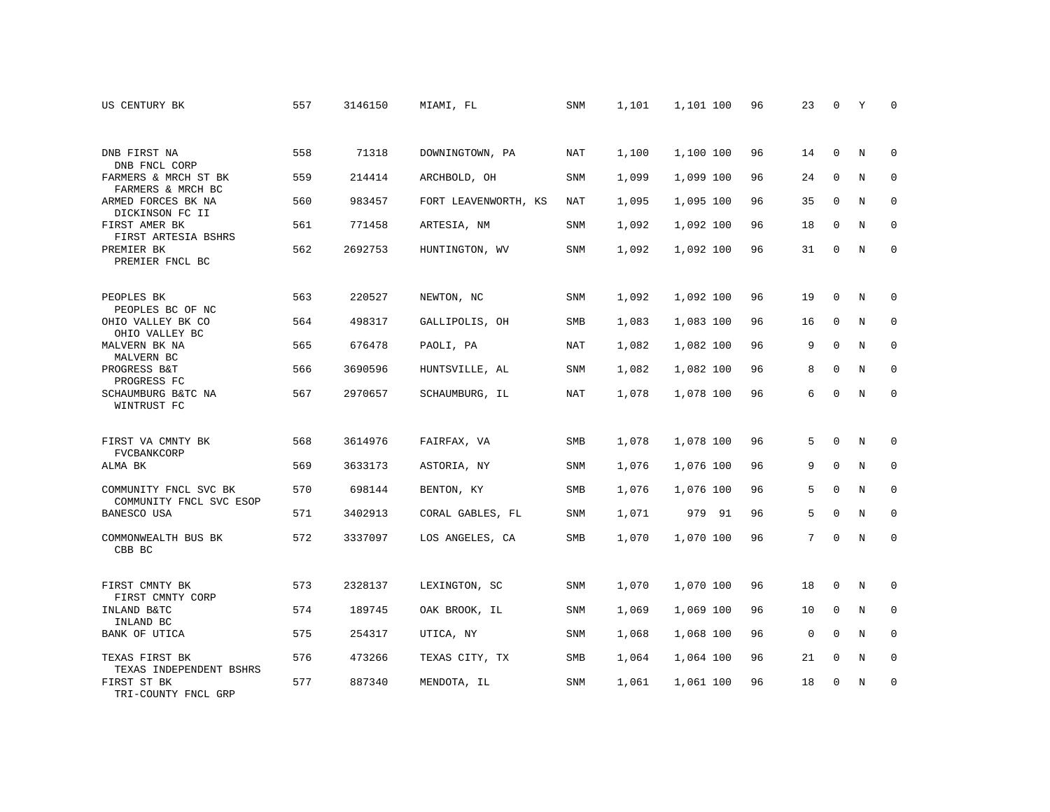| US CENTURY BK                                    | 557 | 3146150 | MIAMI, FL            | SNM        | 1,101 | 1,101 100 | 96 | 23 | $\mathbf 0$  | Υ           | $\mathbf 0$  |
|--------------------------------------------------|-----|---------|----------------------|------------|-------|-----------|----|----|--------------|-------------|--------------|
|                                                  |     |         |                      |            |       |           |    |    |              |             |              |
| DNB FIRST NA<br>DNB FNCL CORP                    | 558 | 71318   | DOWNINGTOWN, PA      | <b>NAT</b> | 1,100 | 1,100 100 | 96 | 14 | $\mathbf 0$  | N           | $\mathbf 0$  |
| FARMERS & MRCH ST BK<br>FARMERS & MRCH BC        | 559 | 214414  | ARCHBOLD, OH         | SNM        | 1,099 | 1,099 100 | 96 | 24 | 0            | Ν           | 0            |
| ARMED FORCES BK NA<br>DICKINSON FC II            | 560 | 983457  | FORT LEAVENWORTH, KS | NAT        | 1,095 | 1,095 100 | 96 | 35 | 0            | N           | $\mathbf 0$  |
| FIRST AMER BK<br>FIRST ARTESIA BSHRS             | 561 | 771458  | ARTESIA, NM          | SNM        | 1,092 | 1,092 100 | 96 | 18 | $\mathbf 0$  | N           | $\mathbf 0$  |
| PREMIER BK<br>PREMIER FNCL BC                    | 562 | 2692753 | HUNTINGTON, WV       | SNM        | 1,092 | 1,092 100 | 96 | 31 | $\mathbf{0}$ | N           | $\mathbf 0$  |
| PEOPLES BK<br>PEOPLES BC OF NC                   | 563 | 220527  | NEWTON, NC           | SNM        | 1,092 | 1,092 100 | 96 | 19 | 0            | N           | $\mathbf 0$  |
| OHIO VALLEY BK CO<br>OHIO VALLEY BC              | 564 | 498317  | GALLIPOLIS, OH       | SMB        | 1,083 | 1,083 100 | 96 | 16 | $\mathbf 0$  | $\rm N$     | $\mathbf 0$  |
| MALVERN BK NA<br>MALVERN BC                      | 565 | 676478  | PAOLI, PA            | NAT        | 1,082 | 1,082 100 | 96 | 9  | $\mathbf{0}$ | N           | $\mathbf 0$  |
| PROGRESS B&T<br>PROGRESS FC                      | 566 | 3690596 | HUNTSVILLE, AL       | SNM        | 1,082 | 1,082 100 | 96 | 8  | $\mathbf{0}$ | N           | $\mathbf 0$  |
| SCHAUMBURG B&TC NA<br>WINTRUST FC                | 567 | 2970657 | SCHAUMBURG, IL       | <b>NAT</b> | 1,078 | 1,078 100 | 96 | 6  | $\Omega$     | $\mathbf N$ | $\mathbf 0$  |
| FIRST VA CMNTY BK<br><b>FVCBANKCORP</b>          | 568 | 3614976 | FAIRFAX, VA          | SMB        | 1,078 | 1,078 100 | 96 | 5  | $\mathbf 0$  | N           | $\mathbf 0$  |
| ALMA BK                                          | 569 | 3633173 | ASTORIA, NY          | <b>SNM</b> | 1,076 | 1,076 100 | 96 | 9  | $\mathbf{0}$ | N           | $\mathbf 0$  |
| COMMUNITY FNCL SVC BK<br>COMMUNITY FNCL SVC ESOP | 570 | 698144  | BENTON, KY           | SMB        | 1,076 | 1,076 100 | 96 | 5  | $\mathbf 0$  | N           | 0            |
| BANESCO USA                                      | 571 | 3402913 | CORAL GABLES, FL     | SNM        | 1,071 | 979 91    | 96 | 5  | $\mathbf{0}$ | N           | $\mathbf 0$  |
| COMMONWEALTH BUS BK<br>CBB BC                    | 572 | 3337097 | LOS ANGELES, CA      | SMB        | 1,070 | 1,070 100 | 96 | 7  | $\Omega$     | $_{\rm N}$  | $\mathbf{0}$ |
| FIRST CMNTY BK<br>FIRST CMNTY CORP               | 573 | 2328137 | LEXINGTON, SC        | SNM        | 1,070 | 1,070 100 | 96 | 18 | 0            | N           | $\mathbf 0$  |
| INLAND B&TC<br>INLAND BC                         | 574 | 189745  | OAK BROOK, IL        | <b>SNM</b> | 1,069 | 1,069 100 | 96 | 10 | $\mathbf 0$  | N           | $\mathbf 0$  |
| BANK OF UTICA                                    | 575 | 254317  | UTICA, NY            | SNM        | 1,068 | 1,068 100 | 96 | 0  | $\mathbf 0$  | N           | 0            |
| TEXAS FIRST BK<br>TEXAS INDEPENDENT BSHRS        | 576 | 473266  | TEXAS CITY, TX       | SMB        | 1,064 | 1,064 100 | 96 | 21 | $\mathbf 0$  | N           | 0            |
| FIRST ST BK<br>TRI-COUNTY FNCL GRP               | 577 | 887340  | MENDOTA, IL          | <b>SNM</b> | 1,061 | 1,061 100 | 96 | 18 | $\Omega$     | N           | $\mathbf 0$  |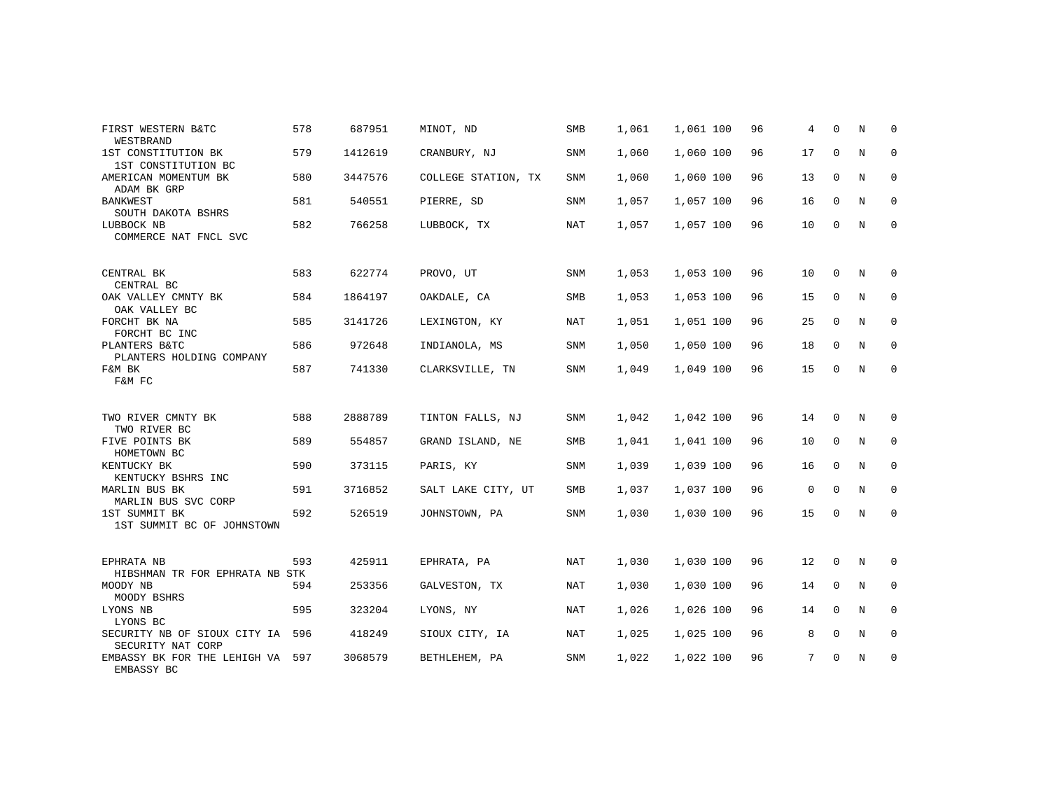| FIRST WESTERN B&TC<br>WESTBRAND                       | 578 | 687951  | MINOT, ND           | SMB        | 1,061 | 1,061 100 | 96 | 4           | $\Omega$    | N              | $\Omega$    |
|-------------------------------------------------------|-----|---------|---------------------|------------|-------|-----------|----|-------------|-------------|----------------|-------------|
| 1ST CONSTITUTION BK<br>1ST CONSTITUTION BC            | 579 | 1412619 | CRANBURY, NJ        | SNM        | 1,060 | 1,060 100 | 96 | 17          | $\mathbf 0$ | N              | $\mathbf 0$ |
| AMERICAN MOMENTUM BK<br>ADAM BK GRP                   | 580 | 3447576 | COLLEGE STATION, TX | <b>SNM</b> | 1,060 | 1,060 100 | 96 | 13          | $\Omega$    | $\overline{N}$ | $\Omega$    |
| <b>BANKWEST</b><br>SOUTH DAKOTA BSHRS                 | 581 | 540551  | PIERRE, SD          | SNM        | 1,057 | 1,057 100 | 96 | 16          | $\mathbf 0$ | N              | $\mathbf 0$ |
| LUBBOCK NB<br>COMMERCE NAT FNCL SVC                   | 582 | 766258  | LUBBOCK, TX         | <b>NAT</b> | 1,057 | 1,057 100 | 96 | 10          | $\mathbf 0$ | N              | $\mathbf 0$ |
|                                                       |     |         |                     |            |       |           |    |             |             |                |             |
| CENTRAL BK<br>CENTRAL BC                              | 583 | 622774  | PROVO, UT           | <b>SNM</b> | 1,053 | 1,053 100 | 96 | 10          | $\mathbf 0$ | N              | $\mathbf 0$ |
| OAK VALLEY CMNTY BK<br>OAK VALLEY BC                  | 584 | 1864197 | OAKDALE, CA         | SMB        | 1,053 | 1,053 100 | 96 | 15          | $\mathbf 0$ | N              | $\mathbf 0$ |
| FORCHT BK NA<br>FORCHT BC INC                         | 585 | 3141726 | LEXINGTON, KY       | <b>NAT</b> | 1,051 | 1,051 100 | 96 | 25          | $\Omega$    | N              | $\mathbf 0$ |
| PLANTERS B&TC<br>PLANTERS HOLDING COMPANY             | 586 | 972648  | INDIANOLA, MS       | SNM        | 1,050 | 1,050 100 | 96 | 18          | $\mathbf 0$ | N              | $\mathbf 0$ |
| F&M BK<br>F&M FC                                      | 587 | 741330  | CLARKSVILLE, TN     | <b>SNM</b> | 1,049 | 1,049 100 | 96 | 15          | $\mathbf 0$ | N              | $\mathbf 0$ |
|                                                       |     |         |                     |            |       |           |    |             |             |                |             |
| TWO RIVER CMNTY BK<br>TWO RIVER BC                    | 588 | 2888789 | TINTON FALLS, NJ    | SNM        | 1,042 | 1,042 100 | 96 | 14          | $\Omega$    | N              | $\Omega$    |
| FIVE POINTS BK<br>HOMETOWN BC                         | 589 | 554857  | GRAND ISLAND, NE    | SMB        | 1,041 | 1,041 100 | 96 | 10          | $\mathbf 0$ | N              | $\mathbf 0$ |
| KENTUCKY BK<br>KENTUCKY BSHRS INC                     | 590 | 373115  | PARIS, KY           | SNM        | 1,039 | 1,039 100 | 96 | 16          | $\mathbf 0$ | N              | $\mathbf 0$ |
| MARLIN BUS BK<br>MARLIN BUS SVC CORP                  | 591 | 3716852 | SALT LAKE CITY, UT  | SMB        | 1,037 | 1,037 100 | 96 | $\mathbf 0$ | $\Omega$    | N              | $\mathbf 0$ |
| 1ST SUMMIT BK<br>1ST SUMMIT BC OF JOHNSTOWN           | 592 | 526519  | JOHNSTOWN, PA       | <b>SNM</b> | 1,030 | 1,030 100 | 96 | 15          | $\mathbf 0$ | N              | $\mathbf 0$ |
|                                                       |     |         |                     |            |       |           |    |             |             |                |             |
| EPHRATA NB<br>HIBSHMAN TR FOR EPHRATA NB STK          | 593 | 425911  | EPHRATA, PA         | NAT        | 1,030 | 1,030 100 | 96 | 12          | $\mathbf 0$ | N              | $\mathbf 0$ |
| MOODY NB<br>MOODY BSHRS                               | 594 | 253356  | GALVESTON, TX       | <b>NAT</b> | 1,030 | 1,030 100 | 96 | 14          | $\mathbf 0$ | N              | $\mathbf 0$ |
| LYONS NB<br>LYONS BC                                  | 595 | 323204  | LYONS, NY           | NAT        | 1,026 | 1,026 100 | 96 | 14          | $\Omega$    | N              | $\mathbf 0$ |
| SECURITY NB OF SIOUX CITY IA 596<br>SECURITY NAT CORP |     | 418249  | SIOUX CITY, IA      | NAT        | 1,025 | 1,025 100 | 96 | 8           | $\mathbf 0$ | N              | $\mathbf 0$ |
| EMBASSY BK FOR THE LEHIGH VA<br>EMBASSY BC            | 597 | 3068579 | BETHLEHEM, PA       | <b>SNM</b> | 1,022 | 1,022 100 | 96 | 7           | $\mathbf 0$ | N              | $\mathbf 0$ |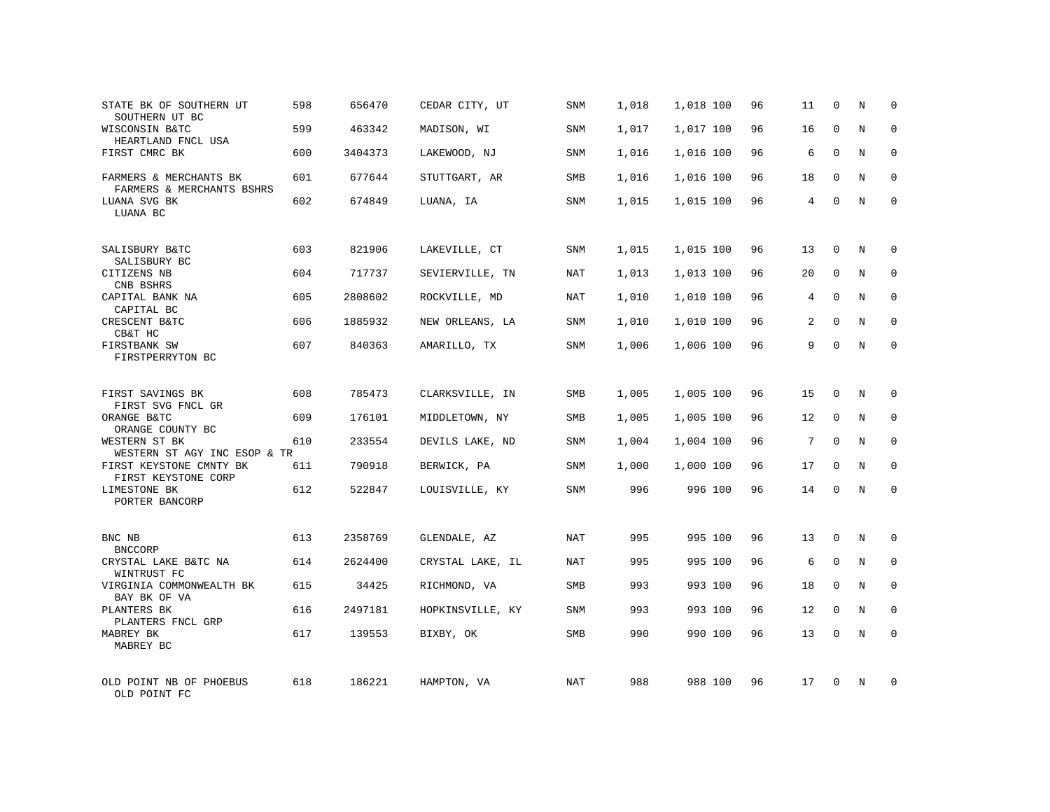| STATE BK OF SOUTHERN UT<br>SOUTHERN UT BC           | 598 | 656470  | CEDAR CITY, UT   | <b>SNM</b> | 1,018 | 1,018 100 | 96 | 11 | $\mathbf 0$  | Ν          | $\mathbf 0$ |
|-----------------------------------------------------|-----|---------|------------------|------------|-------|-----------|----|----|--------------|------------|-------------|
| WISCONSIN B&TC<br>HEARTLAND FNCL USA                | 599 | 463342  | MADISON, WI      | SNM        | 1,017 | 1,017 100 | 96 | 16 | $\Omega$     | N          | $\Omega$    |
| FIRST CMRC BK                                       | 600 | 3404373 | LAKEWOOD, NJ     | SNM        | 1,016 | 1,016 100 | 96 | 6  | $\Omega$     | N          | $\mathbf 0$ |
| FARMERS & MERCHANTS BK<br>FARMERS & MERCHANTS BSHRS | 601 | 677644  | STUTTGART, AR    | <b>SMB</b> | 1,016 | 1,016 100 | 96 | 18 | $\Omega$     | N          | $\Omega$    |
| LUANA SVG BK<br>LUANA BC                            | 602 | 674849  | LUANA, IA        | SNM        | 1,015 | 1,015 100 | 96 | 4  | $\Omega$     | N          | $\Omega$    |
| SALISBURY B&TC                                      | 603 | 821906  | LAKEVILLE, CT    | SNM        | 1,015 | 1,015 100 | 96 | 13 | $\mathbf{0}$ | N          | $\Omega$    |
| SALISBURY BC<br>CITIZENS NB<br>CNB BSHRS            | 604 | 717737  | SEVIERVILLE, TN  | NAT        | 1,013 | 1,013 100 | 96 | 20 | $\mathbf{0}$ | N          | $\Omega$    |
| CAPITAL BANK NA<br>CAPITAL BC                       | 605 | 2808602 | ROCKVILLE, MD    | <b>NAT</b> | 1,010 | 1,010 100 | 96 | 4  | $\Omega$     | N          | $\mathbf 0$ |
| CRESCENT B&TC<br>CB&T HC                            | 606 | 1885932 | NEW ORLEANS, LA  | SNM        | 1,010 | 1,010 100 | 96 | 2  | $\Omega$     | N          | $\Omega$    |
| FIRSTBANK SW<br>FIRSTPERRYTON BC                    | 607 | 840363  | AMARILLO, TX     | SNM        | 1,006 | 1,006 100 | 96 | 9  | $\Omega$     | N          | $\Omega$    |
| FIRST SAVINGS BK<br>FIRST SVG FNCL GR               | 608 | 785473  | CLARKSVILLE, IN  | SMB        | 1,005 | 1,005 100 | 96 | 15 | $\Omega$     | N          | $\Omega$    |
| ORANGE B&TC<br>ORANGE COUNTY BC                     | 609 | 176101  | MIDDLETOWN, NY   | SMB        | 1,005 | 1,005 100 | 96 | 12 | $\mathbf{0}$ | N          | $\mathbf 0$ |
| WESTERN ST BK<br>WESTERN ST AGY INC ESOP & TR       | 610 | 233554  | DEVILS LAKE, ND  | <b>SNM</b> | 1,004 | 1,004 100 | 96 | 7  | $\Omega$     | N          | $\Omega$    |
| FIRST KEYSTONE CMNTY BK<br>FIRST KEYSTONE CORP      | 611 | 790918  | BERWICK, PA      | <b>SNM</b> | 1,000 | 1,000 100 | 96 | 17 | $\mathbf{0}$ | N          | $\mathbf 0$ |
| LIMESTONE BK<br>PORTER BANCORP                      | 612 | 522847  | LOUISVILLE, KY   | <b>SNM</b> | 996   | 996 100   | 96 | 14 | $\Omega$     | N          | $\Omega$    |
| BNC NB<br><b>BNCCORP</b>                            | 613 | 2358769 | GLENDALE, AZ     | NAT        | 995   | 995 100   | 96 | 13 | $\Omega$     | N          | $\mathbf 0$ |
| CRYSTAL LAKE B&TC NA<br>WINTRUST FC                 | 614 | 2624400 | CRYSTAL LAKE, IL | NAT        | 995   | 995 100   | 96 | 6  | $\mathbf{0}$ | N          | $\mathbf 0$ |
| VIRGINIA COMMONWEALTH BK<br>BAY BK OF VA            | 615 | 34425   | RICHMOND, VA     | <b>SMB</b> | 993   | 993 100   | 96 | 18 | $\Omega$     | N          | $\mathbf 0$ |
| PLANTERS BK<br>PLANTERS FNCL GRP                    | 616 | 2497181 | HOPKINSVILLE, KY | <b>SNM</b> | 993   | 993 100   | 96 | 12 | $\mathbf{0}$ | N          | $\mathbf 0$ |
| MABREY BK<br>MABREY BC                              | 617 | 139553  | BIXBY, OK        | <b>SMB</b> | 990   | 990 100   | 96 | 13 | $\Omega$     | $_{\rm N}$ | $\mathbf 0$ |
| OLD POINT NB OF PHOEBUS<br>OLD POINT FC             | 618 | 186221  | HAMPTON, VA      | NAT        | 988   | 988 100   | 96 | 17 | $\Omega$     | N          | $\Omega$    |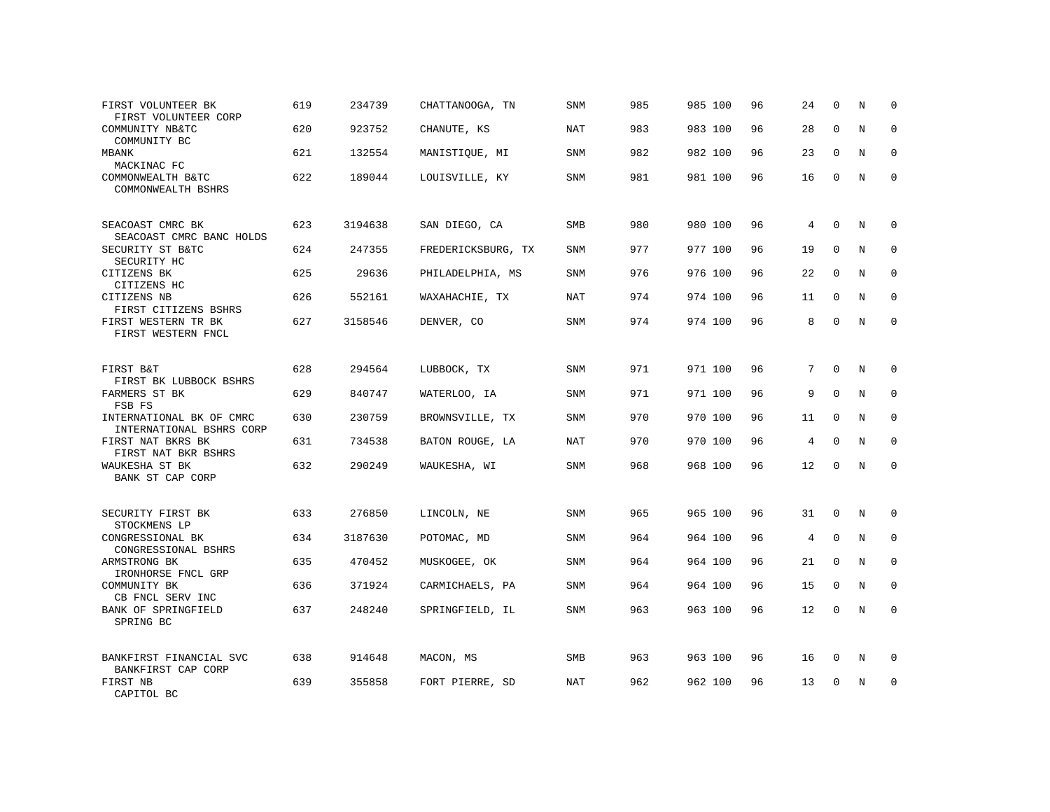| FIRST VOLUNTEER BK<br>FIRST VOLUNTEER CORP                  | 619 | 234739  | CHATTANOOGA, TN    | <b>SNM</b> | 985 | 985 100 | 96 | 24 | $\mathbf 0$  | N | $\mathbf 0$ |
|-------------------------------------------------------------|-----|---------|--------------------|------------|-----|---------|----|----|--------------|---|-------------|
| COMMUNITY NB&TC<br>COMMUNITY BC                             | 620 | 923752  | CHANUTE, KS        | NAT        | 983 | 983 100 | 96 | 28 | $\mathbf 0$  | N | $\mathbf 0$ |
| MBANK<br>MACKINAC FC                                        | 621 | 132554  | MANISTIQUE, MI     | SNM        | 982 | 982 100 | 96 | 23 | 0            | N | $\mathbf 0$ |
| COMMONWEALTH B&TC<br>COMMONWEALTH BSHRS                     | 622 | 189044  | LOUISVILLE, KY     | <b>SNM</b> | 981 | 981 100 | 96 | 16 | $\Omega$     | N | $\Omega$    |
| SEACOAST CMRC BK                                            | 623 | 3194638 | SAN DIEGO, CA      | <b>SMB</b> | 980 | 980 100 | 96 | 4  | $\Omega$     | N | $\Omega$    |
| SEACOAST CMRC BANC HOLDS<br>SECURITY ST B&TC<br>SECURITY HC | 624 | 247355  | FREDERICKSBURG, TX | SNM        | 977 | 977 100 | 96 | 19 | $\mathbf 0$  | N | $\mathbf 0$ |
| CITIZENS BK<br>CITIZENS HC                                  | 625 | 29636   | PHILADELPHIA, MS   | SNM        | 976 | 976 100 | 96 | 22 | $\Omega$     | N | $\mathbf 0$ |
| CITIZENS NB<br>FIRST CITIZENS BSHRS                         | 626 | 552161  | WAXAHACHIE, TX     | NAT        | 974 | 974 100 | 96 | 11 | $\Omega$     | N | $\Omega$    |
| FIRST WESTERN TR BK<br>FIRST WESTERN FNCL                   | 627 | 3158546 | DENVER, CO         | SNM        | 974 | 974 100 | 96 | 8  | $\Omega$     | N | $\Omega$    |
| FIRST B&T<br>FIRST BK LUBBOCK BSHRS                         | 628 | 294564  | LUBBOCK, TX        | SNM        | 971 | 971 100 | 96 | 7  | $\Omega$     | N | $\Omega$    |
| FARMERS ST BK<br>FSB FS                                     | 629 | 840747  | WATERLOO, IA       | SNM        | 971 | 971 100 | 96 | 9  | $\Omega$     | N | $\mathbf 0$ |
| INTERNATIONAL BK OF CMRC<br>INTERNATIONAL BSHRS CORP        | 630 | 230759  | BROWNSVILLE, TX    | SNM        | 970 | 970 100 | 96 | 11 | $\mathbf 0$  | N | $\mathbf 0$ |
| FIRST NAT BKRS BK<br>FIRST NAT BKR BSHRS                    | 631 | 734538  | BATON ROUGE, LA    | NAT        | 970 | 970 100 | 96 | 4  | $\Omega$     | N | $\Omega$    |
| WAUKESHA ST BK<br>BANK ST CAP CORP                          | 632 | 290249  | WAUKESHA, WI       | SNM        | 968 | 968 100 | 96 | 12 | $\mathbf 0$  | N | $\mathbf 0$ |
| SECURITY FIRST BK                                           | 633 | 276850  | LINCOLN, NE        | SNM        | 965 | 965 100 | 96 | 31 | $\mathbf 0$  | N | 0           |
| STOCKMENS LP<br>CONGRESSIONAL BK<br>CONGRESSIONAL BSHRS     | 634 | 3187630 | POTOMAC, MD        | <b>SNM</b> | 964 | 964 100 | 96 | 4  | $\Omega$     | N | $\mathbf 0$ |
| ARMSTRONG BK<br>IRONHORSE FNCL GRP                          | 635 | 470452  | MUSKOGEE, OK       | SNM        | 964 | 964 100 | 96 | 21 | $\mathbf{0}$ | N | $\mathbf 0$ |
| COMMUNITY BK<br>CB FNCL SERV INC                            | 636 | 371924  | CARMICHAELS, PA    | <b>SNM</b> | 964 | 964 100 | 96 | 15 | $\Omega$     | N | $\mathbf 0$ |
| BANK OF SPRINGFIELD<br>SPRING BC                            | 637 | 248240  | SPRINGFIELD, IL    | SNM        | 963 | 963 100 | 96 | 12 | $\mathbf 0$  | N | $\mathbf 0$ |
| BANKFIRST FINANCIAL SVC<br>BANKFIRST CAP CORP               | 638 | 914648  | MACON, MS          | SMB        | 963 | 963 100 | 96 | 16 | 0            | Ν | 0           |
| FIRST NB<br>CAPITOL BC                                      | 639 | 355858  | FORT PIERRE, SD    | NAT        | 962 | 962 100 | 96 | 13 | $\Omega$     | N | $\mathbf 0$ |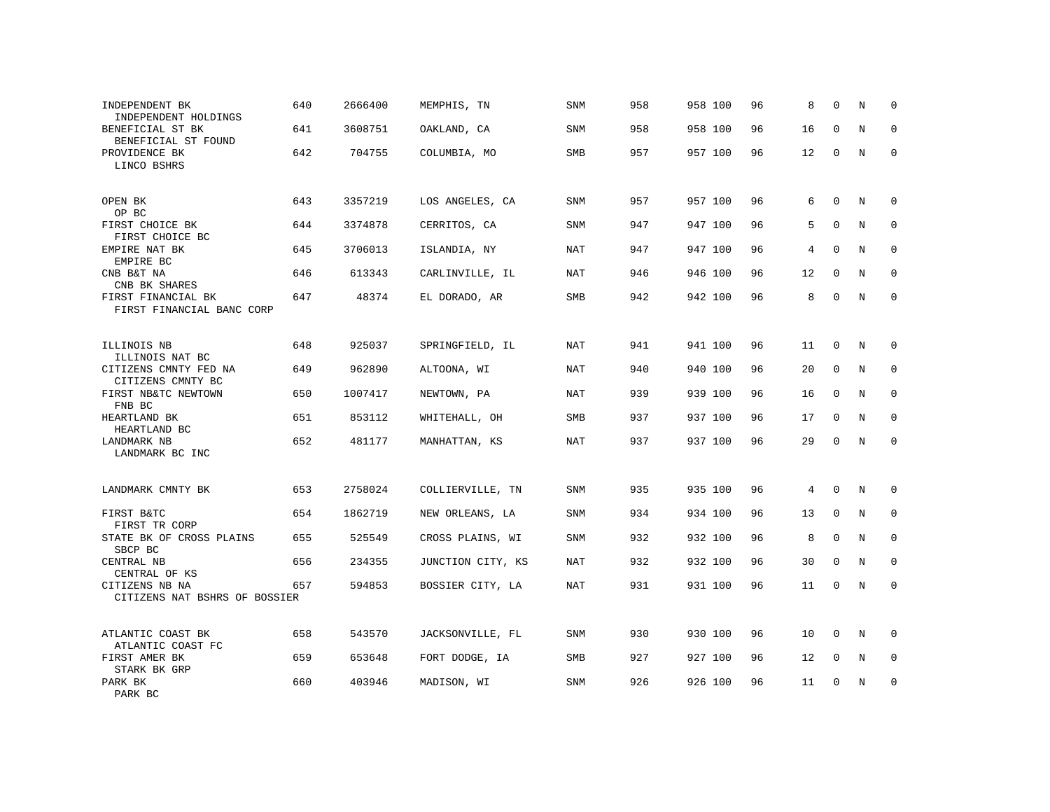| INDEPENDENT BK<br>INDEPENDENT HOLDINGS          | 640 | 2666400 | MEMPHIS, TN       | SNM        | 958 | 958 100 | 96 | 8               | $\mathbf 0$  | N | $\mathbf 0$  |
|-------------------------------------------------|-----|---------|-------------------|------------|-----|---------|----|-----------------|--------------|---|--------------|
| BENEFICIAL ST BK<br>BENEFICIAL ST FOUND         | 641 | 3608751 | OAKLAND, CA       | SNM        | 958 | 958 100 | 96 | 16              | 0            | N | 0            |
| PROVIDENCE BK<br>LINCO BSHRS                    | 642 | 704755  | COLUMBIA, MO      | <b>SMB</b> | 957 | 957 100 | 96 | 12              | $\mathbf 0$  | N | $\mathbf 0$  |
| OPEN BK<br>OP BC                                | 643 | 3357219 | LOS ANGELES, CA   | SNM        | 957 | 957 100 | 96 | 6               | $\mathbf{0}$ | N | 0            |
| FIRST CHOICE BK<br>FIRST CHOICE BC              | 644 | 3374878 | CERRITOS, CA      | SNM        | 947 | 947 100 | 96 | 5               | $\mathbf 0$  | N | 0            |
| EMPIRE NAT BK<br>EMPIRE BC                      | 645 | 3706013 | ISLANDIA, NY      | NAT        | 947 | 947 100 | 96 | 4               | $\Omega$     | N | 0            |
| CNB B&T NA<br>CNB BK SHARES                     | 646 | 613343  | CARLINVILLE, IL   | NAT        | 946 | 946 100 | 96 | 12 <sup>°</sup> | 0            | N | $\mathbf 0$  |
| FIRST FINANCIAL BK<br>FIRST FINANCIAL BANC CORP | 647 | 48374   | EL DORADO, AR     | <b>SMB</b> | 942 | 942 100 | 96 | 8               | $\mathbf 0$  | N | $\mathbf{0}$ |
| ILLINOIS NB<br>ILLINOIS NAT BC                  | 648 | 925037  | SPRINGFIELD, IL   | NAT        | 941 | 941 100 | 96 | 11              | $\mathbf{0}$ | N | $\mathbf 0$  |
| CITIZENS CMNTY FED NA<br>CITIZENS CMNTY BC      | 649 | 962890  | ALTOONA, WI       | NAT        | 940 | 940 100 | 96 | 20              | 0            | N | 0            |
| FIRST NB&TC NEWTOWN<br>FNB BC                   | 650 | 1007417 | NEWTOWN, PA       | NAT        | 939 | 939 100 | 96 | 16              | $\mathbf 0$  | N | 0            |
| HEARTLAND BK<br>HEARTLAND BC                    | 651 | 853112  | WHITEHALL, OH     | <b>SMB</b> | 937 | 937 100 | 96 | 17              | $\mathbf 0$  | N | $\mathbf 0$  |
| LANDMARK NB<br>LANDMARK BC INC                  | 652 | 481177  | MANHATTAN, KS     | <b>NAT</b> | 937 | 937 100 | 96 | 29              | $\mathbf 0$  | N | $\mathbf 0$  |
| LANDMARK CMNTY BK                               | 653 | 2758024 | COLLIERVILLE, TN  | SNM        | 935 | 935 100 | 96 | 4               | $\Omega$     | N | $\Omega$     |
| FIRST B&TC<br>FIRST TR CORP                     | 654 | 1862719 | NEW ORLEANS, LA   | <b>SNM</b> | 934 | 934 100 | 96 | 13              | $\mathbf 0$  | N | $\mathbf 0$  |
| STATE BK OF CROSS PLAINS<br>SBCP BC             | 655 | 525549  | CROSS PLAINS, WI  | SNM        | 932 | 932 100 | 96 | 8               | $\Omega$     | N | $\mathbf 0$  |
| CENTRAL NB<br>CENTRAL OF KS                     | 656 | 234355  | JUNCTION CITY, KS | <b>NAT</b> | 932 | 932 100 | 96 | 30              | $\Omega$     | N | $\mathbf 0$  |
| CITIZENS NB NA<br>CITIZENS NAT BSHRS OF BOSSIER | 657 | 594853  | BOSSIER CITY, LA  | NAT        | 931 | 931 100 | 96 | 11              | $\Omega$     | N | $\mathbf 0$  |
| ATLANTIC COAST BK<br>ATLANTIC COAST FC          | 658 | 543570  | JACKSONVILLE, FL  | SNM        | 930 | 930 100 | 96 | 10              | $\mathbf 0$  | N | 0            |
| FIRST AMER BK<br>STARK BK GRP                   | 659 | 653648  | FORT DODGE, IA    | <b>SMB</b> | 927 | 927 100 | 96 | 12              | 0            | N | $\mathbf 0$  |
| PARK BK<br>PARK BC                              | 660 | 403946  | MADISON, WI       | SNM        | 926 | 926 100 | 96 | 11              | 0            | N | $\mathbf 0$  |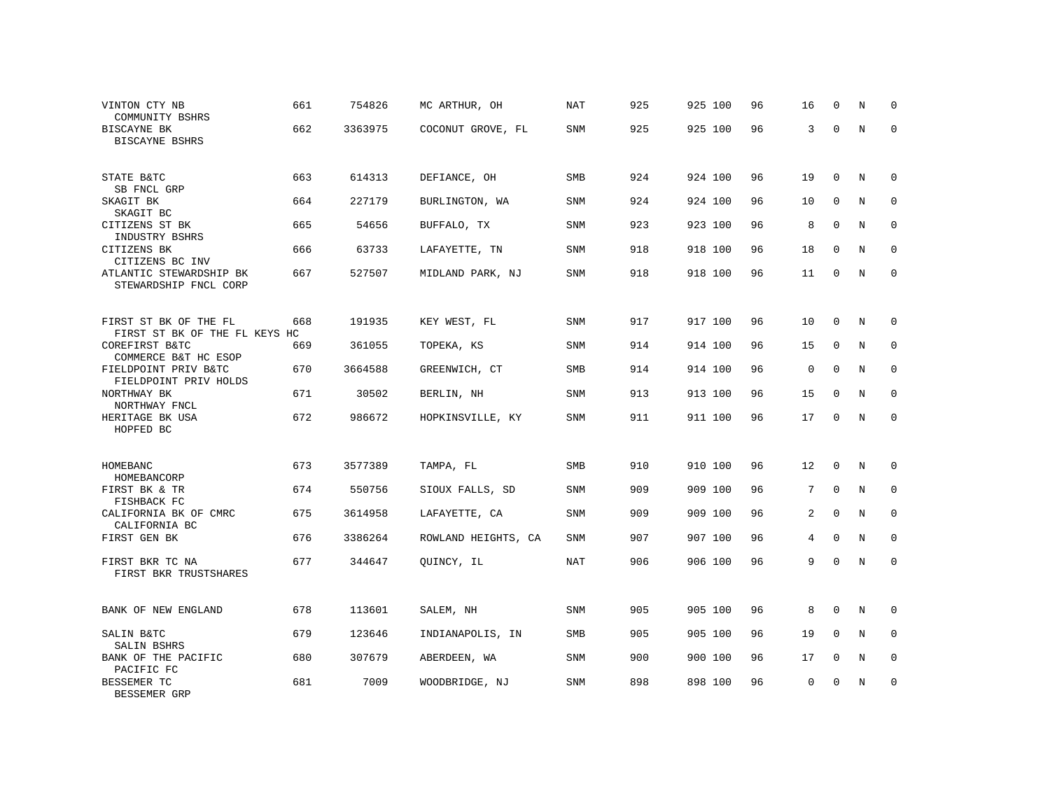| VINTON CTY NB<br>COMMUNITY BSHRS                       | 661 | 754826  | MC ARTHUR, OH       | NAT        | 925 | 925 100 | 96 | 16          | 0           | N           | 0           |
|--------------------------------------------------------|-----|---------|---------------------|------------|-----|---------|----|-------------|-------------|-------------|-------------|
| BISCAYNE BK<br>BISCAYNE BSHRS                          | 662 | 3363975 | COCONUT GROVE, FL   | SNM        | 925 | 925 100 | 96 | 3           | $\mathbf 0$ | $\mathbf N$ | $\mathbf 0$ |
| STATE B&TC<br>SB FNCL GRP                              | 663 | 614313  | DEFIANCE, OH        | <b>SMB</b> | 924 | 924 100 | 96 | 19          | $\mathbf 0$ | N           | $\Omega$    |
| SKAGIT BK<br>SKAGIT BC                                 | 664 | 227179  | BURLINGTON, WA      | SNM        | 924 | 924 100 | 96 | 10          | $\Omega$    | N           | $\mathbf 0$ |
| CITIZENS ST BK<br>INDUSTRY BSHRS                       | 665 | 54656   | BUFFALO, TX         | SNM        | 923 | 923 100 | 96 | 8           | $\mathbf 0$ | N           | 0           |
| CITIZENS BK<br>CITIZENS BC INV                         | 666 | 63733   | LAFAYETTE, TN       | SNM        | 918 | 918 100 | 96 | 18          | $\mathbf 0$ | N           | $\mathbf 0$ |
| ATLANTIC STEWARDSHIP BK<br>STEWARDSHIP FNCL CORP       | 667 | 527507  | MIDLAND PARK, NJ    | <b>SNM</b> | 918 | 918 100 | 96 | 11          | $\Omega$    | N           | $\mathbf 0$ |
| FIRST ST BK OF THE FL<br>FIRST ST BK OF THE FL KEYS HC | 668 | 191935  | KEY WEST, FL        | SNM        | 917 | 917 100 | 96 | 10          | 0           | N           | 0           |
| COREFIRST B&TC<br>COMMERCE B&T HC ESOP                 | 669 | 361055  | TOPEKA, KS          | SNM        | 914 | 914 100 | 96 | 15          | $\mathbf 0$ | N           | 0           |
| FIELDPOINT PRIV B&TC<br>FIELDPOINT PRIV HOLDS          | 670 | 3664588 | GREENWICH, CT       | SMB        | 914 | 914 100 | 96 | $\mathsf 0$ | $\mathbf 0$ | N           | 0           |
| NORTHWAY BK<br>NORTHWAY FNCL                           | 671 | 30502   | BERLIN, NH          | <b>SNM</b> | 913 | 913 100 | 96 | 15          | $\Omega$    | N           | $\mathbf 0$ |
| HERITAGE BK USA<br>HOPFED BC                           | 672 | 986672  | HOPKINSVILLE, KY    | SNM        | 911 | 911 100 | 96 | 17          | $\mathbf 0$ | N           | $\mathbf 0$ |
| HOMEBANC<br>HOMEBANCORP                                | 673 | 3577389 | TAMPA, FL           | SMB        | 910 | 910 100 | 96 | 12          | 0           | Ν           | 0           |
| FIRST BK & TR<br>FISHBACK FC                           | 674 | 550756  | SIOUX FALLS, SD     | <b>SNM</b> | 909 | 909 100 | 96 | 7           | $\mathbf 0$ | N           | $\mathbf 0$ |
| CALIFORNIA BK OF CMRC<br>CALIFORNIA BC                 | 675 | 3614958 | LAFAYETTE, CA       | SNM        | 909 | 909 100 | 96 | 2           | $\mathbf 0$ | N           | $\mathbf 0$ |
| FIRST GEN BK                                           | 676 | 3386264 | ROWLAND HEIGHTS, CA | SNM        | 907 | 907 100 | 96 | 4           | $\mathbf 0$ | N           | $\mathbf 0$ |
| FIRST BKR TC NA<br>FIRST BKR TRUSTSHARES               | 677 | 344647  | QUINCY, IL          | <b>NAT</b> | 906 | 906 100 | 96 | 9           | $\mathbf 0$ | N           | $\mathbf 0$ |
| BANK OF NEW ENGLAND                                    | 678 | 113601  | SALEM, NH           | SNM        | 905 | 905 100 | 96 | 8           | $\mathbf 0$ | N           | 0           |
| SALIN B&TC<br>SALIN BSHRS                              | 679 | 123646  | INDIANAPOLIS, IN    | <b>SMB</b> | 905 | 905 100 | 96 | 19          | $\Omega$    | N           | $\mathbf 0$ |
| BANK OF THE PACIFIC<br>PACIFIC FC                      | 680 | 307679  | ABERDEEN, WA        | SNM        | 900 | 900 100 | 96 | 17          | $\mathbf 0$ | N           | $\mathbf 0$ |
| BESSEMER TC<br>BESSEMER GRP                            | 681 | 7009    | WOODBRIDGE, NJ      | SNM        | 898 | 898 100 | 96 | 0           | 0           | N           | $\mathbf 0$ |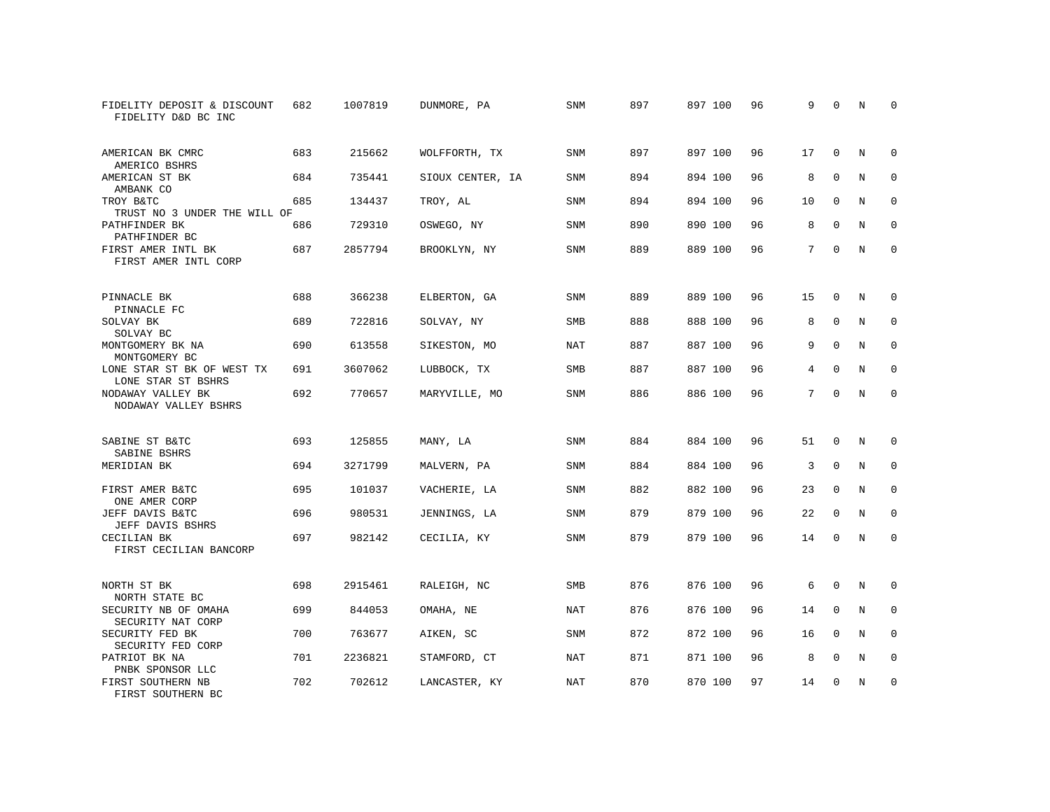| FIDELITY DEPOSIT & DISCOUNT<br>FIDELITY D&D BC INC | 682 | 1007819 | DUNMORE, PA      | SNM        | 897 | 897 100 | 96 | 9               | $\mathbf 0$ | N | $\mathbf 0$ |
|----------------------------------------------------|-----|---------|------------------|------------|-----|---------|----|-----------------|-------------|---|-------------|
| AMERICAN BK CMRC<br>AMERICO BSHRS                  | 683 | 215662  | WOLFFORTH, TX    | SNM        | 897 | 897 100 | 96 | 17              | $\mathbf 0$ | N | $\mathbf 0$ |
| AMERICAN ST BK<br>AMBANK CO                        | 684 | 735441  | SIOUX CENTER, IA | SNM        | 894 | 894 100 | 96 | 8               | $\mathbf 0$ | N | $\mathbf 0$ |
| TROY B&TC<br>TRUST NO 3 UNDER THE WILL OF          | 685 | 134437  | TROY, AL         | <b>SNM</b> | 894 | 894 100 | 96 | 10              | $\Omega$    | N | $\mathbf 0$ |
| PATHFINDER BK<br>PATHFINDER BC                     | 686 | 729310  | OSWEGO, NY       | SNM        | 890 | 890 100 | 96 | 8               | $\Omega$    | N | $\mathbf 0$ |
| FIRST AMER INTL BK<br>FIRST AMER INTL CORP         | 687 | 2857794 | BROOKLYN, NY     | <b>SNM</b> | 889 | 889 100 | 96 | 7               | $\mathbf 0$ | N | $\mathbf 0$ |
| PINNACLE BK                                        | 688 | 366238  | ELBERTON, GA     | SNM        | 889 | 889 100 | 96 | 15              | $\mathbf 0$ | N | 0           |
| PINNACLE FC<br>SOLVAY BK<br>SOLVAY BC              | 689 | 722816  | SOLVAY, NY       | <b>SMB</b> | 888 | 888 100 | 96 | 8               | $\mathbf 0$ | N | $\mathbf 0$ |
| MONTGOMERY BK NA<br>MONTGOMERY BC                  | 690 | 613558  | SIKESTON, MO     | <b>NAT</b> | 887 | 887 100 | 96 | 9               | $\Omega$    | N | $\mathbf 0$ |
| LONE STAR ST BK OF WEST TX<br>LONE STAR ST BSHRS   | 691 | 3607062 | LUBBOCK, TX      | <b>SMB</b> | 887 | 887 100 | 96 | 4               | 0           | N | 0           |
| NODAWAY VALLEY BK<br>NODAWAY VALLEY BSHRS          | 692 | 770657  | MARYVILLE, MO    | SNM        | 886 | 886 100 | 96 | $7\overline{ }$ | $\Omega$    | N | $\mathbf 0$ |
| SABINE ST B&TC<br>SABINE BSHRS                     | 693 | 125855  | MANY, LA         | SNM        | 884 | 884 100 | 96 | 51              | 0           | N | 0           |
| MERIDIAN BK                                        | 694 | 3271799 | MALVERN, PA      | <b>SNM</b> | 884 | 884 100 | 96 | 3               | $\mathbf 0$ | N | 0           |
| FIRST AMER B&TC<br>ONE AMER CORP                   | 695 | 101037  | VACHERIE, LA     | SNM        | 882 | 882 100 | 96 | 23              | $\Omega$    | N | $\mathbf 0$ |
| JEFF DAVIS B&TC<br>JEFF DAVIS BSHRS                | 696 | 980531  | JENNINGS, LA     | SNM        | 879 | 879 100 | 96 | 22              | 0           | N | 0           |
| CECILIAN BK<br>FIRST CECILIAN BANCORP              | 697 | 982142  | CECILIA, KY      | <b>SNM</b> | 879 | 879 100 | 96 | 14              | 0           | N | $\mathbf 0$ |
| NORTH ST BK<br>NORTH STATE BC                      | 698 | 2915461 | RALEIGH, NC      | <b>SMB</b> | 876 | 876 100 | 96 | 6               | 0           | N | 0           |
| SECURITY NB OF OMAHA<br>SECURITY NAT CORP          | 699 | 844053  | OMAHA, NE        | NAT        | 876 | 876 100 | 96 | 14              | $\mathbf 0$ | N | $\mathbf 0$ |
| SECURITY FED BK<br>SECURITY FED CORP               | 700 | 763677  | AIKEN, SC        | SNM        | 872 | 872 100 | 96 | 16              | $\mathbf 0$ | N | $\mathbf 0$ |
| PATRIOT BK NA<br>PNBK SPONSOR LLC                  | 701 | 2236821 | STAMFORD, CT     | NAT        | 871 | 871 100 | 96 | 8               | 0           | N | 0           |
| FIRST SOUTHERN NB<br>FIRST SOUTHERN BC             | 702 | 702612  | LANCASTER, KY    | NAT        | 870 | 870 100 | 97 | 14              | $\Omega$    | N | $\mathbf 0$ |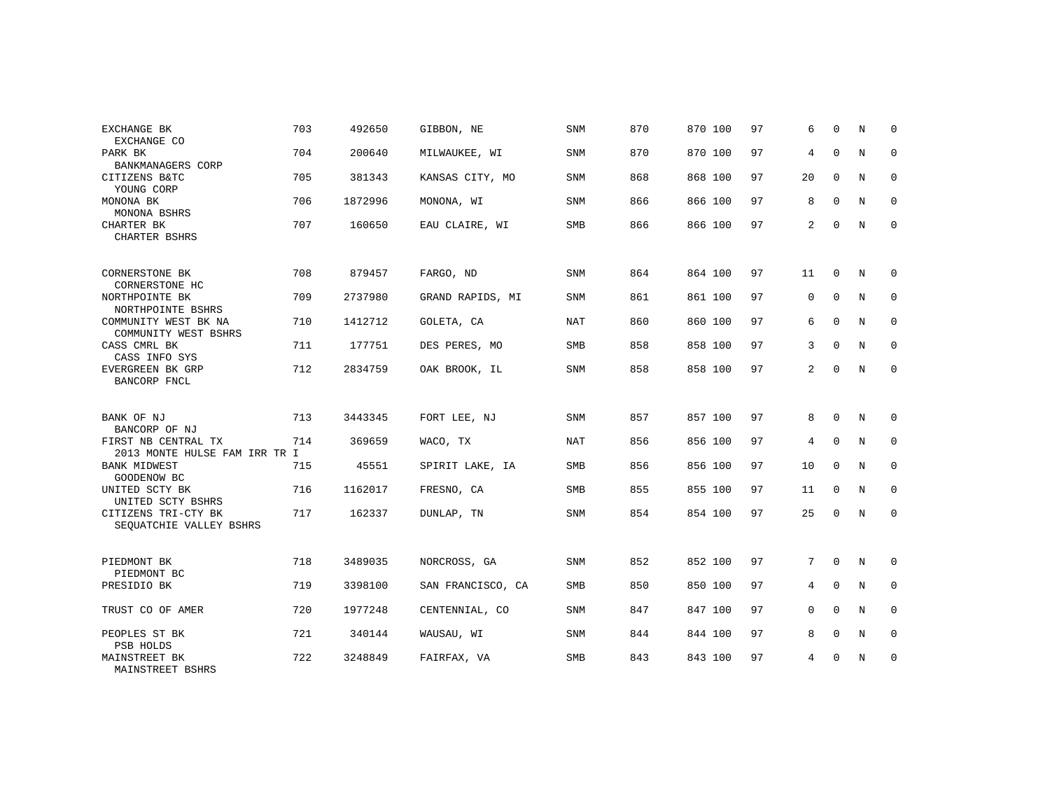| EXCHANGE BK<br>EXCHANGE CO                           | 703 | 492650  | GIBBON, NE        | SNM        | 870 | 870 100 | 97 | 6              | $\Omega$     | N | $\Omega$     |
|------------------------------------------------------|-----|---------|-------------------|------------|-----|---------|----|----------------|--------------|---|--------------|
| PARK BK<br>BANKMANAGERS CORP                         | 704 | 200640  | MILWAUKEE, WI     | <b>SNM</b> | 870 | 870 100 | 97 | 4              | $\mathbf{0}$ | N | $\mathbf 0$  |
| CITIZENS B&TC<br>YOUNG CORP                          | 705 | 381343  | KANSAS CITY, MO   | <b>SNM</b> | 868 | 868 100 | 97 | 20             | $\mathbf{0}$ | N | $\mathbf 0$  |
| MONONA BK<br>MONONA BSHRS                            | 706 | 1872996 | MONONA, WI        | SNM        | 866 | 866 100 | 97 | 8              | $\Omega$     | N | $\mathbf 0$  |
| CHARTER BK<br>CHARTER BSHRS                          | 707 | 160650  | EAU CLAIRE, WI    | SMB        | 866 | 866 100 | 97 | 2              | $\mathbf 0$  | N | $\mathbf 0$  |
| CORNERSTONE BK<br>CORNERSTONE HC                     | 708 | 879457  | FARGO, ND         | SNM        | 864 | 864 100 | 97 | 11             | 0            | N | 0            |
| NORTHPOINTE BK<br>NORTHPOINTE BSHRS                  | 709 | 2737980 | GRAND RAPIDS, MI  | <b>SNM</b> | 861 | 861 100 | 97 | 0              | $\mathbf{0}$ | N | $\mathbf 0$  |
| COMMUNITY WEST BK NA<br>COMMUNITY WEST BSHRS         | 710 | 1412712 | GOLETA, CA        | <b>NAT</b> | 860 | 860 100 | 97 | 6              | $\mathbf{0}$ | N | $\mathbf 0$  |
| CASS CMRL BK<br>CASS INFO SYS                        | 711 | 177751  | DES PERES, MO     | <b>SMB</b> | 858 | 858 100 | 97 | 3              | $\mathbf 0$  | N | $\mathbf{0}$ |
| EVERGREEN BK GRP<br>BANCORP FNCL                     | 712 | 2834759 | OAK BROOK, IL     | SNM        | 858 | 858 100 | 97 | $\overline{a}$ | $\Omega$     | N | $\mathbf 0$  |
| BANK OF NJ<br>BANCORP OF NJ                          | 713 | 3443345 | FORT LEE, NJ      | SNM        | 857 | 857 100 | 97 | 8              | $\Omega$     | N | 0            |
| FIRST NB CENTRAL TX<br>2013 MONTE HULSE FAM IRR TR I | 714 | 369659  | WACO, TX          | NAT        | 856 | 856 100 | 97 | 4              | $\mathbf 0$  | N | 0            |
| <b>BANK MIDWEST</b><br>GOODENOW BC                   | 715 | 45551   | SPIRIT LAKE, IA   | SMB        | 856 | 856 100 | 97 | 10             | $\mathbf 0$  | N | $\mathbf 0$  |
| UNITED SCTY BK<br>UNITED SCTY BSHRS                  | 716 | 1162017 | FRESNO, CA        | SMB        | 855 | 855 100 | 97 | 11             | $\mathbf 0$  | N | 0            |
| CITIZENS TRI-CTY BK<br>SEOUATCHIE VALLEY BSHRS       | 717 | 162337  | DUNLAP, TN        | SNM        | 854 | 854 100 | 97 | 25             | $\Omega$     | N | $\mathbf{0}$ |
| PIEDMONT BK<br>PIEDMONT BC                           | 718 | 3489035 | NORCROSS, GA      | SNM        | 852 | 852 100 | 97 | $7^{\circ}$    | $\mathbf 0$  | N | $\mathbf 0$  |
| PRESIDIO BK                                          | 719 | 3398100 | SAN FRANCISCO, CA | SMB        | 850 | 850 100 | 97 | 4              | $\Omega$     | N | $\mathbf 0$  |
| TRUST CO OF AMER                                     | 720 | 1977248 | CENTENNIAL, CO    | SNM        | 847 | 847 100 | 97 | 0              | $\Omega$     | N | $\mathbf 0$  |
| PEOPLES ST BK<br>PSB HOLDS                           | 721 | 340144  | WAUSAU, WI        | <b>SNM</b> | 844 | 844 100 | 97 | 8              | $\mathbf 0$  | N | $\mathbf 0$  |
| MAINSTREET BK<br>MAINSTREET BSHRS                    | 722 | 3248849 | FAIRFAX, VA       | <b>SMB</b> | 843 | 843 100 | 97 | 4              | $\mathbf 0$  | N | $\mathbf 0$  |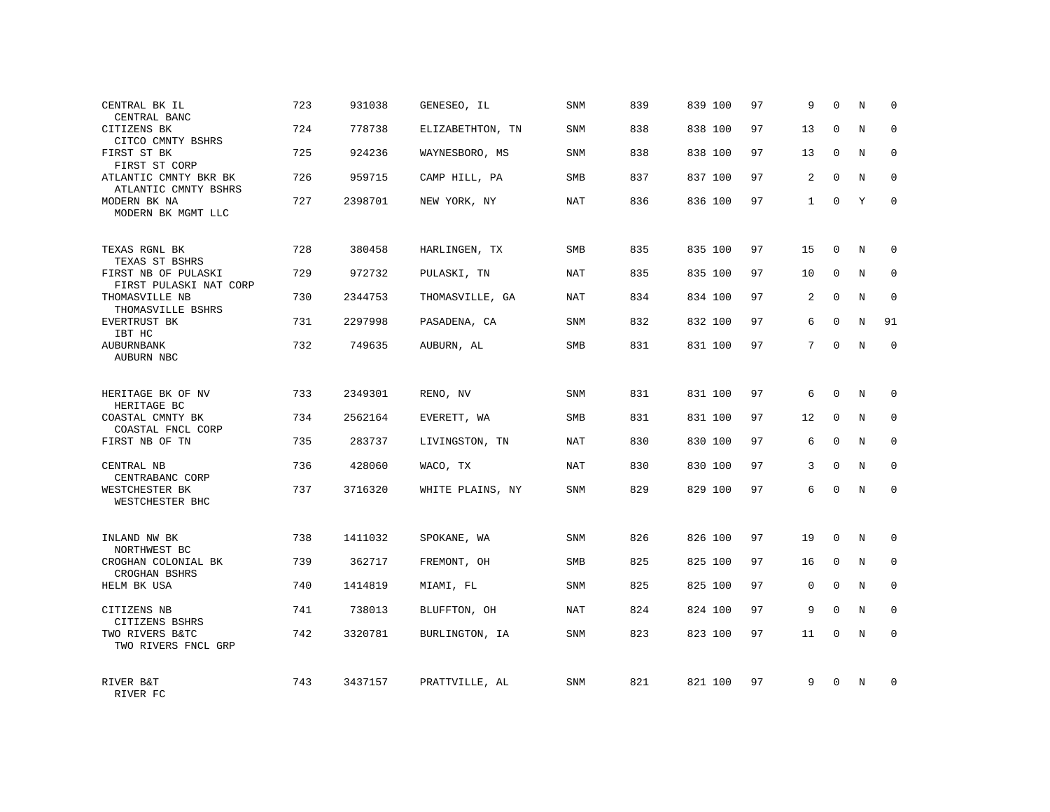| CENTRAL BK IL<br>CENTRAL BANC                                   | 723 | 931038  | GENESEO, IL      | SNM        | 839 | 839 100 | 97 | 9            | $\mathbf 0$ | N | $\Omega$     |
|-----------------------------------------------------------------|-----|---------|------------------|------------|-----|---------|----|--------------|-------------|---|--------------|
| CITIZENS BK<br>CITCO CMNTY BSHRS                                | 724 | 778738  | ELIZABETHTON, TN | <b>SNM</b> | 838 | 838 100 | 97 | 13           | $\Omega$    | N | $\mathbf 0$  |
| FIRST ST BK<br>FIRST ST CORP                                    | 725 | 924236  | WAYNESBORO, MS   | <b>SNM</b> | 838 | 838 100 | 97 | 13           | $\Omega$    | N | $\Omega$     |
| ATLANTIC CMNTY BKR BK<br>ATLANTIC CMNTY BSHRS                   | 726 | 959715  | CAMP HILL, PA    | <b>SMB</b> | 837 | 837 100 | 97 | 2            | $\Omega$    | N | $\Omega$     |
| MODERN BK NA<br>MODERN BK MGMT LLC                              | 727 | 2398701 | NEW YORK, NY     | NAT        | 836 | 836 100 | 97 | $\mathbf{1}$ | $\Omega$    | Y | $\Omega$     |
| TEXAS RGNL BK                                                   | 728 | 380458  | HARLINGEN, TX    | <b>SMB</b> | 835 | 835 100 | 97 | 15           | $\mathbf 0$ | N | $\mathbf 0$  |
| TEXAS ST BSHRS<br>FIRST NB OF PULASKI<br>FIRST PULASKI NAT CORP | 729 | 972732  | PULASKI, TN      | NAT        | 835 | 835 100 | 97 | 10           | $\Omega$    | N | $\mathbf 0$  |
| THOMASVILLE NB<br>THOMASVILLE BSHRS                             | 730 | 2344753 | THOMASVILLE, GA  | NAT        | 834 | 834 100 | 97 | 2            | $\Omega$    | N | $\mathbf 0$  |
| EVERTRUST BK<br>IBT HC                                          | 731 | 2297998 | PASADENA, CA     | <b>SNM</b> | 832 | 832 100 | 97 | 6            | $\Omega$    | N | 91           |
| AUBURNBANK<br>AUBURN NBC                                        | 732 | 749635  | AUBURN, AL       | <b>SMB</b> | 831 | 831 100 | 97 | 7            | $\Omega$    | N | $\mathbf 0$  |
| HERITAGE BK OF NV<br>HERITAGE BC                                | 733 | 2349301 | RENO, NV         | <b>SNM</b> | 831 | 831 100 | 97 | 6            | $\Omega$    | N | $\Omega$     |
| COASTAL CMNTY BK<br>COASTAL FNCL CORP                           | 734 | 2562164 | EVERETT, WA      | <b>SMB</b> | 831 | 831 100 | 97 | 12           | $\mathbf 0$ | N | $\mathbf 0$  |
| FIRST NB OF TN                                                  | 735 | 283737  | LIVINGSTON, TN   | NAT        | 830 | 830 100 | 97 | 6            | $\Omega$    | N | $\mathbf{0}$ |
| CENTRAL NB<br>CENTRABANC CORP                                   | 736 | 428060  | WACO, TX         | NAT        | 830 | 830 100 | 97 | 3            | $\mathbf 0$ | N | 0            |
| WESTCHESTER BK<br>WESTCHESTER BHC                               | 737 | 3716320 | WHITE PLAINS, NY | <b>SNM</b> | 829 | 829 100 | 97 | 6            | $\Omega$    | N | $\mathbf 0$  |
| INLAND NW BK<br>NORTHWEST BC                                    | 738 | 1411032 | SPOKANE, WA      | <b>SNM</b> | 826 | 826 100 | 97 | 19           | $\mathbf 0$ | N | $\mathbf 0$  |
| CROGHAN COLONIAL BK<br>CROGHAN BSHRS                            | 739 | 362717  | FREMONT, OH      | <b>SMB</b> | 825 | 825 100 | 97 | 16           | $\mathbf 0$ | N | $\mathbf 0$  |
| HELM BK USA                                                     | 740 | 1414819 | MIAMI, FL        | <b>SNM</b> | 825 | 825 100 | 97 | 0            | 0           | N | $\mathbf 0$  |
| CITIZENS NB<br>CITIZENS BSHRS                                   | 741 | 738013  | BLUFFTON, OH     | NAT        | 824 | 824 100 | 97 | 9            | $\Omega$    | N | $\mathbf 0$  |
| TWO RIVERS B&TC<br>TWO RIVERS FNCL GRP                          | 742 | 3320781 | BURLINGTON, IA   | SNM        | 823 | 823 100 | 97 | 11           | $\Omega$    | N | $\mathbf 0$  |
| RIVER B&T<br>RIVER FC                                           | 743 | 3437157 | PRATTVILLE, AL   | <b>SNM</b> | 821 | 821 100 | 97 | 9            | $\Omega$    | N | $\mathbf 0$  |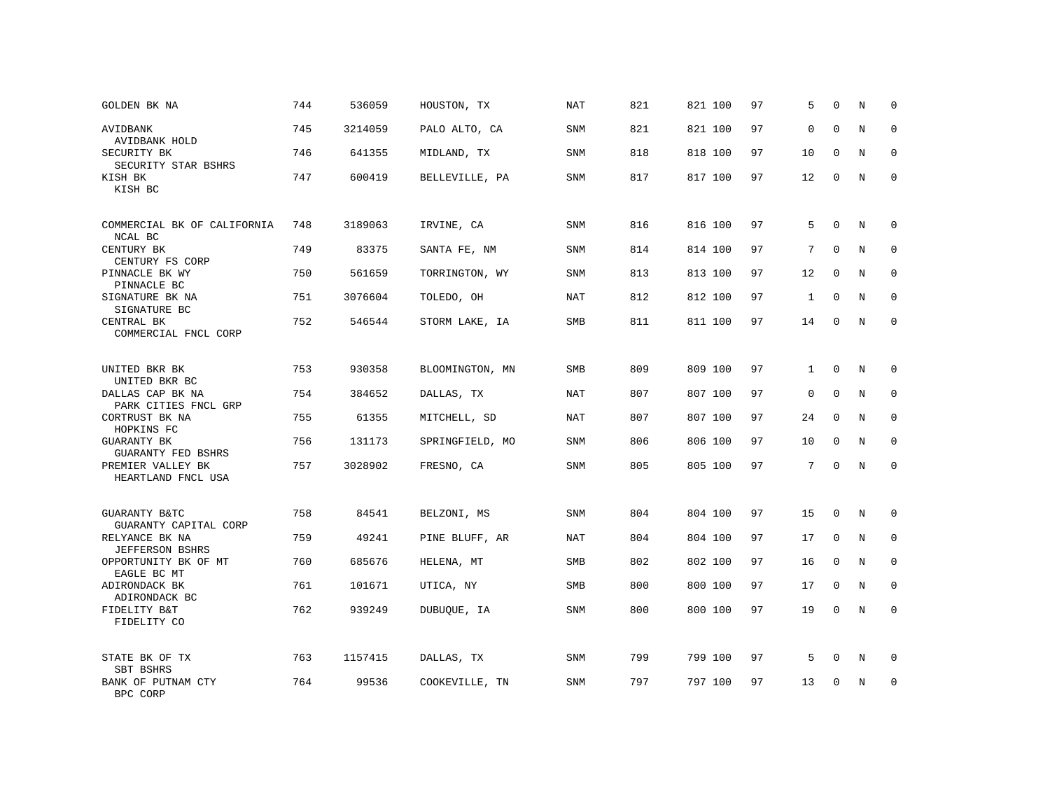| GOLDEN BK NA                                                  | 744 | 536059  | HOUSTON, TX     | NAT        | 821 | 821 100 | 97 | 5            | $\Omega$     | N       | $\mathbf 0$         |
|---------------------------------------------------------------|-----|---------|-----------------|------------|-----|---------|----|--------------|--------------|---------|---------------------|
| AVIDBANK<br>AVIDBANK HOLD                                     | 745 | 3214059 | PALO ALTO, CA   | SNM        | 821 | 821 100 | 97 | $\mathbf 0$  | $\Omega$     | N       | 0                   |
| SECURITY BK<br>SECURITY STAR BSHRS                            | 746 | 641355  | MIDLAND, TX     | <b>SNM</b> | 818 | 818 100 | 97 | 10           | $\Omega$     | N       | $\Omega$            |
| KISH BK<br>KISH BC                                            | 747 | 600419  | BELLEVILLE, PA  | SNM        | 817 | 817 100 | 97 | 12           | $\Omega$     | N       | $\mathbf 0$         |
| COMMERCIAL BK OF CALIFORNIA                                   | 748 | 3189063 | IRVINE, CA      | <b>SNM</b> | 816 | 816 100 | 97 | 5            | $\mathbf 0$  | $\rm N$ | 0                   |
| NCAL BC<br>CENTURY BK<br>CENTURY FS CORP                      | 749 | 83375   | SANTA FE, NM    | <b>SNM</b> | 814 | 814 100 | 97 | 7            | $\Omega$     | N       | $\mathbf 0$         |
| PINNACLE BK WY<br>PINNACLE BC                                 | 750 | 561659  | TORRINGTON, WY  | SNM        | 813 | 813 100 | 97 | 12           | $\Omega$     | N       | 0                   |
| SIGNATURE BK NA<br>SIGNATURE BC                               | 751 | 3076604 | TOLEDO, OH      | NAT        | 812 | 812 100 | 97 | $\mathbf{1}$ | $\mathbf 0$  | N       | 0                   |
| CENTRAL BK<br>COMMERCIAL FNCL CORP                            | 752 | 546544  | STORM LAKE, IA  | SMB        | 811 | 811 100 | 97 | 14           | $\mathbf{0}$ | N       | $\mathsf{O}\xspace$ |
| UNITED BKR BK<br>UNITED BKR BC                                | 753 | 930358  | BLOOMINGTON, MN | <b>SMB</b> | 809 | 809 100 | 97 | $\mathbf{1}$ | $\mathbf 0$  | N       | 0                   |
| DALLAS CAP BK NA<br>PARK CITIES FNCL GRP                      | 754 | 384652  | DALLAS, TX      | NAT        | 807 | 807 100 | 97 | $\mathbf 0$  | $\Omega$     | N       | 0                   |
| CORTRUST BK NA<br>HOPKINS FC                                  | 755 | 61355   | MITCHELL, SD    | NAT        | 807 | 807 100 | 97 | 24           | $\mathbf 0$  | N       | 0                   |
| <b>GUARANTY BK</b><br><b>GUARANTY FED BSHRS</b>               | 756 | 131173  | SPRINGFIELD, MO | <b>SNM</b> | 806 | 806 100 | 97 | 10           | $\mathbf 0$  | N       | $\mathbf 0$         |
| PREMIER VALLEY BK<br>HEARTLAND FNCL USA                       | 757 | 3028902 | FRESNO, CA      | <b>SNM</b> | 805 | 805 100 | 97 | 7            | $\mathbf 0$  | N       | $\mathbf 0$         |
| <b>GUARANTY B&amp;TC</b>                                      | 758 | 84541   | BELZONI, MS     | <b>SNM</b> | 804 | 804 100 | 97 | 15           | $\mathbf 0$  | N       | 0                   |
| GUARANTY CAPITAL CORP<br>RELYANCE BK NA                       | 759 | 49241   | PINE BLUFF, AR  | <b>NAT</b> | 804 | 804 100 | 97 | 17           | $\mathbf 0$  | N       | $\mathbf 0$         |
| <b>JEFFERSON BSHRS</b><br>OPPORTUNITY BK OF MT<br>EAGLE BC MT | 760 | 685676  | HELENA, MT      | <b>SMB</b> | 802 | 802 100 | 97 | 16           | $\mathbf 0$  | N       | $\mathbf 0$         |
| ADIRONDACK BK<br>ADIRONDACK BC                                | 761 | 101671  | UTICA, NY       | <b>SMB</b> | 800 | 800 100 | 97 | 17           | $\mathbf 0$  | N       | $\mathbf 0$         |
| FIDELITY B&T<br>FIDELITY CO                                   | 762 | 939249  | DUBUQUE, IA     | <b>SNM</b> | 800 | 800 100 | 97 | 19           | $\mathbf{0}$ | N       | $\mathsf{O}\xspace$ |
| STATE BK OF TX<br>SBT BSHRS                                   | 763 | 1157415 | DALLAS, TX      | <b>SNM</b> | 799 | 799 100 | 97 | 5            | $\Omega$     | N       | 0                   |
| BANK OF PUTNAM CTY<br>BPC CORP                                | 764 | 99536   | COOKEVILLE, TN  | <b>SNM</b> | 797 | 797 100 | 97 | 13           | 0            | N       | $\mathbf 0$         |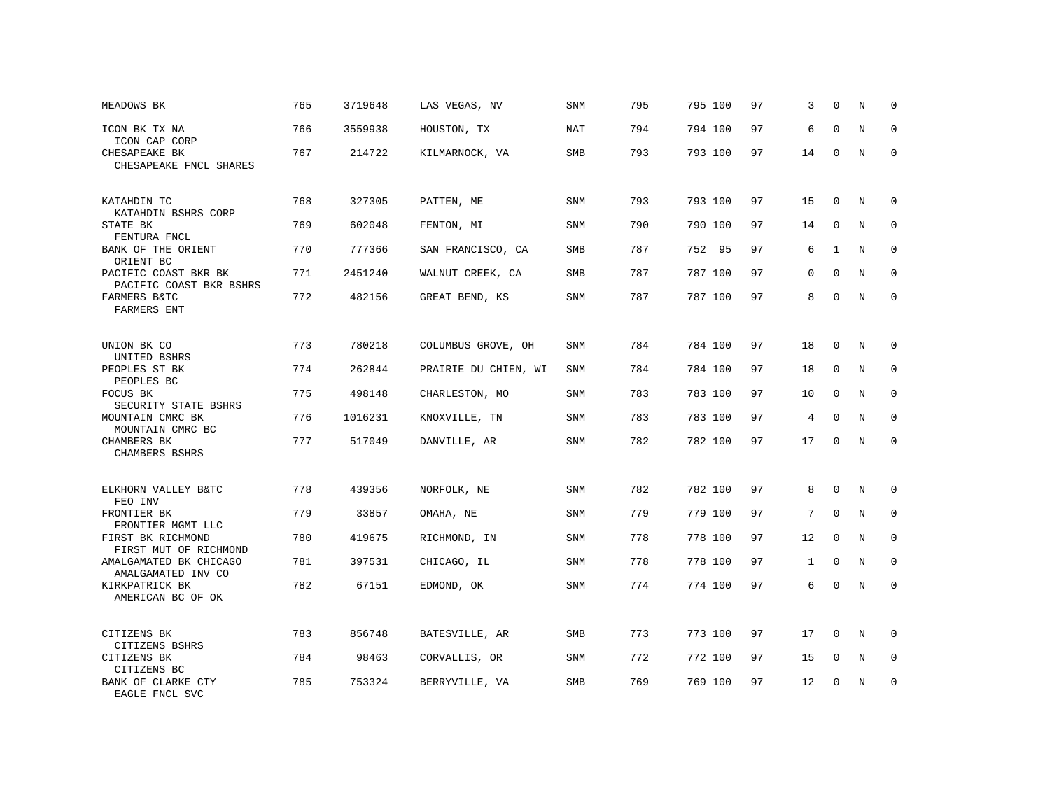| MEADOWS BK                                      | 765 | 3719648 | LAS VEGAS, NV        | SNM        | 795 | 795 100 | 97 | 3            | $\Omega$     | N | $\Omega$     |
|-------------------------------------------------|-----|---------|----------------------|------------|-----|---------|----|--------------|--------------|---|--------------|
| ICON BK TX NA<br>ICON CAP CORP                  | 766 | 3559938 | HOUSTON, TX          | <b>NAT</b> | 794 | 794 100 | 97 | 6            | $\mathbf 0$  | N | $\mathbf 0$  |
| CHESAPEAKE BK<br>CHESAPEAKE FNCL SHARES         | 767 | 214722  | KILMARNOCK, VA       | <b>SMB</b> | 793 | 793 100 | 97 | 14           | $\Omega$     | N | $\Omega$     |
| KATAHDIN TC<br>KATAHDIN BSHRS CORP              | 768 | 327305  | PATTEN, ME           | <b>SNM</b> | 793 | 793 100 | 97 | 15           | 0            | N | $\mathbf 0$  |
| STATE BK<br>FENTURA FNCL                        | 769 | 602048  | FENTON, MI           | SNM        | 790 | 790 100 | 97 | 14           | $\mathbf{0}$ | N | $\mathbf 0$  |
| BANK OF THE ORIENT<br>ORIENT BC                 | 770 | 777366  | SAN FRANCISCO, CA    | <b>SMB</b> | 787 | 752 95  | 97 | 6            | $\mathbf{1}$ | N | $\mathbf 0$  |
| PACIFIC COAST BKR BK<br>PACIFIC COAST BKR BSHRS | 771 | 2451240 | WALNUT CREEK, CA     | <b>SMB</b> | 787 | 787 100 | 97 | 0            | $\mathbf{0}$ | N | $\mathbf 0$  |
| FARMERS B&TC<br>FARMERS ENT                     | 772 | 482156  | GREAT BEND, KS       | SNM        | 787 | 787 100 | 97 | 8            | $\mathbf 0$  | N | $\mathbf 0$  |
| UNION BK CO<br>UNITED BSHRS                     | 773 | 780218  | COLUMBUS GROVE, OH   | <b>SNM</b> | 784 | 784 100 | 97 | 18           | $\Omega$     | N | $\mathbf 0$  |
| PEOPLES ST BK<br>PEOPLES BC                     | 774 | 262844  | PRAIRIE DU CHIEN, WI | <b>SNM</b> | 784 | 784 100 | 97 | 18           | 0            | N | 0            |
| FOCUS BK<br>SECURITY STATE BSHRS                | 775 | 498148  | CHARLESTON, MO       | <b>SNM</b> | 783 | 783 100 | 97 | 10           | $\mathbf 0$  | N | $\mathbf 0$  |
| MOUNTAIN CMRC BK<br>MOUNTAIN CMRC BC            | 776 | 1016231 | KNOXVILLE, TN        | <b>SNM</b> | 783 | 783 100 | 97 | 4            | $\mathbf 0$  | N | $\mathbf 0$  |
| <b>CHAMBERS BK</b><br>CHAMBERS BSHRS            | 777 | 517049  | DANVILLE, AR         | <b>SNM</b> | 782 | 782 100 | 97 | 17           | $\mathbf 0$  | N | $\mathbf{0}$ |
| ELKHORN VALLEY B&TC<br>FEO INV                  | 778 | 439356  | NORFOLK, NE          | SNM        | 782 | 782 100 | 97 | 8            | $\mathbf 0$  | N | 0            |
| FRONTIER BK<br>FRONTIER MGMT LLC                | 779 | 33857   | OMAHA, NE            | SNM        | 779 | 779 100 | 97 | 7            | $\mathbf 0$  | N | $\mathbf 0$  |
| FIRST BK RICHMOND<br>FIRST MUT OF RICHMOND      | 780 | 419675  | RICHMOND, IN         | <b>SNM</b> | 778 | 778 100 | 97 | 12           | $\Omega$     | N | $\Omega$     |
| AMALGAMATED BK CHICAGO<br>AMALGAMATED INV CO    | 781 | 397531  | CHICAGO, IL          | <b>SNM</b> | 778 | 778 100 | 97 | $\mathbf{1}$ | $\mathbf 0$  | N | $\mathbf 0$  |
| KIRKPATRICK BK<br>AMERICAN BC OF OK             | 782 | 67151   | EDMOND, OK           | SNM        | 774 | 774 100 | 97 | 6            | $\mathbf 0$  | N | $\Omega$     |
| CITIZENS BK<br>CITIZENS BSHRS                   | 783 | 856748  | BATESVILLE, AR       | SMB        | 773 | 773 100 | 97 | 17           | $\mathbf 0$  | N | $\Omega$     |
| CITIZENS BK<br>CITIZENS BC                      | 784 | 98463   | CORVALLIS, OR        | SNM        | 772 | 772 100 | 97 | 15           | $\mathbf 0$  | N | $\mathbf 0$  |
| BANK OF CLARKE CTY<br>EAGLE FNCL SVC            | 785 | 753324  | BERRYVILLE, VA       | SMB        | 769 | 769 100 | 97 | 12           | $\mathbf 0$  | N | $\mathbf 0$  |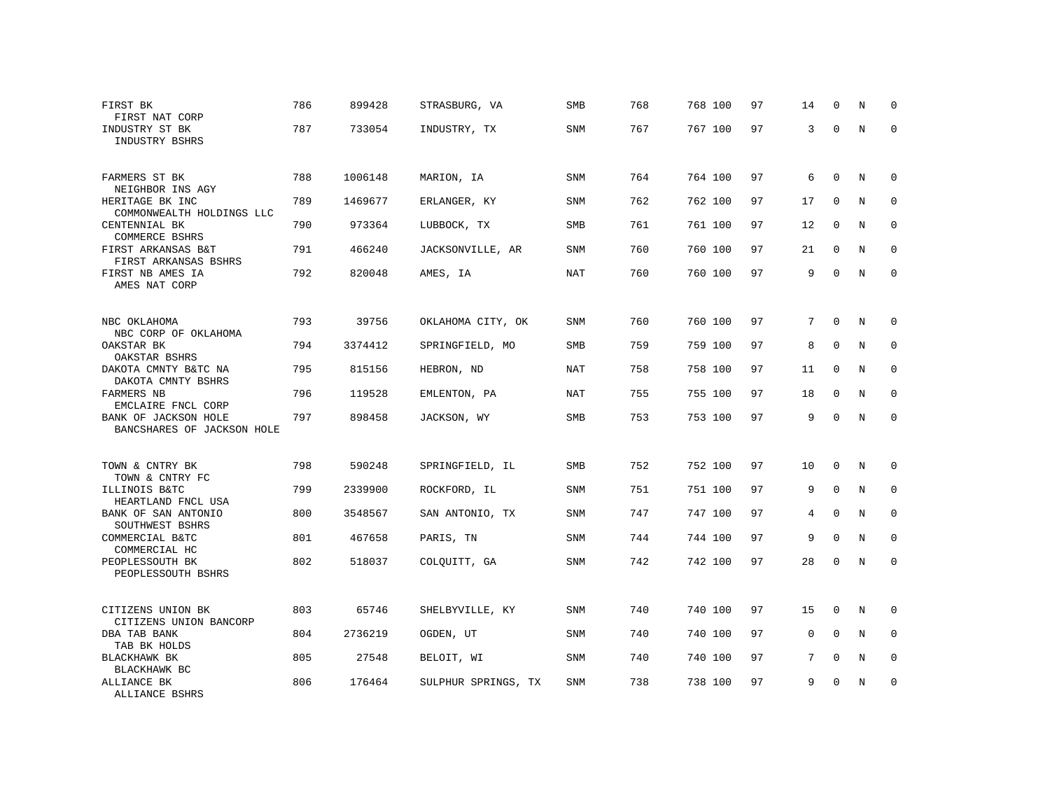| FIRST BK<br>FIRST NAT CORP                         | 786 | 899428  | STRASBURG, VA       | SMB        | 768 | 768 100 | 97 | 14          | 0            | N | 0           |
|----------------------------------------------------|-----|---------|---------------------|------------|-----|---------|----|-------------|--------------|---|-------------|
| INDUSTRY ST BK<br>INDUSTRY BSHRS                   | 787 | 733054  | INDUSTRY, TX        | SNM        | 767 | 767 100 | 97 | 3           | $\Omega$     | N | $\Omega$    |
| FARMERS ST BK<br>NEIGHBOR INS AGY                  | 788 | 1006148 | MARION, IA          | SNM        | 764 | 764 100 | 97 | 6           | $\Omega$     | N | $\mathbf 0$ |
| HERITAGE BK INC<br>COMMONWEALTH HOLDINGS LLC       | 789 | 1469677 | ERLANGER, KY        | SNM        | 762 | 762 100 | 97 | 17          | $\Omega$     | N | $\mathbf 0$ |
| CENTENNIAL BK<br>COMMERCE BSHRS                    | 790 | 973364  | LUBBOCK, TX         | SMB        | 761 | 761 100 | 97 | 12          | $\Omega$     | N | $\mathbf 0$ |
| FIRST ARKANSAS B&T<br>FIRST ARKANSAS BSHRS         | 791 | 466240  | JACKSONVILLE, AR    | SNM        | 760 | 760 100 | 97 | 21          | $\mathbf{0}$ | N | $\mathbf 0$ |
| FIRST NB AMES IA<br>AMES NAT CORP                  | 792 | 820048  | AMES, IA            | <b>NAT</b> | 760 | 760 100 | 97 | 9           | $\Omega$     | N | $\Omega$    |
| NBC OKLAHOMA<br>NBC CORP OF OKLAHOMA               | 793 | 39756   | OKLAHOMA CITY, OK   | SNM        | 760 | 760 100 | 97 | 7           | $\mathbf 0$  | N | $\Omega$    |
| OAKSTAR BK<br>OAKSTAR BSHRS                        | 794 | 3374412 | SPRINGFIELD, MO     | SMB        | 759 | 759 100 | 97 | 8           | $\Omega$     | N | $\mathbf 0$ |
| DAKOTA CMNTY B&TC NA<br>DAKOTA CMNTY BSHRS         | 795 | 815156  | HEBRON, ND          | NAT        | 758 | 758 100 | 97 | 11          | $\mathbf 0$  | N | $\mathbf 0$ |
| FARMERS NB<br>EMCLAIRE FNCL CORP                   | 796 | 119528  | EMLENTON, PA        | NAT        | 755 | 755 100 | 97 | 18          | $\Omega$     | N | $\Omega$    |
| BANK OF JACKSON HOLE<br>BANCSHARES OF JACKSON HOLE | 797 | 898458  | JACKSON, WY         | SMB        | 753 | 753 100 | 97 | 9           | $\Omega$     | N | $\mathbf 0$ |
| TOWN & CNTRY BK<br>TOWN & CNTRY FC                 | 798 | 590248  | SPRINGFIELD, IL     | SMB        | 752 | 752 100 | 97 | 10          | $\mathbf{0}$ | N | $\mathbf 0$ |
| ILLINOIS B&TC<br>HEARTLAND FNCL USA                | 799 | 2339900 | ROCKFORD, IL        | <b>SNM</b> | 751 | 751 100 | 97 | 9           | $\Omega$     | N | $\Omega$    |
| BANK OF SAN ANTONIO<br>SOUTHWEST BSHRS             | 800 | 3548567 | SAN ANTONIO, TX     | SNM        | 747 | 747 100 | 97 | 4           | $\mathbf{0}$ | N | $\mathbf 0$ |
| COMMERCIAL B&TC<br>COMMERCIAL HC                   | 801 | 467658  | PARIS, TN           | <b>SNM</b> | 744 | 744 100 | 97 | 9           | $\Omega$     | N | $\mathbf 0$ |
| PEOPLESSOUTH BK<br>PEOPLESSOUTH BSHRS              | 802 | 518037  | COLQUITT, GA        | SNM        | 742 | 742 100 | 97 | 28          | $\mathbf 0$  | N | $\mathbf 0$ |
| CITIZENS UNION BK<br>CITIZENS UNION BANCORP        | 803 | 65746   | SHELBYVILLE, KY     | SNM        | 740 | 740 100 | 97 | 15          | $\mathbf 0$  | N | $\mathbf 0$ |
| DBA TAB BANK<br>TAB BK HOLDS                       | 804 | 2736219 | OGDEN, UT           | <b>SNM</b> | 740 | 740 100 | 97 | $\mathbf 0$ | $\Omega$     | N | $\mathbf 0$ |
| BLACKHAWK BK<br>BLACKHAWK BC                       | 805 | 27548   | BELOIT, WI          | SNM        | 740 | 740 100 | 97 | 7           | $\mathbf 0$  | N | 0           |
| ALLIANCE BK<br>ALLIANCE BSHRS                      | 806 | 176464  | SULPHUR SPRINGS, TX | SNM        | 738 | 738 100 | 97 | 9           | $\Omega$     | N | $\mathbf 0$ |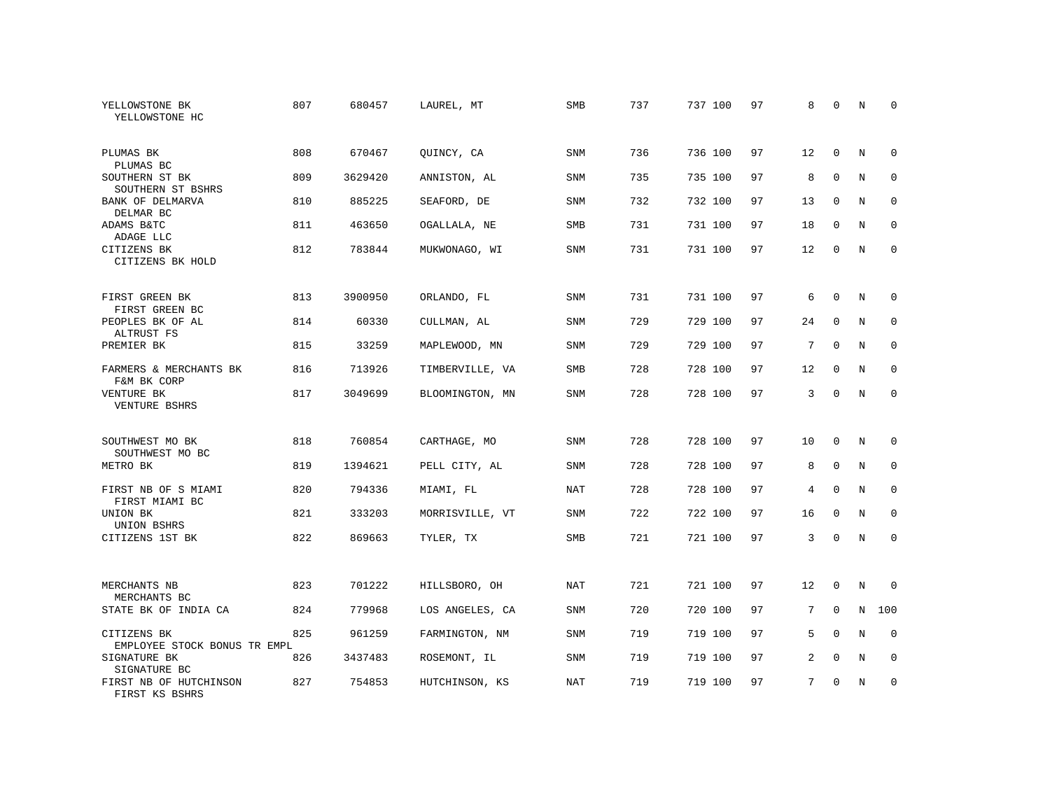| YELLOWSTONE BK<br>YELLOWSTONE HC            | 807 | 680457  | LAUREL, MT      | SMB        | 737 | 737 100 | 97 | 8  | $\Omega$     | N | $\Omega$    |
|---------------------------------------------|-----|---------|-----------------|------------|-----|---------|----|----|--------------|---|-------------|
| PLUMAS BK<br>PLUMAS BC                      | 808 | 670467  | QUINCY, CA      | SNM        | 736 | 736 100 | 97 | 12 | $\mathbf 0$  | N | $\mathbf 0$ |
| SOUTHERN ST BK<br>SOUTHERN ST BSHRS         | 809 | 3629420 | ANNISTON, AL    | SNM        | 735 | 735 100 | 97 | 8  | $\mathbf 0$  | N | $\mathbf 0$ |
| BANK OF DELMARVA<br>DELMAR BC               | 810 | 885225  | SEAFORD, DE     | <b>SNM</b> | 732 | 732 100 | 97 | 13 | $\Omega$     | N | $\Omega$    |
| ADAMS B&TC<br>ADAGE LLC                     | 811 | 463650  | OGALLALA, NE    | SMB        | 731 | 731 100 | 97 | 18 | $\mathbf 0$  | N | $\mathbf 0$ |
| CITIZENS BK<br>CITIZENS BK HOLD             | 812 | 783844  | MUKWONAGO, WI   | <b>SNM</b> | 731 | 731 100 | 97 | 12 | $\Omega$     | N | $\Omega$    |
| FIRST GREEN BK<br>FIRST GREEN BC            | 813 | 3900950 | ORLANDO, FL     | <b>SNM</b> | 731 | 731 100 | 97 | 6  | $\Omega$     | N | $\Omega$    |
| PEOPLES BK OF AL                            | 814 | 60330   | CULLMAN, AL     | SNM        | 729 | 729 100 | 97 | 24 | $\mathbf 0$  | N | $\mathbf 0$ |
| ALTRUST FS<br>PREMIER BK                    | 815 | 33259   | MAPLEWOOD, MN   | <b>SNM</b> | 729 | 729 100 | 97 | 7  | $\Omega$     | N | $\mathbf 0$ |
| FARMERS & MERCHANTS BK<br>F&M BK CORP       | 816 | 713926  | TIMBERVILLE, VA | SMB        | 728 | 728 100 | 97 | 12 | $\mathbf{0}$ | N | $\mathbf 0$ |
| VENTURE BK<br>VENTURE BSHRS                 | 817 | 3049699 | BLOOMINGTON, MN | SNM        | 728 | 728 100 | 97 | 3  | $\Omega$     | N | $\Omega$    |
| SOUTHWEST MO BK<br>SOUTHWEST MO BC          | 818 | 760854  | CARTHAGE, MO    | <b>SNM</b> | 728 | 728 100 | 97 | 10 | 0            | N | $\mathbf 0$ |
| METRO BK                                    | 819 | 1394621 | PELL CITY, AL   | <b>SNM</b> | 728 | 728 100 | 97 | 8  | $\mathbf{0}$ | N | $\mathbf 0$ |
| FIRST NB OF S MIAMI<br>FIRST MIAMI BC       | 820 | 794336  | MIAMI, FL       | NAT        | 728 | 728 100 | 97 | 4  | $\Omega$     | N | $\mathbf 0$ |
| UNION BK<br>UNION BSHRS                     | 821 | 333203  | MORRISVILLE, VT | <b>SNM</b> | 722 | 722 100 | 97 | 16 | $\mathbf{0}$ | N | $\mathbf 0$ |
| CITIZENS 1ST BK                             | 822 | 869663  | TYLER, TX       | SMB        | 721 | 721 100 | 97 | 3  | $\mathbf{0}$ | N | $\mathbf 0$ |
| MERCHANTS NB<br>MERCHANTS BC                | 823 | 701222  | HILLSBORO, OH   | <b>NAT</b> | 721 | 721 100 | 97 | 12 | $\mathbf 0$  | N | $\Omega$    |
| STATE BK OF INDIA CA                        | 824 | 779968  | LOS ANGELES, CA | <b>SNM</b> | 720 | 720 100 | 97 | 7  | $\mathbf{0}$ | N | 100         |
| CITIZENS BK<br>EMPLOYEE STOCK BONUS TR EMPL | 825 | 961259  | FARMINGTON, NM  | <b>SNM</b> | 719 | 719 100 | 97 | 5  | $\Omega$     | N | $\mathbf 0$ |
| SIGNATURE BK<br>SIGNATURE BC                | 826 | 3437483 | ROSEMONT, IL    | SNM        | 719 | 719 100 | 97 | 2  | $\mathbf 0$  | N | 0           |
| FIRST NB OF HUTCHINSON<br>FIRST KS BSHRS    | 827 | 754853  | HUTCHINSON, KS  | NAT        | 719 | 719 100 | 97 | 7  | $\Omega$     | N | $\mathbf 0$ |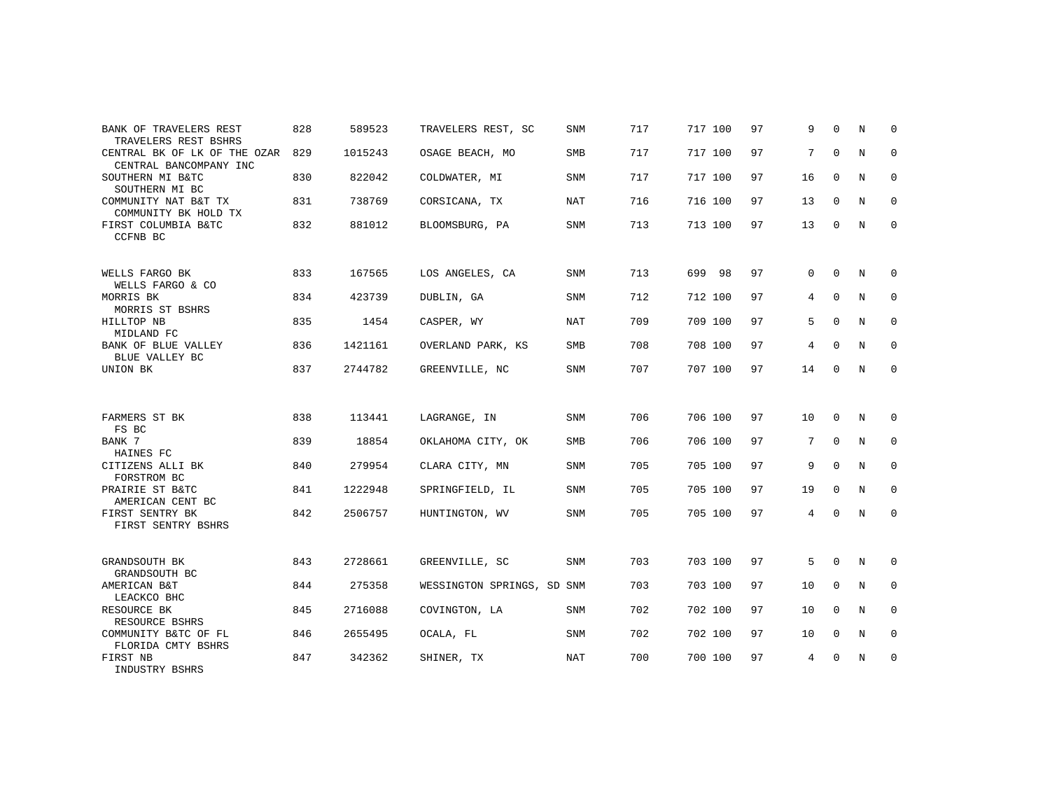| BANK OF TRAVELERS REST                                                         | 828 | 589523  | TRAVELERS REST, SC         | <b>SNM</b> | 717 | 717 100 | 97 | 9  | $\Omega$    | N | $\Omega$     |
|--------------------------------------------------------------------------------|-----|---------|----------------------------|------------|-----|---------|----|----|-------------|---|--------------|
| TRAVELERS REST BSHRS<br>CENTRAL BK OF LK OF THE OZAR<br>CENTRAL BANCOMPANY INC | 829 | 1015243 | OSAGE BEACH, MO            | SMB        | 717 | 717 100 | 97 | 7  | $\mathbf 0$ | N | $\mathbf 0$  |
| SOUTHERN MI B&TC<br>SOUTHERN MI BC                                             | 830 | 822042  | COLDWATER, MI              | <b>SNM</b> | 717 | 717 100 | 97 | 16 | $\mathbf 0$ | N | $\mathbf 0$  |
| COMMUNITY NAT B&T TX<br>COMMUNITY BK HOLD TX                                   | 831 | 738769  | CORSICANA, TX              | NAT        | 716 | 716 100 | 97 | 13 | $\Omega$    | N | $\mathbf 0$  |
| FIRST COLUMBIA B&TC<br>CCFNB BC                                                | 832 | 881012  | BLOOMSBURG, PA             | <b>SNM</b> | 713 | 713 100 | 97 | 13 | $\mathbf 0$ | N | $\mathbf 0$  |
| WELLS FARGO BK<br>WELLS FARGO & CO                                             | 833 | 167565  | LOS ANGELES, CA            | SNM        | 713 | 699 98  | 97 | 0  | $\mathbf 0$ | N | 0            |
| MORRIS BK<br>MORRIS ST BSHRS                                                   | 834 | 423739  | DUBLIN, GA                 | <b>SNM</b> | 712 | 712 100 | 97 | 4  | $\Omega$    | N | $\mathbf 0$  |
| HILLTOP NB<br>MIDLAND FC                                                       | 835 | 1454    | CASPER, WY                 | NAT        | 709 | 709 100 | 97 | 5  | $\Omega$    | N | $\mathbf 0$  |
| BANK OF BLUE VALLEY<br>BLUE VALLEY BC                                          | 836 | 1421161 | OVERLAND PARK, KS          | <b>SMB</b> | 708 | 708 100 | 97 | 4  | $\mathbf 0$ | N | $\mathbf{0}$ |
| UNION BK                                                                       | 837 | 2744782 | GREENVILLE, NC             | SNM        | 707 | 707 100 | 97 | 14 | $\Omega$    | N | $\mathbf 0$  |
| FARMERS ST BK                                                                  | 838 | 113441  | LAGRANGE, IN               | SNM        | 706 | 706 100 | 97 | 10 | $\mathbf 0$ | N | 0            |
| FS BC<br>BANK 7                                                                | 839 | 18854   | OKLAHOMA CITY, OK          | SMB        | 706 | 706 100 | 97 | 7  | $\mathbf 0$ | N | 0            |
| HAINES FC                                                                      |     |         |                            |            |     |         |    |    |             |   |              |
| CITIZENS ALLI BK<br>FORSTROM BC                                                | 840 | 279954  | CLARA CITY, MN             | SNM        | 705 | 705 100 | 97 | 9  | $\Omega$    | N | $\mathbf 0$  |
| PRAIRIE ST B&TC<br>AMERICAN CENT BC                                            | 841 | 1222948 | SPRINGFIELD, IL            | SNM        | 705 | 705 100 | 97 | 19 | $\mathbf 0$ | N | 0            |
| FIRST SENTRY BK<br>FIRST SENTRY BSHRS                                          | 842 | 2506757 | HUNTINGTON, WV             | SNM        | 705 | 705 100 | 97 | 4  | $\Omega$    | N | $\mathbf{0}$ |
|                                                                                |     |         |                            |            |     |         |    |    |             |   |              |
| GRANDSOUTH BK<br>GRANDSOUTH BC                                                 | 843 | 2728661 | GREENVILLE, SC             | SNM        | 703 | 703 100 | 97 | 5  | $\mathbf 0$ | N | $\mathbf 0$  |
| AMERICAN B&T<br>LEACKCO BHC                                                    | 844 | 275358  | WESSINGTON SPRINGS, SD SNM |            | 703 | 703 100 | 97 | 10 | $\Omega$    | N | $\mathbf 0$  |
| RESOURCE BK<br>RESOURCE BSHRS                                                  | 845 | 2716088 | COVINGTON, LA              | SNM        | 702 | 702 100 | 97 | 10 | $\Omega$    | N | $\mathbf 0$  |
| COMMUNITY B&TC OF FL<br>FLORIDA CMTY BSHRS                                     | 846 | 2655495 | OCALA, FL                  | SNM        | 702 | 702 100 | 97 | 10 | $\mathbf 0$ | N | $\mathbf 0$  |
| FIRST NB<br>INDUSTRY BSHRS                                                     | 847 | 342362  | SHINER, TX                 | <b>NAT</b> | 700 | 700 100 | 97 | 4  | $\mathbf 0$ | N | $\mathbf 0$  |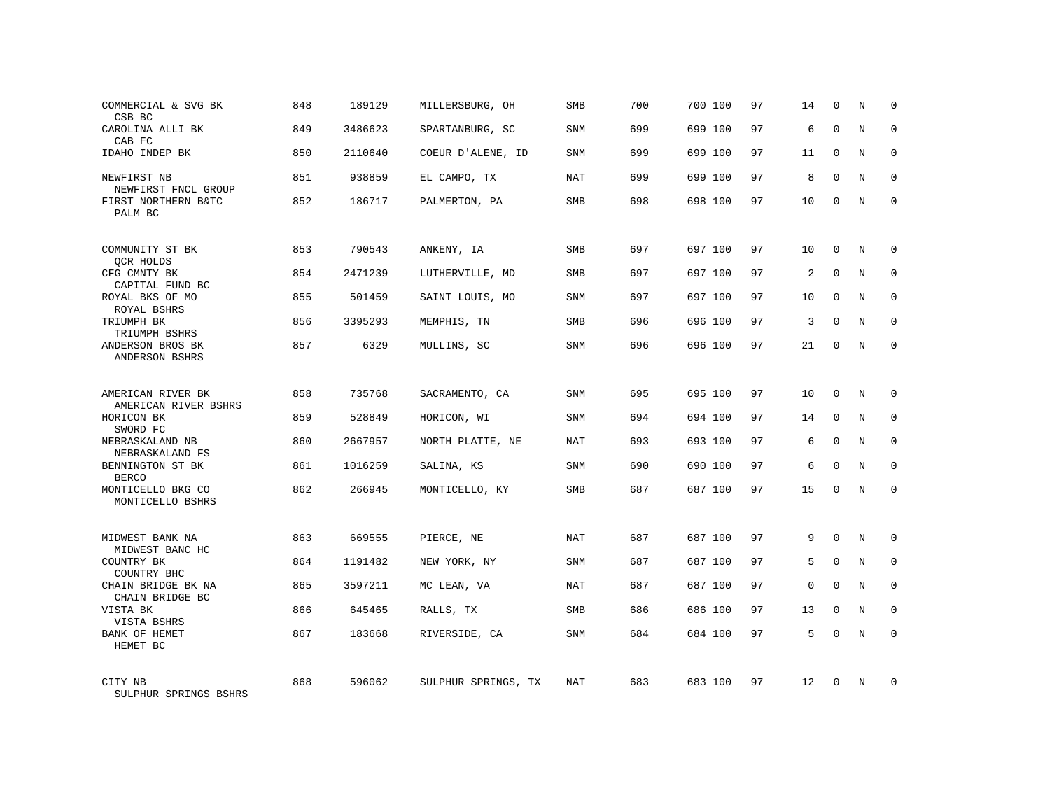| COMMERCIAL & SVG BK<br>CSB BC             | 848 | 189129  | MILLERSBURG, OH     | SMB        | 700 | 700 100 | 97 | 14             | $\mathbf 0$  | N              | $\mathbf 0$ |
|-------------------------------------------|-----|---------|---------------------|------------|-----|---------|----|----------------|--------------|----------------|-------------|
| CAROLINA ALLI BK<br>CAB FC                | 849 | 3486623 | SPARTANBURG, SC     | <b>SNM</b> | 699 | 699 100 | 97 | 6              | $\Omega$     | N              | $\mathbf 0$ |
| IDAHO INDEP BK                            | 850 | 2110640 | COEUR D'ALENE, ID   | SNM        | 699 | 699 100 | 97 | 11             | $\Omega$     | N              | $\mathbf 0$ |
| NEWFIRST NB<br>NEWFIRST FNCL GROUP        | 851 | 938859  | EL CAMPO, TX        | <b>NAT</b> | 699 | 699 100 | 97 | 8              | $\Omega$     | $\overline{N}$ | $\mathbf 0$ |
| FIRST NORTHERN B&TC<br>PALM BC            | 852 | 186717  | PALMERTON, PA       | SMB        | 698 | 698 100 | 97 | 10             | $\Omega$     | N              | $\mathbf 0$ |
| COMMUNITY ST BK<br>OCR HOLDS              | 853 | 790543  | ANKENY, IA          | SMB        | 697 | 697 100 | 97 | 10             | $\mathbf 0$  | N              | $\Omega$    |
| CFG CMNTY BK<br>CAPITAL FUND BC           | 854 | 2471239 | LUTHERVILLE, MD     | <b>SMB</b> | 697 | 697 100 | 97 | $\overline{a}$ | $\Omega$     | N              | $\Omega$    |
| ROYAL BKS OF MO<br>ROYAL BSHRS            | 855 | 501459  | SAINT LOUIS, MO     | SNM        | 697 | 697 100 | 97 | 10             | $\Omega$     | N              | $\mathbf 0$ |
| TRIUMPH BK<br>TRIUMPH BSHRS               | 856 | 3395293 | MEMPHIS, TN         | <b>SMB</b> | 696 | 696 100 | 97 | 3              | $\Omega$     | N              | $\Omega$    |
| ANDERSON BROS BK<br>ANDERSON BSHRS        | 857 | 6329    | MULLINS, SC         | <b>SNM</b> | 696 | 696 100 | 97 | 21             | $\Omega$     | N              | $\Omega$    |
| AMERICAN RIVER BK<br>AMERICAN RIVER BSHRS | 858 | 735768  | SACRAMENTO, CA      | SNM        | 695 | 695 100 | 97 | 10             | $\mathbf 0$  | N              | $\Omega$    |
| HORICON BK<br>SWORD FC                    | 859 | 528849  | HORICON, WI         | <b>SNM</b> | 694 | 694 100 | 97 | 14             | $\mathbf{0}$ | N              | $\mathbf 0$ |
| NEBRASKALAND NB<br>NEBRASKALAND FS        | 860 | 2667957 | NORTH PLATTE, NE    | NAT        | 693 | 693 100 | 97 | 6              | $\Omega$     | N              | $\Omega$    |
| BENNINGTON ST BK<br><b>BERCO</b>          | 861 | 1016259 | SALINA, KS          | <b>SNM</b> | 690 | 690 100 | 97 | 6              | $\mathbf 0$  | N              | $\mathbf 0$ |
| MONTICELLO BKG CO<br>MONTICELLO BSHRS     | 862 | 266945  | MONTICELLO, KY      | <b>SMB</b> | 687 | 687 100 | 97 | 15             | $\Omega$     | N              | $\Omega$    |
| MIDWEST BANK NA<br>MIDWEST BANC HC        | 863 | 669555  | PIERCE, NE          | NAT        | 687 | 687 100 | 97 | 9              | $\Omega$     | N              | $\mathbf 0$ |
| COUNTRY BK<br>COUNTRY BHC                 | 864 | 1191482 | NEW YORK, NY        | <b>SNM</b> | 687 | 687 100 | 97 | 5              | $\mathbf 0$  | $\rm N$        | $\mathbf 0$ |
| CHAIN BRIDGE BK NA<br>CHAIN BRIDGE BC     | 865 | 3597211 | MC LEAN, VA         | NAT        | 687 | 687 100 | 97 | $\mathbf 0$    | $\Omega$     | N              | $\mathbf 0$ |
| VISTA BK<br>VISTA BSHRS                   | 866 | 645465  | RALLS, TX           | <b>SMB</b> | 686 | 686 100 | 97 | 13             | $\mathbf 0$  | N              | $\mathbf 0$ |
| <b>BANK OF HEMET</b><br>HEMET BC          | 867 | 183668  | RIVERSIDE, CA       | <b>SNM</b> | 684 | 684 100 | 97 | 5              | $\Omega$     | N              | $\mathbf 0$ |
| CITY NB<br>SULPHUR SPRINGS BSHRS          | 868 | 596062  | SULPHUR SPRINGS, TX | <b>NAT</b> | 683 | 683 100 | 97 | 12             | $\Omega$     | N              | $\Omega$    |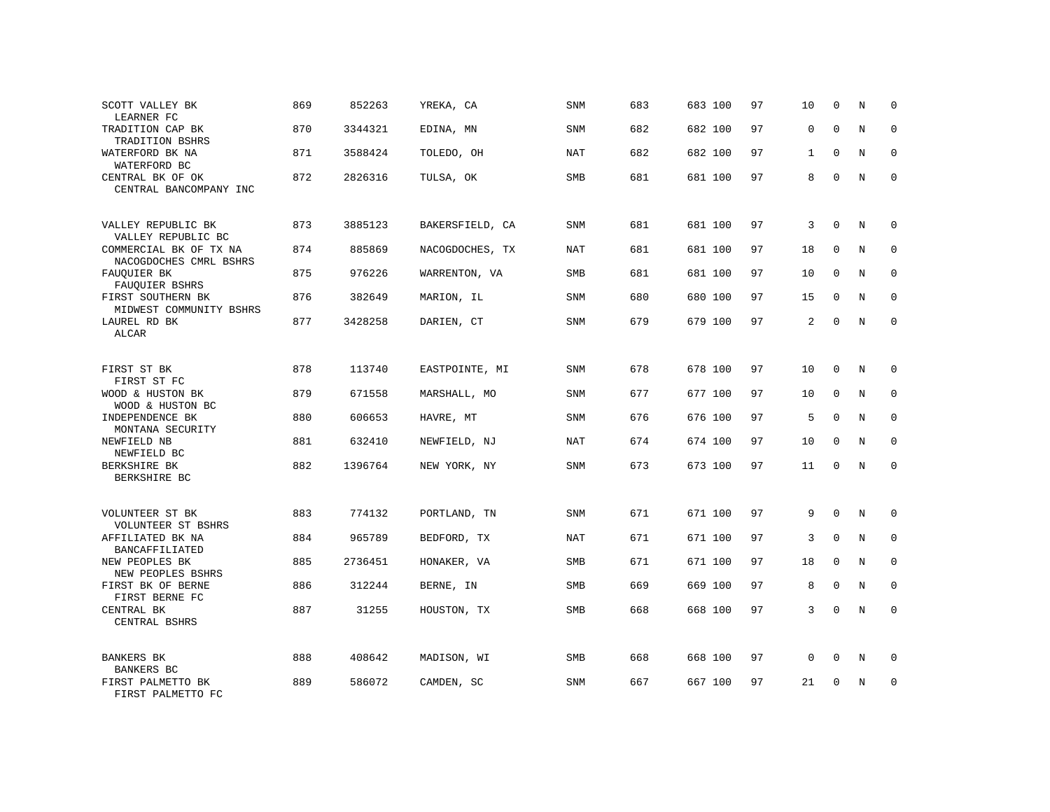| SCOTT VALLEY BK<br>LEARNER FC                           | 869 | 852263  | YREKA, CA       | SNM        | 683 | 683 100 | 97 | 10           | $\mathbf 0$  | N           | $\mathbf 0$ |
|---------------------------------------------------------|-----|---------|-----------------|------------|-----|---------|----|--------------|--------------|-------------|-------------|
| TRADITION CAP BK<br>TRADITION BSHRS                     | 870 | 3344321 | EDINA, MN       | <b>SNM</b> | 682 | 682 100 | 97 | 0            | $\Omega$     | N           | $\Omega$    |
| WATERFORD BK NA<br>WATERFORD BC                         | 871 | 3588424 | TOLEDO, OH      | <b>NAT</b> | 682 | 682 100 | 97 | $\mathbf{1}$ | $\mathbf{0}$ | N           | $\mathbf 0$ |
| CENTRAL BK OF OK<br>CENTRAL BANCOMPANY INC              | 872 | 2826316 | TULSA, OK       | SMB        | 681 | 681 100 | 97 | 8            | $\Omega$     | N           | $\Omega$    |
| VALLEY REPUBLIC BK                                      | 873 | 3885123 | BAKERSFIELD, CA | SNM        | 681 | 681 100 | 97 | 3            | $\mathbf 0$  | N           | $\mathbf 0$ |
| VALLEY REPUBLIC BC<br>COMMERCIAL BK OF TX NA            | 874 | 885869  | NACOGDOCHES, TX | <b>NAT</b> | 681 | 681 100 | 97 | 18           | $\Omega$     | N           | $\Omega$    |
| NACOGDOCHES CMRL BSHRS<br>FAUQUIER BK<br>FAUQUIER BSHRS | 875 | 976226  | WARRENTON, VA   | SMB        | 681 | 681 100 | 97 | 10           | $\mathbf 0$  | N           | $\mathbf 0$ |
| FIRST SOUTHERN BK<br>MIDWEST COMMUNITY BSHRS            | 876 | 382649  | MARION, IL      | <b>SNM</b> | 680 | 680 100 | 97 | 15           | $\Omega$     | N           | $\Omega$    |
| LAUREL RD BK<br>ALCAR                                   | 877 | 3428258 | DARIEN, CT      | SNM        | 679 | 679 100 | 97 | 2            | $\mathbf 0$  | N           | $\mathbf 0$ |
| FIRST ST BK<br>FIRST ST FC                              | 878 | 113740  | EASTPOINTE, MI  | <b>SNM</b> | 678 | 678 100 | 97 | 10           | $\mathbf 0$  | N           | $\mathsf 0$ |
| WOOD & HUSTON BK<br>WOOD & HUSTON BC                    | 879 | 671558  | MARSHALL, MO    | SNM        | 677 | 677 100 | 97 | 10           | $\Omega$     | N           | $\mathbf 0$ |
| INDEPENDENCE BK<br>MONTANA SECURITY                     | 880 | 606653  | HAVRE, MT       | SNM        | 676 | 676 100 | 97 | 5            | $\Omega$     | N           | $\mathbf 0$ |
| NEWFIELD NB<br>NEWFIELD BC                              | 881 | 632410  | NEWFIELD, NJ    | NAT        | 674 | 674 100 | 97 | 10           | $\mathbf 0$  | N           | $\mathbf 0$ |
| BERKSHIRE BK<br>BERKSHIRE BC                            | 882 | 1396764 | NEW YORK, NY    | SNM        | 673 | 673 100 | 97 | 11           | $\Omega$     | N           | $\mathbf 0$ |
| VOLUNTEER ST BK<br>VOLUNTEER ST BSHRS                   | 883 | 774132  | PORTLAND, TN    | SNM        | 671 | 671 100 | 97 | 9            | $\mathbf 0$  | N           | $\mathbf 0$ |
| AFFILIATED BK NA<br>BANCAFFILIATED                      | 884 | 965789  | BEDFORD, TX     | <b>NAT</b> | 671 | 671 100 | 97 | 3            | $\mathbf 0$  | $\mathbf N$ | $\mathbf 0$ |
| NEW PEOPLES BK<br>NEW PEOPLES BSHRS                     | 885 | 2736451 | HONAKER, VA     | <b>SMB</b> | 671 | 671 100 | 97 | 18           | $\mathbf 0$  | N           | $\mathbf 0$ |
| FIRST BK OF BERNE<br>FIRST BERNE FC                     | 886 | 312244  | BERNE, IN       | SMB        | 669 | 669 100 | 97 | 8            | $\Omega$     | N           | $\mathbf 0$ |
| CENTRAL BK<br>CENTRAL BSHRS                             | 887 | 31255   | HOUSTON, TX     | <b>SMB</b> | 668 | 668 100 | 97 | 3            | $\mathbf{0}$ | N           | $\mathbf 0$ |
| <b>BANKERS BK</b><br>BANKERS BC                         | 888 | 408642  | MADISON, WI     | SMB        | 668 | 668 100 | 97 | 0            | 0            | N           | 0           |
| FIRST PALMETTO BK<br>FIRST PALMETTO FC                  | 889 | 586072  | CAMDEN, SC      | SNM        | 667 | 667 100 | 97 | 21           | $\Omega$     | N           | $\mathbf 0$ |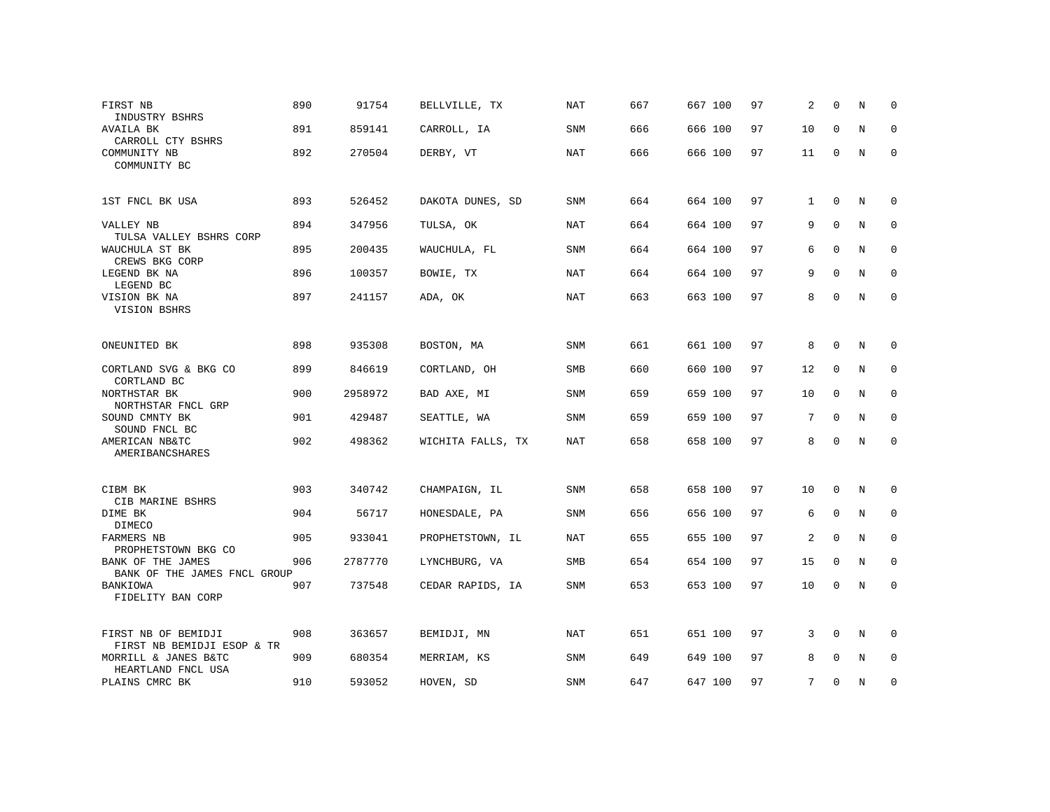| FIRST NB<br>INDUSTRY BSHRS                        | 890 | 91754   | BELLVILLE, TX     | <b>NAT</b> | 667 | 667 100 | 97 | 2              | $\Omega$     | N       | $\mathbf 0$ |
|---------------------------------------------------|-----|---------|-------------------|------------|-----|---------|----|----------------|--------------|---------|-------------|
| AVAILA BK<br>CARROLL CTY BSHRS                    | 891 | 859141  | CARROLL, IA       | <b>SNM</b> | 666 | 666 100 | 97 | 10             | $\mathbf 0$  | N       | $\mathbf 0$ |
| COMMUNITY NB<br>COMMUNITY BC                      | 892 | 270504  | DERBY, VT         | NAT        | 666 | 666 100 | 97 | 11             | $\mathbf 0$  | N       | $\mathbf 0$ |
| 1ST FNCL BK USA                                   | 893 | 526452  | DAKOTA DUNES, SD  | SNM        | 664 | 664 100 | 97 | $\mathbf{1}$   | $\mathbf 0$  | N       | $\mathbf 0$ |
| VALLEY NB<br>TULSA VALLEY BSHRS CORP              | 894 | 347956  | TULSA, OK         | <b>NAT</b> | 664 | 664 100 | 97 | 9              | $\mathbf 0$  | N       | 0           |
| WAUCHULA ST BK<br>CREWS BKG CORP                  | 895 | 200435  | WAUCHULA, FL      | SNM        | 664 | 664 100 | 97 | 6              | $\mathbf 0$  | N       | 0           |
| LEGEND BK NA<br>LEGEND BC                         | 896 | 100357  | BOWIE, TX         | <b>NAT</b> | 664 | 664 100 | 97 | 9              | $\Omega$     | $\rm N$ | $\mathbf 0$ |
| VISION BK NA<br>VISION BSHRS                      | 897 | 241157  | ADA, OK           | <b>NAT</b> | 663 | 663 100 | 97 | 8              | $\mathbf{0}$ | N       | $\mathbf 0$ |
| ONEUNITED BK                                      | 898 | 935308  | BOSTON, MA        | SNM        | 661 | 661 100 | 97 | 8              | 0            | N       | 0           |
| CORTLAND SVG & BKG CO                             | 899 | 846619  | CORTLAND, OH      | SMB        | 660 | 660 100 | 97 | 12             | $\mathbf 0$  | N       | $\mathbf 0$ |
| CORTLAND BC<br>NORTHSTAR BK                       | 900 | 2958972 | BAD AXE, MI       | <b>SNM</b> | 659 | 659 100 | 97 | 10             | 0            | N       | 0           |
| NORTHSTAR FNCL GRP<br>SOUND CMNTY BK              | 901 | 429487  | SEATTLE, WA       | SNM        | 659 | 659 100 | 97 | 7              | $\mathbf 0$  | N       | 0           |
| SOUND FNCL BC<br>AMERICAN NB&TC                   | 902 | 498362  | WICHITA FALLS, TX | <b>NAT</b> | 658 | 658 100 | 97 | 8              | $\mathbf 0$  | N       | $\mathbf 0$ |
| AMERIBANCSHARES                                   |     |         |                   |            |     |         |    |                |              |         |             |
| CIBM BK<br>CIB MARINE BSHRS                       | 903 | 340742  | CHAMPAIGN, IL     | SNM        | 658 | 658 100 | 97 | 10             | 0            | N       | 0           |
| DIME BK<br>DIMECO                                 | 904 | 56717   | HONESDALE, PA     | SNM        | 656 | 656 100 | 97 | 6              | $\mathbf 0$  | N       | 0           |
| FARMERS NB<br>PROPHETSTOWN BKG CO                 | 905 | 933041  | PROPHETSTOWN, IL  | <b>NAT</b> | 655 | 655 100 | 97 | $\overline{a}$ | $\mathbf 0$  | N       | $\mathbf 0$ |
| BANK OF THE JAMES<br>BANK OF THE JAMES FNCL GROUP | 906 | 2787770 | LYNCHBURG, VA     | SMB        | 654 | 654 100 | 97 | 15             | $\mathbf 0$  | N       | 0           |
| BANKIOWA<br>FIDELITY BAN CORP                     | 907 | 737548  | CEDAR RAPIDS, IA  | SNM        | 653 | 653 100 | 97 | 10             | $\mathbf 0$  | $\rm N$ | 0           |
| FIRST NB OF BEMIDJI<br>FIRST NB BEMIDJI ESOP & TR | 908 | 363657  | BEMIDJI, MN       | NAT        | 651 | 651 100 | 97 | 3              | $\mathbf 0$  | N       | $\mathbf 0$ |
| MORRILL & JANES B&TC<br>HEARTLAND FNCL USA        | 909 | 680354  | MERRIAM, KS       | SNM        | 649 | 649 100 | 97 | 8              | $\Omega$     | N       | $\mathbf 0$ |
| PLAINS CMRC BK                                    | 910 | 593052  | HOVEN, SD         | SNM        | 647 | 647 100 | 97 | 7              | $\mathbf 0$  | N       | $\mathbf 0$ |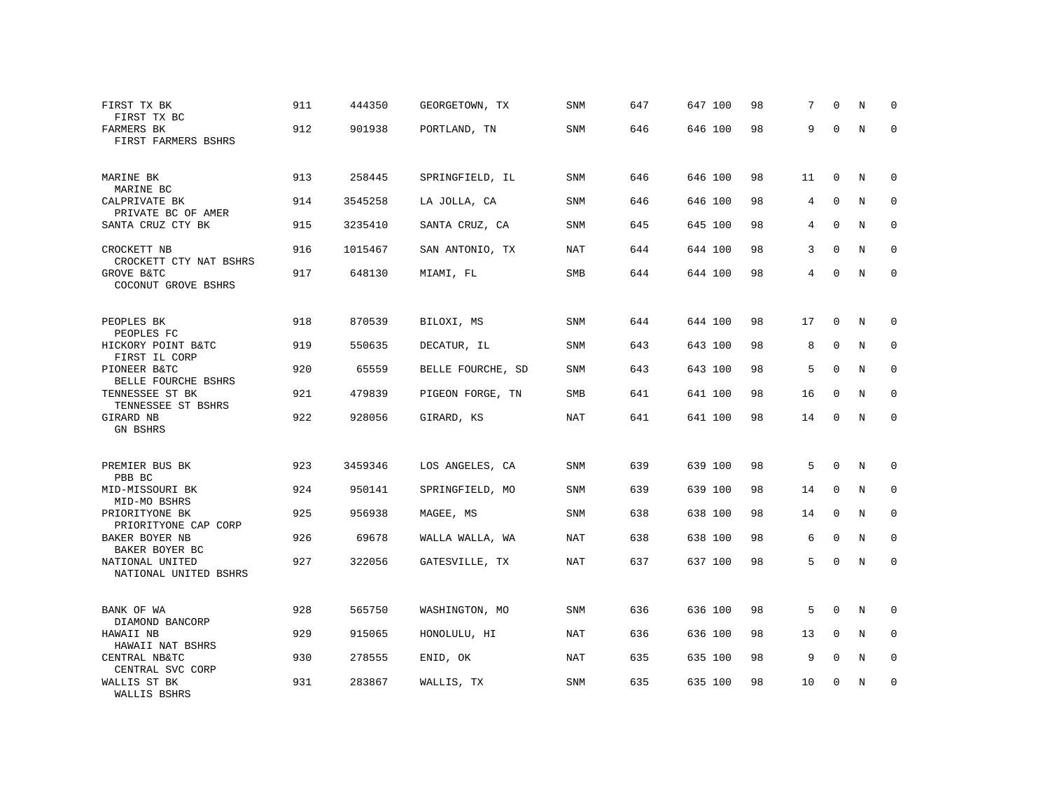| FIRST TX BK<br>FIRST TX BC               | 911 | 444350  | GEORGETOWN, TX    | SNM        | 647 | 647 100 | 98 | 7  | $\Omega$     | N           | 0           |
|------------------------------------------|-----|---------|-------------------|------------|-----|---------|----|----|--------------|-------------|-------------|
| FARMERS BK<br>FIRST FARMERS BSHRS        | 912 | 901938  | PORTLAND, TN      | <b>SNM</b> | 646 | 646 100 | 98 | 9  | $\Omega$     | $\mathbf N$ | $\mathbf 0$ |
| MARINE BK<br>MARINE BC                   | 913 | 258445  | SPRINGFIELD, IL   | SNM        | 646 | 646 100 | 98 | 11 | $\mathbf 0$  | N           | $\Omega$    |
| CALPRIVATE BK<br>PRIVATE BC OF AMER      | 914 | 3545258 | LA JOLLA, CA      | SNM        | 646 | 646 100 | 98 | 4  | $\Omega$     | N           | $\mathbf 0$ |
| SANTA CRUZ CTY BK                        | 915 | 3235410 | SANTA CRUZ, CA    | SNM        | 645 | 645 100 | 98 | 4  | $\mathbf{0}$ | N           | 0           |
| CROCKETT NB<br>CROCKETT CTY NAT BSHRS    | 916 | 1015467 | SAN ANTONIO, TX   | <b>NAT</b> | 644 | 644 100 | 98 | 3  | $\mathbf{0}$ | N           | $\mathbf 0$ |
| GROVE B&TC<br>COCONUT GROVE BSHRS        | 917 | 648130  | MIAMI, FL         | <b>SMB</b> | 644 | 644 100 | 98 | 4  | $\Omega$     | N           | $\mathbf 0$ |
| PEOPLES BK<br>PEOPLES FC                 | 918 | 870539  | BILOXI, MS        | SNM        | 644 | 644 100 | 98 | 17 | 0            | N           | 0           |
| HICKORY POINT B&TC<br>FIRST IL CORP      | 919 | 550635  | DECATUR, IL       | SNM        | 643 | 643 100 | 98 | 8  | $\mathbf 0$  | N           | 0           |
| PIONEER B&TC<br>BELLE FOURCHE BSHRS      | 920 | 65559   | BELLE FOURCHE, SD | SNM        | 643 | 643 100 | 98 | 5  | $\mathbf 0$  | N           | $\mathbf 0$ |
| TENNESSEE ST BK<br>TENNESSEE ST BSHRS    | 921 | 479839  | PIGEON FORGE, TN  | <b>SMB</b> | 641 | 641 100 | 98 | 16 | $\Omega$     | N           | $\mathbf 0$ |
| GIRARD NB<br><b>GN BSHRS</b>             | 922 | 928056  | GIRARD, KS        | <b>NAT</b> | 641 | 641 100 | 98 | 14 | $\mathbf 0$  | N           | $\mathbf 0$ |
| PREMIER BUS BK<br>PBB BC                 | 923 | 3459346 | LOS ANGELES, CA   | SNM        | 639 | 639 100 | 98 | 5  | 0            | N           | 0           |
| MID-MISSOURI BK<br>MID-MO BSHRS          | 924 | 950141  | SPRINGFIELD, MO   | SNM        | 639 | 639 100 | 98 | 14 | $\mathbf 0$  | N           | $\mathbf 0$ |
| PRIORITYONE BK<br>PRIORITYONE CAP CORP   | 925 | 956938  | MAGEE, MS         | SNM        | 638 | 638 100 | 98 | 14 | $\mathbf{0}$ | N           | $\mathbf 0$ |
| BAKER BOYER NB<br>BAKER BOYER BC         | 926 | 69678   | WALLA WALLA, WA   | <b>NAT</b> | 638 | 638 100 | 98 | 6  | $\mathbf 0$  | N           | $\mathbf 0$ |
| NATIONAL UNITED<br>NATIONAL UNITED BSHRS | 927 | 322056  | GATESVILLE, TX    | <b>NAT</b> | 637 | 637 100 | 98 | 5  | $\mathbf 0$  | N           | $\mathbf 0$ |
| BANK OF WA<br>DIAMOND BANCORP            | 928 | 565750  | WASHINGTON, MO    | SNM        | 636 | 636 100 | 98 | 5  | $\mathbf 0$  | N           | 0           |
| HAWAII NB<br>HAWAII NAT BSHRS            | 929 | 915065  | HONOLULU, HI      | NAT        | 636 | 636 100 | 98 | 13 | $\mathbf{0}$ | N           | $\Omega$    |
| CENTRAL NB&TC<br>CENTRAL SVC CORP        | 930 | 278555  | ENID, OK          | <b>NAT</b> | 635 | 635 100 | 98 | 9  | $\mathbf 0$  | N           | $\mathbf 0$ |
| WALLIS ST BK<br>WALLIS BSHRS             | 931 | 283867  | WALLIS, TX        | <b>SNM</b> | 635 | 635 100 | 98 | 10 | $\mathbf 0$  | N           | $\mathbf 0$ |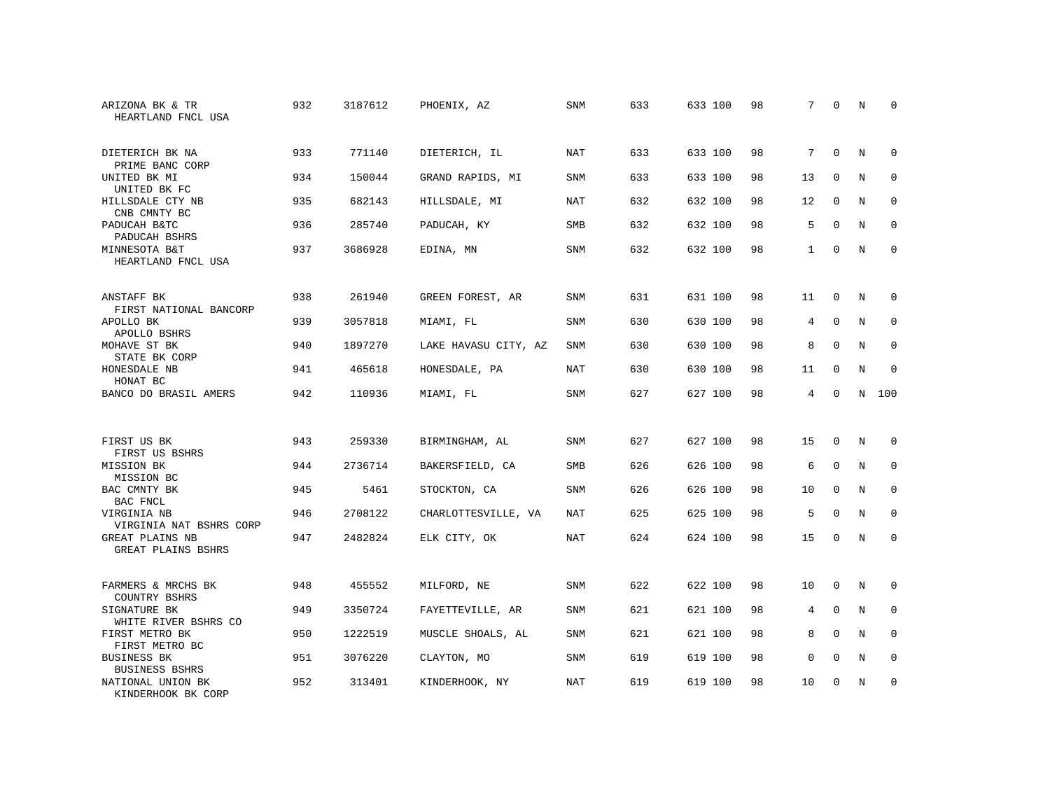| ARIZONA BK & TR<br>HEARTLAND FNCL USA       | 932 | 3187612 | PHOENIX, AZ          | SNM        | 633 | 633 100 | 98 | 7               | $\mathbf 0$  | N | $\Omega$     |
|---------------------------------------------|-----|---------|----------------------|------------|-----|---------|----|-----------------|--------------|---|--------------|
| DIETERICH BK NA<br>PRIME BANC CORP          | 933 | 771140  | DIETERICH, IL        | NAT        | 633 | 633 100 | 98 | $7\phantom{.0}$ | $\Omega$     | N | $\Omega$     |
| UNITED BK MI<br>UNITED BK FC                | 934 | 150044  | GRAND RAPIDS, MI     | SNM        | 633 | 633 100 | 98 | 13              | $\mathbf 0$  | N | $\mathbf 0$  |
| HILLSDALE CTY NB<br>CNB CMNTY BC            | 935 | 682143  | HILLSDALE, MI        | NAT        | 632 | 632 100 | 98 | 12              | $\Omega$     | N | $\Omega$     |
| PADUCAH B&TC<br>PADUCAH BSHRS               | 936 | 285740  | PADUCAH, KY          | <b>SMB</b> | 632 | 632 100 | 98 | 5               | $\mathbf 0$  | N | $\mathbf 0$  |
| MINNESOTA B&T<br>HEARTLAND FNCL USA         | 937 | 3686928 | EDINA, MN            | SNM        | 632 | 632 100 | 98 | $\mathbf{1}$    | $\mathbf{0}$ | N | $\mathbf{0}$ |
| ANSTAFF BK<br>FIRST NATIONAL BANCORP        | 938 | 261940  | GREEN FOREST, AR     | <b>SNM</b> | 631 | 631 100 | 98 | 11              | 0            | N | 0            |
| APOLLO BK<br>APOLLO BSHRS                   | 939 | 3057818 | MIAMI, FL            | SNM        | 630 | 630 100 | 98 | 4               | $\mathbf{0}$ | N | $\mathbf 0$  |
| MOHAVE ST BK<br>STATE BK CORP               | 940 | 1897270 | LAKE HAVASU CITY, AZ | <b>SNM</b> | 630 | 630 100 | 98 | 8               | $\mathbf 0$  | N | $\mathbf 0$  |
| HONESDALE NB<br>HONAT BC                    | 941 | 465618  | HONESDALE, PA        | NAT        | 630 | 630 100 | 98 | 11              | $\mathbf{0}$ | N | $\mathbf 0$  |
| BANCO DO BRASIL AMERS                       | 942 | 110936  | MIAMI, FL            | SNM        | 627 | 627 100 | 98 | 4               | $\Omega$     | N | 100          |
| FIRST US BK<br>FIRST US BSHRS               | 943 | 259330  | BIRMINGHAM, AL       | SNM        | 627 | 627 100 | 98 | 15              | $\mathbf 0$  | N | $\mathbf 0$  |
| MISSION BK<br>MISSION BC                    | 944 | 2736714 | BAKERSFIELD, CA      | SMB        | 626 | 626 100 | 98 | 6               | $\mathbf{0}$ | N | 0            |
| BAC CMNTY BK<br>BAC FNCL                    | 945 | 5461    | STOCKTON, CA         | SNM        | 626 | 626 100 | 98 | 10              | $\Omega$     | N | $\mathbf 0$  |
| VIRGINIA NB<br>VIRGINIA NAT BSHRS CORP      | 946 | 2708122 | CHARLOTTESVILLE, VA  | <b>NAT</b> | 625 | 625 100 | 98 | 5               | $\Omega$     | N | $\mathbf 0$  |
| GREAT PLAINS NB<br>GREAT PLAINS BSHRS       | 947 | 2482824 | ELK CITY, OK         | <b>NAT</b> | 624 | 624 100 | 98 | 15              | 0            | N | $\mathbf 0$  |
| FARMERS & MRCHS BK<br>COUNTRY BSHRS         | 948 | 455552  | MILFORD, NE          | SNM        | 622 | 622 100 | 98 | 10              | 0            | N | 0            |
| SIGNATURE BK<br>WHITE RIVER BSHRS CO        | 949 | 3350724 | FAYETTEVILLE, AR     | SNM        | 621 | 621 100 | 98 | 4               | $\mathbf{0}$ | N | $\mathbf 0$  |
| FIRST METRO BK<br>FIRST METRO BC            | 950 | 1222519 | MUSCLE SHOALS, AL    | SNM        | 621 | 621 100 | 98 | 8               | $\Omega$     | N | $\mathbf{0}$ |
| <b>BUSINESS BK</b><br><b>BUSINESS BSHRS</b> | 951 | 3076220 | CLAYTON, MO          | <b>SNM</b> | 619 | 619 100 | 98 | $\mathbf 0$     | $\mathbf 0$  | N | 0            |
| NATIONAL UNION BK<br>KINDERHOOK BK CORP     | 952 | 313401  | KINDERHOOK, NY       | NAT        | 619 | 619 100 | 98 | 10              | $\Omega$     | N | $\mathbf 0$  |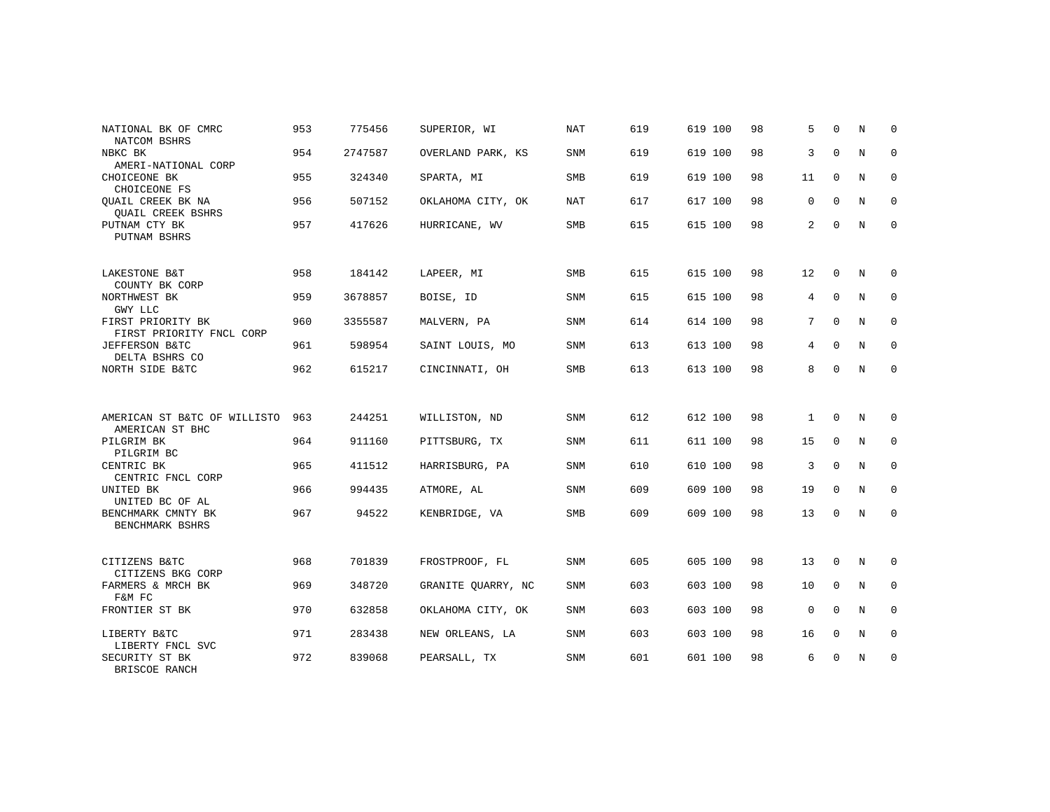| NATIONAL BK OF CMRC<br>NATCOM BSHRS                  | 953 | 775456  | SUPERIOR, WI       | <b>NAT</b> | 619 | 619 100 | 98 | 5            | $\Omega$    | N              | $\Omega$    |
|------------------------------------------------------|-----|---------|--------------------|------------|-----|---------|----|--------------|-------------|----------------|-------------|
| NBKC BK<br>AMERI-NATIONAL CORP                       | 954 | 2747587 | OVERLAND PARK, KS  | <b>SNM</b> | 619 | 619 100 | 98 | 3            | $\mathbf 0$ | N              | $\mathbf 0$ |
| CHOICEONE BK<br>CHOICEONE FS                         | 955 | 324340  | SPARTA, MI         | SMB        | 619 | 619 100 | 98 | 11           | $\Omega$    | $\overline{N}$ | $\mathbf 0$ |
| <b>OUAIL CREEK BK NA</b><br><b>QUAIL CREEK BSHRS</b> | 956 | 507152  | OKLAHOMA CITY, OK  | NAT        | 617 | 617 100 | 98 | 0            | $\Omega$    | N              | $\mathbf 0$ |
| PUTNAM CTY BK<br>PUTNAM BSHRS                        | 957 | 417626  | HURRICANE, WV      | <b>SMB</b> | 615 | 615 100 | 98 | 2            | $\mathbf 0$ | N              | $\mathbf 0$ |
| LAKESTONE B&T<br>COUNTY BK CORP                      | 958 | 184142  | LAPEER, MI         | <b>SMB</b> | 615 | 615 100 | 98 | 12           | $\mathbf 0$ | N              | $\mathbf 0$ |
| NORTHWEST BK<br>GWY LLC                              | 959 | 3678857 | BOISE, ID          | SNM        | 615 | 615 100 | 98 | 4            | $\mathbf 0$ | N              | $\mathbf 0$ |
| FIRST PRIORITY BK<br>FIRST PRIORITY FNCL CORP        | 960 | 3355587 | MALVERN, PA        | <b>SNM</b> | 614 | 614 100 | 98 | $7^{\circ}$  | $\Omega$    | N              | $\mathbf 0$ |
| <b>JEFFERSON B&amp;TC</b><br>DELTA BSHRS CO          | 961 | 598954  | SAINT LOUIS, MO    | SNM        | 613 | 613 100 | 98 | 4            | $\mathbf 0$ | N              | $\mathbf 0$ |
| NORTH SIDE B&TC                                      | 962 | 615217  | CINCINNATI, OH     | <b>SMB</b> | 613 | 613 100 | 98 | 8            | $\mathbf 0$ | N              | $\mathbf 0$ |
|                                                      |     |         |                    |            |     |         |    |              |             |                |             |
| AMERICAN ST B&TC OF WILLISTO<br>AMERICAN ST BHC      | 963 | 244251  | WILLISTON, ND      | <b>SNM</b> | 612 | 612 100 | 98 | $\mathbf{1}$ | $\Omega$    | N              | $\mathbf 0$ |
| PILGRIM BK<br>PILGRIM BC                             | 964 | 911160  | PITTSBURG, TX      | <b>SNM</b> | 611 | 611 100 | 98 | 15           | $\mathbf 0$ | N              | $\mathbf 0$ |
| CENTRIC BK<br>CENTRIC FNCL CORP                      | 965 | 411512  | HARRISBURG, PA     | <b>SNM</b> | 610 | 610 100 | 98 | 3            | 0           | N              | $\mathbf 0$ |
| UNITED BK<br>UNITED BC OF AL                         | 966 | 994435  | ATMORE, AL         | SNM        | 609 | 609 100 | 98 | 19           | $\mathbf 0$ | N              | $\mathbf 0$ |
| BENCHMARK CMNTY BK<br>BENCHMARK BSHRS                | 967 | 94522   | KENBRIDGE, VA      | <b>SMB</b> | 609 | 609 100 | 98 | 13           | 0           | N              | $\mathbf 0$ |
|                                                      |     |         |                    |            |     |         |    |              |             |                |             |
| CITIZENS B&TC<br>CITIZENS BKG CORP                   | 968 | 701839  | FROSTPROOF, FL     | SNM        | 605 | 605 100 | 98 | 13           | 0           | N              | $\mathbf 0$ |
| FARMERS & MRCH BK<br>F&M FC                          | 969 | 348720  | GRANITE QUARRY, NC | <b>SNM</b> | 603 | 603 100 | 98 | 10           | $\mathbf 0$ | N              | $\mathbf 0$ |
| FRONTIER ST BK                                       | 970 | 632858  | OKLAHOMA CITY, OK  | <b>SNM</b> | 603 | 603 100 | 98 | $\mathbf 0$  | $\Omega$    | N              | $\mathbf 0$ |
| LIBERTY B&TC<br>LIBERTY FNCL SVC                     | 971 | 283438  | NEW ORLEANS, LA    | <b>SNM</b> | 603 | 603 100 | 98 | 16           | $\mathbf 0$ | N              | $\mathbf 0$ |
| SECURITY ST BK<br>BRISCOE RANCH                      | 972 | 839068  | PEARSALL, TX       | <b>SNM</b> | 601 | 601 100 | 98 | 6            | $\mathbf 0$ | N              | $\mathbf 0$ |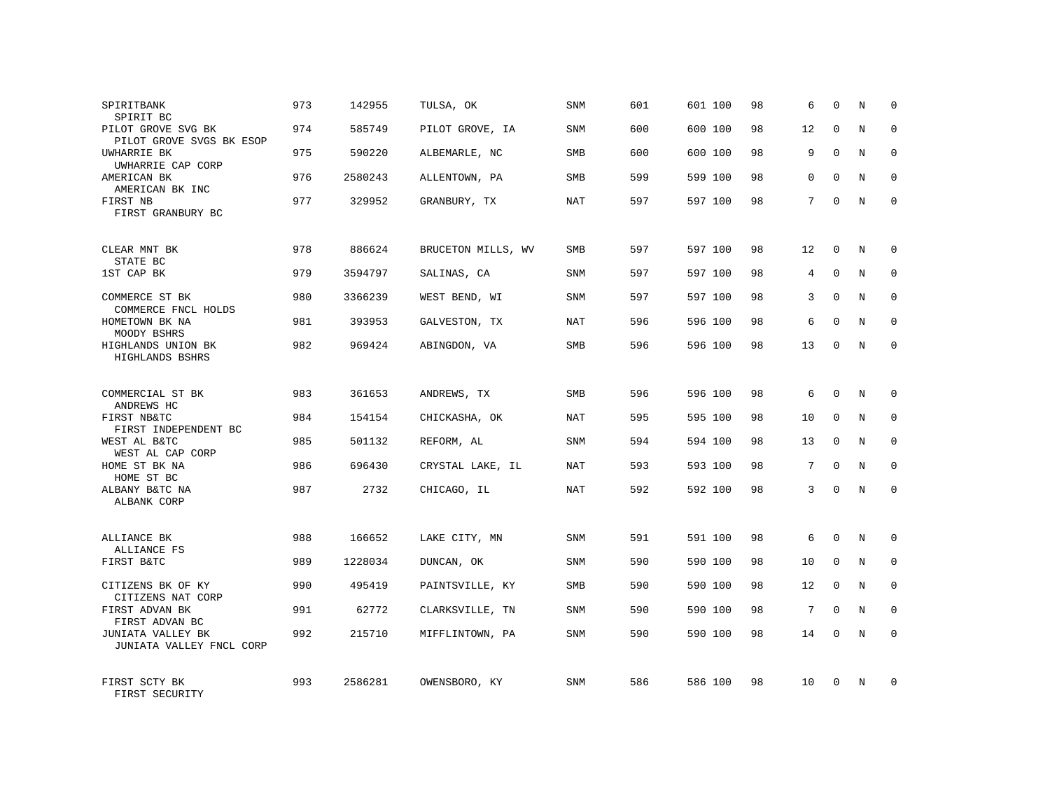| SPIRITBANK                                       | 973 | 142955  | TULSA, OK          | SNM        | 601 | 601 100 | 98 | 6  | $\mathbf 0$  | N | $\mathbf 0$ |
|--------------------------------------------------|-----|---------|--------------------|------------|-----|---------|----|----|--------------|---|-------------|
| SPIRIT BC<br>PILOT GROVE SVG BK                  | 974 | 585749  | PILOT GROVE, IA    | <b>SNM</b> | 600 | 600 100 | 98 | 12 | $\Omega$     | N | $\mathbf 0$ |
| PILOT GROVE SVGS BK ESOP<br>UWHARRIE BK          | 975 | 590220  | ALBEMARLE, NC      | SMB        | 600 | 600 100 | 98 | 9  | $\Omega$     | N | $\mathbf 0$ |
| UWHARRIE CAP CORP<br>AMERICAN BK                 | 976 | 2580243 | ALLENTOWN, PA      | <b>SMB</b> | 599 | 599 100 | 98 | 0  | $\Omega$     | N | $\mathbf 0$ |
| AMERICAN BK INC<br>FIRST NB<br>FIRST GRANBURY BC | 977 | 329952  | GRANBURY, TX       | NAT        | 597 | 597 100 | 98 | 7  | $\Omega$     | N | $\Omega$    |
| CLEAR MNT BK                                     | 978 | 886624  | BRUCETON MILLS, WV | SMB        | 597 | 597 100 | 98 | 12 | $\mathbf 0$  | N | $\Omega$    |
| STATE BC<br>1ST CAP BK                           | 979 | 3594797 | SALINAS, CA        | <b>SNM</b> | 597 | 597 100 | 98 | 4  | $\Omega$     | N | $\mathbf 0$ |
| COMMERCE ST BK<br>COMMERCE FNCL HOLDS            | 980 | 3366239 | WEST BEND, WI      | <b>SNM</b> | 597 | 597 100 | 98 | 3  | $\Omega$     | N | $\mathbf 0$ |
| HOMETOWN BK NA<br>MOODY BSHRS                    | 981 | 393953  | GALVESTON, TX      | <b>NAT</b> | 596 | 596 100 | 98 | 6  | $\Omega$     | N | $\Omega$    |
| HIGHLANDS UNION BK<br>HIGHLANDS BSHRS            | 982 | 969424  | ABINGDON, VA       | SMB        | 596 | 596 100 | 98 | 13 | $\Omega$     | N | $\mathbf 0$ |
| COMMERCIAL ST BK<br>ANDREWS HC                   | 983 | 361653  | ANDREWS, TX        | SMB        | 596 | 596 100 | 98 | 6  | $\Omega$     | N | $\Omega$    |
| FIRST NB&TC<br>FIRST INDEPENDENT BC              | 984 | 154154  | CHICKASHA, OK      | NAT        | 595 | 595 100 | 98 | 10 | $\mathbf{0}$ | N | $\mathbf 0$ |
| WEST AL B&TC<br>WEST AL CAP CORP                 | 985 | 501132  | REFORM, AL         | <b>SNM</b> | 594 | 594 100 | 98 | 13 | $\Omega$     | N | $\Omega$    |
| HOME ST BK NA<br>HOME ST BC                      | 986 | 696430  | CRYSTAL LAKE, IL   | NAT        | 593 | 593 100 | 98 | 7  | $\mathbf{0}$ | N | $\mathbf 0$ |
| ALBANY B&TC NA<br>ALBANK CORP                    | 987 | 2732    | CHICAGO, IL        | NAT        | 592 | 592 100 | 98 | 3  | $\Omega$     | N | $\Omega$    |
| ALLIANCE BK<br>ALLIANCE FS                       | 988 | 166652  | LAKE CITY, MN      | <b>SNM</b> | 591 | 591 100 | 98 | 6  | $\Omega$     | N | $\mathbf 0$ |
| FIRST B&TC                                       | 989 | 1228034 | DUNCAN, OK         | SNM        | 590 | 590 100 | 98 | 10 | $\mathbf{0}$ | N | $\mathbf 0$ |
| CITIZENS BK OF KY<br>CITIZENS NAT CORP           | 990 | 495419  | PAINTSVILLE, KY    | <b>SMB</b> | 590 | 590 100 | 98 | 12 | $\Omega$     | N | $\mathbf 0$ |
| FIRST ADVAN BK<br>FIRST ADVAN BC                 | 991 | 62772   | CLARKSVILLE, TN    | <b>SNM</b> | 590 | 590 100 | 98 | 7  | $\mathbf{0}$ | N | $\mathbf 0$ |
| JUNIATA VALLEY BK<br>JUNIATA VALLEY FNCL CORP    | 992 | 215710  | MIFFLINTOWN, PA    | <b>SNM</b> | 590 | 590 100 | 98 | 14 | $\Omega$     | N | $\mathbf 0$ |
| FIRST SCTY BK<br>FIRST SECURITY                  | 993 | 2586281 | OWENSBORO, KY      | <b>SNM</b> | 586 | 586 100 | 98 | 10 | $\Omega$     | N | $\mathbf 0$ |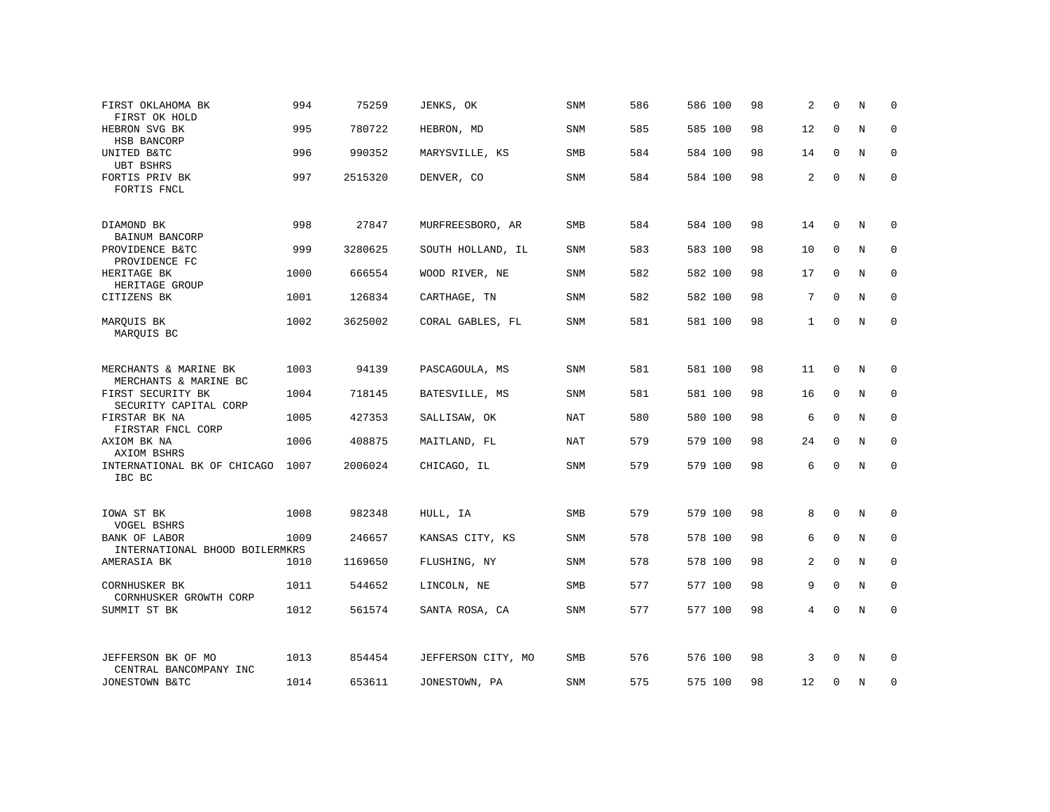| FIRST OKLAHOMA BK<br>FIRST OK HOLD              | 994  | 75259   | JENKS, OK          | SNM        | 586 | 586 100 | 98 | $\overline{a}$  | $\Omega$    | N | $\mathbf 0$  |
|-------------------------------------------------|------|---------|--------------------|------------|-----|---------|----|-----------------|-------------|---|--------------|
| HEBRON SVG BK<br>HSB BANCORP                    | 995  | 780722  | HEBRON, MD         | SNM        | 585 | 585 100 | 98 | 12              | 0           | N | $\mathbf 0$  |
| UNITED B&TC<br>UBT BSHRS                        | 996  | 990352  | MARYSVILLE, KS     | SMB        | 584 | 584 100 | 98 | 14              | 0           | N | $\mathbf 0$  |
| FORTIS PRIV BK<br>FORTIS FNCL                   | 997  | 2515320 | DENVER, CO         | <b>SNM</b> | 584 | 584 100 | 98 | 2               | $\Omega$    | N | $\mathbf 0$  |
| DIAMOND BK<br>BAINUM BANCORP                    | 998  | 27847   | MURFREESBORO, AR   | SMB        | 584 | 584 100 | 98 | 14              | $\Omega$    | N | $\Omega$     |
| PROVIDENCE B&TC<br>PROVIDENCE FC                | 999  | 3280625 | SOUTH HOLLAND, IL  | <b>SNM</b> | 583 | 583 100 | 98 | 10              | 0           | N | $\mathbf 0$  |
| HERITAGE BK<br>HERITAGE GROUP                   | 1000 | 666554  | WOOD RIVER, NE     | <b>SNM</b> | 582 | 582 100 | 98 | 17              | $\mathbf 0$ | N | $\mathbf 0$  |
| CITIZENS BK                                     | 1001 | 126834  | CARTHAGE, TN       | <b>SNM</b> | 582 | 582 100 | 98 | $7\overline{ }$ | $\Omega$    | N | $\mathbf 0$  |
| MARQUIS BK<br>MARQUIS BC                        | 1002 | 3625002 | CORAL GABLES, FL   | <b>SNM</b> | 581 | 581 100 | 98 | $\mathbf{1}$    | $\mathbf 0$ | N | $\mathbf 0$  |
| MERCHANTS & MARINE BK<br>MERCHANTS & MARINE BC  | 1003 | 94139   | PASCAGOULA, MS     | <b>SNM</b> | 581 | 581 100 | 98 | 11              | $\mathbf 0$ | N | $\mathbf 0$  |
| FIRST SECURITY BK<br>SECURITY CAPITAL CORP      | 1004 | 718145  | BATESVILLE, MS     | <b>SNM</b> | 581 | 581 100 | 98 | 16              | $\mathbf 0$ | N | 0            |
| FIRSTAR BK NA<br>FIRSTAR FNCL CORP              | 1005 | 427353  | SALLISAW, OK       | NAT        | 580 | 580 100 | 98 | 6               | 0           | N | 0            |
| AXIOM BK NA<br>AXIOM BSHRS                      | 1006 | 408875  | MAITLAND, FL       | <b>NAT</b> | 579 | 579 100 | 98 | 24              | $\mathbf 0$ | N | $\mathbf 0$  |
| INTERNATIONAL BK OF CHICAGO<br>IBC BC           | 1007 | 2006024 | CHICAGO, IL        | SNM        | 579 | 579 100 | 98 | 6               | $\mathbf 0$ | N | $\mathbf{0}$ |
| IOWA ST BK<br><b>VOGEL BSHRS</b>                | 1008 | 982348  | HULL, IA           | <b>SMB</b> | 579 | 579 100 | 98 | 8               | $\mathbf 0$ | N | 0            |
| BANK OF LABOR<br>INTERNATIONAL BHOOD BOILERMKRS | 1009 | 246657  | KANSAS CITY, KS    | SNM        | 578 | 578 100 | 98 | 6               | $\mathbf 0$ | N | 0            |
| AMERASIA BK                                     | 1010 | 1169650 | FLUSHING, NY       | <b>SNM</b> | 578 | 578 100 | 98 | $\overline{a}$  | $\Omega$    | N | $\Omega$     |
| CORNHUSKER BK<br>CORNHUSKER GROWTH CORP         | 1011 | 544652  | LINCOLN, NE        | SMB        | 577 | 577 100 | 98 | 9               | $\Omega$    | N | $\mathbf 0$  |
| SUMMIT ST BK                                    | 1012 | 561574  | SANTA ROSA, CA     | SNM        | 577 | 577 100 | 98 | 4               | 0           | N | $\mathbf 0$  |
| JEFFERSON BK OF MO<br>CENTRAL BANCOMPANY INC    | 1013 | 854454  | JEFFERSON CITY, MO | <b>SMB</b> | 576 | 576 100 | 98 | 3               | $\Omega$    | N | $\mathbf 0$  |
| JONESTOWN B&TC                                  | 1014 | 653611  | JONESTOWN, PA      | <b>SNM</b> | 575 | 575 100 | 98 | 12              | 0           | N | $\mathbf 0$  |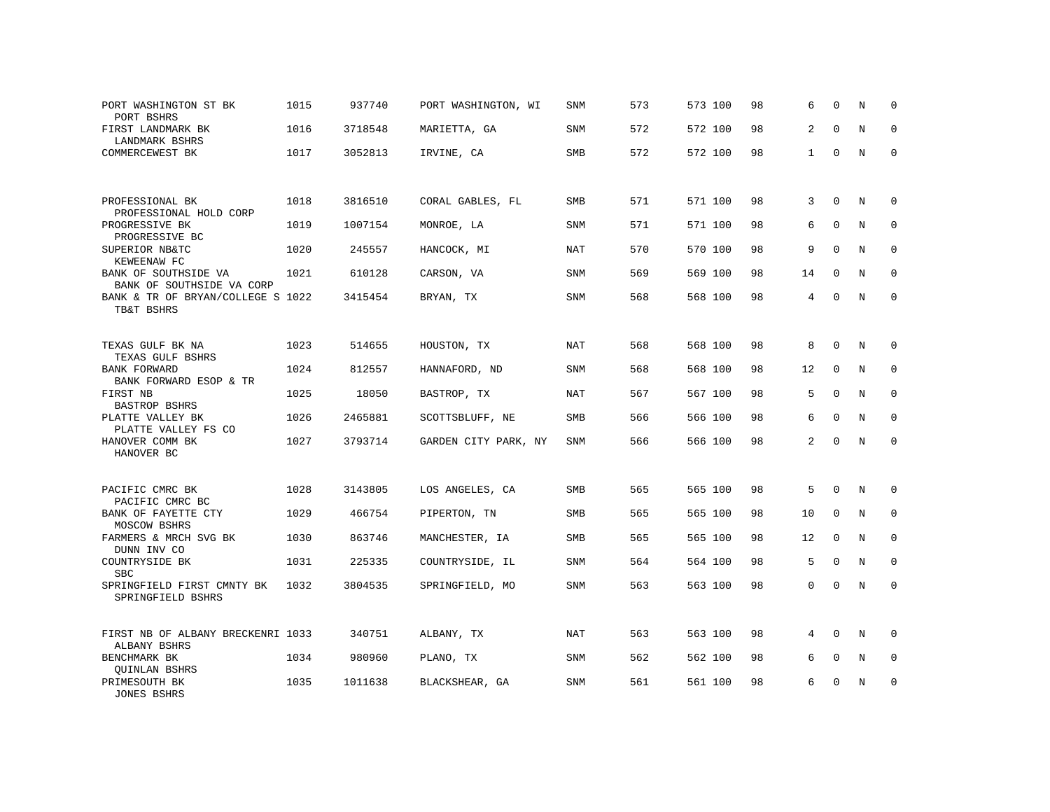| PORT WASHINGTON ST BK<br>PORT BSHRS               | 1015 | 937740  | PORT WASHINGTON, WI  | <b>SNM</b> | 573 | 573 100 | 98 | 6            | $\Omega$    | N | $\mathbf 0$ |
|---------------------------------------------------|------|---------|----------------------|------------|-----|---------|----|--------------|-------------|---|-------------|
| FIRST LANDMARK BK<br>LANDMARK BSHRS               | 1016 | 3718548 | MARIETTA, GA         | <b>SNM</b> | 572 | 572 100 | 98 | 2            | $\Omega$    | N | $\Omega$    |
| COMMERCEWEST BK                                   | 1017 | 3052813 | IRVINE, CA           | SMB        | 572 | 572 100 | 98 | $\mathbf{1}$ | $\Omega$    | N | $\mathbf 0$ |
| PROFESSIONAL BK<br>PROFESSIONAL HOLD CORP         | 1018 | 3816510 | CORAL GABLES, FL     | SMB        | 571 | 571 100 | 98 | 3            | $\Omega$    | N | 0           |
| PROGRESSIVE BK<br>PROGRESSIVE BC                  | 1019 | 1007154 | MONROE, LA           | <b>SNM</b> | 571 | 571 100 | 98 | 6            | $\Omega$    | N | $\Omega$    |
| SUPERIOR NB&TC<br>KEWEENAW FC                     | 1020 | 245557  | HANCOCK, MI          | NAT        | 570 | 570 100 | 98 | 9            | $\Omega$    | N | $\mathbf 0$ |
| BANK OF SOUTHSIDE VA<br>BANK OF SOUTHSIDE VA CORP | 1021 | 610128  | CARSON, VA           | <b>SNM</b> | 569 | 569 100 | 98 | 14           | $\Omega$    | N | $\Omega$    |
| BANK & TR OF BRYAN/COLLEGE S 1022<br>TB&T BSHRS   |      | 3415454 | BRYAN, TX            | SNM        | 568 | 568 100 | 98 | 4            | $\Omega$    | N | $\Omega$    |
| TEXAS GULF BK NA<br>TEXAS GULF BSHRS              | 1023 | 514655  | HOUSTON, TX          | NAT        | 568 | 568 100 | 98 | 8            | $\Omega$    | N | $\Omega$    |
| <b>BANK FORWARD</b><br>BANK FORWARD ESOP & TR     | 1024 | 812557  | HANNAFORD, ND        | <b>SNM</b> | 568 | 568 100 | 98 | 12           | $\Omega$    | N | $\Omega$    |
| FIRST NB<br>BASTROP BSHRS                         | 1025 | 18050   | BASTROP, TX          | NAT        | 567 | 567 100 | 98 | 5            | $\Omega$    | N | $\Omega$    |
| PLATTE VALLEY BK<br>PLATTE VALLEY FS CO           | 1026 | 2465881 | SCOTTSBLUFF, NE      | SMB        | 566 | 566 100 | 98 | 6            | $\mathbf 0$ | N | $\mathbf 0$ |
| HANOVER COMM BK<br>HANOVER BC                     | 1027 | 3793714 | GARDEN CITY PARK, NY | SNM        | 566 | 566 100 | 98 | 2            | $\Omega$    | N | $\Omega$    |
| PACIFIC CMRC BK<br>PACIFIC CMRC BC                | 1028 | 3143805 | LOS ANGELES, CA      | <b>SMB</b> | 565 | 565 100 | 98 | 5            | $\Omega$    | N | $\Omega$    |
| BANK OF FAYETTE CTY<br>MOSCOW BSHRS               | 1029 | 466754  | PIPERTON, TN         | SMB        | 565 | 565 100 | 98 | 10           | $\mathbf 0$ | N | $\mathbf 0$ |
| FARMERS & MRCH SVG BK<br>DUNN INV CO              | 1030 | 863746  | MANCHESTER, IA       | <b>SMB</b> | 565 | 565 100 | 98 | 12           | $\Omega$    | N | $\mathbf 0$ |
| COUNTRYSIDE BK<br><b>SBC</b>                      | 1031 | 225335  | COUNTRYSIDE, IL      | <b>SNM</b> | 564 | 564 100 | 98 | 5            | $\mathbf 0$ | N | $\mathbf 0$ |
| SPRINGFIELD FIRST CMNTY BK<br>SPRINGFIELD BSHRS   | 1032 | 3804535 | SPRINGFIELD, MO      | <b>SNM</b> | 563 | 563 100 | 98 | $\Omega$     | $\Omega$    | N | $\mathbf 0$ |
| FIRST NB OF ALBANY BRECKENRI 1033<br>ALBANY BSHRS |      | 340751  | ALBANY, TX           | NAT        | 563 | 563 100 | 98 | 4            | $\mathbf 0$ | N | $\mathbf 0$ |
| BENCHMARK BK<br><b>QUINLAN BSHRS</b>              | 1034 | 980960  | PLANO, TX            | SNM        | 562 | 562 100 | 98 | 6            | $\mathbf 0$ | N | 0           |
| PRIMESOUTH BK<br><b>JONES BSHRS</b>               | 1035 | 1011638 | BLACKSHEAR, GA       | <b>SNM</b> | 561 | 561 100 | 98 | 6            | $\Omega$    | N | $\mathbf 0$ |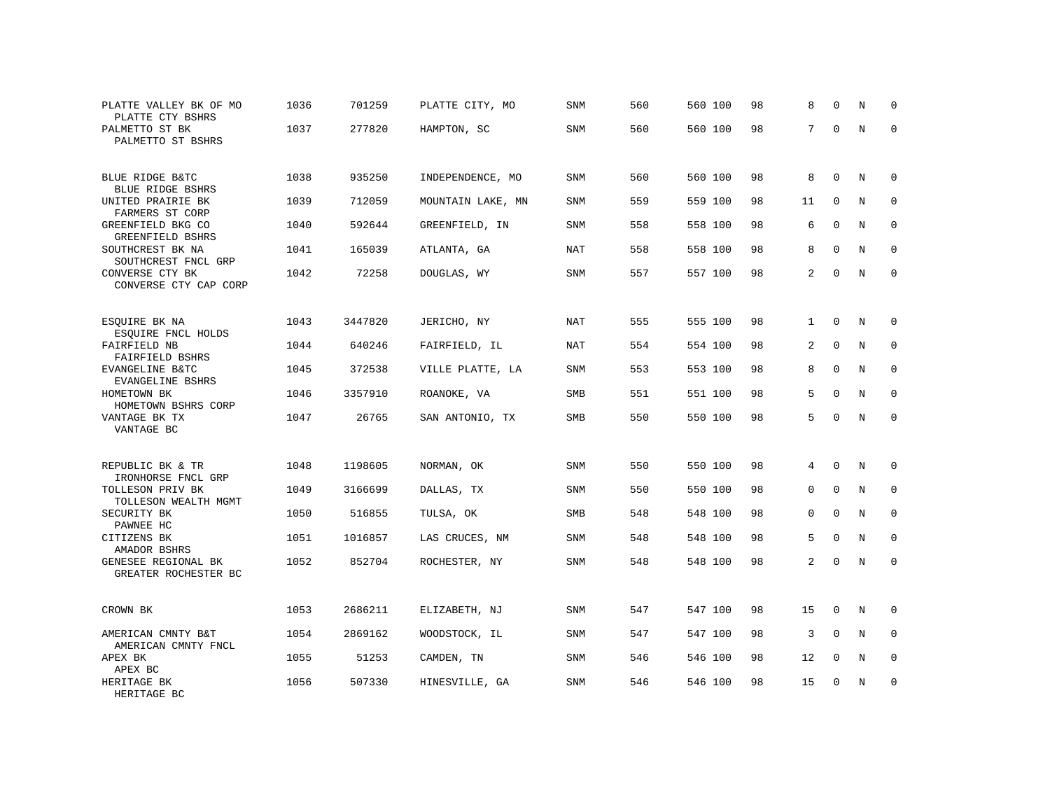| PLATTE VALLEY BK OF MO<br>PLATTE CTY BSHRS                  | 1036 | 701259  | PLATTE CITY, MO   | SNM        | 560 | 560 100 | 98 | 8              | $\Omega$     | N          | $\mathbf 0$ |
|-------------------------------------------------------------|------|---------|-------------------|------------|-----|---------|----|----------------|--------------|------------|-------------|
| PALMETTO ST BK<br>PALMETTO ST BSHRS                         | 1037 | 277820  | HAMPTON, SC       | SNM        | 560 | 560 100 | 98 | 7              | $\mathbf 0$  | N          | $\mathbf 0$ |
| BLUE RIDGE B&TC<br>BLUE RIDGE BSHRS                         | 1038 | 935250  | INDEPENDENCE, MO  | SNM        | 560 | 560 100 | 98 | 8              | $\mathbf{0}$ | N          | $\mathbf 0$ |
| UNITED PRAIRIE BK<br>FARMERS ST CORP                        | 1039 | 712059  | MOUNTAIN LAKE, MN | <b>SNM</b> | 559 | 559 100 | 98 | 11             | $\Omega$     | N          | $\Omega$    |
| GREENFIELD BKG CO<br>GREENFIELD BSHRS                       | 1040 | 592644  | GREENFIELD, IN    | <b>SNM</b> | 558 | 558 100 | 98 | 6              | $\mathbf 0$  | N          | $\mathbf 0$ |
| SOUTHCREST BK NA<br>SOUTHCREST FNCL GRP                     | 1041 | 165039  | ATLANTA, GA       | <b>NAT</b> | 558 | 558 100 | 98 | 8              | $\mathbf{0}$ | N          | $\mathbf 0$ |
| CONVERSE CTY BK<br>CONVERSE CTY CAP CORP                    | 1042 | 72258   | DOUGLAS, WY       | SNM        | 557 | 557 100 | 98 | 2              | $\mathbf{0}$ | N          | $\mathbf 0$ |
| ESQUIRE BK NA                                               | 1043 | 3447820 | JERICHO, NY       | NAT        | 555 | 555 100 | 98 | $\mathbf{1}$   | 0            | N          | 0           |
| ESQUIRE FNCL HOLDS<br>FAIRFIELD NB                          | 1044 | 640246  | FAIRFIELD, IL     | <b>NAT</b> | 554 | 554 100 | 98 | 2              | $\mathbf 0$  | N          | 0           |
| FAIRFIELD BSHRS<br>EVANGELINE B&TC                          | 1045 | 372538  | VILLE PLATTE, LA  | SNM        | 553 | 553 100 | 98 | 8              | $\mathbf 0$  | N          | $\mathbf 0$ |
| EVANGELINE BSHRS<br>HOMETOWN BK                             | 1046 | 3357910 | ROANOKE, VA       | <b>SMB</b> | 551 | 551 100 | 98 | 5              | $\Omega$     | N          | $\mathbf 0$ |
| HOMETOWN BSHRS CORP<br>VANTAGE BK TX<br>VANTAGE BC          | 1047 | 26765   | SAN ANTONIO, TX   | <b>SMB</b> | 550 | 550 100 | 98 | 5              | $\mathbf 0$  | $_{\rm N}$ | $\mathbf 0$ |
| REPUBLIC BK & TR                                            | 1048 | 1198605 | NORMAN, OK        | SNM        | 550 | 550 100 | 98 | 4              | 0            | N          | $\mathbf 0$ |
| IRONHORSE FNCL GRP<br>TOLLESON PRIV BK                      | 1049 | 3166699 | DALLAS, TX        | SNM        | 550 | 550 100 | 98 | 0              | $\mathbf 0$  | N          | $\mathbf 0$ |
| TOLLESON WEALTH MGMT<br>SECURITY BK                         | 1050 | 516855  | TULSA, OK         | SMB        | 548 | 548 100 | 98 | $\mathbf 0$    | $\mathbf 0$  | N          | $\mathbf 0$ |
| PAWNEE HC<br>CITIZENS BK                                    | 1051 | 1016857 | LAS CRUCES, NM    | <b>SNM</b> | 548 | 548 100 | 98 | 5              | $\mathbf 0$  | N          | $\mathbf 0$ |
| AMADOR BSHRS<br>GENESEE REGIONAL BK<br>GREATER ROCHESTER BC | 1052 | 852704  | ROCHESTER, NY     | <b>SNM</b> | 548 | 548 100 | 98 | $\overline{a}$ | $\Omega$     | $_{\rm N}$ | $\Omega$    |
| CROWN BK                                                    | 1053 | 2686211 | ELIZABETH, NJ     | <b>SNM</b> | 547 | 547 100 | 98 | 15             | $\mathbf 0$  | N          | $\mathbf 0$ |
|                                                             |      |         |                   |            |     |         |    |                |              |            |             |
| AMERICAN CMNTY B&T<br>AMERICAN CMNTY FNCL                   | 1054 | 2869162 | WOODSTOCK, IL     | SNM        | 547 | 547 100 | 98 | 3              | $\mathbf 0$  | N          | $\mathbf 0$ |
| APEX BK<br>APEX BC                                          | 1055 | 51253   | CAMDEN, TN        | SNM        | 546 | 546 100 | 98 | 12             | $\mathbf 0$  | N          | $\mathbf 0$ |
| HERITAGE BK<br>HERITAGE BC                                  | 1056 | 507330  | HINESVILLE, GA    | SNM        | 546 | 546 100 | 98 | 15             | 0            | N          | $\mathbf 0$ |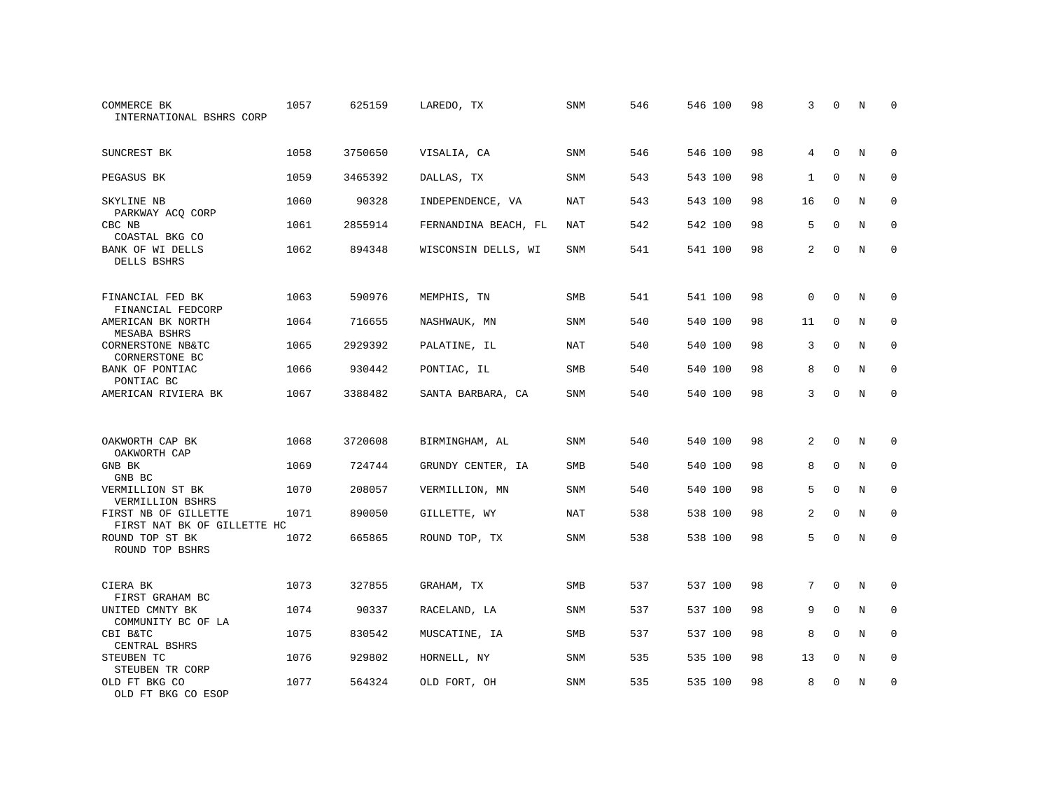| COMMERCE BK<br>INTERNATIONAL BSHRS CORP             | 1057 | 625159  | LAREDO, TX           | SNM        | 546 | 546 100 | 98 | 3              | $\mathbf 0$  | N          | $\Omega$    |
|-----------------------------------------------------|------|---------|----------------------|------------|-----|---------|----|----------------|--------------|------------|-------------|
| SUNCREST BK                                         | 1058 | 3750650 | VISALIA, CA          | SNM        | 546 | 546 100 | 98 | 4              | $\mathbf 0$  | N          | $\mathbf 0$ |
| PEGASUS BK                                          | 1059 | 3465392 | DALLAS, TX           | SNM        | 543 | 543 100 | 98 | 1              | $\mathbf 0$  | N          | $\mathbf 0$ |
| SKYLINE NB<br>PARKWAY ACQ CORP                      | 1060 | 90328   | INDEPENDENCE, VA     | NAT        | 543 | 543 100 | 98 | 16             | $\Omega$     | N          | $\Omega$    |
| CBC NB<br>COASTAL BKG CO                            | 1061 | 2855914 | FERNANDINA BEACH, FL | NAT        | 542 | 542 100 | 98 | 5              | $\mathbf{0}$ | N          | $\mathbf 0$ |
| BANK OF WI DELLS<br>DELLS BSHRS                     | 1062 | 894348  | WISCONSIN DELLS, WI  | <b>SNM</b> | 541 | 541 100 | 98 | $\overline{2}$ | $\Omega$     | N          | $\Omega$    |
| FINANCIAL FED BK<br>FINANCIAL FEDCORP               | 1063 | 590976  | MEMPHIS, TN          | <b>SMB</b> | 541 | 541 100 | 98 | $\Omega$       | $\Omega$     | N          | $\Omega$    |
| AMERICAN BK NORTH<br>MESABA BSHRS                   | 1064 | 716655  | NASHWAUK, MN         | SNM        | 540 | 540 100 | 98 | 11             | $\mathbf 0$  | N          | $\mathbf 0$ |
| CORNERSTONE NB&TC<br>CORNERSTONE BC                 | 1065 | 2929392 | PALATINE, IL         | NAT        | 540 | 540 100 | 98 | 3              | $\Omega$     | N          | $\Omega$    |
| BANK OF PONTIAC<br>PONTIAC BC                       | 1066 | 930442  | PONTIAC, IL          | SMB        | 540 | 540 100 | 98 | 8              | $\mathbf 0$  | N          | $\mathbf 0$ |
| AMERICAN RIVIERA BK                                 | 1067 | 3388482 | SANTA BARBARA, CA    | <b>SNM</b> | 540 | 540 100 | 98 | 3              | $\Omega$     | N          | $\Omega$    |
| OAKWORTH CAP BK<br>OAKWORTH CAP                     | 1068 | 3720608 | BIRMINGHAM, AL       | <b>SNM</b> | 540 | 540 100 | 98 | 2              | $\mathbf{0}$ | N          | $\mathbf 0$ |
| GNB BK<br>GNB BC                                    | 1069 | 724744  | GRUNDY CENTER, IA    | <b>SMB</b> | 540 | 540 100 | 98 | 8              | $\mathbf 0$  | $\rm N$    | $\mathbf 0$ |
| VERMILLION ST BK<br>VERMILLION BSHRS                | 1070 | 208057  | VERMILLION, MN       | <b>SNM</b> | 540 | 540 100 | 98 | 5              | $\Omega$     | N          | $\mathbf 0$ |
| FIRST NB OF GILLETTE<br>FIRST NAT BK OF GILLETTE HC | 1071 | 890050  | GILLETTE, WY         | NAT        | 538 | 538 100 | 98 | 2              | $\mathbf 0$  | N          | $\mathbf 0$ |
| ROUND TOP ST BK<br>ROUND TOP BSHRS                  | 1072 | 665865  | ROUND TOP, TX        | SNM        | 538 | 538 100 | 98 | 5              | $\mathbf 0$  | $\rm N$    | $\mathbf 0$ |
| CIERA BK<br>FIRST GRAHAM BC                         | 1073 | 327855  | GRAHAM, TX           | SMB        | 537 | 537 100 | 98 | 7              | $\Omega$     | $_{\rm N}$ | $\Omega$    |
| UNITED CMNTY BK<br>COMMUNITY BC OF LA               | 1074 | 90337   | RACELAND, LA         | <b>SNM</b> | 537 | 537 100 | 98 | 9              | $\mathbf 0$  | N          | $\mathbf 0$ |
| CBI B&TC<br>CENTRAL BSHRS                           | 1075 | 830542  | MUSCATINE, IA        | <b>SMB</b> | 537 | 537 100 | 98 | 8              | $\Omega$     | N          | $\mathbf 0$ |
| STEUBEN TC<br>STEUBEN TR CORP                       | 1076 | 929802  | HORNELL, NY          | SNM        | 535 | 535 100 | 98 | 13             | $\mathbf 0$  | N          | 0           |
| OLD FT BKG CO<br>OLD FT BKG CO ESOP                 | 1077 | 564324  | OLD FORT, OH         | <b>SNM</b> | 535 | 535 100 | 98 | 8              | $\Omega$     | N          | $\mathbf 0$ |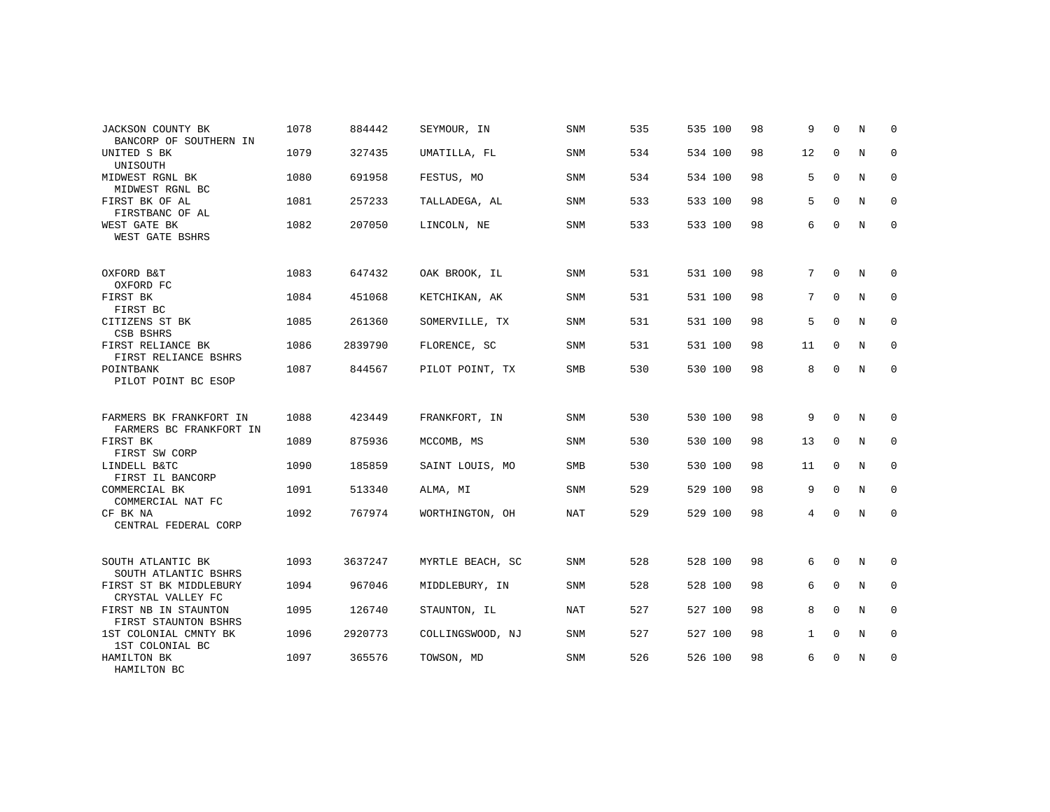| JACKSON COUNTY BK<br>BANCORP OF SOUTHERN IN        | 1078 | 884442  | SEYMOUR, IN      | <b>SNM</b> | 535 | 535 100 | 98 | 9            | $\Omega$     | N | $\mathbf 0$ |
|----------------------------------------------------|------|---------|------------------|------------|-----|---------|----|--------------|--------------|---|-------------|
| UNITED S BK<br>UNISOUTH                            | 1079 | 327435  | UMATILLA, FL     | <b>SNM</b> | 534 | 534 100 | 98 | 12           | $\mathbf 0$  | N | $\mathbf 0$ |
| MIDWEST RGNL BK<br>MIDWEST RGNL BC                 | 1080 | 691958  | FESTUS, MO       | <b>SNM</b> | 534 | 534 100 | 98 | 5            | $\mathbf{0}$ | N | $\mathbf 0$ |
| FIRST BK OF AL<br>FIRSTBANC OF AL                  | 1081 | 257233  | TALLADEGA, AL    | SNM        | 533 | 533 100 | 98 | 5            | $\Omega$     | N | $\mathbf 0$ |
| WEST GATE BK<br>WEST GATE BSHRS                    | 1082 | 207050  | LINCOLN, NE      | <b>SNM</b> | 533 | 533 100 | 98 | 6            | $\Omega$     | N | $\mathbf 0$ |
| OXFORD B&T<br>OXFORD FC                            | 1083 | 647432  | OAK BROOK, IL    | <b>SNM</b> | 531 | 531 100 | 98 | $7^{\circ}$  | $\Omega$     | N | $\mathbf 0$ |
| FIRST BK<br>FIRST BC                               | 1084 | 451068  | KETCHIKAN, AK    | SNM        | 531 | 531 100 | 98 | 7            | $\mathbf 0$  | N | $\mathbf 0$ |
| CITIZENS ST BK<br>CSB BSHRS                        | 1085 | 261360  | SOMERVILLE, TX   | SNM        | 531 | 531 100 | 98 | 5            | $\Omega$     | N | $\mathbf 0$ |
| FIRST RELIANCE BK<br>FIRST RELIANCE BSHRS          | 1086 | 2839790 | FLORENCE, SC     | SNM        | 531 | 531 100 | 98 | 11           | $\mathbf 0$  | N | 0           |
| POINTBANK<br>PILOT POINT BC ESOP                   | 1087 | 844567  | PILOT POINT, TX  | SMB        | 530 | 530 100 | 98 | 8            | $\Omega$     | N | $\mathbf 0$ |
| FARMERS BK FRANKFORT IN<br>FARMERS BC FRANKFORT IN | 1088 | 423449  | FRANKFORT, IN    | SNM        | 530 | 530 100 | 98 | 9            | $\Omega$     | N | 0           |
| FIRST BK<br>FIRST SW CORP                          | 1089 | 875936  | MCCOMB, MS       | <b>SNM</b> | 530 | 530 100 | 98 | 13           | $\mathbf{0}$ | N | $\mathbf 0$ |
| LINDELL B&TC<br>FIRST IL BANCORP                   | 1090 | 185859  | SAINT LOUIS, MO  | SMB        | 530 | 530 100 | 98 | 11           | 0            | N | 0           |
| COMMERCIAL BK<br>COMMERCIAL NAT FC                 | 1091 | 513340  | ALMA, MI         | SNM        | 529 | 529 100 | 98 | 9            | $\Omega$     | N | $\mathbf 0$ |
| CF BK NA<br>CENTRAL FEDERAL CORP                   | 1092 | 767974  | WORTHINGTON, OH  | NAT        | 529 | 529 100 | 98 | 4            | $\Omega$     | N | $\mathbf 0$ |
| SOUTH ATLANTIC BK<br>SOUTH ATLANTIC BSHRS          | 1093 | 3637247 | MYRTLE BEACH, SC | SNM        | 528 | 528 100 | 98 | 6            | $\mathbf 0$  | N | 0           |
| FIRST ST BK MIDDLEBURY<br>CRYSTAL VALLEY FC        | 1094 | 967046  | MIDDLEBURY, IN   | <b>SNM</b> | 528 | 528 100 | 98 | 6            | $\Omega$     | N | $\mathbf 0$ |
| FIRST NB IN STAUNTON<br>FIRST STAUNTON BSHRS       | 1095 | 126740  | STAUNTON, IL     | NAT        | 527 | 527 100 | 98 | 8            | $\mathbf 0$  | N | 0           |
| 1ST COLONIAL CMNTY BK<br>1ST COLONIAL BC           | 1096 | 2920773 | COLLINGSWOOD, NJ | SNM        | 527 | 527 100 | 98 | $\mathbf{1}$ | $\mathbf 0$  | N | $\mathbf 0$ |
| HAMILTON BK<br>HAMILTON BC                         | 1097 | 365576  | TOWSON, MD       | <b>SNM</b> | 526 | 526 100 | 98 | 6            | 0            | N | $\mathbf 0$ |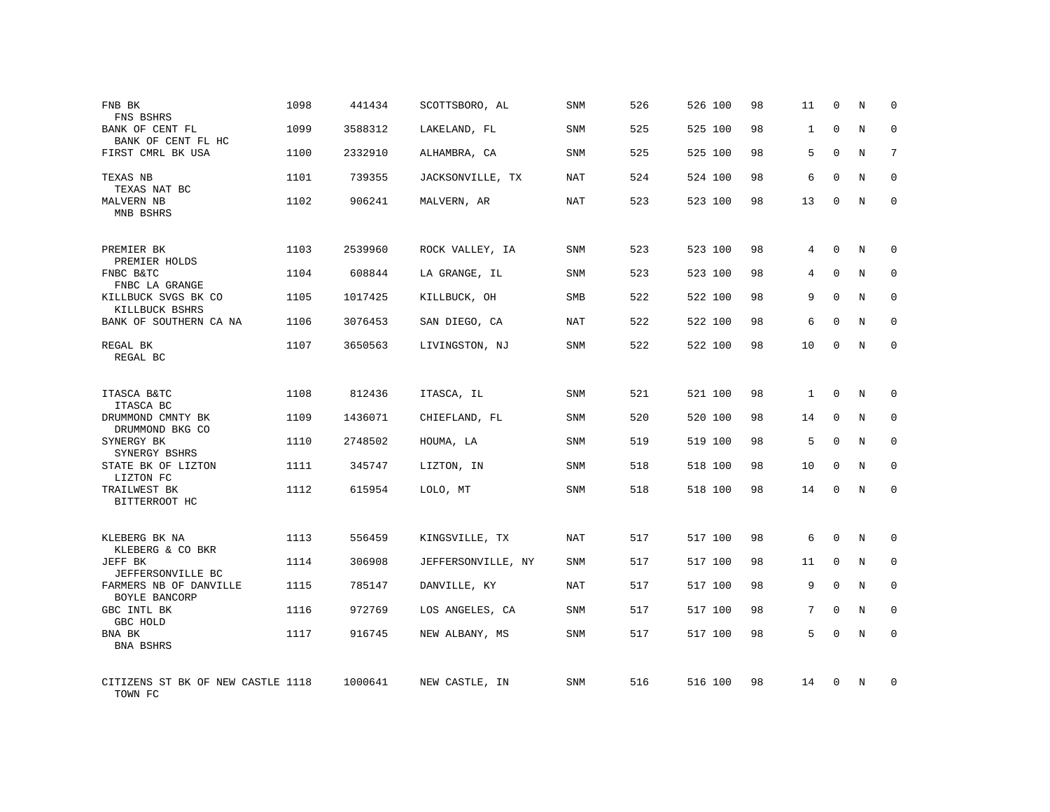| FNB BK<br>FNS BSHRS                          | 1098 | 441434  | SCOTTSBORO, AL     | <b>SNM</b> | 526 | 526 100 | 98 | 11 | $\mathbf 0$ | N | $\mathbf 0$ |
|----------------------------------------------|------|---------|--------------------|------------|-----|---------|----|----|-------------|---|-------------|
| BANK OF CENT FL<br>BANK OF CENT FL HC        | 1099 | 3588312 | LAKELAND, FL       | <b>SNM</b> | 525 | 525 100 | 98 | 1  | $\mathbf 0$ | N | $\mathbf 0$ |
| FIRST CMRL BK USA                            | 1100 | 2332910 | ALHAMBRA, CA       | SNM        | 525 | 525 100 | 98 | 5  | $\Omega$    | N | 7           |
| TEXAS NB<br>TEXAS NAT BC                     | 1101 | 739355  | JACKSONVILLE, TX   | NAT        | 524 | 524 100 | 98 | 6  | $\Omega$    | N | $\mathbf 0$ |
| MALVERN NB<br>MNB BSHRS                      | 1102 | 906241  | MALVERN, AR        | NAT        | 523 | 523 100 | 98 | 13 | $\Omega$    | N | $\mathbf 0$ |
| PREMIER BK                                   | 1103 | 2539960 | ROCK VALLEY, IA    | SNM        | 523 | 523 100 | 98 | 4  | $\Omega$    | N | $\Omega$    |
| PREMIER HOLDS<br>FNBC B&TC<br>FNBC LA GRANGE | 1104 | 608844  | LA GRANGE, IL      | <b>SNM</b> | 523 | 523 100 | 98 | 4  | $\Omega$    | N | $\mathbf 0$ |
| KILLBUCK SVGS BK CO<br>KILLBUCK BSHRS        | 1105 | 1017425 | KILLBUCK, OH       | SMB        | 522 | 522 100 | 98 | 9  | $\Omega$    | N | $\mathbf 0$ |
| BANK OF SOUTHERN CA NA                       | 1106 | 3076453 | SAN DIEGO, CA      | NAT        | 522 | 522 100 | 98 | 6  | $\Omega$    | N | $\Omega$    |
| REGAL BK<br>REGAL BC                         | 1107 | 3650563 | LIVINGSTON, NJ     | SNM        | 522 | 522 100 | 98 | 10 | $\Omega$    | N | $\Omega$    |
| ITASCA B&TC<br>ITASCA BC                     | 1108 | 812436  | ITASCA, IL         | SNM        | 521 | 521 100 | 98 | 1  | $\Omega$    | N | $\Omega$    |
| DRUMMOND CMNTY BK<br>DRUMMOND BKG CO         | 1109 | 1436071 | CHIEFLAND, FL      | SNM        | 520 | 520 100 | 98 | 14 | $\mathbf 0$ | N | $\mathbf 0$ |
| SYNERGY BK<br>SYNERGY BSHRS                  | 1110 | 2748502 | HOUMA, LA          | <b>SNM</b> | 519 | 519 100 | 98 | 5  | $\Omega$    | N | $\mathbf 0$ |
| STATE BK OF LIZTON<br>LIZTON FC              | 1111 | 345747  | LIZTON, IN         | SNM        | 518 | 518 100 | 98 | 10 | $\mathbf 0$ | N | $\mathbf 0$ |
| TRAILWEST BK<br>BITTERROOT HC                | 1112 | 615954  | LOLO, MT           | SNM        | 518 | 518 100 | 98 | 14 | $\Omega$    | N | $\Omega$    |
| KLEBERG BK NA<br>KLEBERG & CO BKR            | 1113 | 556459  | KINGSVILLE, TX     | NAT        | 517 | 517 100 | 98 | 6  | $\Omega$    | N | $\mathbf 0$ |
| JEFF BK<br>JEFFERSONVILLE BC                 | 1114 | 306908  | JEFFERSONVILLE, NY | SNM        | 517 | 517 100 | 98 | 11 | $\mathbf 0$ | N | $\mathbf 0$ |
| FARMERS NB OF DANVILLE<br>BOYLE BANCORP      | 1115 | 785147  | DANVILLE, KY       | NAT        | 517 | 517 100 | 98 | 9  | $\Omega$    | N | $\mathbf 0$ |
| GBC INTL BK<br>GBC HOLD                      | 1116 | 972769  | LOS ANGELES, CA    | SNM        | 517 | 517 100 | 98 | 7  | $\mathbf 0$ | N | $\mathbf 0$ |
| BNA BK<br><b>BNA BSHRS</b>                   | 1117 | 916745  | NEW ALBANY, MS     | <b>SNM</b> | 517 | 517 100 | 98 | 5  | $\Omega$    | N | $\mathbf 0$ |
| CITIZENS ST BK OF NEW CASTLE 1118<br>TOWN FC |      | 1000641 | NEW CASTLE, IN     | <b>SNM</b> | 516 | 516 100 | 98 | 14 | $\Omega$    | N | $\mathbf 0$ |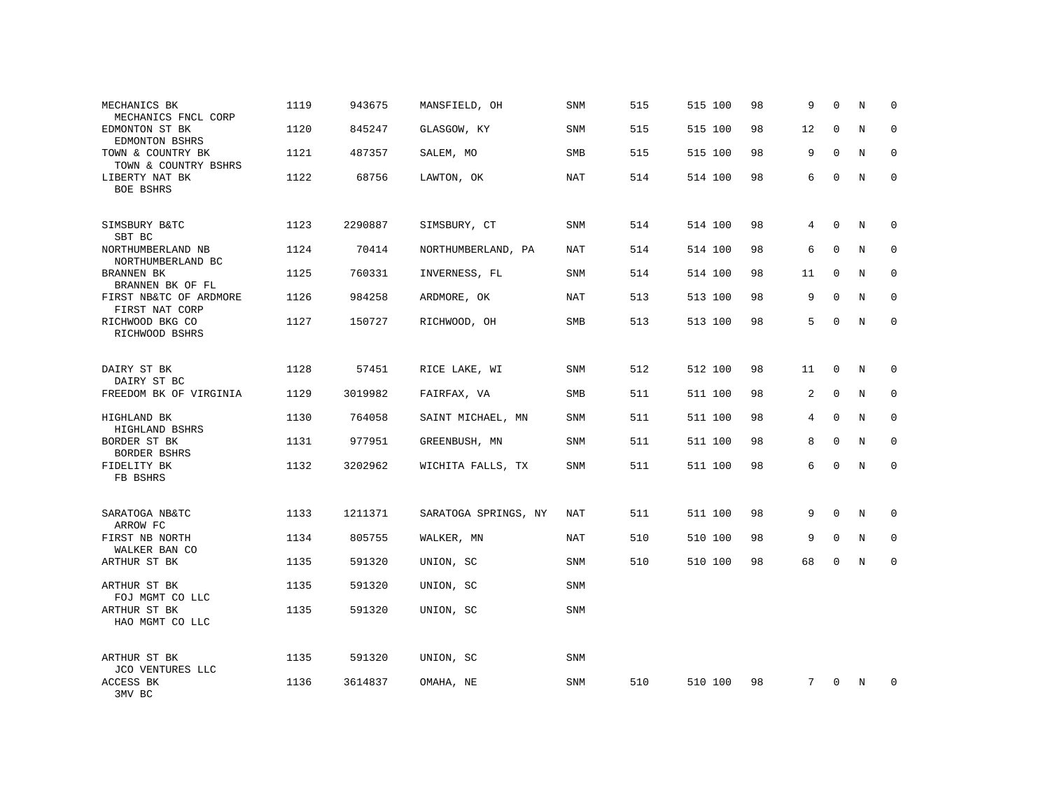| MECHANICS BK<br>MECHANICS FNCL CORP              | 1119 | 943675  | MANSFIELD, OH        | SNM        | 515 | 515 100 | 98 | 9  | $\Omega$     | N       | $\mathbf 0$ |
|--------------------------------------------------|------|---------|----------------------|------------|-----|---------|----|----|--------------|---------|-------------|
| EDMONTON ST BK<br>EDMONTON BSHRS                 | 1120 | 845247  | GLASGOW, KY          | <b>SNM</b> | 515 | 515 100 | 98 | 12 | $\mathbf 0$  | N       | $\mathbf 0$ |
| TOWN & COUNTRY BK<br>TOWN & COUNTRY BSHRS        | 1121 | 487357  | SALEM, MO            | SMB        | 515 | 515 100 | 98 | 9  | $\Omega$     | N       | $\mathbf 0$ |
| LIBERTY NAT BK<br><b>BOE BSHRS</b>               | 1122 | 68756   | LAWTON, OK           | <b>NAT</b> | 514 | 514 100 | 98 | 6  | $\mathbf 0$  | $\rm N$ | $\mathbf 0$ |
| SIMSBURY B&TC                                    | 1123 | 2290887 | SIMSBURY, CT         | SNM        | 514 | 514 100 | 98 | 4  | $\mathbf 0$  | N       | 0           |
| SBT BC<br>NORTHUMBERLAND NB<br>NORTHUMBERLAND BC | 1124 | 70414   | NORTHUMBERLAND, PA   | <b>NAT</b> | 514 | 514 100 | 98 | 6  | $\Omega$     | N       | $\Omega$    |
| BRANNEN BK<br>BRANNEN BK OF FL                   | 1125 | 760331  | INVERNESS, FL        | SNM        | 514 | 514 100 | 98 | 11 | $\mathbf 0$  | N       | $\mathbf 0$ |
| FIRST NB&TC OF ARDMORE<br>FIRST NAT CORP         | 1126 | 984258  | ARDMORE, OK          | <b>NAT</b> | 513 | 513 100 | 98 | 9  | $\Omega$     | N       | $\mathbf 0$ |
| RICHWOOD BKG CO<br>RICHWOOD BSHRS                | 1127 | 150727  | RICHWOOD, OH         | SMB        | 513 | 513 100 | 98 | 5  | $\Omega$     | N       | $\Omega$    |
| DAIRY ST BK<br>DAIRY ST BC                       | 1128 | 57451   | RICE LAKE, WI        | <b>SNM</b> | 512 | 512 100 | 98 | 11 | $\mathbf{0}$ | N       | $\mathbf 0$ |
| FREEDOM BK OF VIRGINIA                           | 1129 | 3019982 | FAIRFAX, VA          | SMB        | 511 | 511 100 | 98 | 2  | $\Omega$     | N       | $\mathbf 0$ |
| HIGHLAND BK<br>HIGHLAND BSHRS                    | 1130 | 764058  | SAINT MICHAEL, MN    | <b>SNM</b> | 511 | 511 100 | 98 | 4  | $\mathbf 0$  | N       | $\mathbf 0$ |
| BORDER ST BK<br>BORDER BSHRS                     | 1131 | 977951  | GREENBUSH, MN        | <b>SNM</b> | 511 | 511 100 | 98 | 8  | $\Omega$     | N       | $\mathbf 0$ |
| FIDELITY BK<br>FB BSHRS                          | 1132 | 3202962 | WICHITA FALLS, TX    | SNM        | 511 | 511 100 | 98 | 6  | $\mathbf 0$  | $\rm N$ | 0           |
| SARATOGA NB&TC<br>ARROW FC                       | 1133 | 1211371 | SARATOGA SPRINGS, NY | NAT        | 511 | 511 100 | 98 | 9  | $\mathbf 0$  | $\rm N$ | 0           |
| FIRST NB NORTH<br>WALKER BAN CO                  | 1134 | 805755  | WALKER, MN           | <b>NAT</b> | 510 | 510 100 | 98 | 9  | $\mathbf{0}$ | N       | $\mathbf 0$ |
| ARTHUR ST BK                                     | 1135 | 591320  | UNION, SC            | SNM        | 510 | 510 100 | 98 | 68 | $\Omega$     | N       | $\mathbf 0$ |
| ARTHUR ST BK<br>FOJ MGMT CO LLC                  | 1135 | 591320  | UNION, SC            | SNM        |     |         |    |    |              |         |             |
| ARTHUR ST BK<br>HAO MGMT CO LLC                  | 1135 | 591320  | UNION, SC            | SNM        |     |         |    |    |              |         |             |
| ARTHUR ST BK<br>JCO VENTURES LLC                 | 1135 | 591320  | UNION, SC            | SNM        |     |         |    |    |              |         |             |
| ACCESS BK<br>3MV BC                              | 1136 | 3614837 | OMAHA, NE            | SNM        | 510 | 510 100 | 98 | 7  | $\Omega$     | N       | $\mathbf 0$ |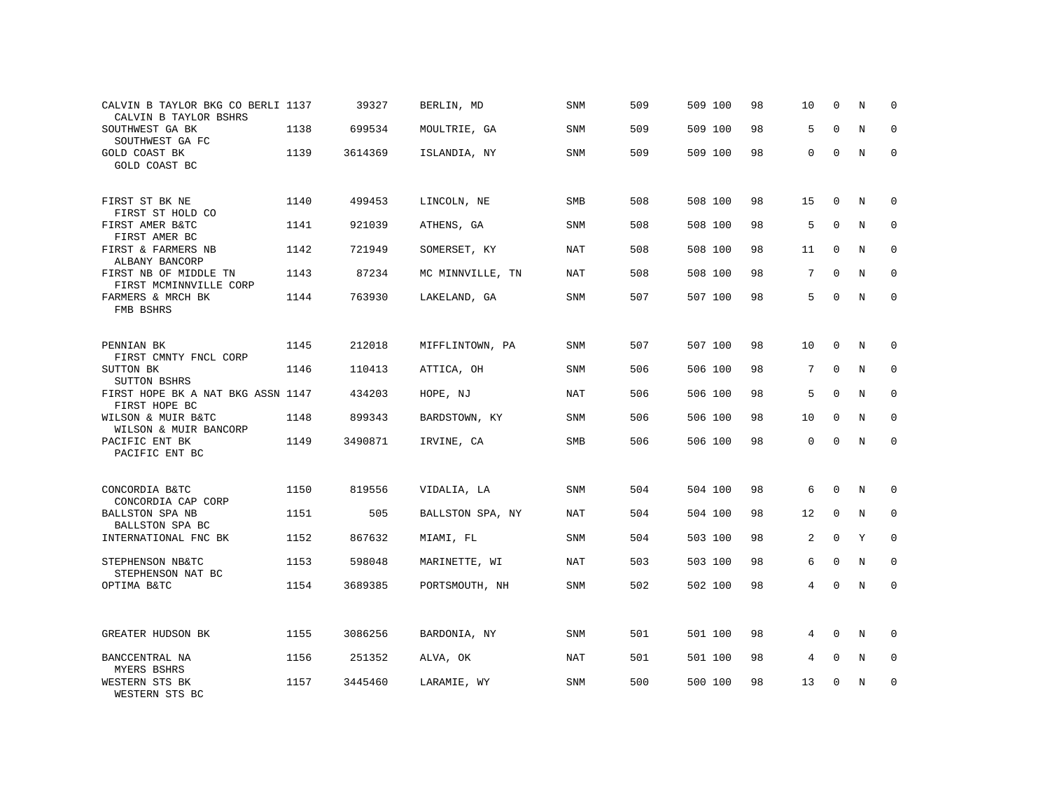| CALVIN B TAYLOR BKG CO BERLI 1137<br>CALVIN B TAYLOR BSHRS |      | 39327   | BERLIN, MD       | SNM        | 509 | 509 100 | 98 | 10       | 0           | N | $\Omega$     |
|------------------------------------------------------------|------|---------|------------------|------------|-----|---------|----|----------|-------------|---|--------------|
| SOUTHWEST GA BK<br>SOUTHWEST GA FC                         | 1138 | 699534  | MOULTRIE, GA     | SNM        | 509 | 509 100 | 98 | 5        | $\mathbf 0$ | N | $\mathbf 0$  |
| <b>GOLD COAST BK</b><br>GOLD COAST BC                      | 1139 | 3614369 | ISLANDIA, NY     | <b>SNM</b> | 509 | 509 100 | 98 | $\Omega$ | $\Omega$    | N | $\Omega$     |
| FIRST ST BK NE<br>FIRST ST HOLD CO                         | 1140 | 499453  | LINCOLN, NE      | <b>SMB</b> | 508 | 508 100 | 98 | 15       | 0           | N | 0            |
| FIRST AMER B&TC<br>FIRST AMER BC                           | 1141 | 921039  | ATHENS, GA       | SNM        | 508 | 508 100 | 98 | 5        | $\mathbf 0$ | N | $\mathbf 0$  |
| FIRST & FARMERS NB<br>ALBANY BANCORP                       | 1142 | 721949  | SOMERSET, KY     | NAT        | 508 | 508 100 | 98 | 11       | $\Omega$    | N | $\mathbf 0$  |
| FIRST NB OF MIDDLE TN<br>FIRST MCMINNVILLE CORP            | 1143 | 87234   | MC MINNVILLE, TN | NAT        | 508 | 508 100 | 98 | 7        | $\Omega$    | N | 0            |
| FARMERS & MRCH BK<br>FMB BSHRS                             | 1144 | 763930  | LAKELAND, GA     | SNM        | 507 | 507 100 | 98 | 5        | $\mathbf 0$ | N | $\mathbf 0$  |
| PENNIAN BK<br>FIRST CMNTY FNCL CORP                        | 1145 | 212018  | MIFFLINTOWN, PA  | <b>SNM</b> | 507 | 507 100 | 98 | 10       | $\Omega$    | N | $\mathbf 0$  |
| SUTTON BK<br><b>SUTTON BSHRS</b>                           | 1146 | 110413  | ATTICA, OH       | <b>SNM</b> | 506 | 506 100 | 98 | 7        | $\mathbf 0$ | N | 0            |
| FIRST HOPE BK A NAT BKG ASSN 1147<br>FIRST HOPE BC         |      | 434203  | HOPE, NJ         | NAT        | 506 | 506 100 | 98 | 5        | $\Omega$    | N | $\mathbf 0$  |
| WILSON & MUIR B&TC<br>WILSON & MUIR BANCORP                | 1148 | 899343  | BARDSTOWN, KY    | SNM        | 506 | 506 100 | 98 | 10       | $\mathbf 0$ | N | 0            |
| PACIFIC ENT BK<br>PACIFIC ENT BC                           | 1149 | 3490871 | IRVINE, CA       | <b>SMB</b> | 506 | 506 100 | 98 | $\Omega$ | $\mathbf 0$ | N | $\mathbf{0}$ |
| CONCORDIA B&TC<br>CONCORDIA CAP CORP                       | 1150 | 819556  | VIDALIA, LA      | <b>SNM</b> | 504 | 504 100 | 98 | 6        | $\mathbf 0$ | N | 0            |
| BALLSTON SPA NB<br>BALLSTON SPA BC                         | 1151 | 505     | BALLSTON SPA, NY | <b>NAT</b> | 504 | 504 100 | 98 | 12       | $\mathbf 0$ | N | $\mathbf 0$  |
| INTERNATIONAL FNC BK                                       | 1152 | 867632  | MIAMI, FL        | <b>SNM</b> | 504 | 503 100 | 98 | 2        | $\Omega$    | Y | $\Omega$     |
| STEPHENSON NB&TC<br>STEPHENSON NAT BC                      | 1153 | 598048  | MARINETTE, WI    | <b>NAT</b> | 503 | 503 100 | 98 | 6        | $\mathbf 0$ | N | $\mathbf 0$  |
| OPTIMA B&TC                                                | 1154 | 3689385 | PORTSMOUTH, NH   | SNM        | 502 | 502 100 | 98 | 4        | $\mathbf 0$ | N | $\Omega$     |
|                                                            | 1155 | 3086256 |                  | <b>SNM</b> | 501 | 501 100 | 98 |          | $\Omega$    | N | $\Omega$     |
| GREATER HUDSON BK                                          |      |         | BARDONIA, NY     |            |     |         |    | 4        |             |   |              |
| BANCCENTRAL NA<br>MYERS BSHRS                              | 1156 | 251352  | ALVA, OK         | <b>NAT</b> | 501 | 501 100 | 98 | 4        | $\mathbf 0$ | N | $\mathbf 0$  |
| WESTERN STS BK<br>WESTERN STS BC                           | 1157 | 3445460 | LARAMIE, WY      | <b>SNM</b> | 500 | 500 100 | 98 | 13       | $\mathbf 0$ | N | $\mathbf 0$  |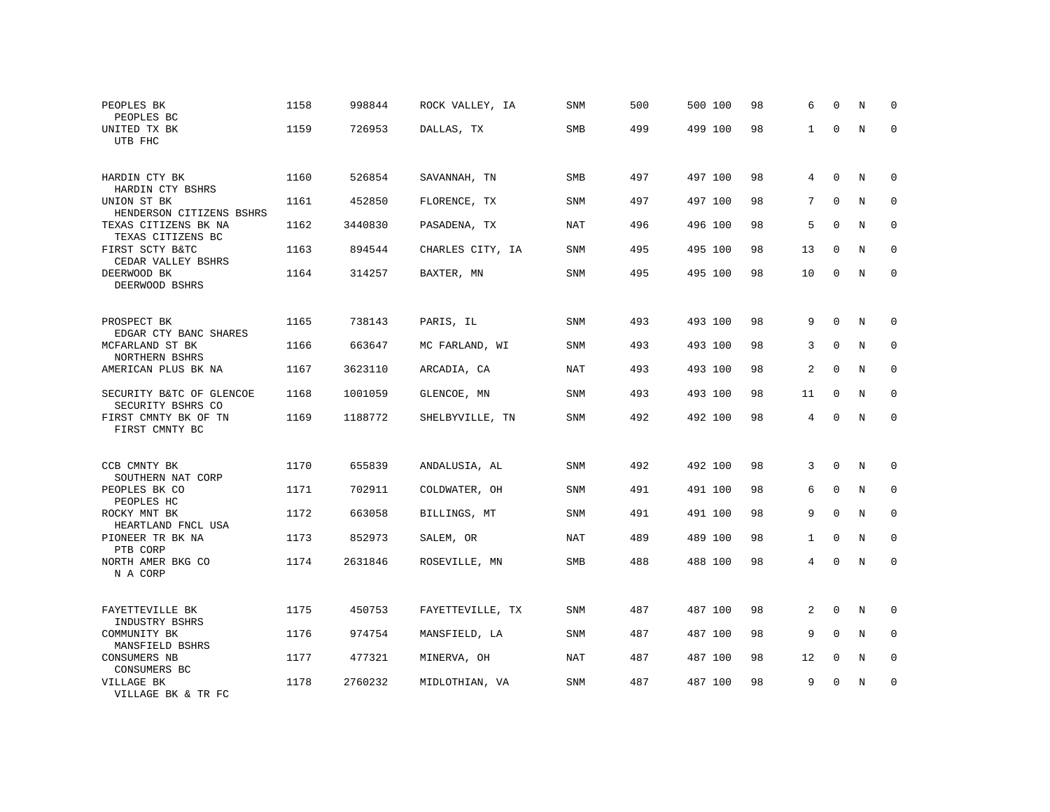| PEOPLES BK<br>PEOPLES BC                                   | 1158 | 998844  | ROCK VALLEY, IA  | SNM        | 500 | 500 100 | 98 | 6              | $\Omega$     | N           | 0           |
|------------------------------------------------------------|------|---------|------------------|------------|-----|---------|----|----------------|--------------|-------------|-------------|
| UNITED TX BK<br>UTB FHC                                    | 1159 | 726953  | DALLAS, TX       | <b>SMB</b> | 499 | 499 100 | 98 | $\mathbf{1}$   | $\mathbf 0$  | N           | $\mathbf 0$ |
| HARDIN CTY BK<br>HARDIN CTY BSHRS                          | 1160 | 526854  | SAVANNAH, TN     | SMB        | 497 | 497 100 | 98 | 4              | 0            | N           | 0           |
| UNION ST BK<br>HENDERSON CITIZENS BSHRS                    | 1161 | 452850  | FLORENCE, TX     | <b>SNM</b> | 497 | 497 100 | 98 | 7              | $\mathbf 0$  | N           | $\mathbf 0$ |
| TEXAS CITIZENS BK NA                                       | 1162 | 3440830 | PASADENA, TX     | NAT        | 496 | 496 100 | 98 | 5              | $\mathbf 0$  | $\mathbf N$ | $\mathbf 0$ |
| TEXAS CITIZENS BC<br>FIRST SCTY B&TC                       | 1163 | 894544  | CHARLES CITY, IA | <b>SNM</b> | 495 | 495 100 | 98 | 13             | $\mathbf 0$  | N           | 0           |
| CEDAR VALLEY BSHRS<br>DEERWOOD BK<br>DEERWOOD BSHRS        | 1164 | 314257  | BAXTER, MN       | SNM        | 495 | 495 100 | 98 | 10             | $\mathbf{0}$ | $\mathbf N$ | $\mathbf 0$ |
| PROSPECT BK                                                | 1165 | 738143  | PARIS, IL        | SNM        | 493 | 493 100 | 98 | 9              | $\mathbf 0$  | N           | 0           |
| EDGAR CTY BANC SHARES<br>MCFARLAND ST BK<br>NORTHERN BSHRS | 1166 | 663647  | MC FARLAND, WI   | SNM        | 493 | 493 100 | 98 | 3              | $\Omega$     | N           | $\mathbf 0$ |
| AMERICAN PLUS BK NA                                        | 1167 | 3623110 | ARCADIA, CA      | NAT        | 493 | 493 100 | 98 | 2              | $\mathbf{0}$ | $\mathbf N$ | $\mathbf 0$ |
| SECURITY B&TC OF GLENCOE<br>SECURITY BSHRS CO              | 1168 | 1001059 | GLENCOE, MN      | SNM        | 493 | 493 100 | 98 | 11             | $\mathbf{0}$ | N           | $\mathbf 0$ |
| FIRST CMNTY BK OF TN<br>FIRST CMNTY BC                     | 1169 | 1188772 | SHELBYVILLE, TN  | SNM        | 492 | 492 100 | 98 | $\overline{4}$ | $\mathbf{0}$ | N           | $\mathbf 0$ |
| CCB CMNTY BK                                               | 1170 | 655839  | ANDALUSIA, AL    | <b>SNM</b> | 492 | 492 100 | 98 | 3              | $\mathbf{0}$ | N           | 0           |
| SOUTHERN NAT CORP<br>PEOPLES BK CO                         | 1171 | 702911  | COLDWATER, OH    | SNM        | 491 | 491 100 | 98 | 6              | $\mathbf 0$  | N           | $\mathbf 0$ |
| PEOPLES HC<br>ROCKY MNT BK                                 | 1172 | 663058  | BILLINGS, MT     | <b>SNM</b> | 491 | 491 100 | 98 | 9              | $\Omega$     | N           | 0           |
| HEARTLAND FNCL USA<br>PIONEER TR BK NA                     | 1173 | 852973  | SALEM, OR        | NAT        | 489 | 489 100 | 98 | $\mathbf{1}$   | $\Omega$     | N           | $\mathbf 0$ |
| PTB CORP<br>NORTH AMER BKG CO<br>N A CORP                  | 1174 | 2631846 | ROSEVILLE, MN    | SMB        | 488 | 488 100 | 98 | 4              | $\mathbf 0$  | N           | $\mathbf 0$ |
| FAYETTEVILLE BK<br>INDUSTRY BSHRS                          | 1175 | 450753  | FAYETTEVILLE, TX | <b>SNM</b> | 487 | 487 100 | 98 | 2              | $\Omega$     | N           | 0           |
| COMMUNITY BK<br>MANSFIELD BSHRS                            | 1176 | 974754  | MANSFIELD, LA    | SNM        | 487 | 487 100 | 98 | 9              | $\mathbf 0$  | N           | 0           |
| CONSUMERS NB<br>CONSUMERS BC                               | 1177 | 477321  | MINERVA, OH      | NAT        | 487 | 487 100 | 98 | 12             | $\mathbf 0$  | N           | 0           |
| VILLAGE BK<br>VILLAGE BK & TR FC                           | 1178 | 2760232 | MIDLOTHIAN, VA   | <b>SNM</b> | 487 | 487 100 | 98 | 9              | $\Omega$     | N           | $\mathbf 0$ |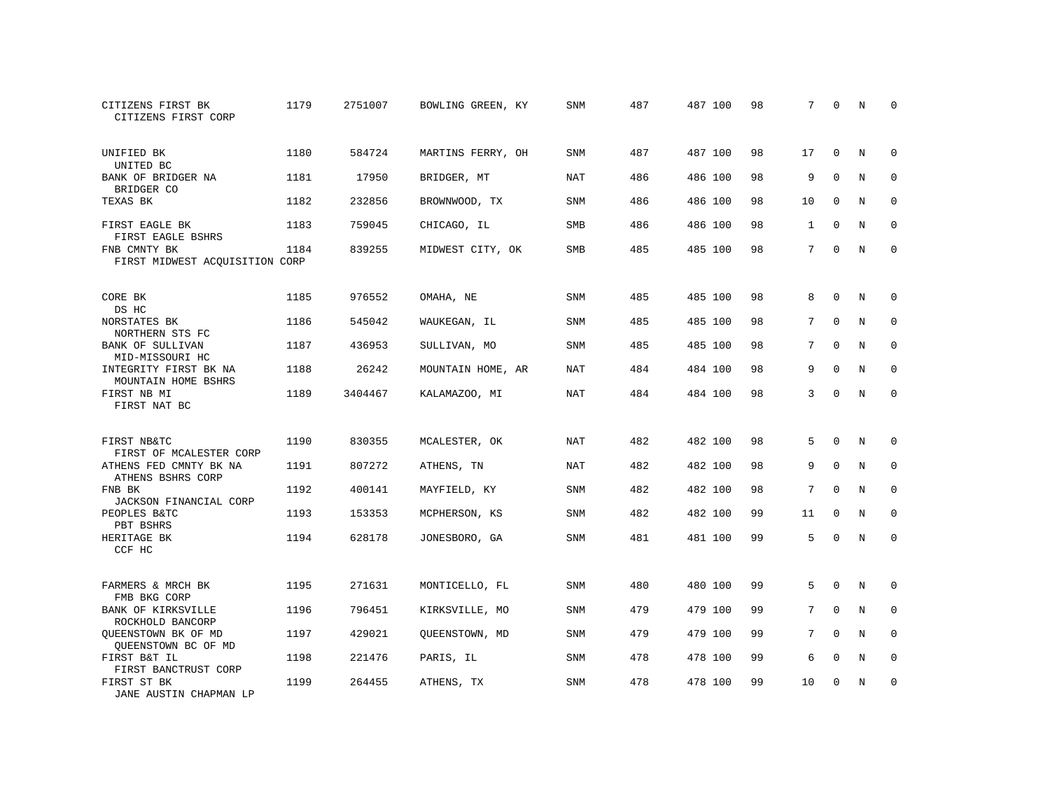| CITIZENS FIRST BK<br>CITIZENS FIRST CORP       | 1179 | 2751007 | BOWLING GREEN, KY | SNM        | 487 | 487 100 | 98 | 7            | $\Omega$    | N          | $\mathbf 0$ |
|------------------------------------------------|------|---------|-------------------|------------|-----|---------|----|--------------|-------------|------------|-------------|
| UNIFIED BK<br>UNITED BC                        | 1180 | 584724  | MARTINS FERRY, OH | SNM        | 487 | 487 100 | 98 | 17           | $\mathbf 0$ | N          | 0           |
| BANK OF BRIDGER NA<br>BRIDGER CO               | 1181 | 17950   | BRIDGER, MT       | <b>NAT</b> | 486 | 486 100 | 98 | 9            | $\Omega$    | N          | $\mathbf 0$ |
| TEXAS BK                                       | 1182 | 232856  | BROWNWOOD, TX     | SNM        | 486 | 486 100 | 98 | 10           | $\Omega$    | N          | $\mathbf 0$ |
| FIRST EAGLE BK<br>FIRST EAGLE BSHRS            | 1183 | 759045  | CHICAGO, IL       | <b>SMB</b> | 486 | 486 100 | 98 | $\mathbf{1}$ | $\Omega$    | N          | $\Omega$    |
| FNB CMNTY BK<br>FIRST MIDWEST ACQUISITION CORP | 1184 | 839255  | MIDWEST CITY, OK  | SMB        | 485 | 485 100 | 98 | 7            | $\Omega$    | N          | $\Omega$    |
| CORE BK<br>DS HC                               | 1185 | 976552  | OMAHA, NE         | SNM        | 485 | 485 100 | 98 | 8            | $\Omega$    | N          | $\Omega$    |
| NORSTATES BK<br>NORTHERN STS FC                | 1186 | 545042  | WAUKEGAN, IL      | SNM        | 485 | 485 100 | 98 | 7            | $\Omega$    | N          | $\Omega$    |
| <b>BANK OF SULLIVAN</b><br>MID-MISSOURI HC     | 1187 | 436953  | SULLIVAN, MO      | SNM        | 485 | 485 100 | 98 | 7            | $\Omega$    | N          | $\mathbf 0$ |
| INTEGRITY FIRST BK NA<br>MOUNTAIN HOME BSHRS   | 1188 | 26242   | MOUNTAIN HOME, AR | NAT        | 484 | 484 100 | 98 | 9            | $\Omega$    | N          | $\Omega$    |
| FIRST NB MI<br>FIRST NAT BC                    | 1189 | 3404467 | KALAMAZOO, MI     | <b>NAT</b> | 484 | 484 100 | 98 | 3            | $\Omega$    | N          | $\Omega$    |
| FIRST NB&TC<br>FIRST OF MCALESTER CORP         | 1190 | 830355  | MCALESTER, OK     | NAT        | 482 | 482 100 | 98 | 5            | $\Omega$    | N          | $\Omega$    |
| ATHENS FED CMNTY BK NA<br>ATHENS BSHRS CORP    | 1191 | 807272  | ATHENS, TN        | NAT        | 482 | 482 100 | 98 | 9            | $\mathbf 0$ | N          | $\mathbf 0$ |
| FNB BK<br>JACKSON FINANCIAL CORP               | 1192 | 400141  | MAYFIELD, KY      | <b>SNM</b> | 482 | 482 100 | 98 | 7            | $\Omega$    | N          | $\Omega$    |
| PEOPLES B&TC<br>PBT BSHRS                      | 1193 | 153353  | MCPHERSON, KS     | <b>SNM</b> | 482 | 482 100 | 99 | 11           | $\mathbf 0$ | N          | $\mathbf 0$ |
| HERITAGE BK<br>CCF HC                          | 1194 | 628178  | JONESBORO, GA     | <b>SNM</b> | 481 | 481 100 | 99 | 5            | $\Omega$    | $_{\rm N}$ | $\Omega$    |
| FARMERS & MRCH BK<br>FMB BKG CORP              | 1195 | 271631  | MONTICELLO, FL    | <b>SNM</b> | 480 | 480 100 | 99 | 5            | $\Omega$    | N          | $\Omega$    |
| BANK OF KIRKSVILLE<br>ROCKHOLD BANCORP         | 1196 | 796451  | KIRKSVILLE, MO    | <b>SNM</b> | 479 | 479 100 | 99 | 7            | $\mathbf 0$ | N          | $\mathbf 0$ |
| QUEENSTOWN BK OF MD<br>QUEENSTOWN BC OF MD     | 1197 | 429021  | OUEENSTOWN, MD    | <b>SNM</b> | 479 | 479 100 | 99 | 7            | $\Omega$    | N          | $\mathbf 0$ |
| FIRST B&T IL<br>FIRST BANCTRUST CORP           | 1198 | 221476  | PARIS, IL         | SNM        | 478 | 478 100 | 99 | 6            | $\mathbf 0$ | N          | 0           |
| FIRST ST BK<br>JANE AUSTIN CHAPMAN LP          | 1199 | 264455  | ATHENS, TX        | <b>SNM</b> | 478 | 478 100 | 99 | 10           | $\Omega$    | N          | $\mathbf 0$ |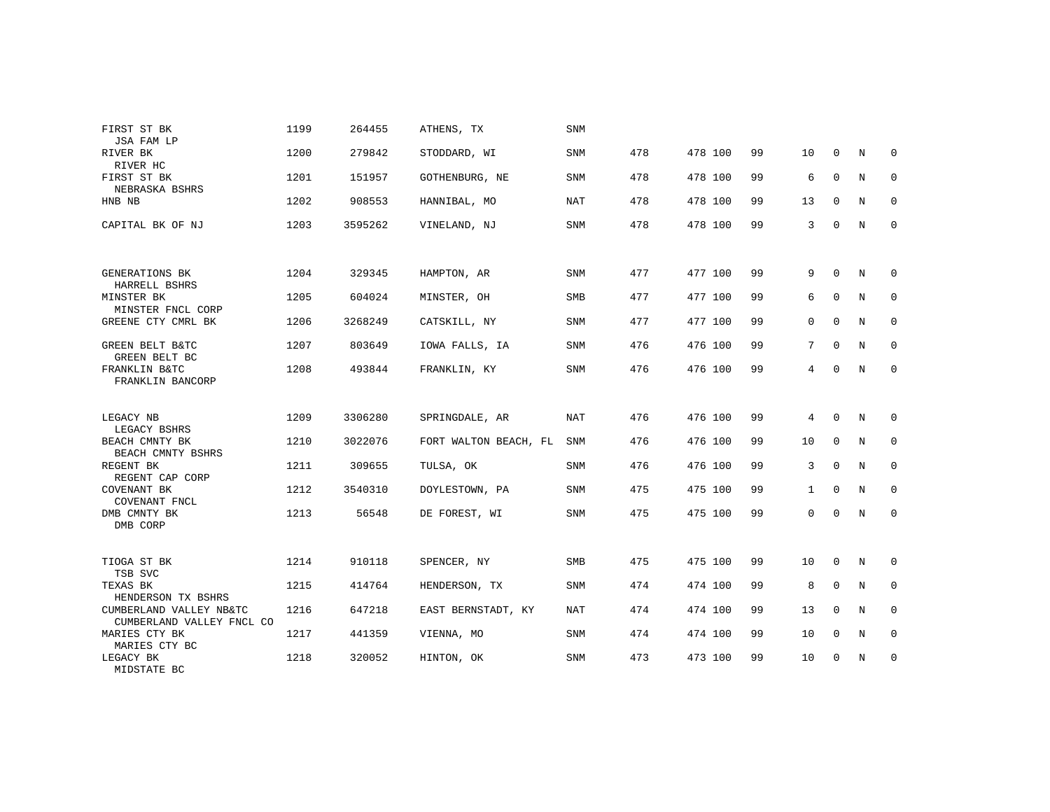| FIRST ST BK<br>JSA FAM LP                            | 1199 | 264455  | ATHENS, TX            | SNM        |     |         |    |              |              |   |              |
|------------------------------------------------------|------|---------|-----------------------|------------|-----|---------|----|--------------|--------------|---|--------------|
| RIVER BK<br>RIVER HC                                 | 1200 | 279842  | STODDARD, WI          | <b>SNM</b> | 478 | 478 100 | 99 | 10           | $\mathbf 0$  | N | $\mathbf 0$  |
| FIRST ST BK<br>NEBRASKA BSHRS                        | 1201 | 151957  | GOTHENBURG, NE        | <b>SNM</b> | 478 | 478 100 | 99 | 6            | $\mathbf 0$  | N | $\mathbf 0$  |
| HNB NB                                               | 1202 | 908553  | HANNIBAL, MO          | NAT        | 478 | 478 100 | 99 | 13           | $\mathbf 0$  | N | $\mathbf 0$  |
| CAPITAL BK OF NJ                                     | 1203 | 3595262 | VINELAND, NJ          | SNM        | 478 | 478 100 | 99 | 3            | $\mathbf 0$  | N | $\mathbf{0}$ |
|                                                      |      |         |                       |            |     |         |    |              |              |   |              |
| GENERATIONS BK<br>HARRELL BSHRS                      | 1204 | 329345  | HAMPTON, AR           | <b>SNM</b> | 477 | 477 100 | 99 | 9            | $\mathbf 0$  | N | 0            |
| MINSTER BK<br>MINSTER FNCL CORP                      | 1205 | 604024  | MINSTER, OH           | SMB        | 477 | 477 100 | 99 | 6            | $\mathbf 0$  | N | $\mathbf 0$  |
| GREENE CTY CMRL BK                                   | 1206 | 3268249 | CATSKILL, NY          | <b>SNM</b> | 477 | 477 100 | 99 | 0            | $\Omega$     | N | $\mathbf 0$  |
| GREEN BELT B&TC<br>GREEN BELT BC                     | 1207 | 803649  | IOWA FALLS, IA        | <b>SNM</b> | 476 | 476 100 | 99 | 7            | $\mathbf 0$  | N | $\mathbf 0$  |
| FRANKLIN B&TC<br>FRANKLIN BANCORP                    | 1208 | 493844  | FRANKLIN, KY          | <b>SNM</b> | 476 | 476 100 | 99 | 4            | $\mathbf 0$  | N | $\mathbf 0$  |
| LEGACY NB                                            | 1209 | 3306280 | SPRINGDALE, AR        | <b>NAT</b> | 476 | 476 100 | 99 | 4            | $\Omega$     | N | $\mathbf 0$  |
| LEGACY BSHRS<br>BEACH CMNTY BK                       | 1210 | 3022076 | FORT WALTON BEACH, FL | SNM        | 476 | 476 100 | 99 | 10           | $\mathbf 0$  | N | 0            |
| BEACH CMNTY BSHRS<br>REGENT BK                       | 1211 | 309655  | TULSA, OK             | <b>SNM</b> | 476 | 476 100 | 99 | 3            | $\mathbf 0$  | N | $\mathbf 0$  |
| REGENT CAP CORP                                      |      |         |                       |            |     |         |    |              |              |   |              |
| COVENANT BK<br>COVENANT FNCL                         | 1212 | 3540310 | DOYLESTOWN, PA        | <b>SNM</b> | 475 | 475 100 | 99 | $\mathbf{1}$ | $\Omega$     | N | $\mathbf 0$  |
| DMB CMNTY BK<br>DMB CORP                             | 1213 | 56548   | DE FOREST, WI         | SNM        | 475 | 475 100 | 99 | 0            | $\mathbf 0$  | N | $\mathbf 0$  |
|                                                      |      |         |                       |            |     |         |    |              |              |   |              |
| TIOGA ST BK<br>TSB SVC                               | 1214 | 910118  | SPENCER, NY           | SMB        | 475 | 475 100 | 99 | 10           | $\mathbf 0$  | N | $\mathbf 0$  |
| TEXAS BK<br>HENDERSON TX BSHRS                       | 1215 | 414764  | HENDERSON, TX         | <b>SNM</b> | 474 | 474 100 | 99 | 8            | $\mathbf 0$  | N | 0            |
| CUMBERLAND VALLEY NB&TC<br>CUMBERLAND VALLEY FNCL CO | 1216 | 647218  | EAST BERNSTADT, KY    | NAT        | 474 | 474 100 | 99 | 13           | $\mathbf 0$  | N | 0            |
| MARIES CTY BK<br>MARIES CTY BC                       | 1217 | 441359  | VIENNA, MO            | <b>SNM</b> | 474 | 474 100 | 99 | 10           | $\mathbf{0}$ | N | $\mathbf 0$  |
| LEGACY BK<br>MIDSTATE BC                             | 1218 | 320052  | HINTON, OK            | SNM        | 473 | 473 100 | 99 | 10           | 0            | N | 0            |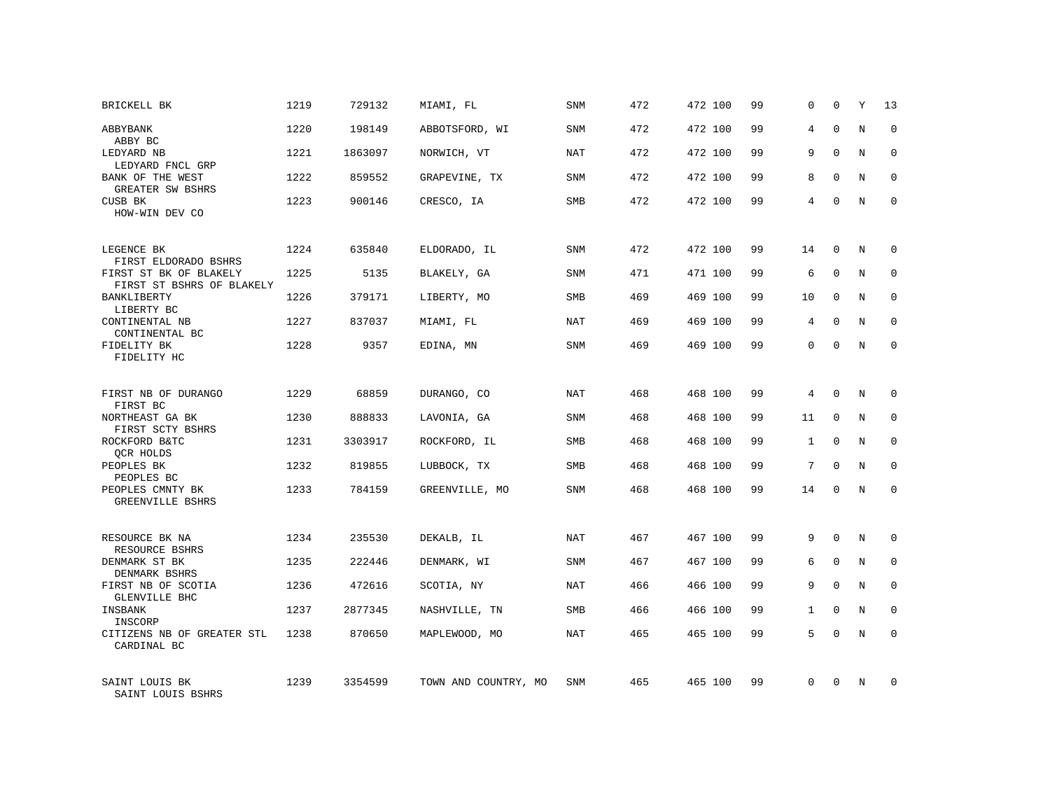| BRICKELL BK                                                                 | 1219 | 729132  | MIAMI, FL            | <b>SNM</b> | 472 | 472 100 | 99 | 0            | $\mathbf 0$  | Υ          | 13          |
|-----------------------------------------------------------------------------|------|---------|----------------------|------------|-----|---------|----|--------------|--------------|------------|-------------|
| ABBYBANK<br>ABBY BC                                                         | 1220 | 198149  | ABBOTSFORD, WI       | <b>SNM</b> | 472 | 472 100 | 99 | 4            | $\Omega$     | N          | $\mathbf 0$ |
| LEDYARD NB<br>LEDYARD FNCL GRP                                              | 1221 | 1863097 | NORWICH, VT          | NAT        | 472 | 472 100 | 99 | 9            | $\Omega$     | N          | $\Omega$    |
| BANK OF THE WEST<br>GREATER SW BSHRS                                        | 1222 | 859552  | GRAPEVINE, TX        | <b>SNM</b> | 472 | 472 100 | 99 | 8            | $\Omega$     | N          | $\mathbf 0$ |
| CUSB BK<br>HOW-WIN DEV CO                                                   | 1223 | 900146  | CRESCO, IA           | <b>SMB</b> | 472 | 472 100 | 99 | 4            | $\Omega$     | N          | $\Omega$    |
| LEGENCE BK                                                                  | 1224 | 635840  | ELDORADO, IL         | <b>SNM</b> | 472 | 472 100 | 99 | 14           | $\mathbf{0}$ | N          | $\mathbf 0$ |
| FIRST ELDORADO BSHRS<br>FIRST ST BK OF BLAKELY<br>FIRST ST BSHRS OF BLAKELY | 1225 | 5135    | BLAKELY, GA          | <b>SNM</b> | 471 | 471 100 | 99 | 6            | $\Omega$     | N          | $\mathbf 0$ |
| BANKLIBERTY<br>LIBERTY BC                                                   | 1226 | 379171  | LIBERTY, MO          | <b>SMB</b> | 469 | 469 100 | 99 | 10           | $\Omega$     | N          | $\mathbf 0$ |
| CONTINENTAL NB<br>CONTINENTAL BC                                            | 1227 | 837037  | MIAMI, FL            | NAT        | 469 | 469 100 | 99 | 4            | $\Omega$     | N          | $\Omega$    |
| FIDELITY BK<br>FIDELITY HC                                                  | 1228 | 9357    | EDINA, MN            | <b>SNM</b> | 469 | 469 100 | 99 | 0            | $\mathbf{0}$ | N          | $\mathbf 0$ |
| FIRST NB OF DURANGO<br>FIRST BC                                             | 1229 | 68859   | DURANGO, CO          | NAT        | 468 | 468 100 | 99 | 4            | $\Omega$     | N          | $\Omega$    |
| NORTHEAST GA BK<br>FIRST SCTY BSHRS                                         | 1230 | 888833  | LAVONIA, GA          | <b>SNM</b> | 468 | 468 100 | 99 | 11           | $\mathbf{0}$ | N          | $\mathbf 0$ |
| ROCKFORD B&TC<br>QCR HOLDS                                                  | 1231 | 3303917 | ROCKFORD, IL         | <b>SMB</b> | 468 | 468 100 | 99 | 1            | $\Omega$     | N          | $\mathbf 0$ |
| PEOPLES BK<br>PEOPLES BC                                                    | 1232 | 819855  | LUBBOCK, TX          | SMB        | 468 | 468 100 | 99 | 7            | $\mathbf{0}$ | N          | 0           |
| PEOPLES CMNTY BK<br>GREENVILLE BSHRS                                        | 1233 | 784159  | GREENVILLE, MO       | <b>SNM</b> | 468 | 468 100 | 99 | 14           | $\Omega$     | N          | $\mathbf 0$ |
| RESOURCE BK NA                                                              | 1234 | 235530  | DEKALB, IL           | <b>NAT</b> | 467 | 467 100 | 99 | 9            | $\mathbf{0}$ | N          | $\mathbf 0$ |
| RESOURCE BSHRS<br>DENMARK ST BK<br>DENMARK BSHRS                            | 1235 | 222446  | DENMARK, WI          | <b>SNM</b> | 467 | 467 100 | 99 | 6            | $\mathbf 0$  | $\rm N$    | $\mathbf 0$ |
| FIRST NB OF SCOTIA<br>GLENVILLE BHC                                         | 1236 | 472616  | SCOTIA, NY           | NAT        | 466 | 466 100 | 99 | 9            | $\Omega$     | N          | $\mathbf 0$ |
| INSBANK<br>INSCORP                                                          | 1237 | 2877345 | NASHVILLE,<br>TN     | <b>SMB</b> | 466 | 466 100 | 99 | $\mathbf{1}$ | $\mathbf{0}$ | N          | $\mathbf 0$ |
| CITIZENS NB OF GREATER STL<br>CARDINAL BC                                   | 1238 | 870650  | MAPLEWOOD, MO        | <b>NAT</b> | 465 | 465 100 | 99 | 5            | $\Omega$     | $_{\rm N}$ | $\Omega$    |
| SAINT LOUIS BK<br>SAINT LOUIS BSHRS                                         | 1239 | 3354599 | TOWN AND COUNTRY, MO | SNM        | 465 | 465 100 | 99 | $\Omega$     | $\Omega$     | N          | $\mathbf 0$ |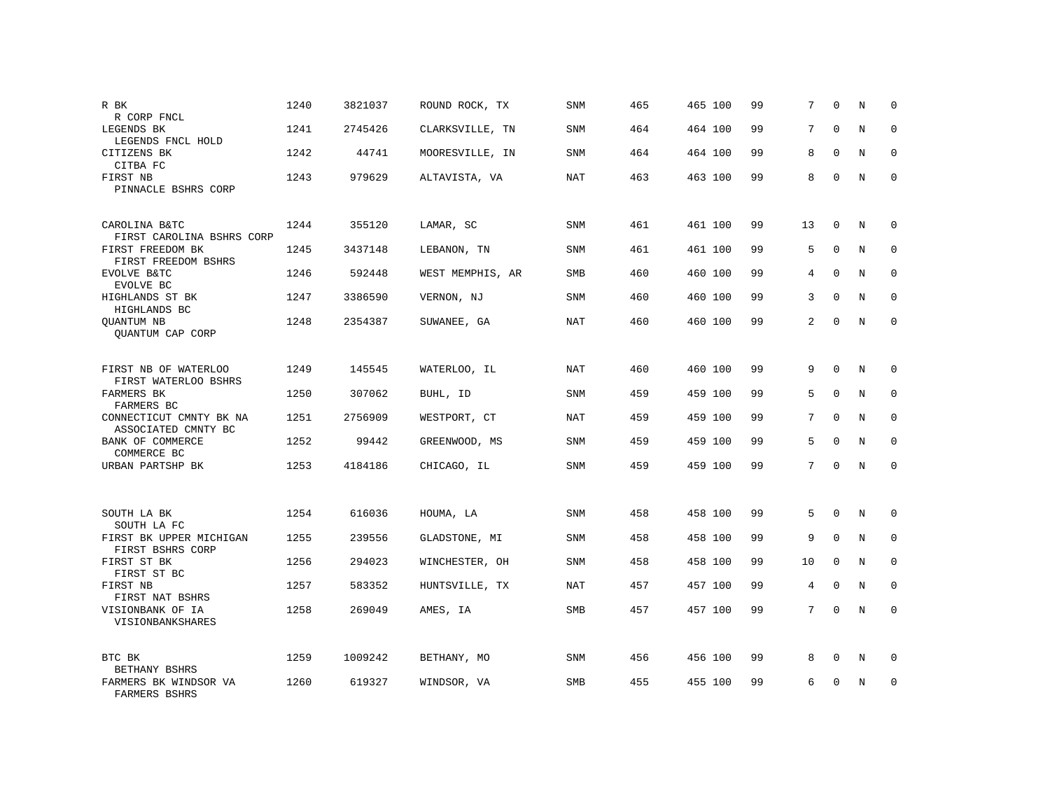| R BK<br>R CORP FNCL                            | 1240 | 3821037 | ROUND ROCK, TX   | <b>SNM</b> | 465 | 465 100 | 99 | 7              | $\Omega$     | N | $\mathbf 0$ |
|------------------------------------------------|------|---------|------------------|------------|-----|---------|----|----------------|--------------|---|-------------|
| LEGENDS BK<br>LEGENDS FNCL HOLD                | 1241 | 2745426 | CLARKSVILLE, TN  | <b>SNM</b> | 464 | 464 100 | 99 | 7              | $\Omega$     | N | $\mathbf 0$ |
| CITIZENS BK<br>CITBA FC                        | 1242 | 44741   | MOORESVILLE, IN  | <b>SNM</b> | 464 | 464 100 | 99 | 8              | $\Omega$     | N | $\Omega$    |
| FIRST NB<br>PINNACLE BSHRS CORP                | 1243 | 979629  | ALTAVISTA, VA    | <b>NAT</b> | 463 | 463 100 | 99 | 8              | $\Omega$     | N | $\Omega$    |
| CAROLINA B&TC                                  | 1244 | 355120  | LAMAR, SC        | SNM        | 461 | 461 100 | 99 | 13             | $\mathbf 0$  | N | $\mathbf 0$ |
| FIRST CAROLINA BSHRS CORP<br>FIRST FREEDOM BK  | 1245 | 3437148 | LEBANON, TN      | <b>SNM</b> | 461 | 461 100 | 99 | 5              | $\mathbf{0}$ | N | $\mathbf 0$ |
| FIRST FREEDOM BSHRS<br>EVOLVE B&TC             | 1246 | 592448  | WEST MEMPHIS, AR | <b>SMB</b> | 460 | 460 100 | 99 | 4              | $\Omega$     | N | $\mathbf 0$ |
| EVOLVE BC<br>HIGHLANDS ST BK<br>HIGHLANDS BC   | 1247 | 3386590 | VERNON, NJ       | <b>SNM</b> | 460 | 460 100 | 99 | 3              | $\Omega$     | N | $\mathbf 0$ |
| QUANTUM NB<br>OUANTUM CAP CORP                 | 1248 | 2354387 | SUWANEE, GA      | <b>NAT</b> | 460 | 460 100 | 99 | $\overline{a}$ | $\Omega$     | N | $\mathbf 0$ |
| FIRST NB OF WATERLOO<br>FIRST WATERLOO BSHRS   | 1249 | 145545  | WATERLOO, IL     | <b>NAT</b> | 460 | 460 100 | 99 | 9              | $\mathbf{0}$ | N | 0           |
| FARMERS BK<br>FARMERS BC                       | 1250 | 307062  | BUHL, ID         | <b>SNM</b> | 459 | 459 100 | 99 | 5              | $\Omega$     | N | $\mathbf 0$ |
| CONNECTICUT CMNTY BK NA<br>ASSOCIATED CMNTY BC | 1251 | 2756909 | WESTPORT, CT     | NAT        | 459 | 459 100 | 99 | 7              | $\Omega$     | N | $\mathbf 0$ |
| BANK OF COMMERCE<br>COMMERCE BC                | 1252 | 99442   | GREENWOOD, MS    | <b>SNM</b> | 459 | 459 100 | 99 | 5              | $\mathbf{0}$ | N | $\mathbf 0$ |
| URBAN PARTSHP BK                               | 1253 | 4184186 | CHICAGO, IL      | <b>SNM</b> | 459 | 459 100 | 99 | 7              | $\mathbf{0}$ | N | $\mathbf 0$ |
|                                                |      |         |                  |            |     |         |    |                |              |   |             |
| SOUTH LA BK<br>SOUTH LA FC                     | 1254 | 616036  | HOUMA, LA        | <b>SNM</b> | 458 | 458 100 | 99 | 5              | $\mathbf{0}$ | N | $\mathbf 0$ |
| FIRST BK UPPER MICHIGAN<br>FIRST BSHRS CORP    | 1255 | 239556  | GLADSTONE, MI    | <b>SNM</b> | 458 | 458 100 | 99 | 9              | $\Omega$     | N | $\mathbf 0$ |
| FIRST ST BK<br>FIRST ST BC                     | 1256 | 294023  | WINCHESTER, OH   | SNM        | 458 | 458 100 | 99 | 10             | $\mathbf 0$  | N | $\mathbf 0$ |
| FIRST NB<br>FIRST NAT BSHRS                    | 1257 | 583352  | HUNTSVILLE, TX   | NAT        | 457 | 457 100 | 99 | 4              | $\mathbf 0$  | N | $\mathbf 0$ |
| VISIONBANK OF IA<br>VISIONBANKSHARES           | 1258 | 269049  | AMES, IA         | SMB        | 457 | 457 100 | 99 | 7              | $\mathbf{0}$ | N | $\mathbf 0$ |
| BTC BK<br>BETHANY BSHRS                        | 1259 | 1009242 | BETHANY, MO      | SNM        | 456 | 456 100 | 99 | 8              | $\mathbf 0$  | N | $\mathbf 0$ |
| FARMERS BK WINDSOR VA<br>FARMERS BSHRS         | 1260 | 619327  | WINDSOR, VA      | SMB        | 455 | 455 100 | 99 | 6              | $\mathbf 0$  | N | $\mathbf 0$ |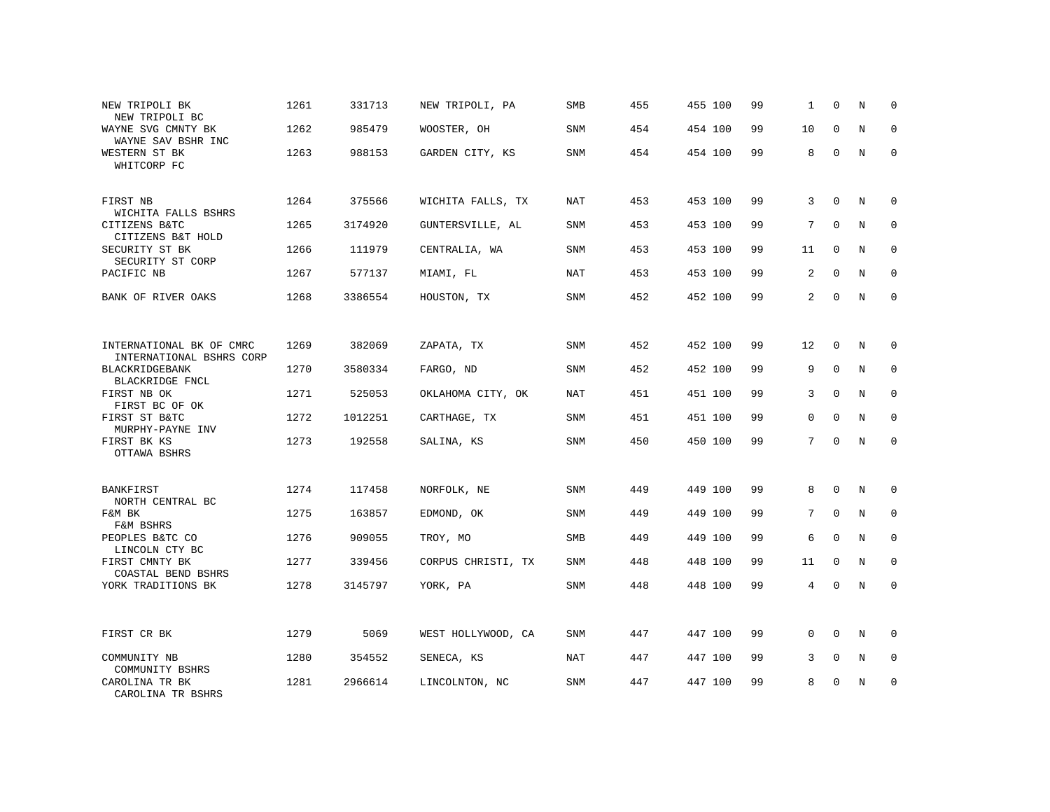| NEW TRIPOLI BK<br>NEW TRIPOLI BC                     | 1261 | 331713  | NEW TRIPOLI, PA    | <b>SMB</b> | 455 | 455 100 | 99 | 1               | 0           | N           | $\mathbf 0$  |
|------------------------------------------------------|------|---------|--------------------|------------|-----|---------|----|-----------------|-------------|-------------|--------------|
| WAYNE SVG CMNTY BK<br>WAYNE SAV BSHR INC             | 1262 | 985479  | WOOSTER, OH        | SNM        | 454 | 454 100 | 99 | 10              | 0           | N           | $\mathbf 0$  |
| WESTERN ST BK<br>WHITCORP FC                         | 1263 | 988153  | GARDEN CITY, KS    | SNM        | 454 | 454 100 | 99 | 8               | $\mathbf 0$ | $\mathbf N$ | $\mathbf 0$  |
| FIRST NB                                             | 1264 | 375566  | WICHITA FALLS, TX  | NAT        | 453 | 453 100 | 99 | 3               | $\Omega$    | N           | $\Omega$     |
| WICHITA FALLS BSHRS<br>CITIZENS B&TC                 | 1265 | 3174920 | GUNTERSVILLE, AL   | <b>SNM</b> | 453 | 453 100 | 99 | 7               | $\Omega$    | N           | $\mathbf 0$  |
| CITIZENS B&T HOLD<br>SECURITY ST BK                  | 1266 | 111979  | CENTRALIA, WA      | <b>SNM</b> | 453 | 453 100 | 99 | 11              | $\mathbf 0$ | N           | $\mathbf 0$  |
| SECURITY ST CORP<br>PACIFIC NB                       | 1267 | 577137  | MIAMI, FL          | NAT        | 453 | 453 100 | 99 | 2               | $\mathbf 0$ | N           | $\mathbf 0$  |
| BANK OF RIVER OAKS                                   | 1268 | 3386554 | HOUSTON, TX        | SNM        | 452 | 452 100 | 99 | 2               | $\mathbf 0$ | $\mathbf N$ | $\mathbf 0$  |
|                                                      |      |         |                    |            |     |         |    |                 |             |             |              |
| INTERNATIONAL BK OF CMRC<br>INTERNATIONAL BSHRS CORP | 1269 | 382069  | ZAPATA, TX         | SNM        | 452 | 452 100 | 99 | 12              | $\mathbf 0$ | N           | $\mathbf 0$  |
| BLACKRIDGEBANK<br>BLACKRIDGE FNCL                    | 1270 | 3580334 | FARGO, ND          | SNM        | 452 | 452 100 | 99 | 9               | $\mathbf 0$ | N           | 0            |
| FIRST NB OK<br>FIRST BC OF OK                        | 1271 | 525053  | OKLAHOMA CITY, OK  | NAT        | 451 | 451 100 | 99 | 3               | $\mathbf 0$ | N           | 0            |
| FIRST ST B&TC<br>MURPHY-PAYNE INV                    | 1272 | 1012251 | CARTHAGE, TX       | SNM        | 451 | 451 100 | 99 | 0               | $\mathbf 0$ | N           | 0            |
| FIRST BK KS<br>OTTAWA BSHRS                          | 1273 | 192558  | SALINA, KS         | SNM        | 450 | 450 100 | 99 | $7\overline{ }$ | $\mathbf 0$ | $\mathbf N$ | $\mathbf{0}$ |
|                                                      |      |         |                    |            |     |         |    |                 |             |             |              |
| BANKFIRST<br>NORTH CENTRAL BC                        | 1274 | 117458  | NORFOLK, NE        | SNM        | 449 | 449 100 | 99 | 8               | $\mathbf 0$ | N           | 0            |
| F&M BK<br>F&M BSHRS                                  | 1275 | 163857  | EDMOND, OK         | SNM        | 449 | 449 100 | 99 | $7\phantom{.}$  | $\mathbf 0$ | N           | 0            |
| PEOPLES B&TC CO<br>LINCOLN CTY BC                    | 1276 | 909055  | TROY, MO           | <b>SMB</b> | 449 | 449 100 | 99 | 6               | $\mathbf 0$ | N           | $\mathbf 0$  |
| FIRST CMNTY BK<br>COASTAL BEND BSHRS                 | 1277 | 339456  | CORPUS CHRISTI, TX | <b>SNM</b> | 448 | 448 100 | 99 | 11              | $\mathbf 0$ | N           | $\mathbf 0$  |
| YORK TRADITIONS BK                                   | 1278 | 3145797 | YORK, PA           | SNM        | 448 | 448 100 | 99 | $\overline{4}$  | $\mathbf 0$ | N           | $\mathbf 0$  |
|                                                      |      |         |                    |            |     |         |    |                 |             |             |              |
| FIRST CR BK                                          | 1279 | 5069    | WEST HOLLYWOOD, CA | <b>SNM</b> | 447 | 447 100 | 99 | 0               | $\mathbf 0$ | N           | $\mathbf 0$  |
| COMMUNITY NB<br>COMMUNITY BSHRS                      | 1280 | 354552  | SENECA, KS         | NAT        | 447 | 447 100 | 99 | 3               | $\mathbf 0$ | N           | $\mathbf 0$  |
| CAROLINA TR BK<br>CAROLINA TR BSHRS                  | 1281 | 2966614 | LINCOLNTON, NC     | SNM        | 447 | 447 100 | 99 | 8               | $\mathbf 0$ | N           | $\mathbf 0$  |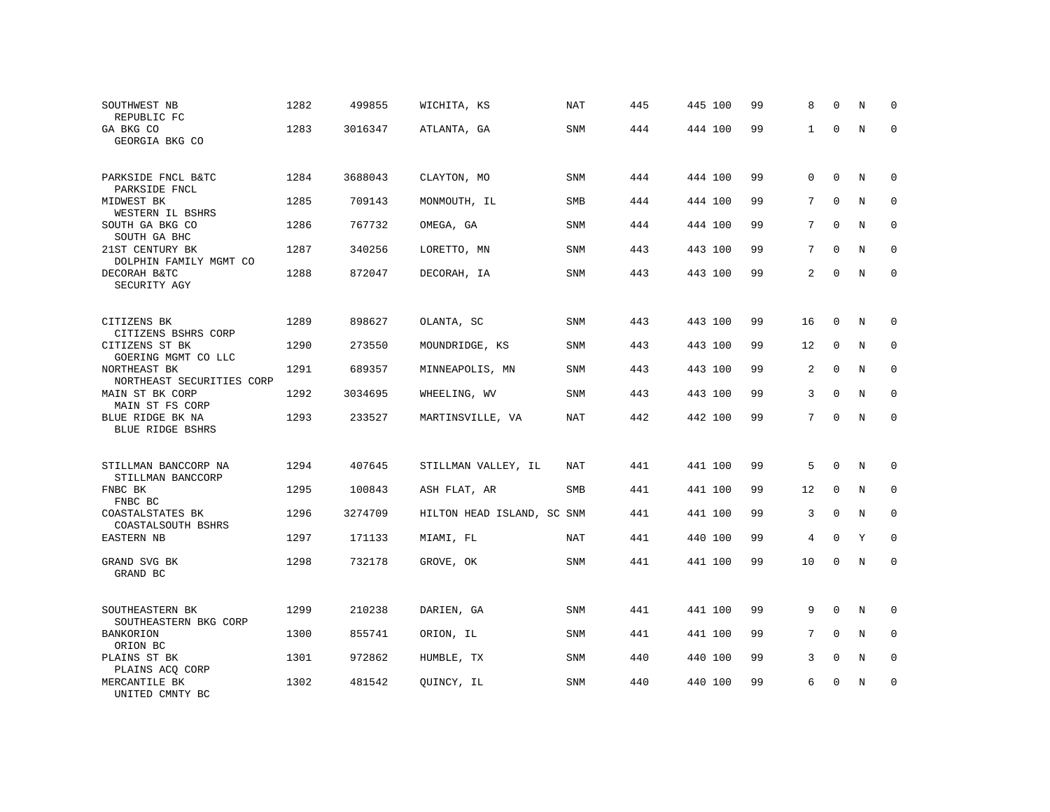| SOUTHWEST NB<br>REPUBLIC FC               | 1282 | 499855  | WICHITA, KS                | NAT        | 445 | 445 100 | 99 | 8            | $\mathbf 0$ | N | $\mathbf 0$ |
|-------------------------------------------|------|---------|----------------------------|------------|-----|---------|----|--------------|-------------|---|-------------|
| GA BKG CO<br>GEORGIA BKG CO               | 1283 | 3016347 | ATLANTA, GA                | <b>SNM</b> | 444 | 444 100 | 99 | $\mathbf{1}$ | $\Omega$    | N | $\Omega$    |
| PARKSIDE FNCL B&TC<br>PARKSIDE FNCL       | 1284 | 3688043 | CLAYTON, MO                | <b>SNM</b> | 444 | 444 100 | 99 | 0            | $\Omega$    | N | $\mathbf 0$ |
| MIDWEST BK<br>WESTERN IL BSHRS            | 1285 | 709143  | MONMOUTH, IL               | SMB        | 444 | 444 100 | 99 | 7            | $\Omega$    | N | $\mathbf 0$ |
| SOUTH GA BKG CO<br>SOUTH GA BHC           | 1286 | 767732  | OMEGA, GA                  | <b>SNM</b> | 444 | 444 100 | 99 | 7            | $\Omega$    | N | $\mathbf 0$ |
| 21ST CENTURY BK<br>DOLPHIN FAMILY MGMT CO | 1287 | 340256  | LORETTO, MN                | <b>SNM</b> | 443 | 443 100 | 99 | 7            | $\Omega$    | N | $\mathbf 0$ |
| DECORAH B&TC<br>SECURITY AGY              | 1288 | 872047  | DECORAH, IA                | SNM        | 443 | 443 100 | 99 | 2            | $\Omega$    | N | $\Omega$    |
| CITIZENS BK<br>CITIZENS BSHRS CORP        | 1289 | 898627  | OLANTA, SC                 | SNM        | 443 | 443 100 | 99 | 16           | $\mathbf 0$ | N | $\mathbf 0$ |
| CITIZENS ST BK<br>GOERING MGMT CO LLC     | 1290 | 273550  | MOUNDRIDGE, KS             | SNM        | 443 | 443 100 | 99 | 12           | $\mathbf 0$ | N | $\mathbf 0$ |
| NORTHEAST BK<br>NORTHEAST SECURITIES CORP | 1291 | 689357  | MINNEAPOLIS, MN            | SNM        | 443 | 443 100 | 99 | 2            | $\mathbf 0$ | N | $\mathbf 0$ |
| MAIN ST BK CORP<br>MAIN ST FS CORP        | 1292 | 3034695 | WHEELING, WV               | SNM        | 443 | 443 100 | 99 | 3            | $\Omega$    | N | $\Omega$    |
| BLUE RIDGE BK NA<br>BLUE RIDGE BSHRS      | 1293 | 233527  | MARTINSVILLE, VA           | NAT        | 442 | 442 100 | 99 | 7            | $\Omega$    | N | $\Omega$    |
| STILLMAN BANCCORP NA<br>STILLMAN BANCCORP | 1294 | 407645  | STILLMAN VALLEY, IL        | NAT        | 441 | 441 100 | 99 | 5            | $\mathbf 0$ | N | $\mathbf 0$ |
| FNBC BK<br>FNBC BC                        | 1295 | 100843  | ASH FLAT, AR               | <b>SMB</b> | 441 | 441 100 | 99 | 12           | $\Omega$    | N | $\Omega$    |
| COASTALSTATES BK<br>COASTALSOUTH BSHRS    | 1296 | 3274709 | HILTON HEAD ISLAND, SC SNM |            | 441 | 441 100 | 99 | 3            | $\mathbf 0$ | N | $\mathbf 0$ |
| <b>EASTERN NB</b>                         | 1297 | 171133  | MIAMI, FL                  | NAT        | 441 | 440 100 | 99 | 4            | $\Omega$    | Y | $\mathbf 0$ |
| GRAND SVG BK<br>GRAND BC                  | 1298 | 732178  | GROVE, OK                  | SNM        | 441 | 441 100 | 99 | 10           | $\mathbf 0$ | N | $\mathbf 0$ |
| SOUTHEASTERN BK<br>SOUTHEASTERN BKG CORP  | 1299 | 210238  | DARIEN, GA                 | SNM        | 441 | 441 100 | 99 | 9            | $\mathbf 0$ | N | $\mathbf 0$ |
| <b>BANKORION</b><br>ORION BC              | 1300 | 855741  | ORION, IL                  | <b>SNM</b> | 441 | 441 100 | 99 | 7            | $\Omega$    | N | $\mathbf 0$ |
| PLAINS ST BK<br>PLAINS ACQ CORP           | 1301 | 972862  | HUMBLE, TX                 | SNM        | 440 | 440 100 | 99 | 3            | $\mathbf 0$ | N | 0           |
| MERCANTILE BK<br>UNITED CMNTY BC          | 1302 | 481542  | QUINCY, IL                 | <b>SNM</b> | 440 | 440 100 | 99 | 6            | $\Omega$    | N | $\mathbf 0$ |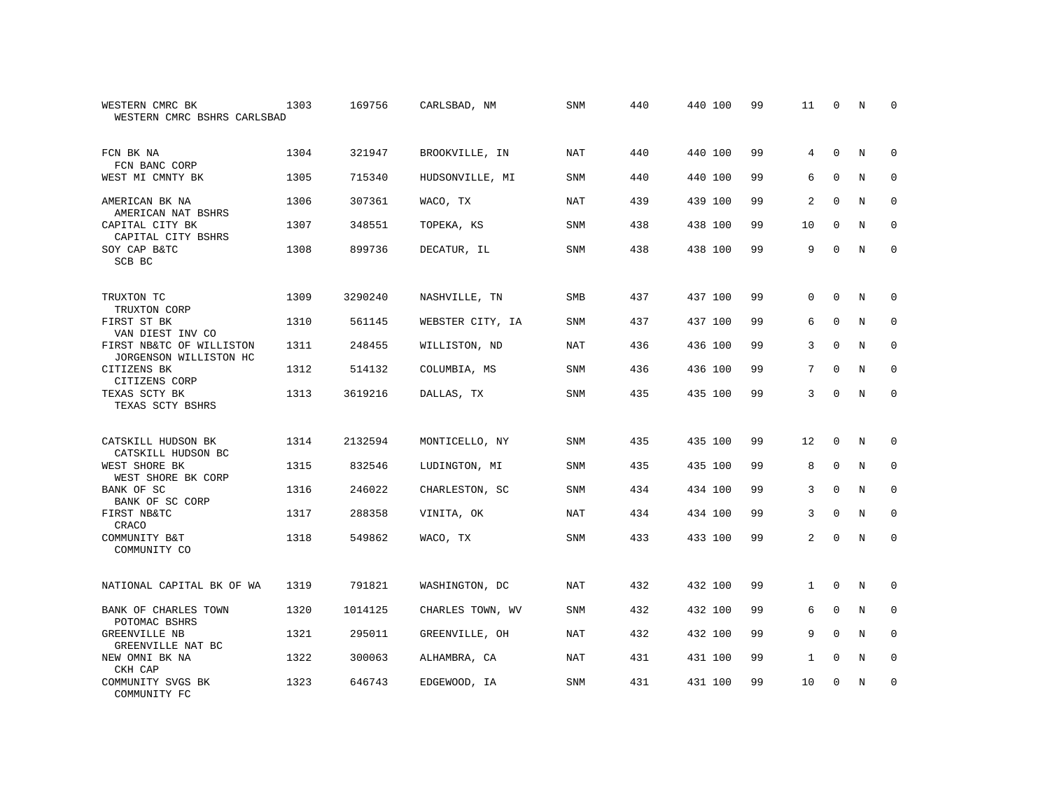| WESTERN CMRC BK<br>WESTERN CMRC BSHRS CARLSBAD     | 1303 | 169756  | CARLSBAD, NM     | SNM        | 440 | 440 100 | 99 | 11             | $\mathbf 0$  | N | $\Omega$    |
|----------------------------------------------------|------|---------|------------------|------------|-----|---------|----|----------------|--------------|---|-------------|
| FCN BK NA<br>FCN BANC CORP                         | 1304 | 321947  | BROOKVILLE, IN   | NAT        | 440 | 440 100 | 99 | 4              | $\Omega$     | N | $\Omega$    |
| WEST MI CMNTY BK                                   | 1305 | 715340  | HUDSONVILLE, MI  | SNM        | 440 | 440 100 | 99 | 6              | $\mathbf 0$  | N | $\mathbf 0$ |
| AMERICAN BK NA<br>AMERICAN NAT BSHRS               | 1306 | 307361  | WACO, TX         | NAT        | 439 | 439 100 | 99 | 2              | $\Omega$     | N | $\Omega$    |
| CAPITAL CITY BK<br>CAPITAL CITY BSHRS              | 1307 | 348551  | TOPEKA, KS       | SNM        | 438 | 438 100 | 99 | 10             | $\mathbf 0$  | N | $\mathbf 0$ |
| SOY CAP B&TC<br>SCB BC                             | 1308 | 899736  | DECATUR, IL      | <b>SNM</b> | 438 | 438 100 | 99 | 9              | $\mathbf 0$  | N | $\mathbf 0$ |
| TRUXTON TC<br>TRUXTON CORP                         | 1309 | 3290240 | NASHVILLE, TN    | <b>SMB</b> | 437 | 437 100 | 99 | 0              | $\mathbf 0$  | N | $\mathbf 0$ |
| FIRST ST BK<br>VAN DIEST INV CO                    | 1310 | 561145  | WEBSTER CITY, IA | <b>SNM</b> | 437 | 437 100 | 99 | 6              | $\Omega$     | N | $\mathbf 0$ |
| FIRST NB&TC OF WILLISTON<br>JORGENSON WILLISTON HC | 1311 | 248455  | WILLISTON, ND    | NAT        | 436 | 436 100 | 99 | 3              | $\Omega$     | N | $\mathbf 0$ |
| CITIZENS BK<br>CITIZENS CORP                       | 1312 | 514132  | COLUMBIA, MS     | <b>SNM</b> | 436 | 436 100 | 99 | 7              | $\Omega$     | N | $\mathbf 0$ |
| TEXAS SCTY BK<br>TEXAS SCTY BSHRS                  | 1313 | 3619216 | DALLAS, TX       | <b>SNM</b> | 435 | 435 100 | 99 | 3              | $\Omega$     | N | $\Omega$    |
| CATSKILL HUDSON BK<br>CATSKILL HUDSON BC           | 1314 | 2132594 | MONTICELLO, NY   | <b>SNM</b> | 435 | 435 100 | 99 | 12             | $\mathbf 0$  | N | $\mathbf 0$ |
| WEST SHORE BK<br>WEST SHORE BK CORP                | 1315 | 832546  | LUDINGTON, MI    | SNM        | 435 | 435 100 | 99 | 8              | $\mathbf 0$  | N | 0           |
| BANK OF SC<br>BANK OF SC CORP                      | 1316 | 246022  | CHARLESTON, SC   | <b>SNM</b> | 434 | 434 100 | 99 | 3              | $\Omega$     | N | $\mathbf 0$ |
| FIRST NB&TC<br>CRACO                               | 1317 | 288358  | VINITA, OK       | NAT        | 434 | 434 100 | 99 | 3              | $\Omega$     | N | $\mathbf 0$ |
| COMMUNITY B&T<br>COMMUNITY CO                      | 1318 | 549862  | WACO, TX         | SNM        | 433 | 433 100 | 99 | $\overline{a}$ | $\Omega$     | N | $\mathbf 0$ |
| NATIONAL CAPITAL BK OF WA                          | 1319 | 791821  | WASHINGTON, DC   | NAT        | 432 | 432 100 | 99 | $\mathbf{1}$   | 0            | N | 0           |
| BANK OF CHARLES TOWN<br>POTOMAC BSHRS              | 1320 | 1014125 | CHARLES TOWN, WV | <b>SNM</b> | 432 | 432 100 | 99 | 6              | $\mathbf{0}$ | N | $\mathbf 0$ |
| GREENVILLE NB<br>GREENVILLE NAT BC                 | 1321 | 295011  | GREENVILLE, OH   | NAT        | 432 | 432 100 | 99 | 9              | $\Omega$     | N | $\mathbf 0$ |
| NEW OMNI BK NA<br>CKH CAP                          | 1322 | 300063  | ALHAMBRA, CA     | <b>NAT</b> | 431 | 431 100 | 99 | $\mathbf{1}$   | $\mathbf 0$  | N | 0           |
| COMMUNITY SVGS BK<br>COMMUNITY FC                  | 1323 | 646743  | EDGEWOOD, IA     | <b>SNM</b> | 431 | 431 100 | 99 | 10             | $\Omega$     | N | $\mathbf 0$ |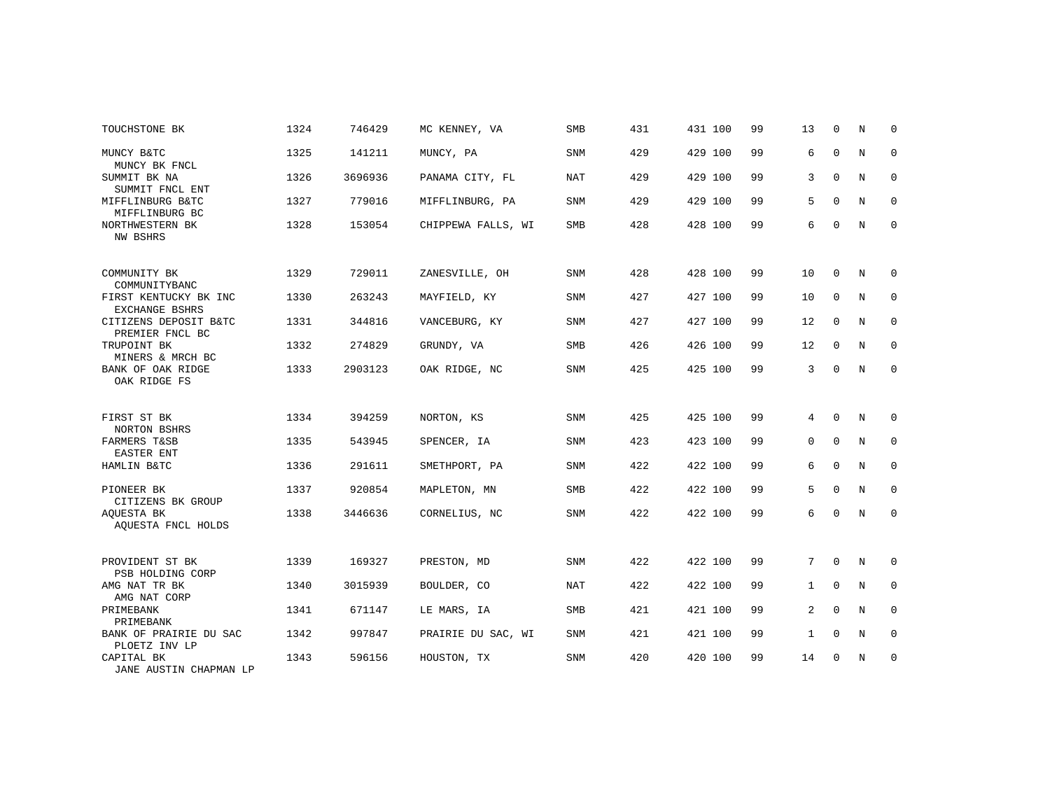| TOUCHSTONE BK                            | 1324 | 746429  | MC KENNEY, VA      | SMB        | 431 | 431 100 | 99 | 13           | $\Omega$     | N              | $\Omega$    |
|------------------------------------------|------|---------|--------------------|------------|-----|---------|----|--------------|--------------|----------------|-------------|
| MUNCY B&TC<br>MUNCY BK FNCL              | 1325 | 141211  | MUNCY, PA          | <b>SNM</b> | 429 | 429 100 | 99 | 6            | $\mathbf{0}$ | N              | $\mathbf 0$ |
| SUMMIT BK NA<br>SUMMIT FNCL ENT          | 1326 | 3696936 | PANAMA CITY, FL    | <b>NAT</b> | 429 | 429 100 | 99 | 3            | $\Omega$     | $\overline{N}$ | $\Omega$    |
| MIFFLINBURG B&TC<br>MIFFLINBURG BC       | 1327 | 779016  | MIFFLINBURG, PA    | <b>SNM</b> | 429 | 429 100 | 99 | 5            | $\Omega$     | N              | $\mathbf 0$ |
| NORTHWESTERN BK<br>NW BSHRS              | 1328 | 153054  | CHIPPEWA FALLS, WI | SMB        | 428 | 428 100 | 99 | 6            | $\mathbf 0$  | N              | $\mathbf 0$ |
| COMMUNITY BK<br>COMMUNITYBANC            | 1329 | 729011  | ZANESVILLE, OH     | <b>SNM</b> | 428 | 428 100 | 99 | 10           | $\mathbf 0$  | N              | $\mathbf 0$ |
| FIRST KENTUCKY BK INC<br>EXCHANGE BSHRS  | 1330 | 263243  | MAYFIELD, KY       | SNM        | 427 | 427 100 | 99 | 10           | $\mathbf 0$  | N              | 0           |
| CITIZENS DEPOSIT B&TC<br>PREMIER FNCL BC | 1331 | 344816  | VANCEBURG, KY      | <b>SNM</b> | 427 | 427 100 | 99 | 12           | $\Omega$     | N              | $\mathbf 0$ |
| TRUPOINT BK<br>MINERS & MRCH BC          | 1332 | 274829  | GRUNDY, VA         | SMB        | 426 | 426 100 | 99 | 12           | $\mathbf 0$  | N              | $\mathbf 0$ |
| BANK OF OAK RIDGE<br>OAK RIDGE FS        | 1333 | 2903123 | OAK RIDGE, NC      | <b>SNM</b> | 425 | 425 100 | 99 | 3            | $\mathbf 0$  | N              | $\mathbf 0$ |
| FIRST ST BK<br>NORTON BSHRS              | 1334 | 394259  | NORTON, KS         | SNM        | 425 | 425 100 | 99 | 4            | $\Omega$     | N              | $\mathbf 0$ |
| <b>FARMERS T&amp;SB</b><br>EASTER ENT    | 1335 | 543945  | SPENCER, IA        | SNM        | 423 | 423 100 | 99 | 0            | $\mathbf 0$  | N              | $\mathbf 0$ |
| HAMLIN B&TC                              | 1336 | 291611  | SMETHPORT, PA      | <b>SNM</b> | 422 | 422 100 | 99 | 6            | $\mathbf 0$  | N              | $\mathbf 0$ |
| PIONEER BK<br>CITIZENS BK GROUP          | 1337 | 920854  | MAPLETON, MN       | SMB        | 422 | 422 100 | 99 | 5            | $\Omega$     | N              | $\mathbf 0$ |
| AOUESTA BK<br>AQUESTA FNCL HOLDS         | 1338 | 3446636 | CORNELIUS, NC      | <b>SNM</b> | 422 | 422 100 | 99 | 6            | $\mathbf 0$  | N              | $\mathbf 0$ |
| PROVIDENT ST BK<br>PSB HOLDING CORP      | 1339 | 169327  | PRESTON, MD        | <b>SNM</b> | 422 | 422 100 | 99 | 7            | $\mathbf 0$  | N              | $\mathbf 0$ |
| AMG NAT TR BK<br>AMG NAT CORP            | 1340 | 3015939 | BOULDER, CO        | <b>NAT</b> | 422 | 422 100 | 99 | $\mathbf{1}$ | $\Omega$     | N              | $\mathbf 0$ |
| PRIMEBANK<br>PRIMEBANK                   | 1341 | 671147  | LE MARS, IA        | <b>SMB</b> | 421 | 421 100 | 99 | 2            | $\Omega$     | N              | $\mathbf 0$ |
| BANK OF PRAIRIE DU SAC<br>PLOETZ INV LP  | 1342 | 997847  | PRAIRIE DU SAC, WI | <b>SNM</b> | 421 | 421 100 | 99 | $\mathbf{1}$ | $\mathbf 0$  | N              | $\mathbf 0$ |
| CAPITAL BK<br>JANE AUSTIN CHAPMAN LP     | 1343 | 596156  | HOUSTON, TX        | <b>SNM</b> | 420 | 420 100 | 99 | 14           | $\mathbf 0$  | N              | $\mathbf 0$ |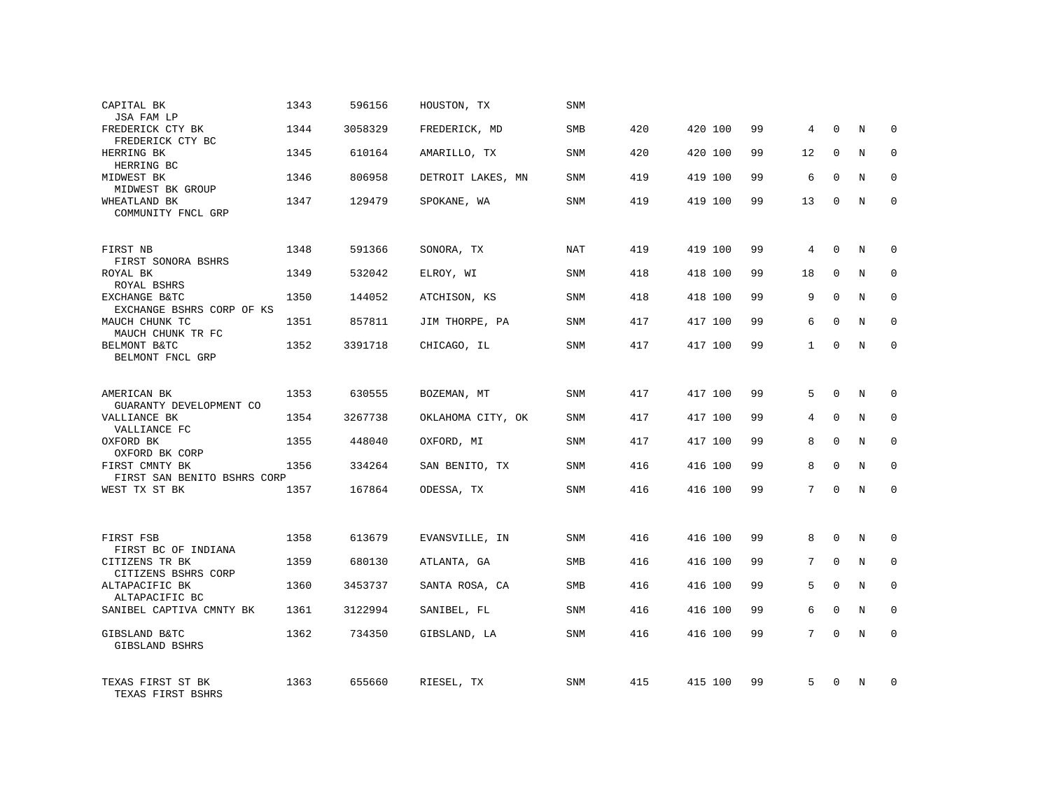| CAPITAL BK<br>JSA FAM LP                      | 1343 | 596156  | HOUSTON, TX       | SNM        |     |         |    |                |             |   |             |
|-----------------------------------------------|------|---------|-------------------|------------|-----|---------|----|----------------|-------------|---|-------------|
| FREDERICK CTY BK<br>FREDERICK CTY BC          | 1344 | 3058329 | FREDERICK, MD     | <b>SMB</b> | 420 | 420 100 | 99 | 4              | $\Omega$    | N | $\Omega$    |
| HERRING BK<br>HERRING BC                      | 1345 | 610164  | AMARILLO, TX      | SNM        | 420 | 420 100 | 99 | 12             | $\mathbf 0$ | N | $\Omega$    |
| MIDWEST BK<br>MIDWEST BK GROUP                | 1346 | 806958  | DETROIT LAKES, MN | <b>SNM</b> | 419 | 419 100 | 99 | 6              | $\Omega$    | N | $\Omega$    |
| WHEATLAND BK<br>COMMUNITY FNCL GRP            | 1347 | 129479  | SPOKANE, WA       | <b>SNM</b> | 419 | 419 100 | 99 | 13             | $\Omega$    | N | $\Omega$    |
| FIRST NB                                      | 1348 | 591366  | SONORA, TX        | NAT        | 419 | 419 100 | 99 | 4              | $\Omega$    | N | $\Omega$    |
| FIRST SONORA BSHRS<br>ROYAL BK<br>ROYAL BSHRS | 1349 | 532042  | ELROY, WI         | <b>SNM</b> | 418 | 418 100 | 99 | 18             | $\mathbf 0$ | N | $\mathbf 0$ |
| EXCHANGE B&TC<br>EXCHANGE BSHRS CORP OF KS    | 1350 | 144052  | ATCHISON, KS      | <b>SNM</b> | 418 | 418 100 | 99 | 9              | $\Omega$    | N | $\Omega$    |
| MAUCH CHUNK TC<br>MAUCH CHUNK TR FC           | 1351 | 857811  | JIM THORPE, PA    | SNM        | 417 | 417 100 | 99 | 6              | $\Omega$    | N | $\Omega$    |
| BELMONT B&TC<br>BELMONT FNCL GRP              | 1352 | 3391718 | CHICAGO, IL       | <b>SNM</b> | 417 | 417 100 | 99 | $\mathbf{1}$   | $\Omega$    | N | $\Omega$    |
| AMERICAN BK<br>GUARANTY DEVELOPMENT CO        | 1353 | 630555  | BOZEMAN, MT       | <b>SNM</b> | 417 | 417 100 | 99 | 5              | $\Omega$    | N | $\Omega$    |
| VALLIANCE BK<br>VALLIANCE FC                  | 1354 | 3267738 | OKLAHOMA CITY, OK | <b>SNM</b> | 417 | 417 100 | 99 | $\overline{4}$ | $\Omega$    | N | $\Omega$    |
| OXFORD BK<br>OXFORD BK CORP                   | 1355 | 448040  | OXFORD, MI        | <b>SNM</b> | 417 | 417 100 | 99 | 8              | $\Omega$    | N | $\mathbf 0$ |
| FIRST CMNTY BK<br>FIRST SAN BENITO BSHRS CORP | 1356 | 334264  | SAN BENITO, TX    | <b>SNM</b> | 416 | 416 100 | 99 | 8              | $\Omega$    | N | $\mathbf 0$ |
| WEST TX ST BK                                 | 1357 | 167864  | ODESSA, TX        | <b>SNM</b> | 416 | 416 100 | 99 | 7              | $\Omega$    | N | $\mathbf 0$ |
| FIRST FSB<br>FIRST BC OF INDIANA              | 1358 | 613679  | EVANSVILLE, IN    | SNM        | 416 | 416 100 | 99 | 8              | $\mathbf 0$ | N | $\mathbf 0$ |
| CITIZENS TR BK<br>CITIZENS BSHRS CORP         | 1359 | 680130  | ATLANTA, GA       | <b>SMB</b> | 416 | 416 100 | 99 | $7^{\circ}$    | $\Omega$    | N | $\mathbf 0$ |
| ALTAPACIFIC BK<br>ALTAPACIFIC BC              | 1360 | 3453737 | SANTA ROSA, CA    | SMB        | 416 | 416 100 | 99 | 5              | $\Omega$    | N | $\Omega$    |
| SANIBEL CAPTIVA CMNTY BK                      | 1361 | 3122994 | SANIBEL, FL       | <b>SNM</b> | 416 | 416 100 | 99 | 6              | $\mathbf 0$ | N | $\mathbf 0$ |
| GIBSLAND B&TC<br>GIBSLAND BSHRS               | 1362 | 734350  | GIBSLAND, LA      | SNM        | 416 | 416 100 | 99 | $7^{\circ}$    | $\Omega$    | N | $\Omega$    |
| TEXAS FIRST ST BK<br>TEXAS FIRST BSHRS        | 1363 | 655660  | RIESEL, TX        | <b>SNM</b> | 415 | 415 100 | 99 | 5              | $\Omega$    | N | $\Omega$    |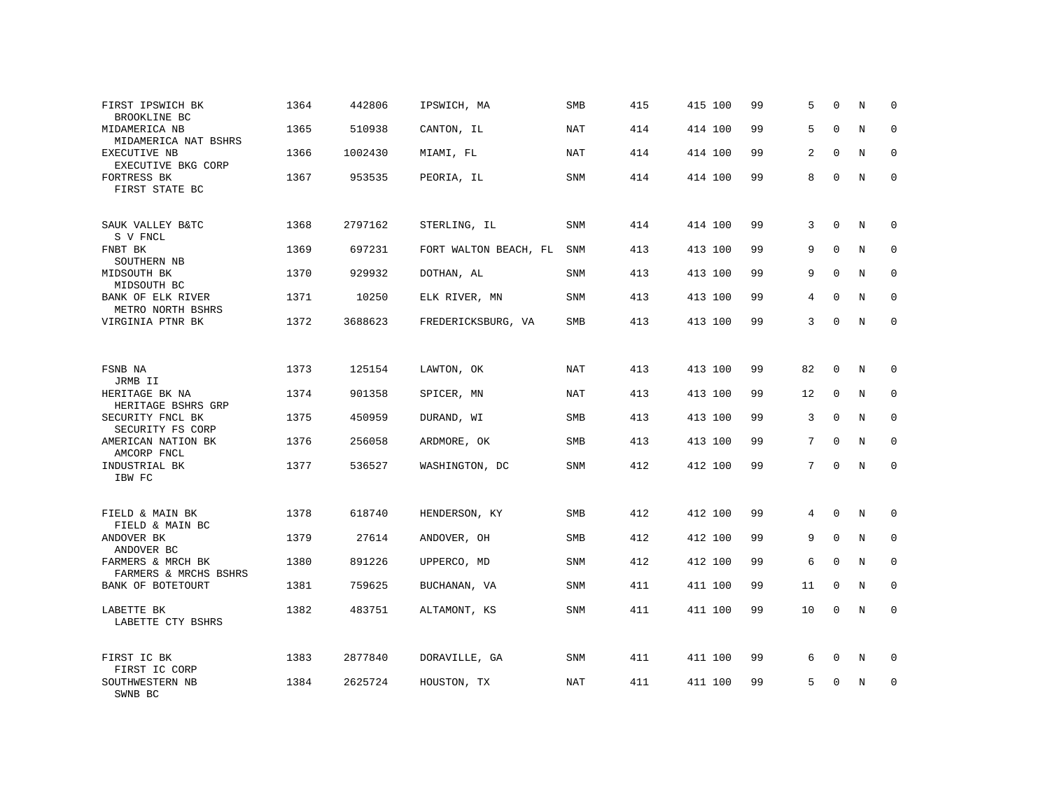| FIRST IPSWICH BK<br>BROOKLINE BC           | 1364 | 442806  | IPSWICH, MA           | SMB        | 415 | 415 100 | 99 | 5  | $\mathbf 0$  | N | $\mathbf 0$  |
|--------------------------------------------|------|---------|-----------------------|------------|-----|---------|----|----|--------------|---|--------------|
| MIDAMERICA NB<br>MIDAMERICA NAT BSHRS      | 1365 | 510938  | CANTON, IL            | <b>NAT</b> | 414 | 414 100 | 99 | 5  | $\Omega$     | N | $\mathbf 0$  |
| EXECUTIVE NB<br>EXECUTIVE BKG CORP         | 1366 | 1002430 | MIAMI, FL             | NAT        | 414 | 414 100 | 99 | 2  | $\Omega$     | N | $\mathbf 0$  |
| FORTRESS BK<br>FIRST STATE BC              | 1367 | 953535  | PEORIA, IL            | SNM        | 414 | 414 100 | 99 | 8  | $\Omega$     | N | $\mathbf 0$  |
| SAUK VALLEY B&TC<br>S V FNCL               | 1368 | 2797162 | STERLING, IL          | SNM        | 414 | 414 100 | 99 | 3  | $\mathbf 0$  | N | $\mathbf 0$  |
| FNBT BK<br>SOUTHERN NB                     | 1369 | 697231  | FORT WALTON BEACH, FL | <b>SNM</b> | 413 | 413 100 | 99 | 9  | $\Omega$     | N | $\mathbf 0$  |
| MIDSOUTH BK<br>MIDSOUTH BC                 | 1370 | 929932  | DOTHAN, AL            | SNM        | 413 | 413 100 | 99 | 9  | $\Omega$     | N | $\mathbf 0$  |
| BANK OF ELK RIVER<br>METRO NORTH BSHRS     | 1371 | 10250   | ELK RIVER, MN         | SNM        | 413 | 413 100 | 99 | 4  | $\Omega$     | N | $\mathbf 0$  |
| VIRGINIA PTNR BK                           | 1372 | 3688623 | FREDERICKSBURG, VA    | SMB        | 413 | 413 100 | 99 | 3  | $\Omega$     | N | $\Omega$     |
|                                            |      |         |                       |            |     |         |    |    |              |   |              |
| FSNB NA<br>JRMB II                         | 1373 | 125154  | LAWTON, OK            | NAT        | 413 | 413 100 | 99 | 82 | $\mathbf 0$  | N | $\mathbf 0$  |
| HERITAGE BK NA<br>HERITAGE BSHRS GRP       | 1374 | 901358  | SPICER, MN            | <b>NAT</b> | 413 | 413 100 | 99 | 12 | $\Omega$     | N | $\Omega$     |
| SECURITY FNCL BK<br>SECURITY FS CORP       | 1375 | 450959  | DURAND, WI            | <b>SMB</b> | 413 | 413 100 | 99 | 3  | $\mathbf{0}$ | N | $\mathbf 0$  |
| AMERICAN NATION BK<br>AMCORP FNCL          | 1376 | 256058  | ARDMORE, OK           | <b>SMB</b> | 413 | 413 100 | 99 | 7  | $\Omega$     | N | $\Omega$     |
| INDUSTRIAL BK<br>IBW FC                    | 1377 | 536527  | WASHINGTON, DC        | SNM        | 412 | 412 100 | 99 | 7  | $\mathbf{0}$ | N | $\mathbf 0$  |
|                                            |      |         |                       |            |     |         |    |    |              |   |              |
| FIELD & MAIN BK<br>FIELD & MAIN BC         | 1378 | 618740  | HENDERSON, KY         | <b>SMB</b> | 412 | 412 100 | 99 | 4  | $\mathbf{0}$ | N | $\mathbf 0$  |
| ANDOVER BK<br>ANDOVER BC                   | 1379 | 27614   | ANDOVER, OH           | <b>SMB</b> | 412 | 412 100 | 99 | 9  | $\Omega$     | N | $\mathbf 0$  |
| FARMERS & MRCH BK<br>FARMERS & MRCHS BSHRS | 1380 | 891226  | UPPERCO, MD           | SNM        | 412 | 412 100 | 99 | 6  | $\mathbf{0}$ | N | $\mathbf 0$  |
| BANK OF BOTETOURT                          | 1381 | 759625  | BUCHANAN, VA          | <b>SNM</b> | 411 | 411 100 | 99 | 11 | $\Omega$     | N | $\mathbf{0}$ |
| LABETTE BK<br>LABETTE CTY BSHRS            | 1382 | 483751  | ALTAMONT, KS          | SNM        | 411 | 411 100 | 99 | 10 | $\mathbf{0}$ | N | $\mathbf 0$  |
| FIRST IC BK<br>FIRST IC CORP               | 1383 | 2877840 | DORAVILLE, GA         | SNM        | 411 | 411 100 | 99 | 6  | 0            | N | 0            |
| SOUTHWESTERN NB<br>SWNB BC                 | 1384 | 2625724 | HOUSTON, TX           | NAT        | 411 | 411 100 | 99 | 5  | $\Omega$     | N | $\mathbf 0$  |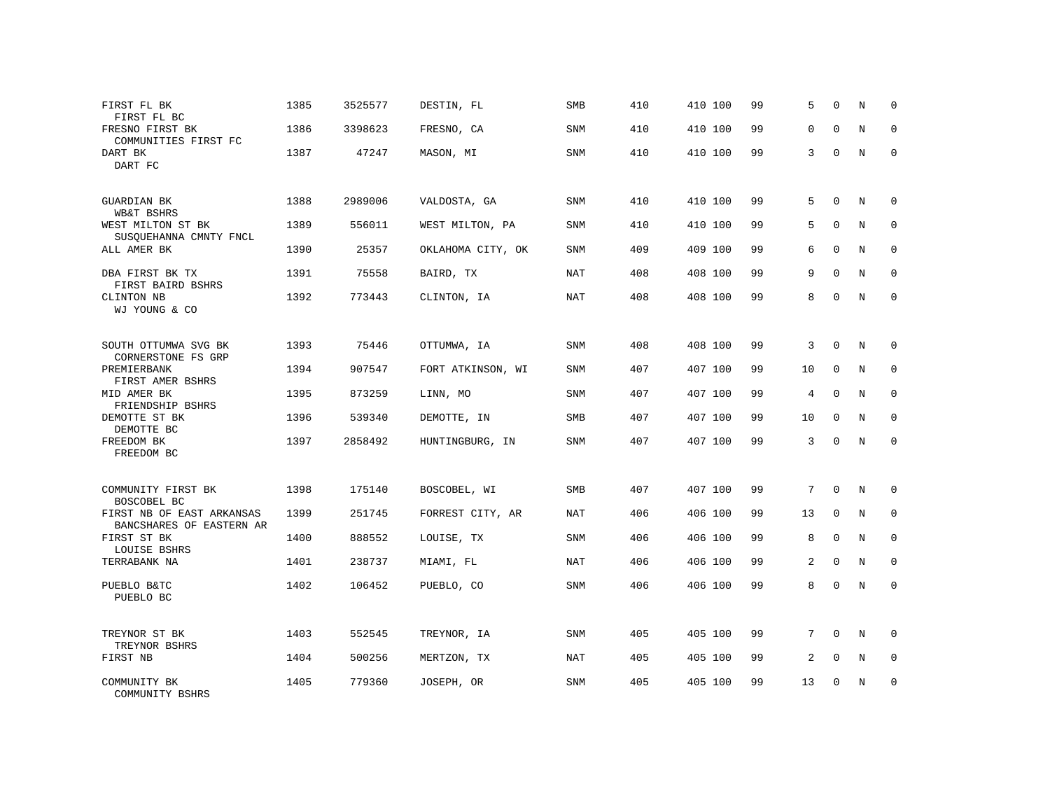| FIRST FL BK<br>FIRST FL BC                            | 1385 | 3525577 | DESTIN, FL        | SMB        | 410 | 410 100 | 99 | 5              | $\Omega$     | N           | $\mathbf 0$  |
|-------------------------------------------------------|------|---------|-------------------|------------|-----|---------|----|----------------|--------------|-------------|--------------|
| FRESNO FIRST BK<br>COMMUNITIES FIRST FC               | 1386 | 3398623 | FRESNO, CA        | SNM        | 410 | 410 100 | 99 | 0              | $\mathbf 0$  | N           | $\mathbf 0$  |
| DART BK<br>DART FC                                    | 1387 | 47247   | MASON, MI         | SNM        | 410 | 410 100 | 99 | 3              | $\Omega$     | N           | $\mathbf 0$  |
| <b>GUARDIAN BK</b><br><b>WB&amp;T BSHRS</b>           | 1388 | 2989006 | VALDOSTA, GA      | SNM        | 410 | 410 100 | 99 | 5              | $\Omega$     | N           | $\Omega$     |
| WEST MILTON ST BK<br>SUSQUEHANNA CMNTY FNCL           | 1389 | 556011  | WEST MILTON, PA   | SNM        | 410 | 410 100 | 99 | 5              | $\Omega$     | N           | $\mathbf 0$  |
| ALL AMER BK                                           | 1390 | 25357   | OKLAHOMA CITY, OK | SNM        | 409 | 409 100 | 99 | 6              | $\Omega$     | N           | $\mathbf 0$  |
| DBA FIRST BK TX<br>FIRST BAIRD BSHRS                  | 1391 | 75558   | BAIRD, TX         | NAT        | 408 | 408 100 | 99 | 9              | $\mathbf{0}$ | N           | $\mathbf 0$  |
| CLINTON NB<br>WJ YOUNG & CO                           | 1392 | 773443  | CLINTON, IA       | <b>NAT</b> | 408 | 408 100 | 99 | 8              | $\mathbf 0$  | $\mathbf N$ | $\mathbf 0$  |
| SOUTH OTTUMWA SVG BK<br>CORNERSTONE FS GRP            | 1393 | 75446   | OTTUMWA, IA       | SNM        | 408 | 408 100 | 99 | 3              | $\Omega$     | N           | $\mathbf 0$  |
| PREMIERBANK<br>FIRST AMER BSHRS                       | 1394 | 907547  | FORT ATKINSON, WI | SNM        | 407 | 407 100 | 99 | 10             | $\mathbf 0$  | N           | 0            |
| MID AMER BK<br>FRIENDSHIP BSHRS                       | 1395 | 873259  | LINN, MO          | SNM        | 407 | 407 100 | 99 | 4              | $\mathbf 0$  | N           | $\mathbf 0$  |
| DEMOTTE ST BK<br>DEMOTTE BC                           | 1396 | 539340  | DEMOTTE, IN       | SMB        | 407 | 407 100 | 99 | 10             | $\mathbf 0$  | N           | 0            |
| FREEDOM BK<br>FREEDOM BC                              | 1397 | 2858492 | HUNTINGBURG, IN   | <b>SNM</b> | 407 | 407 100 | 99 | 3              | $\mathbf 0$  | N           | $\mathbf{0}$ |
| COMMUNITY FIRST BK<br>BOSCOBEL BC                     | 1398 | 175140  | BOSCOBEL, WI      | <b>SMB</b> | 407 | 407 100 | 99 | 7              | $\mathbf 0$  | N           | $\mathbf 0$  |
| FIRST NB OF EAST ARKANSAS<br>BANCSHARES OF EASTERN AR | 1399 | 251745  | FORREST CITY, AR  | NAT        | 406 | 406 100 | 99 | 13             | $\mathbf 0$  | N           | 0            |
| FIRST ST BK<br>LOUISE BSHRS                           | 1400 | 888552  | LOUISE, TX        | SNM        | 406 | 406 100 | 99 | 8              | $\mathbf 0$  | N           | $\mathbf 0$  |
| TERRABANK NA                                          | 1401 | 238737  | MIAMI, FL         | <b>NAT</b> | 406 | 406 100 | 99 | $\overline{c}$ | $\mathbf 0$  | N           | $\mathbf 0$  |
| PUEBLO B&TC<br>PUEBLO BC                              | 1402 | 106452  | PUEBLO, CO        | SNM        | 406 | 406 100 | 99 | 8              | $\mathbf 0$  | N           | $\mathbf 0$  |
| TREYNOR ST BK<br>TREYNOR BSHRS                        | 1403 | 552545  | TREYNOR, IA       | SNM        | 405 | 405 100 | 99 | 7              | $\Omega$     | N           | $\Omega$     |
| FIRST NB                                              | 1404 | 500256  | MERTZON, TX       | <b>NAT</b> | 405 | 405 100 | 99 | 2              | $\mathbf 0$  | N           | $\mathbf 0$  |
| COMMUNITY BK<br>COMMUNITY BSHRS                       | 1405 | 779360  | JOSEPH, OR        | <b>SNM</b> | 405 | 405 100 | 99 | 13             | $\mathbf 0$  | N           | $\mathbf 0$  |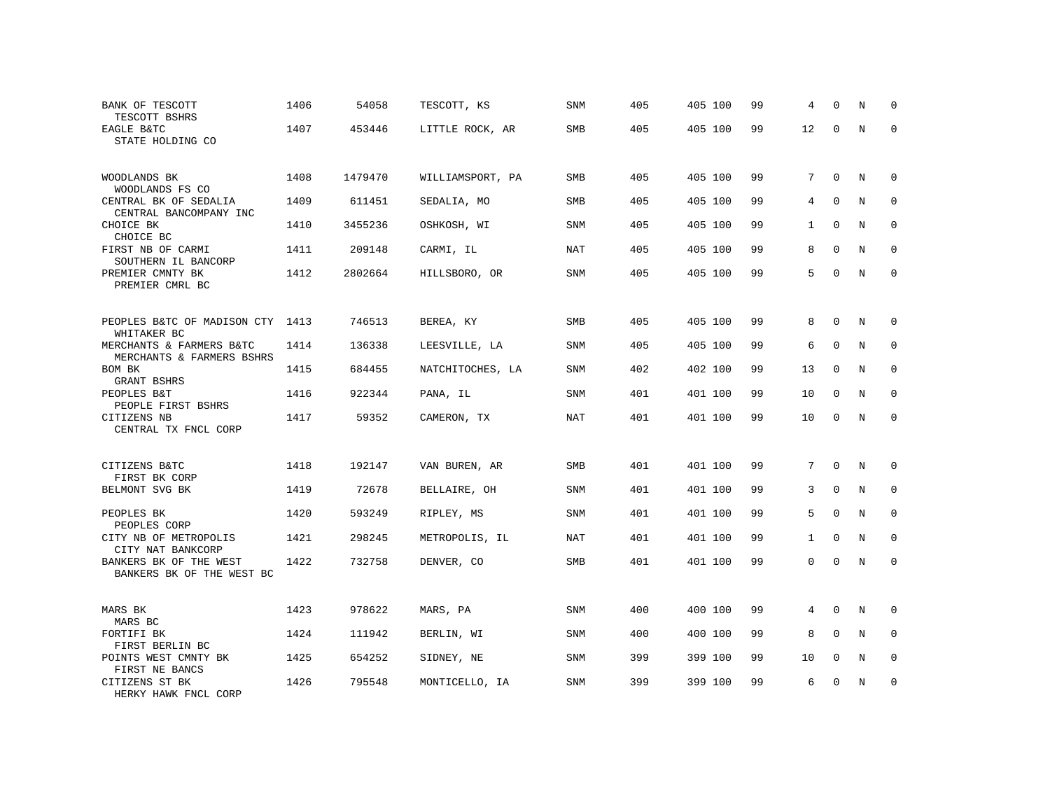| BANK OF TESCOTT<br>TESCOTT BSHRS                      | 1406 | 54058   | TESCOTT, KS      | SNM        | 405 | 405 100 | 99 | 4            | $\Omega$    | N | 0           |
|-------------------------------------------------------|------|---------|------------------|------------|-----|---------|----|--------------|-------------|---|-------------|
| EAGLE B&TC<br>STATE HOLDING CO                        | 1407 | 453446  | LITTLE ROCK, AR  | SMB        | 405 | 405 100 | 99 | 12           | $\Omega$    | N | $\Omega$    |
| WOODLANDS BK<br>WOODLANDS FS CO                       | 1408 | 1479470 | WILLIAMSPORT, PA | <b>SMB</b> | 405 | 405 100 | 99 | 7            | $\mathbf 0$ | N | $\mathbf 0$ |
| CENTRAL BK OF SEDALIA<br>CENTRAL BANCOMPANY INC       | 1409 | 611451  | SEDALIA, MO      | SMB        | 405 | 405 100 | 99 | 4            | $\Omega$    | N | $\mathbf 0$ |
| CHOICE BK<br>CHOICE BC                                | 1410 | 3455236 | OSHKOSH, WI      | SNM        | 405 | 405 100 | 99 | $\mathbf{1}$ | $\Omega$    | N | $\mathbf 0$ |
| FIRST NB OF CARMI<br>SOUTHERN IL BANCORP              | 1411 | 209148  | CARMI, IL        | <b>NAT</b> | 405 | 405 100 | 99 | 8            | $\Omega$    | N | $\mathbf 0$ |
| PREMIER CMNTY BK<br>PREMIER CMRL BC                   | 1412 | 2802664 | HILLSBORO, OR    | SNM        | 405 | 405 100 | 99 | 5            | $\Omega$    | N | $\Omega$    |
| PEOPLES B&TC OF MADISON CTY 1413<br>WHITAKER BC       |      | 746513  | BEREA, KY        | <b>SMB</b> | 405 | 405 100 | 99 | 8            | $\mathbf 0$ | N | $\Omega$    |
| MERCHANTS & FARMERS B&TC<br>MERCHANTS & FARMERS BSHRS | 1414 | 136338  | LEESVILLE, LA    | SNM        | 405 | 405 100 | 99 | 6            | $\Omega$    | N | $\mathbf 0$ |
| BOM BK<br><b>GRANT BSHRS</b>                          | 1415 | 684455  | NATCHITOCHES, LA | SNM        | 402 | 402 100 | 99 | 13           | $\mathbf 0$ | N | $\mathbf 0$ |
| PEOPLES B&T<br>PEOPLE FIRST BSHRS                     | 1416 | 922344  | PANA, IL         | SNM        | 401 | 401 100 | 99 | 10           | $\Omega$    | N | $\Omega$    |
| CITIZENS NB<br>CENTRAL TX FNCL CORP                   | 1417 | 59352   | CAMERON, TX      | NAT        | 401 | 401 100 | 99 | 10           | $\mathbf 0$ | N | $\Omega$    |
| CITIZENS B&TC<br>FIRST BK CORP                        | 1418 | 192147  | VAN BUREN, AR    | <b>SMB</b> | 401 | 401 100 | 99 | 7            | $\mathbf 0$ | N | $\mathbf 0$ |
| BELMONT SVG BK                                        | 1419 | 72678   | BELLAIRE, OH     | <b>SNM</b> | 401 | 401 100 | 99 | 3            | $\Omega$    | N | $\Omega$    |
| PEOPLES BK<br>PEOPLES CORP                            | 1420 | 593249  | RIPLEY, MS       | <b>SNM</b> | 401 | 401 100 | 99 | 5            | $\mathbf 0$ | N | $\mathbf 0$ |
| CITY NB OF METROPOLIS<br>CITY NAT BANKCORP            | 1421 | 298245  | METROPOLIS, IL   | <b>NAT</b> | 401 | 401 100 | 99 | $\mathbf{1}$ | $\Omega$    | N | $\mathbf 0$ |
| BANKERS BK OF THE WEST<br>BANKERS BK OF THE WEST BC   | 1422 | 732758  | DENVER, CO       | <b>SMB</b> | 401 | 401 100 | 99 | 0            | $\mathbf 0$ | N | $\mathbf 0$ |
| MARS BK<br>MARS BC                                    | 1423 | 978622  | MARS, PA         | <b>SNM</b> | 400 | 400 100 | 99 | 4            | $\mathbf 0$ | N | $\mathbf 0$ |
| FORTIFI BK<br>FIRST BERLIN BC                         | 1424 | 111942  | BERLIN, WI       | <b>SNM</b> | 400 | 400 100 | 99 | 8            | $\Omega$    | N | $\mathbf 0$ |
| POINTS WEST CMNTY BK<br>FIRST NE BANCS                | 1425 | 654252  | SIDNEY, NE       | SNM        | 399 | 399 100 | 99 | 10           | $\mathbf 0$ | N | 0           |
| CITIZENS ST BK<br>HERKY HAWK FNCL CORP                | 1426 | 795548  | MONTICELLO, IA   | <b>SNM</b> | 399 | 399 100 | 99 | 6            | $\Omega$    | N | $\mathbf 0$ |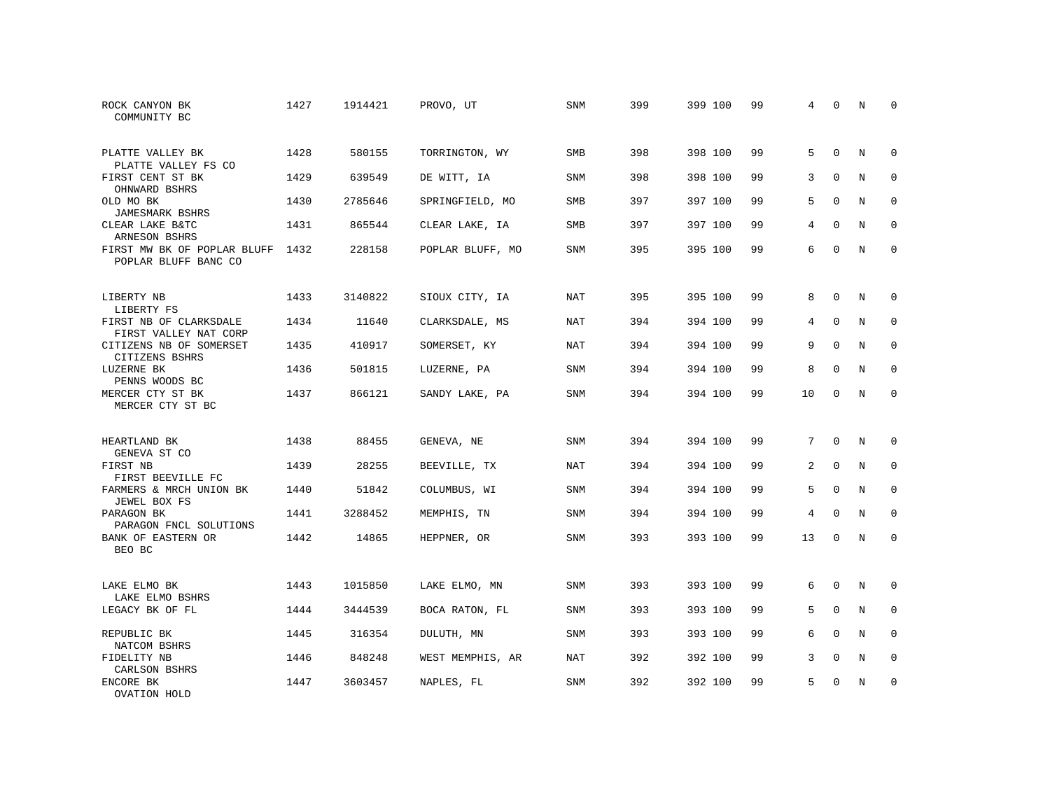| ROCK CANYON BK<br>COMMUNITY BC                      | 1427 | 1914421 | PROVO, UT        | SNM        | 399 | 399 100 | 99 | 4  | $\mathbf 0$  | N | $\Omega$     |
|-----------------------------------------------------|------|---------|------------------|------------|-----|---------|----|----|--------------|---|--------------|
| PLATTE VALLEY BK<br>PLATTE VALLEY FS CO             | 1428 | 580155  | TORRINGTON, WY   | <b>SMB</b> | 398 | 398 100 | 99 | 5  | $\Omega$     | N | $\Omega$     |
| FIRST CENT ST BK<br>OHNWARD BSHRS                   | 1429 | 639549  | DE WITT, IA      | <b>SNM</b> | 398 | 398 100 | 99 | 3  | $\mathbf 0$  | N | $\mathbf 0$  |
| OLD MO BK<br><b>JAMESMARK BSHRS</b>                 | 1430 | 2785646 | SPRINGFIELD, MO  | <b>SMB</b> | 397 | 397 100 | 99 | 5  | $\Omega$     | N | $\Omega$     |
| CLEAR LAKE B&TC<br>ARNESON BSHRS                    | 1431 | 865544  | CLEAR LAKE, IA   | <b>SMB</b> | 397 | 397 100 | 99 | 4  | $\mathbf{0}$ | N | $\mathbf 0$  |
| FIRST MW BK OF POPLAR BLUFF<br>POPLAR BLUFF BANC CO | 1432 | 228158  | POPLAR BLUFF, MO | <b>SNM</b> | 395 | 395 100 | 99 | 6  | $\Omega$     | N | $\mathbf 0$  |
| LIBERTY NB<br>LIBERTY FS                            | 1433 | 3140822 | SIOUX CITY, IA   | NAT        | 395 | 395 100 | 99 | 8  | $\mathbf 0$  | N | $\mathbf 0$  |
| FIRST NB OF CLARKSDALE<br>FIRST VALLEY NAT CORP     | 1434 | 11640   | CLARKSDALE, MS   | NAT        | 394 | 394 100 | 99 | 4  | $\Omega$     | N | $\mathbf 0$  |
| CITIZENS NB OF SOMERSET<br>CITIZENS BSHRS           | 1435 | 410917  | SOMERSET, KY     | NAT        | 394 | 394 100 | 99 | 9  | $\Omega$     | N | $\mathbf 0$  |
| LUZERNE BK<br>PENNS WOODS BC                        | 1436 | 501815  | LUZERNE, PA      | <b>SNM</b> | 394 | 394 100 | 99 | 8  | $\Omega$     | N | $\mathbf 0$  |
| MERCER CTY ST BK<br>MERCER CTY ST BC                | 1437 | 866121  | SANDY LAKE, PA   | <b>SNM</b> | 394 | 394 100 | 99 | 10 | $\Omega$     | N | $\Omega$     |
| HEARTLAND BK<br>GENEVA ST CO                        | 1438 | 88455   | GENEVA, NE       | <b>SNM</b> | 394 | 394 100 | 99 | 7  | $\Omega$     | N | $\mathbf 0$  |
| FIRST NB<br>FIRST BEEVILLE FC                       | 1439 | 28255   | BEEVILLE, TX     | <b>NAT</b> | 394 | 394 100 | 99 | 2  | $\mathbf 0$  | N | 0            |
| FARMERS & MRCH UNION BK<br>JEWEL BOX FS             | 1440 | 51842   | COLUMBUS, WI     | <b>SNM</b> | 394 | 394 100 | 99 | 5  | $\Omega$     | N | $\mathbf{0}$ |
| PARAGON BK<br>PARAGON FNCL SOLUTIONS                | 1441 | 3288452 | MEMPHIS, TN      | SNM        | 394 | 394 100 | 99 | 4  | $\Omega$     | N | $\mathbf 0$  |
| BANK OF EASTERN OR<br>BEO BC                        | 1442 | 14865   | HEPPNER, OR      | SNM        | 393 | 393 100 | 99 | 13 | $\Omega$     | N | $\mathbf 0$  |
| LAKE ELMO BK<br>LAKE ELMO BSHRS                     | 1443 | 1015850 | LAKE ELMO, MN    | SNM        | 393 | 393 100 | 99 | 6  | $\mathbf 0$  | N | 0            |
| LEGACY BK OF FL                                     | 1444 | 3444539 | BOCA RATON, FL   | SNM        | 393 | 393 100 | 99 | 5  | $\mathbf 0$  | N | $\mathbf 0$  |
| REPUBLIC BK<br>NATCOM BSHRS                         | 1445 | 316354  | DULUTH, MN       | SNM        | 393 | 393 100 | 99 | 6  | $\Omega$     | N | $\mathbf{0}$ |
| FIDELITY NB<br>CARLSON BSHRS                        | 1446 | 848248  | WEST MEMPHIS, AR | NAT        | 392 | 392 100 | 99 | 3  | $\mathbf 0$  | N | 0            |
| ENCORE BK<br>OVATION HOLD                           | 1447 | 3603457 | NAPLES, FL       | SNM        | 392 | 392 100 | 99 | 5  | $\Omega$     | N | $\mathbf 0$  |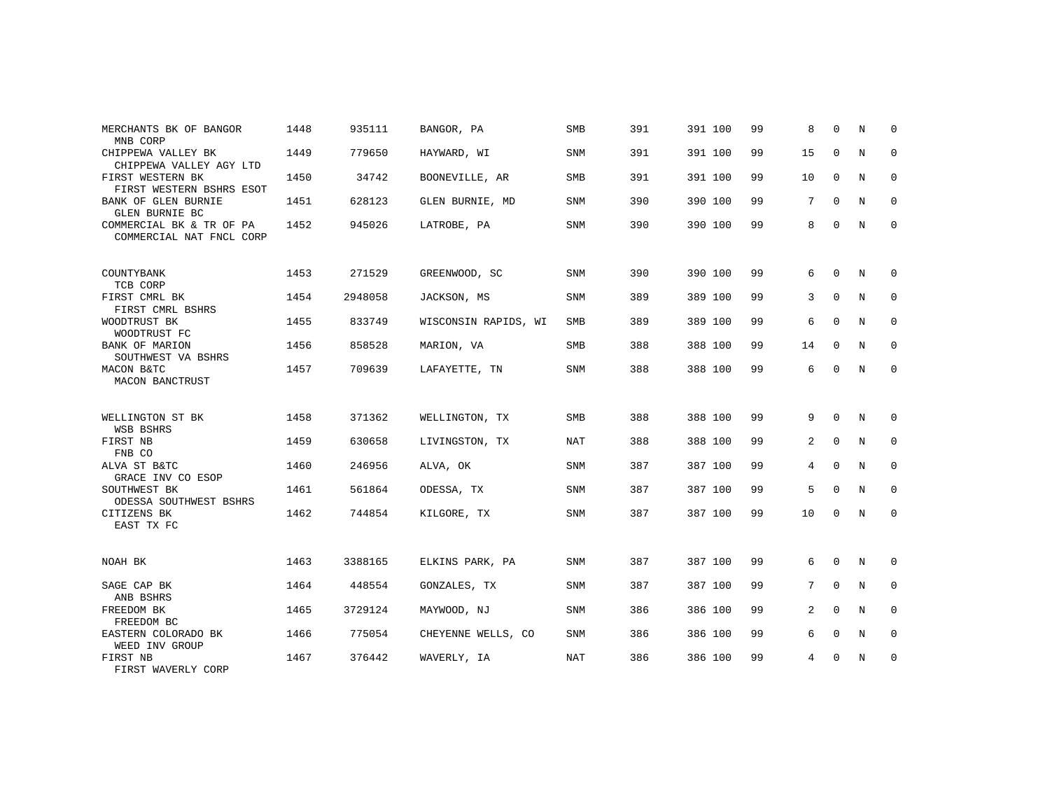| MERCHANTS BK OF BANGOR<br>MNB CORP                   | 1448 | 935111  | BANGOR, PA           | <b>SMB</b> | 391 | 391 100 | 99 | 8           | $\Omega$     | N | $\Omega$    |
|------------------------------------------------------|------|---------|----------------------|------------|-----|---------|----|-------------|--------------|---|-------------|
| CHIPPEWA VALLEY BK<br>CHIPPEWA VALLEY AGY LTD        | 1449 | 779650  | HAYWARD, WI          | SNM        | 391 | 391 100 | 99 | 15          | $\mathbf 0$  | N | $\mathbf 0$ |
| FIRST WESTERN BK<br>FIRST WESTERN BSHRS ESOT         | 1450 | 34742   | BOONEVILLE, AR       | <b>SMB</b> | 391 | 391 100 | 99 | 10          | $\Omega$     | N | $\mathbf 0$ |
| BANK OF GLEN BURNIE<br>GLEN BURNIE BC                | 1451 | 628123  | GLEN BURNIE, MD      | <b>SNM</b> | 390 | 390 100 | 99 | 7           | $\Omega$     | N | $\mathbf 0$ |
| COMMERCIAL BK & TR OF PA<br>COMMERCIAL NAT FNCL CORP | 1452 | 945026  | LATROBE, PA          | <b>SNM</b> | 390 | 390 100 | 99 | 8           | $\mathbf 0$  | N | $\mathbf 0$ |
| COUNTYBANK<br>TCB CORP                               | 1453 | 271529  | GREENWOOD, SC        | SNM        | 390 | 390 100 | 99 | 6           | $\Omega$     | N | $\mathbf 0$ |
| FIRST CMRL BK<br>FIRST CMRL BSHRS                    | 1454 | 2948058 | JACKSON, MS          | SNM        | 389 | 389 100 | 99 | 3           | $\Omega$     | N | $\mathbf 0$ |
| WOODTRUST BK<br>WOODTRUST FC                         | 1455 | 833749  | WISCONSIN RAPIDS, WI | <b>SMB</b> | 389 | 389 100 | 99 | 6           | $\Omega$     | N | $\mathbf 0$ |
| BANK OF MARION<br>SOUTHWEST VA BSHRS                 | 1456 | 858528  | MARION, VA           | SMB        | 388 | 388 100 | 99 | 14          | $\mathbf 0$  | N | $\mathbf 0$ |
| MACON B&TC<br>MACON BANCTRUST                        | 1457 | 709639  | LAFAYETTE, TN        | <b>SNM</b> | 388 | 388 100 | 99 | 6           | $\Omega$     | N | $\mathbf 0$ |
| WELLINGTON ST BK                                     | 1458 | 371362  | WELLINGTON, TX       | SMB        | 388 | 388 100 | 99 | 9           | $\Omega$     | N | $\mathbf 0$ |
| WSB BSHRS<br>FIRST NB<br>FNB CO                      | 1459 | 630658  | LIVINGSTON, TX       | NAT        | 388 | 388 100 | 99 | 2           | $\mathbf{0}$ | N | $\mathbf 0$ |
| ALVA ST B&TC<br>GRACE INV CO ESOP                    | 1460 | 246956  | ALVA, OK             | <b>SNM</b> | 387 | 387 100 | 99 | 4           | $\mathbf 0$  | N | $\mathbf 0$ |
| SOUTHWEST BK<br>ODESSA SOUTHWEST BSHRS               | 1461 | 561864  | ODESSA, TX           | SNM        | 387 | 387 100 | 99 | 5           | $\Omega$     | N | $\mathbf 0$ |
| CITIZENS BK<br>EAST TX FC                            | 1462 | 744854  | KILGORE, TX          | <b>SNM</b> | 387 | 387 100 | 99 | 10          | $\mathbf 0$  | N | $\mathbf 0$ |
| NOAH BK                                              | 1463 | 3388165 | ELKINS PARK, PA      | SNM        | 387 | 387 100 | 99 | 6           | $\Omega$     | N | $\mathbf 0$ |
| SAGE CAP BK<br>ANB BSHRS                             | 1464 | 448554  | GONZALES, TX         | <b>SNM</b> | 387 | 387 100 | 99 | $7^{\circ}$ | $\Omega$     | N | $\mathbf 0$ |
| FREEDOM BK<br>FREEDOM BC                             | 1465 | 3729124 | MAYWOOD, NJ          | <b>SNM</b> | 386 | 386 100 | 99 | 2           | $\Omega$     | N | $\mathbf 0$ |
| EASTERN COLORADO BK<br>WEED INV GROUP                | 1466 | 775054  | CHEYENNE WELLS, CO   | <b>SNM</b> | 386 | 386 100 | 99 | 6           | $\mathbf 0$  | N | $\mathbf 0$ |
| FIRST NB<br>FIRST WAVERLY CORP                       | 1467 | 376442  | WAVERLY, IA          | <b>NAT</b> | 386 | 386 100 | 99 | 4           | $\mathbf 0$  | N | $\mathbf 0$ |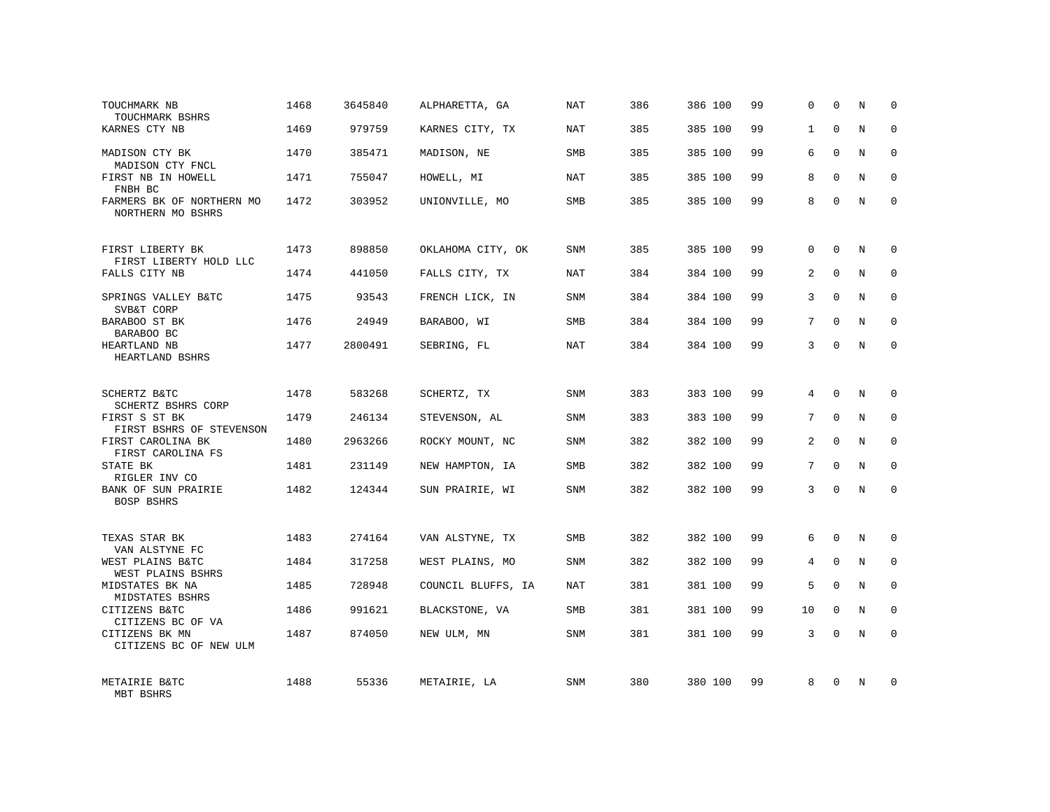| TOUCHMARK NB<br>TOUCHMARK BSHRS                | 1468 | 3645840 | ALPHARETTA, GA     | <b>NAT</b> | 386 | 386 100 | 99 | 0              | $\Omega$    | N | $\mathbf 0$ |
|------------------------------------------------|------|---------|--------------------|------------|-----|---------|----|----------------|-------------|---|-------------|
| KARNES CTY NB                                  | 1469 | 979759  | KARNES CITY, TX    | NAT        | 385 | 385 100 | 99 | $\mathbf{1}$   | $\Omega$    | N | $\Omega$    |
| MADISON CTY BK<br>MADISON CTY FNCL             | 1470 | 385471  | MADISON, NE        | SMB        | 385 | 385 100 | 99 | 6              | $\Omega$    | N | $\Omega$    |
| FIRST NB IN HOWELL<br>FNBH BC                  | 1471 | 755047  | HOWELL, MI         | NAT        | 385 | 385 100 | 99 | 8              | $\Omega$    | N | $\Omega$    |
| FARMERS BK OF NORTHERN MO<br>NORTHERN MO BSHRS | 1472 | 303952  | UNIONVILLE, MO     | SMB        | 385 | 385 100 | 99 | 8              | $\Omega$    | N | $\Omega$    |
| FIRST LIBERTY BK                               | 1473 | 898850  | OKLAHOMA CITY, OK  | <b>SNM</b> | 385 | 385 100 | 99 | $\Omega$       | $\Omega$    | N | $\Omega$    |
| FIRST LIBERTY HOLD LLC<br>FALLS CITY NB        | 1474 | 441050  | FALLS CITY, TX     | NAT        | 384 | 384 100 | 99 | 2              | $\Omega$    | N | $\Omega$    |
| SPRINGS VALLEY B&TC<br>SVB&T CORP              | 1475 | 93543   | FRENCH LICK, IN    | <b>SNM</b> | 384 | 384 100 | 99 | 3              | $\Omega$    | N | $\Omega$    |
| BARABOO ST BK<br>BARABOO BC                    | 1476 | 24949   | BARABOO, WI        | <b>SMB</b> | 384 | 384 100 | 99 | 7              | $\Omega$    | N | $\Omega$    |
| HEARTLAND NB<br>HEARTLAND BSHRS                | 1477 | 2800491 | SEBRING, FL        | <b>NAT</b> | 384 | 384 100 | 99 | 3              | $\Omega$    | N | $\Omega$    |
| SCHERTZ B&TC<br>SCHERTZ BSHRS CORP             | 1478 | 583268  | SCHERTZ, TX        | <b>SNM</b> | 383 | 383 100 | 99 | 4              | $\Omega$    | N | $\Omega$    |
| FIRST S ST BK<br>FIRST BSHRS OF STEVENSON      | 1479 | 246134  | STEVENSON, AL      | SNM        | 383 | 383 100 | 99 | 7              | $\Omega$    | N | $\mathbf 0$ |
| FIRST CAROLINA BK<br>FIRST CAROLINA FS         | 1480 | 2963266 | ROCKY MOUNT, NC    | SNM        | 382 | 382 100 | 99 | $\overline{2}$ | $\Omega$    | N | $\Omega$    |
| STATE BK<br>RIGLER INV CO                      | 1481 | 231149  | NEW HAMPTON, IA    | <b>SMB</b> | 382 | 382 100 | 99 | 7              | $\Omega$    | N | $\mathbf 0$ |
| BANK OF SUN PRAIRIE<br>BOSP BSHRS              | 1482 | 124344  | SUN PRAIRIE, WI    | <b>SNM</b> | 382 | 382 100 | 99 | 3              | $\Omega$    | N | $\Omega$    |
| TEXAS STAR BK<br>VAN ALSTYNE FC                | 1483 | 274164  | VAN ALSTYNE, TX    | <b>SMB</b> | 382 | 382 100 | 99 | 6              | $\Omega$    | N | $\Omega$    |
| WEST PLAINS B&TC<br>WEST PLAINS BSHRS          | 1484 | 317258  | WEST PLAINS, MO    | SNM        | 382 | 382 100 | 99 | 4              | $\mathbf 0$ | N | $\mathbf 0$ |
| MIDSTATES BK NA<br>MIDSTATES BSHRS             | 1485 | 728948  | COUNCIL BLUFFS, IA | NAT        | 381 | 381 100 | 99 | 5              | $\Omega$    | N | $\Omega$    |
| CITIZENS B&TC<br>CITIZENS BC OF VA             | 1486 | 991621  | BLACKSTONE, VA     | <b>SMB</b> | 381 | 381 100 | 99 | 10             | $\mathbf 0$ | N | $\mathbf 0$ |
| CITIZENS BK MN<br>CITIZENS BC OF NEW ULM       | 1487 | 874050  | NEW ULM, MN        | SNM        | 381 | 381 100 | 99 | 3              | $\Omega$    | N | $\Omega$    |
| METAIRIE B&TC<br>MBT BSHRS                     | 1488 | 55336   | METAIRIE, LA       | SNM        | 380 | 380 100 | 99 | 8              | $\Omega$    | N | $\Omega$    |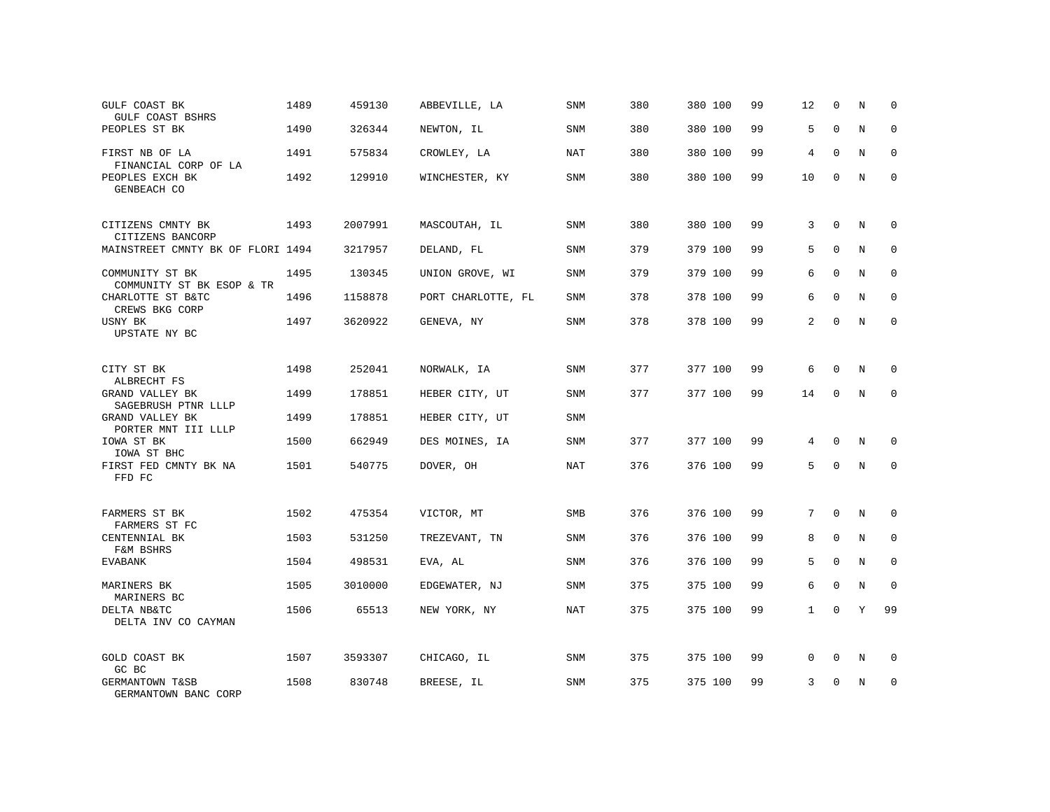| GULF COAST BK<br><b>GULF COAST BSHRS</b>               | 1489 | 459130  | ABBEVILLE, LA      | <b>SNM</b> | 380 | 380 100 | 99 | 12           | 0           | N | $\mathbf 0$ |
|--------------------------------------------------------|------|---------|--------------------|------------|-----|---------|----|--------------|-------------|---|-------------|
| PEOPLES ST BK                                          | 1490 | 326344  | NEWTON, IL         | <b>SNM</b> | 380 | 380 100 | 99 | 5            | $\mathbf 0$ | N | $\mathbf 0$ |
| FIRST NB OF LA<br>FINANCIAL CORP OF LA                 | 1491 | 575834  | CROWLEY, LA        | NAT        | 380 | 380 100 | 99 | 4            | $\Omega$    | N | $\mathbf 0$ |
| PEOPLES EXCH BK<br>GENBEACH CO                         | 1492 | 129910  | WINCHESTER, KY     | <b>SNM</b> | 380 | 380 100 | 99 | 10           | $\Omega$    | N | $\Omega$    |
| CITIZENS CMNTY BK<br>CITIZENS BANCORP                  | 1493 | 2007991 | MASCOUTAH, IL      | <b>SNM</b> | 380 | 380 100 | 99 | 3            | $\Omega$    | N | $\Omega$    |
| MAINSTREET CMNTY BK OF FLORI 1494                      |      | 3217957 | DELAND, FL         | SNM        | 379 | 379 100 | 99 | 5            | $\Omega$    | N | $\mathbf 0$ |
| COMMUNITY ST BK<br>COMMUNITY ST BK ESOP & TR           | 1495 | 130345  | UNION GROVE, WI    | SNM        | 379 | 379 100 | 99 | 6            | $\Omega$    | N | $\mathbf 0$ |
| CHARLOTTE ST B&TC<br>CREWS BKG CORP                    | 1496 | 1158878 | PORT CHARLOTTE, FL | SNM        | 378 | 378 100 | 99 | 6            | $\Omega$    | N | $\mathbf 0$ |
| USNY BK<br>UPSTATE NY BC                               | 1497 | 3620922 | GENEVA, NY         | SNM        | 378 | 378 100 | 99 | 2            | $\Omega$    | N | $\Omega$    |
| CITY ST BK<br>ALBRECHT FS                              | 1498 | 252041  | NORWALK, IA        | SNM        | 377 | 377 100 | 99 | 6            | $\Omega$    | N | $\Omega$    |
| GRAND VALLEY BK<br>SAGEBRUSH PTNR LLLP                 | 1499 | 178851  | HEBER CITY, UT     | SNM        | 377 | 377 100 | 99 | 14           | $\mathbf 0$ | N | $\mathbf 0$ |
| GRAND VALLEY BK<br>PORTER MNT III LLLP                 | 1499 | 178851  | HEBER CITY, UT     | SNM        |     |         |    |              |             |   |             |
| IOWA ST BK<br>IOWA ST BHC                              | 1500 | 662949  | DES MOINES, IA     | SNM        | 377 | 377 100 | 99 | 4            | $\Omega$    | N | $\Omega$    |
| FIRST FED CMNTY BK NA<br>FFD FC                        | 1501 | 540775  | DOVER, OH          | <b>NAT</b> | 376 | 376 100 | 99 | 5            | $\mathbf 0$ | N | $\mathbf 0$ |
| FARMERS ST BK                                          | 1502 | 475354  | VICTOR, MT         | SMB        | 376 | 376 100 | 99 | 7            | $\mathbf 0$ | N | 0           |
| FARMERS ST FC<br>CENTENNIAL BK<br><b>F&amp;M BSHRS</b> | 1503 | 531250  | TREZEVANT, TN      | <b>SNM</b> | 376 | 376 100 | 99 | 8            | $\Omega$    | N | $\mathbf 0$ |
| <b>EVABANK</b>                                         | 1504 | 498531  | EVA, AL            | SNM        | 376 | 376 100 | 99 | 5            | $\mathbf 0$ | N | $\mathbf 0$ |
| MARINERS BK<br>MARINERS BC                             | 1505 | 3010000 | EDGEWATER, NJ      | <b>SNM</b> | 375 | 375 100 | 99 | 6            | $\Omega$    | N | $\mathbf 0$ |
| DELTA NB&TC<br>DELTA INV CO CAYMAN                     | 1506 | 65513   | NEW YORK, NY       | NAT        | 375 | 375 100 | 99 | $\mathbf{1}$ | $\mathbf 0$ | Υ | 99          |
| GOLD COAST BK<br>GC BC                                 | 1507 | 3593307 | CHICAGO, IL        | SNM        | 375 | 375 100 | 99 | 0            | 0           | Ν | 0           |
| GERMANTOWN T&SB<br>GERMANTOWN BANC CORP                | 1508 | 830748  | BREESE, IL         | <b>SNM</b> | 375 | 375 100 | 99 | 3            | $\Omega$    | N | $\mathbf 0$ |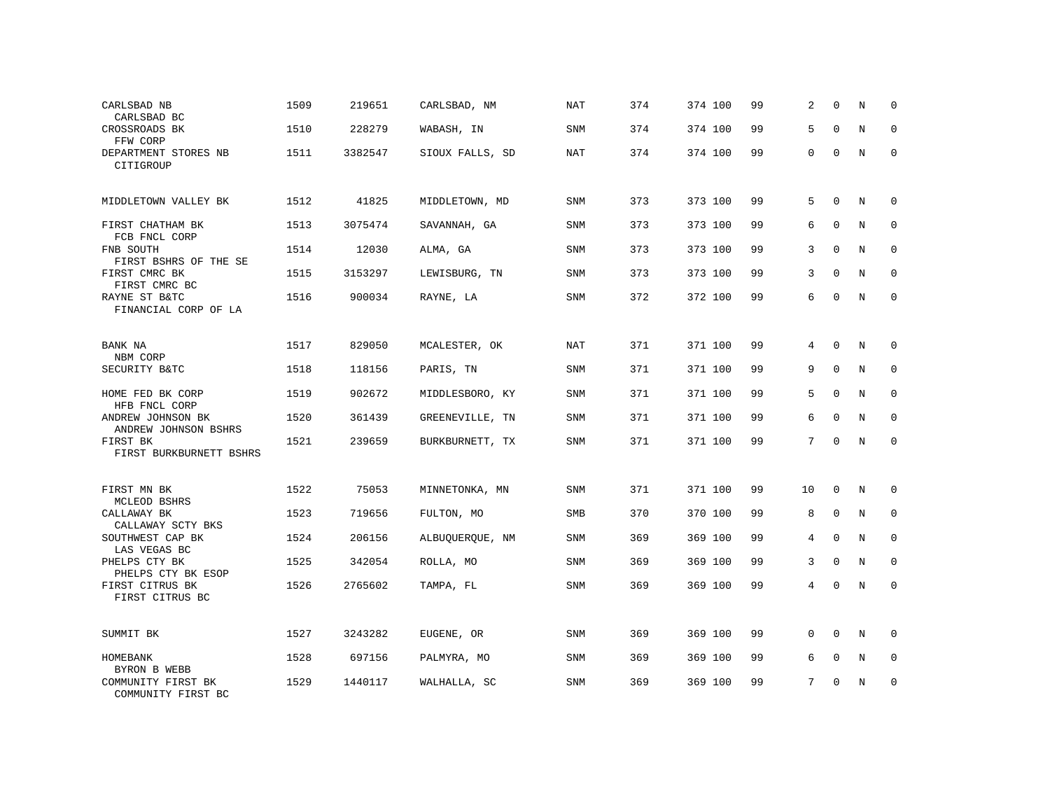| CARLSBAD NB<br>CARLSBAD BC                | 1509 | 219651  | CARLSBAD, NM    | NAT        | 374 | 374 100 | 99 | 2              | $\Omega$     | N          | $\mathbf 0$ |
|-------------------------------------------|------|---------|-----------------|------------|-----|---------|----|----------------|--------------|------------|-------------|
| CROSSROADS BK<br>FFW CORP                 | 1510 | 228279  | WABASH, IN      | SNM        | 374 | 374 100 | 99 | 5              | $\Omega$     | N          | $\Omega$    |
| DEPARTMENT STORES NB<br>CITIGROUP         | 1511 | 3382547 | SIOUX FALLS, SD | <b>NAT</b> | 374 | 374 100 | 99 | 0              | $\mathbf 0$  | N          | $\Omega$    |
| MIDDLETOWN VALLEY BK                      | 1512 | 41825   | MIDDLETOWN, MD  | <b>SNM</b> | 373 | 373 100 | 99 | 5              | $\Omega$     | N          | $\Omega$    |
| FIRST CHATHAM BK<br>FCB FNCL CORP         | 1513 | 3075474 | SAVANNAH, GA    | SNM        | 373 | 373 100 | 99 | 6              | $\mathbf 0$  | N          | $\mathbf 0$ |
| FNB SOUTH<br>FIRST BSHRS OF THE SE        | 1514 | 12030   | ALMA, GA        | <b>SNM</b> | 373 | 373 100 | 99 | 3              | $\Omega$     | N          | $\Omega$    |
| FIRST CMRC BK<br>FIRST CMRC BC            | 1515 | 3153297 | LEWISBURG, TN   | SNM        | 373 | 373 100 | 99 | 3              | $\Omega$     | N          | $\mathbf 0$ |
| RAYNE ST B&TC<br>FINANCIAL CORP OF LA     | 1516 | 900034  | RAYNE, LA       | <b>SNM</b> | 372 | 372 100 | 99 | 6              | $\Omega$     | N          | $\Omega$    |
| BANK NA<br>NBM CORP                       | 1517 | 829050  | MCALESTER, OK   | NAT        | 371 | 371 100 | 99 | 4              | $\Omega$     | N          | $\Omega$    |
| SECURITY B&TC                             | 1518 | 118156  | PARIS, TN       | SNM        | 371 | 371 100 | 99 | 9              | $\mathbf{0}$ | N          | $\mathbf 0$ |
| HOME FED BK CORP<br>HFB FNCL CORP         | 1519 | 902672  | MIDDLESBORO, KY | SNM        | 371 | 371 100 | 99 | 5              | $\Omega$     | N          | $\Omega$    |
| ANDREW JOHNSON BK<br>ANDREW JOHNSON BSHRS | 1520 | 361439  | GREENEVILLE, TN | <b>SNM</b> | 371 | 371 100 | 99 | 6              | $\Omega$     | N          | $\Omega$    |
| FIRST BK<br>FIRST BURKBURNETT BSHRS       | 1521 | 239659  | BURKBURNETT, TX | <b>SNM</b> | 371 | 371 100 | 99 | 7              | $\Omega$     | N          | $\mathbf 0$ |
| FIRST MN BK<br>MCLEOD BSHRS               | 1522 | 75053   | MINNETONKA, MN  | SNM        | 371 | 371 100 | 99 | 10             | $\mathbf 0$  | N          | 0           |
| CALLAWAY BK<br>CALLAWAY SCTY BKS          | 1523 | 719656  | FULTON, MO      | <b>SMB</b> | 370 | 370 100 | 99 | 8              | $\mathbf{0}$ | N          | $\mathbf 0$ |
| SOUTHWEST CAP BK<br>LAS VEGAS BC          | 1524 | 206156  | ALBUQUERQUE, NM | SNM        | 369 | 369 100 | 99 | $\overline{4}$ | $\mathbf{0}$ | N          | $\mathbf 0$ |
| PHELPS CTY BK<br>PHELPS CTY BK ESOP       | 1525 | 342054  | ROLLA, MO       | <b>SNM</b> | 369 | 369 100 | 99 | 3              | $\mathbf 0$  | N          | $\mathbf 0$ |
| FIRST CITRUS BK<br>FIRST CITRUS BC        | 1526 | 2765602 | TAMPA, FL       | SNM        | 369 | 369 100 | 99 | $\overline{4}$ | $\Omega$     | $_{\rm N}$ | $\Omega$    |
| SUMMIT BK                                 | 1527 | 3243282 | EUGENE, OR      | <b>SNM</b> | 369 | 369 100 | 99 | $\Omega$       | $\Omega$     | N          | $\mathbf 0$ |
| HOMEBANK<br>BYRON B WEBB                  | 1528 | 697156  | PALMYRA, MO     | SNM        | 369 | 369 100 | 99 | 6              | $\mathbf 0$  | N          | 0           |
| COMMUNITY FIRST BK<br>COMMUNITY FIRST BC  | 1529 | 1440117 | WALHALLA, SC    | <b>SNM</b> | 369 | 369 100 | 99 | 7              | $\Omega$     | N          | $\mathbf 0$ |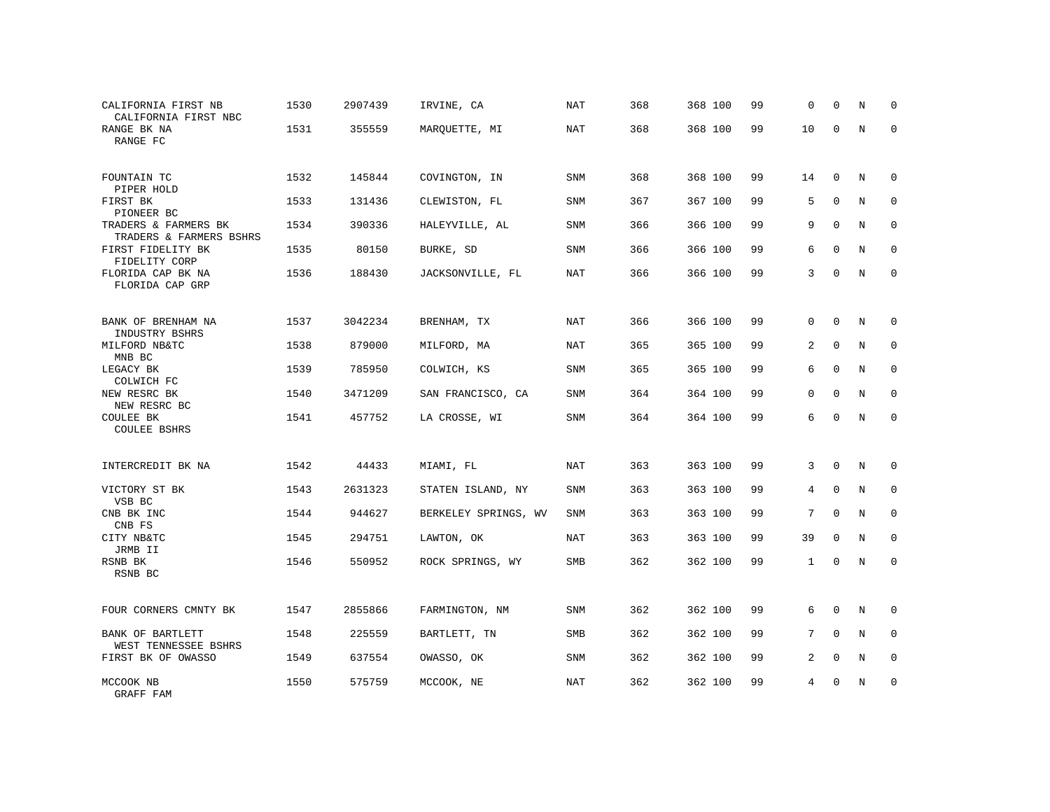| CALIFORNIA FIRST NB<br>CALIFORNIA FIRST NBC     | 1530 | 2907439 | IRVINE, CA           | NAT        | 368 | 368 100 | 99 | 0               | $\Omega$     | N           | $\mathbf 0$         |
|-------------------------------------------------|------|---------|----------------------|------------|-----|---------|----|-----------------|--------------|-------------|---------------------|
| RANGE BK NA<br>RANGE FC                         | 1531 | 355559  | MARQUETTE, MI        | NAT        | 368 | 368 100 | 99 | 10              | $\Omega$     | $\mathbf N$ | $\mathbf 0$         |
| FOUNTAIN TC<br>PIPER HOLD                       | 1532 | 145844  | COVINGTON, IN        | SNM        | 368 | 368 100 | 99 | 14              | $\mathbf{0}$ | N           | $\Omega$            |
| FIRST BK<br>PIONEER BC                          | 1533 | 131436  | CLEWISTON, FL        | SNM        | 367 | 367 100 | 99 | 5               | $\mathbf 0$  | N           | $\mathbf{0}$        |
| TRADERS & FARMERS BK<br>TRADERS & FARMERS BSHRS | 1534 | 390336  | HALEYVILLE, AL       | SNM        | 366 | 366 100 | 99 | 9               | $\mathbf{0}$ | N           | $\mathbf 0$         |
| FIRST FIDELITY BK<br>FIDELITY CORP              | 1535 | 80150   | BURKE, SD            | SNM        | 366 | 366 100 | 99 | 6               | $\mathbf 0$  | N           | 0                   |
| FLORIDA CAP BK NA<br>FLORIDA CAP GRP            | 1536 | 188430  | JACKSONVILLE, FL     | NAT        | 366 | 366 100 | 99 | 3               | $\mathbf 0$  | N           | $\mathsf{O}\xspace$ |
| BANK OF BRENHAM NA<br>INDUSTRY BSHRS            | 1537 | 3042234 | BRENHAM, TX          | NAT        | 366 | 366 100 | 99 | $\mathbf{0}$    | $\mathbf{0}$ | N           | $\mathbf 0$         |
| MILFORD NB&TC<br>MNB BC                         | 1538 | 879000  | MILFORD, MA          | NAT        | 365 | 365 100 | 99 | 2               | $\mathbf{0}$ | N           | $\mathbf{0}$        |
| LEGACY BK<br>COLWICH FC                         | 1539 | 785950  | COLWICH, KS          | SNM        | 365 | 365 100 | 99 | 6               | $\mathbf{0}$ | N           | $\mathbf 0$         |
| NEW RESRC BK<br>NEW RESRC BC                    | 1540 | 3471209 | SAN FRANCISCO, CA    | SNM        | 364 | 364 100 | 99 | $\mathbf 0$     | $\mathbf{0}$ | N           | $\mathbf{0}$        |
| <b>COULEE BK</b><br><b>COULEE BSHRS</b>         | 1541 | 457752  | LA CROSSE, WI        | SNM        | 364 | 364 100 | 99 | 6               | $\mathbf 0$  | $\rm N$     | $\mathsf{O}\xspace$ |
| INTERCREDIT BK NA                               | 1542 | 44433   | MIAMI, FL            | NAT        | 363 | 363 100 | 99 | 3               | $\Omega$     | N           | $\mathbf 0$         |
| VICTORY ST BK<br>VSB BC                         | 1543 | 2631323 | STATEN ISLAND, NY    | SNM        | 363 | 363 100 | 99 | 4               | $\Omega$     | N           | $\mathbf{0}$        |
| CNB BK INC<br>CNB FS                            | 1544 | 944627  | BERKELEY SPRINGS, WV | SNM        | 363 | 363 100 | 99 | 7               | $\Omega$     | N           | $\mathbf 0$         |
| CITY NB&TC<br>JRMB II                           | 1545 | 294751  | LAWTON, OK           | <b>NAT</b> | 363 | 363 100 | 99 | 39              | $\mathbf 0$  | $\rm N$     | $\mathbf 0$         |
| RSNB BK<br>RSNB BC                              | 1546 | 550952  | ROCK SPRINGS, WY     | SMB        | 362 | 362 100 | 99 | $\mathbf{1}$    | $\mathbf 0$  | $\mathbf N$ | $\mathbf 0$         |
| FOUR CORNERS CMNTY BK                           | 1547 | 2855866 | FARMINGTON, NM       | SNM        | 362 | 362 100 | 99 | 6               | $\Omega$     | $\mathbf N$ | $\mathbf 0$         |
| BANK OF BARTLETT<br>WEST TENNESSEE BSHRS        | 1548 | 225559  | BARTLETT, TN         | SMB        | 362 | 362 100 | 99 | $7\phantom{.0}$ | $\mathbf 0$  | $\mathbf N$ | 0                   |
| FIRST BK OF OWASSO                              | 1549 | 637554  | OWASSO, OK           | SNM        | 362 | 362 100 | 99 | 2               | $\mathbf 0$  | N           | 0                   |
| MCCOOK NB<br>GRAFF FAM                          | 1550 | 575759  | MCCOOK, NE           | NAT        | 362 | 362 100 | 99 | 4               | $\Omega$     | N           | $\mathbf 0$         |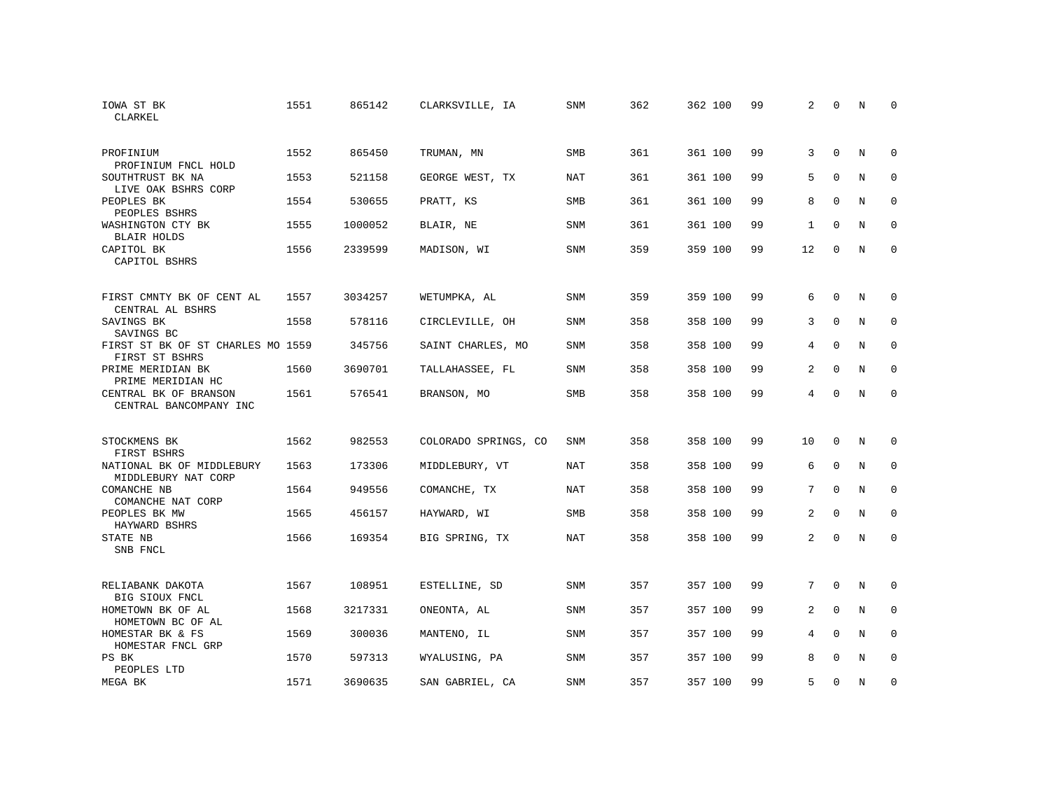| IOWA ST BK<br>CLARKEL                               | 1551 | 865142  | CLARKSVILLE, IA      | <b>SNM</b> | 362 | 362 100 | 99 | 2              | $\Omega$    | N | $\Omega$    |
|-----------------------------------------------------|------|---------|----------------------|------------|-----|---------|----|----------------|-------------|---|-------------|
| PROFINIUM<br>PROFINIUM FNCL HOLD                    | 1552 | 865450  | TRUMAN, MN           | <b>SMB</b> | 361 | 361 100 | 99 | 3              | $\Omega$    | N | $\Omega$    |
| SOUTHTRUST BK NA<br>LIVE OAK BSHRS CORP             | 1553 | 521158  | GEORGE WEST, TX      | NAT        | 361 | 361 100 | 99 | 5              | $\mathbf 0$ | N | $\mathbf 0$ |
| PEOPLES BK<br>PEOPLES BSHRS                         | 1554 | 530655  | PRATT, KS            | <b>SMB</b> | 361 | 361 100 | 99 | 8              | $\mathbf 0$ | N | $\mathbf 0$ |
| WASHINGTON CTY BK<br>BLAIR HOLDS                    | 1555 | 1000052 | BLAIR, NE            | SNM        | 361 | 361 100 | 99 | 1              | $\Omega$    | N | $\mathbf 0$ |
| CAPITOL BK<br>CAPITOL BSHRS                         | 1556 | 2339599 | MADISON, WI          | SNM        | 359 | 359 100 | 99 | 12             | $\mathbf 0$ | N | $\mathbf 0$ |
| FIRST CMNTY BK OF CENT AL<br>CENTRAL AL BSHRS       | 1557 | 3034257 | WETUMPKA, AL         | <b>SNM</b> | 359 | 359 100 | 99 | 6              | $\mathbf 0$ | N | $\mathbf 0$ |
| SAVINGS BK<br>SAVINGS BC                            | 1558 | 578116  | CIRCLEVILLE, OH      | <b>SNM</b> | 358 | 358 100 | 99 | 3              | $\Omega$    | N | $\mathbf 0$ |
| FIRST ST BK OF ST CHARLES MO 1559<br>FIRST ST BSHRS |      | 345756  | SAINT CHARLES, MO    | SNM        | 358 | 358 100 | 99 | 4              | $\mathbf 0$ | N | $\mathbf 0$ |
| PRIME MERIDIAN BK<br>PRIME MERIDIAN HC              | 1560 | 3690701 | TALLAHASSEE, FL      | <b>SNM</b> | 358 | 358 100 | 99 | $\overline{a}$ | $\Omega$    | N | $\Omega$    |
| CENTRAL BK OF BRANSON<br>CENTRAL BANCOMPANY INC     | 1561 | 576541  | BRANSON, MO          | SMB        | 358 | 358 100 | 99 | $\overline{4}$ | $\mathbf 0$ | N | $\mathbf 0$ |
| STOCKMENS BK<br>FIRST BSHRS                         | 1562 | 982553  | COLORADO SPRINGS, CO | <b>SNM</b> | 358 | 358 100 | 99 | 10             | $\mathbf 0$ | N | $\mathbf 0$ |
| NATIONAL BK OF MIDDLEBURY<br>MIDDLEBURY NAT CORP    | 1563 | 173306  | MIDDLEBURY, VT       | NAT        | 358 | 358 100 | 99 | 6              | 0           | N | 0           |
| COMANCHE NB<br>COMANCHE NAT CORP                    | 1564 | 949556  | COMANCHE, TX         | <b>NAT</b> | 358 | 358 100 | 99 | $7^{\circ}$    | $\mathbf 0$ | N | $\mathbf 0$ |
| PEOPLES BK MW<br>HAYWARD BSHRS                      | 1565 | 456157  | HAYWARD, WI          | SMB        | 358 | 358 100 | 99 | 2              | $\Omega$    | N | $\mathbf 0$ |
| STATE NB<br>SNB FNCL                                | 1566 | 169354  | BIG SPRING, TX       | NAT        | 358 | 358 100 | 99 | $\overline{a}$ | $\Omega$    | N | $\mathbf 0$ |
| RELIABANK DAKOTA<br>BIG SIOUX FNCL                  | 1567 | 108951  | ESTELLINE, SD        | <b>SNM</b> | 357 | 357 100 | 99 | 7              | $\Omega$    | N | $\mathbf 0$ |
| HOMETOWN BK OF AL<br>HOMETOWN BC OF AL              | 1568 | 3217331 | ONEONTA, AL          | SNM        | 357 | 357 100 | 99 | 2              | $\Omega$    | N | $\mathbf 0$ |
| HOMESTAR BK & FS<br>HOMESTAR FNCL GRP               | 1569 | 300036  | MANTENO, IL          | <b>SNM</b> | 357 | 357 100 | 99 | 4              | $\Omega$    | N | $\Omega$    |
| PS BK<br>PEOPLES LTD                                | 1570 | 597313  | WYALUSING, PA        | <b>SNM</b> | 357 | 357 100 | 99 | 8              | $\Omega$    | N | $\mathbf 0$ |
| MEGA BK                                             | 1571 | 3690635 | SAN GABRIEL, CA      | <b>SNM</b> | 357 | 357 100 | 99 | 5              | $\mathbf 0$ | N | $\mathbf 0$ |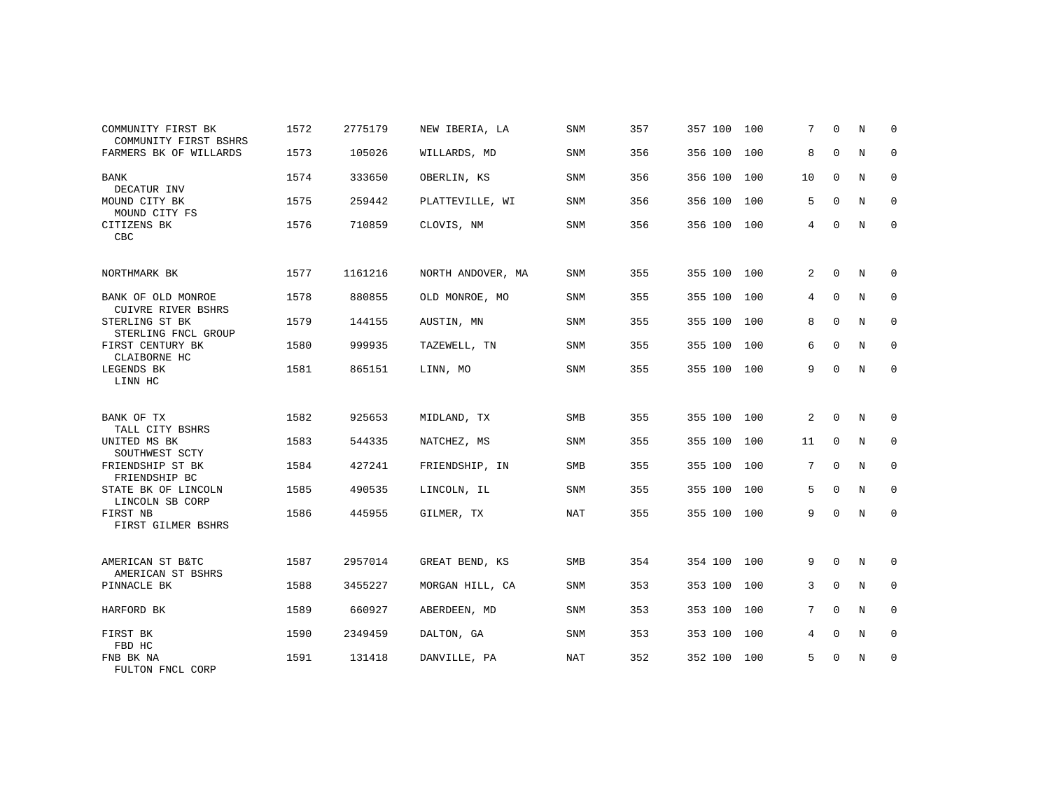| COMMUNITY FIRST BK<br>COMMUNITY FIRST BSHRS | 1572 | 2775179 | NEW IBERIA, LA    | <b>SNM</b> | 357 | 357 100 | 100 | 7  | $\Omega$     | N | $\Omega$    |
|---------------------------------------------|------|---------|-------------------|------------|-----|---------|-----|----|--------------|---|-------------|
| FARMERS BK OF WILLARDS                      | 1573 | 105026  | WILLARDS, MD      | SNM        | 356 | 356 100 | 100 | 8  | $\mathbf 0$  | N | $\mathbf 0$ |
| BANK<br>DECATUR INV                         | 1574 | 333650  | OBERLIN, KS       | <b>SNM</b> | 356 | 356 100 | 100 | 10 | $\mathbf 0$  | N | $\mathbf 0$ |
| MOUND CITY BK<br>MOUND CITY FS              | 1575 | 259442  | PLATTEVILLE, WI   | SNM        | 356 | 356 100 | 100 | 5  | $\Omega$     | N | $\mathbf 0$ |
| CITIZENS BK<br>CBC                          | 1576 | 710859  | CLOVIS, NM        | <b>SNM</b> | 356 | 356 100 | 100 | 4  | $\mathbf{0}$ | N | $\mathbf 0$ |
| NORTHMARK BK                                | 1577 | 1161216 | NORTH ANDOVER, MA | SNM        | 355 | 355 100 | 100 | 2  | $\Omega$     | N | $\mathbf 0$ |
| BANK OF OLD MONROE<br>CUIVRE RIVER BSHRS    | 1578 | 880855  | OLD MONROE, MO    | <b>SNM</b> | 355 | 355 100 | 100 | 4  | $\mathbf 0$  | N | $\mathbf 0$ |
| STERLING ST BK<br>STERLING FNCL GROUP       | 1579 | 144155  | AUSTIN, MN        | <b>SNM</b> | 355 | 355 100 | 100 | 8  | $\Omega$     | N | $\mathbf 0$ |
| FIRST CENTURY BK<br>CLAIBORNE HC            | 1580 | 999935  | TAZEWELL, TN      | SNM        | 355 | 355 100 | 100 | 6  | $\mathbf 0$  | N | $\mathbf 0$ |
| LEGENDS BK<br>LINN HC                       | 1581 | 865151  | LINN, MO          | <b>SNM</b> | 355 | 355 100 | 100 | 9  | $\Omega$     | N | $\mathbf 0$ |
| BANK OF TX<br>TALL CITY BSHRS               | 1582 | 925653  | MIDLAND, TX       | <b>SMB</b> | 355 | 355 100 | 100 | 2  | $\mathbf{0}$ | N | $\mathbf 0$ |
| UNITED MS BK<br>SOUTHWEST SCTY              | 1583 | 544335  | NATCHEZ, MS       | SNM        | 355 | 355 100 | 100 | 11 | $\mathbf 0$  | N | 0           |
| FRIENDSHIP ST BK<br>FRIENDSHIP BC           | 1584 | 427241  | FRIENDSHIP, IN    | SMB        | 355 | 355 100 | 100 | 7  | $\mathbf 0$  | N | 0           |
| STATE BK OF LINCOLN<br>LINCOLN SB CORP      | 1585 | 490535  | LINCOLN, IL       | SNM        | 355 | 355 100 | 100 | 5  | $\Omega$     | N | $\mathbf 0$ |
| FIRST NB<br>FIRST GILMER BSHRS              | 1586 | 445955  | GILMER, TX        | NAT        | 355 | 355 100 | 100 | 9  | $\Omega$     | N | $\mathbf 0$ |
| AMERICAN ST B&TC                            | 1587 | 2957014 | GREAT BEND, KS    | SMB        | 354 | 354 100 | 100 | 9  | $\mathbf{0}$ | N | $\mathbf 0$ |
| AMERICAN ST BSHRS<br>PINNACLE BK            | 1588 | 3455227 | MORGAN HILL, CA   | SNM        | 353 | 353 100 | 100 | 3  | $\Omega$     | N | $\mathbf 0$ |
| HARFORD BK                                  | 1589 | 660927  | ABERDEEN, MD      | SNM        | 353 | 353 100 | 100 | 7  | $\Omega$     | N | $\mathbf 0$ |
| FIRST BK                                    | 1590 | 2349459 | DALTON, GA        | SNM        | 353 | 353 100 | 100 | 4  | $\mathbf{0}$ | N | $\mathbf 0$ |
| FBD HC<br>FNB BK NA<br>FULTON FNCL CORP     | 1591 | 131418  | DANVILLE, PA      | <b>NAT</b> | 352 | 352 100 | 100 | 5  | $\Omega$     | N | $\mathbf 0$ |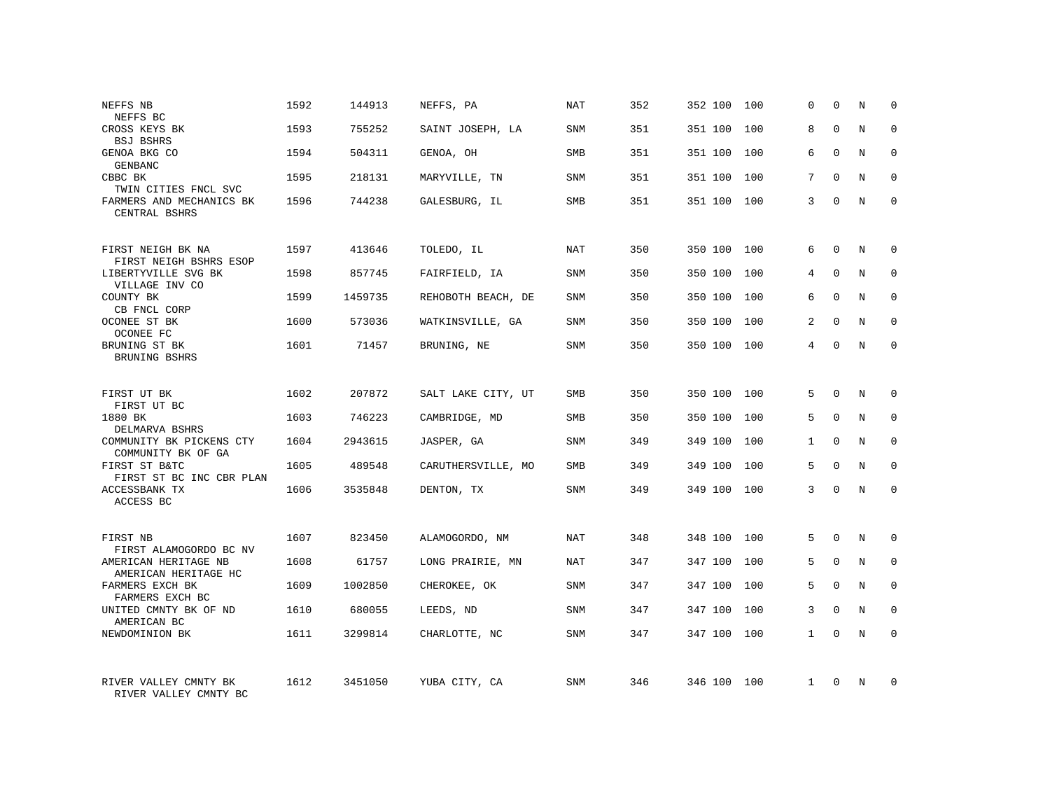| NEFFS NB<br>NEFFS BC                                            | 1592 | 144913  | NEFFS, PA          | <b>NAT</b> | 352 | 352 100 | 100 | 0            | $\Omega$    | N | $\mathbf 0$ |
|-----------------------------------------------------------------|------|---------|--------------------|------------|-----|---------|-----|--------------|-------------|---|-------------|
| CROSS KEYS BK<br><b>BSJ BSHRS</b>                               | 1593 | 755252  | SAINT JOSEPH, LA   | SNM        | 351 | 351 100 | 100 | 8            | $\Omega$    | N | $\Omega$    |
| GENOA BKG CO<br>GENBANC                                         | 1594 | 504311  | GENOA, OH          | SMB        | 351 | 351 100 | 100 | 6            | $\Omega$    | N | $\Omega$    |
| CBBC BK<br>TWIN CITIES FNCL SVC                                 | 1595 | 218131  | MARYVILLE, TN      | SNM        | 351 | 351 100 | 100 | 7            | $\Omega$    | N | $\Omega$    |
| FARMERS AND MECHANICS BK<br>CENTRAL BSHRS                       | 1596 | 744238  | GALESBURG, IL      | SMB        | 351 | 351 100 | 100 | 3            | $\Omega$    | N | $\Omega$    |
| FIRST NEIGH BK NA                                               | 1597 | 413646  | TOLEDO, IL         | <b>NAT</b> | 350 | 350 100 | 100 | 6            | $\Omega$    | N | $\Omega$    |
| FIRST NEIGH BSHRS ESOP<br>LIBERTYVILLE SVG BK<br>VILLAGE INV CO | 1598 | 857745  | FAIRFIELD, IA      | SNM        | 350 | 350 100 | 100 | 4            | $\Omega$    | N | $\Omega$    |
| COUNTY BK<br>CB FNCL CORP                                       | 1599 | 1459735 | REHOBOTH BEACH, DE | SNM        | 350 | 350 100 | 100 | 6            | $\Omega$    | N | $\Omega$    |
| OCONEE ST BK<br>OCONEE FC                                       | 1600 | 573036  | WATKINSVILLE, GA   | SNM        | 350 | 350 100 | 100 | 2            | $\Omega$    | N | $\Omega$    |
| BRUNING ST BK<br>BRUNING BSHRS                                  | 1601 | 71457   | BRUNING, NE        | SNM        | 350 | 350 100 | 100 | 4            | $\Omega$    | N | $\Omega$    |
| FIRST UT BK<br>FIRST UT BC                                      | 1602 | 207872  | SALT LAKE CITY, UT | <b>SMB</b> | 350 | 350 100 | 100 | 5.           | $\Omega$    | N | $\Omega$    |
| 1880 BK<br>DELMARVA BSHRS                                       | 1603 | 746223  | CAMBRIDGE, MD      | <b>SMB</b> | 350 | 350 100 | 100 | 5            | $\Omega$    | N | $\mathbf 0$ |
| COMMUNITY BK PICKENS CTY<br>COMMUNITY BK OF GA                  | 1604 | 2943615 | JASPER, GA         | SNM        | 349 | 349 100 | 100 | $\mathbf{1}$ | $\Omega$    | N | $\Omega$    |
| FIRST ST B&TC<br>FIRST ST BC INC CBR PLAN                       | 1605 | 489548  | CARUTHERSVILLE, MO | <b>SMB</b> | 349 | 349 100 | 100 | 5            | $\Omega$    | N | $\mathbf 0$ |
| ACCESSBANK TX<br>ACCESS BC                                      | 1606 | 3535848 | DENTON, TX         | <b>SNM</b> | 349 | 349 100 | 100 | 3            | $\Omega$    | N | $\Omega$    |
| FIRST NB                                                        | 1607 | 823450  | ALAMOGORDO, NM     | <b>NAT</b> | 348 | 348 100 | 100 | 5            | $\Omega$    | N | $\Omega$    |
| FIRST ALAMOGORDO BC NV<br>AMERICAN HERITAGE NB                  | 1608 | 61757   | LONG PRAIRIE, MN   | NAT        | 347 | 347 100 | 100 | 5            | $\mathbf 0$ | N | $\mathbf 0$ |
| AMERICAN HERITAGE HC<br>FARMERS EXCH BK<br>FARMERS EXCH BC      | 1609 | 1002850 | CHEROKEE, OK       | SNM        | 347 | 347 100 | 100 | 5            | $\Omega$    | N | $\Omega$    |
| UNITED CMNTY BK OF ND<br>AMERICAN BC                            | 1610 | 680055  | LEEDS, ND          | SNM        | 347 | 347 100 | 100 | 3            | $\Omega$    | N | $\mathbf 0$ |
| NEWDOMINION BK                                                  | 1611 | 3299814 | CHARLOTTE, NC      | SNM        | 347 | 347 100 | 100 | $\mathbf{1}$ | $\Omega$    | N | $\Omega$    |
| RIVER VALLEY CMNTY BK<br>RIVER VALLEY CMNTY BC                  | 1612 | 3451050 | YUBA CITY, CA      | SNM        | 346 | 346 100 | 100 | $\mathbf{1}$ | $\Omega$    | N | $\Omega$    |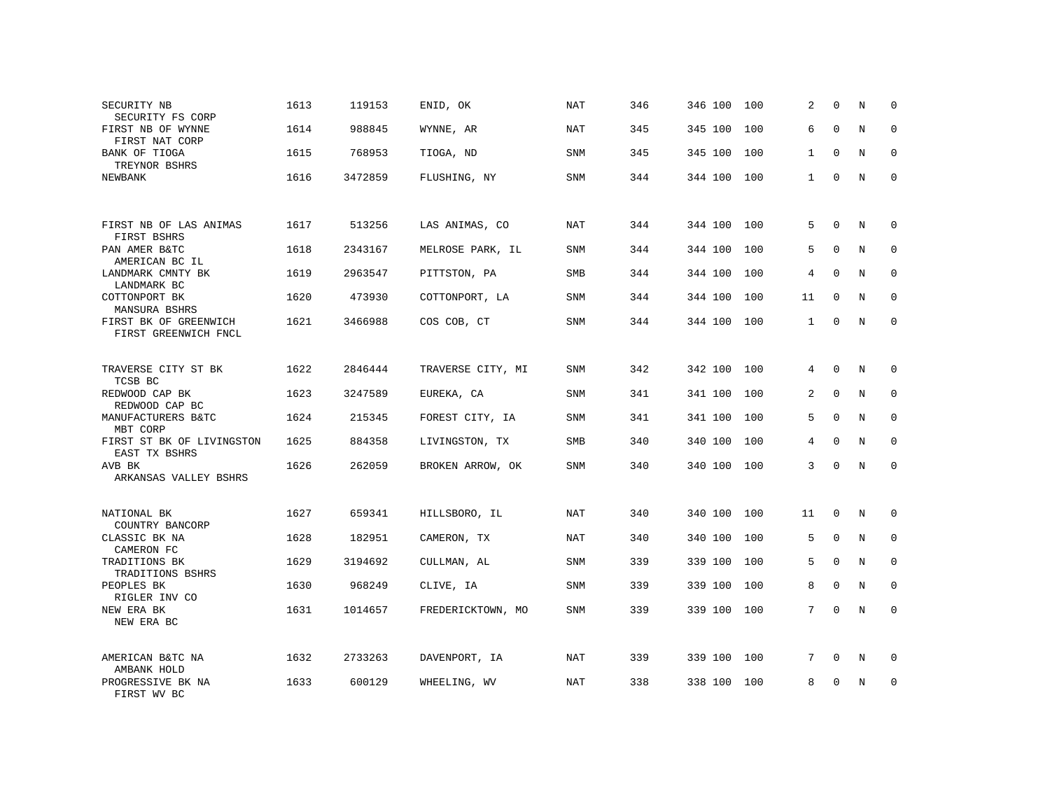| SECURITY NB<br>SECURITY FS CORP                 | 1613 | 119153  | ENID, OK          | NAT        | 346 | 346 100 | 100 | 2            | $\mathbf 0$ | N | $\mathbf 0$ |
|-------------------------------------------------|------|---------|-------------------|------------|-----|---------|-----|--------------|-------------|---|-------------|
| FIRST NB OF WYNNE<br>FIRST NAT CORP             | 1614 | 988845  | WYNNE, AR         | <b>NAT</b> | 345 | 345 100 | 100 | 6            | $\Omega$    | N | $\mathbf 0$ |
| BANK OF TIOGA<br>TREYNOR BSHRS                  | 1615 | 768953  | TIOGA, ND         | SNM        | 345 | 345 100 | 100 | $\mathbf{1}$ | $\mathbf 0$ | N | $\mathbf 0$ |
| NEWBANK                                         | 1616 | 3472859 | FLUSHING, NY      | SNM        | 344 | 344 100 | 100 | $\mathbf{1}$ | $\Omega$    | N | $\Omega$    |
|                                                 |      |         |                   |            |     |         |     |              |             |   |             |
| FIRST NB OF LAS ANIMAS<br>FIRST BSHRS           | 1617 | 513256  | LAS ANIMAS, CO    | NAT        | 344 | 344 100 | 100 | 5            | $\Omega$    | N | $\Omega$    |
| PAN AMER B&TC<br>AMERICAN BC IL                 | 1618 | 2343167 | MELROSE PARK, IL  | SNM        | 344 | 344 100 | 100 | 5            | $\Omega$    | N | $\mathbf 0$ |
| LANDMARK CMNTY BK<br>LANDMARK BC                | 1619 | 2963547 | PITTSTON, PA      | SMB        | 344 | 344 100 | 100 | 4            | $\Omega$    | N | $\mathbf 0$ |
| COTTONPORT BK<br>MANSURA BSHRS                  | 1620 | 473930  | COTTONPORT, LA    | SNM        | 344 | 344 100 | 100 | 11           | $\mathbf 0$ | N | $\mathbf 0$ |
| FIRST BK OF GREENWICH<br>FIRST GREENWICH FNCL   | 1621 | 3466988 | COS COB, CT       | SNM        | 344 | 344 100 | 100 | $\mathbf{1}$ | $\Omega$    | N | $\Omega$    |
|                                                 |      |         |                   |            |     |         |     |              |             |   |             |
| TRAVERSE CITY ST BK<br>TCSB BC                  | 1622 | 2846444 | TRAVERSE CITY, MI | SNM        | 342 | 342 100 | 100 | 4            | $\mathbf 0$ | N | $\mathbf 0$ |
| REDWOOD CAP BK<br>REDWOOD CAP BC                | 1623 | 3247589 | EUREKA, CA        | SNM        | 341 | 341 100 | 100 | 2            | $\Omega$    | N | $\Omega$    |
| MANUFACTURERS B&TC<br>MBT CORP                  | 1624 | 215345  | FOREST CITY, IA   | SNM        | 341 | 341 100 | 100 | 5            | $\mathbf 0$ | N | $\mathbf 0$ |
| FIRST ST BK OF LIVINGSTON<br>EAST TX BSHRS      | 1625 | 884358  | LIVINGSTON, TX    | <b>SMB</b> | 340 | 340 100 | 100 | 4            | $\Omega$    | N | $\Omega$    |
| AVB BK<br>ARKANSAS VALLEY BSHRS                 | 1626 | 262059  | BROKEN ARROW, OK  | SNM        | 340 | 340 100 | 100 | 3            | $\mathbf 0$ | N | $\mathbf 0$ |
|                                                 |      |         |                   |            |     |         |     |              |             |   |             |
| NATIONAL BK<br>COUNTRY BANCORP                  | 1627 | 659341  | HILLSBORO, IL     | NAT        | 340 | 340 100 | 100 | 11           | $\mathbf 0$ | N | $\mathbf 0$ |
| CLASSIC BK NA<br>CAMERON FC                     | 1628 | 182951  | CAMERON, TX       | NAT        | 340 | 340 100 | 100 | 5            | $\Omega$    | N | $\mathbf 0$ |
| TRADITIONS BK<br>TRADITIONS BSHRS               | 1629 | 3194692 | CULLMAN, AL       | SNM        | 339 | 339 100 | 100 | 5            | $\mathbf 0$ | N | $\mathbf 0$ |
| PEOPLES BK<br>RIGLER INV CO                     | 1630 | 968249  | CLIVE, IA         | <b>SNM</b> | 339 | 339 100 | 100 | 8            | $\Omega$    | N | $\mathbf 0$ |
| NEW ERA BK<br>NEW ERA BC                        | 1631 | 1014657 | FREDERICKTOWN, MO | SNM        | 339 | 339 100 | 100 | 7            | $\mathbf 0$ | N | $\mathbf 0$ |
| AMERICAN B&TC NA                                | 1632 | 2733263 | DAVENPORT, IA     | NAT        | 339 | 339 100 | 100 | 7            | 0           | N | 0           |
| AMBANK HOLD<br>PROGRESSIVE BK NA<br>FIRST WV BC | 1633 | 600129  | WHEELING, WV      | NAT        | 338 | 338 100 | 100 | 8            | $\Omega$    | N | $\mathbf 0$ |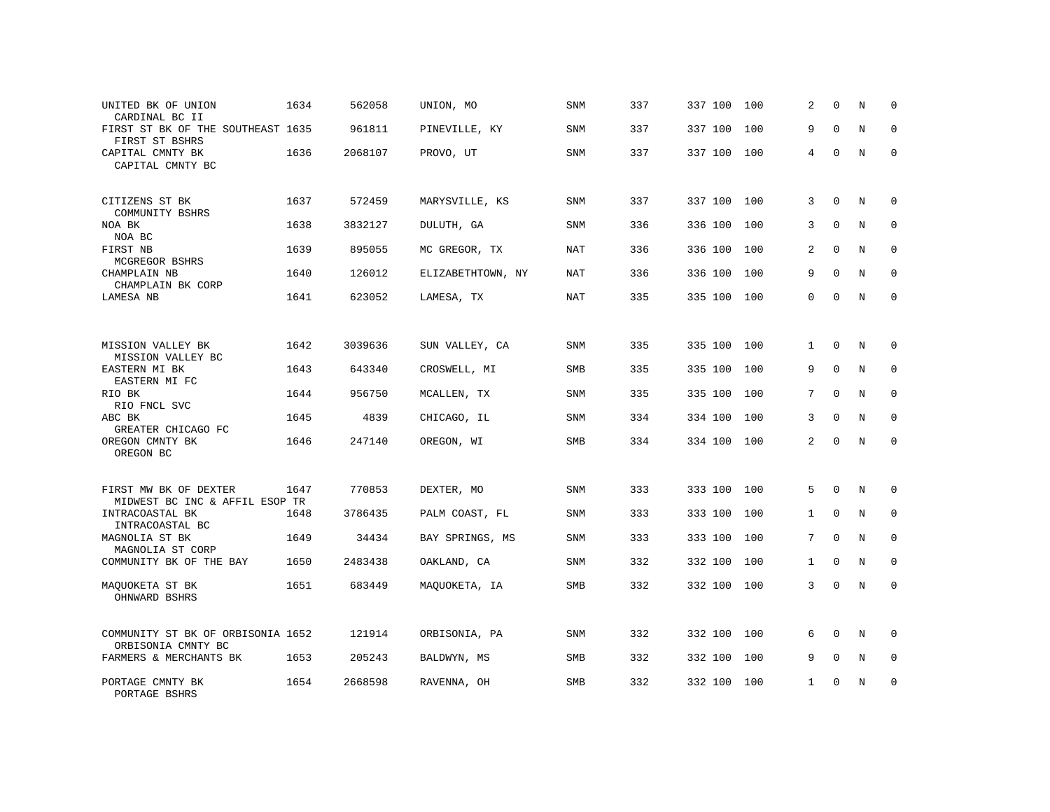| UNITED BK OF UNION<br>CARDINAL BC II                    | 1634 | 562058  | UNION, MO         | SNM        | 337 | 337 100 | 100 | 2              | 0            | N           | $\mathbf 0$ |
|---------------------------------------------------------|------|---------|-------------------|------------|-----|---------|-----|----------------|--------------|-------------|-------------|
| FIRST ST BK OF THE SOUTHEAST 1635<br>FIRST ST BSHRS     |      | 961811  | PINEVILLE, KY     | SNM        | 337 | 337 100 | 100 | 9              | $\Omega$     | N           | $\Omega$    |
| CAPITAL CMNTY BK<br>CAPITAL CMNTY BC                    | 1636 | 2068107 | PROVO, UT         | SNM        | 337 | 337 100 | 100 | 4              | $\mathbf{0}$ | N           | $\Omega$    |
| CITIZENS ST BK<br>COMMUNITY BSHRS                       | 1637 | 572459  | MARYSVILLE, KS    | <b>SNM</b> | 337 | 337 100 | 100 | 3              | $\Omega$     | N           | $\Omega$    |
| NOA BK<br>NOA BC                                        | 1638 | 3832127 | DULUTH, GA        | SNM        | 336 | 336 100 | 100 | 3              | $\mathbf{0}$ | N           | $\mathbf 0$ |
| FIRST NB<br>MCGREGOR BSHRS                              | 1639 | 895055  | MC GREGOR, TX     | NAT        | 336 | 336 100 | 100 | $\overline{2}$ | $\Omega$     | N           | $\Omega$    |
| CHAMPLAIN NB<br>CHAMPLAIN BK CORP                       | 1640 | 126012  | ELIZABETHTOWN, NY | NAT        | 336 | 336 100 | 100 | 9              | $\Omega$     | N           | $\mathbf 0$ |
| LAMESA NB                                               | 1641 | 623052  | LAMESA, TX        | NAT        | 335 | 335 100 | 100 | $\Omega$       | $\Omega$     | N           | $\Omega$    |
|                                                         |      |         |                   |            |     |         |     |                |              |             |             |
| MISSION VALLEY BK<br>MISSION VALLEY BC                  | 1642 | 3039636 | SUN VALLEY, CA    | <b>SNM</b> | 335 | 335 100 | 100 | $\mathbf{1}$   | $\Omega$     | N           | $\Omega$    |
| EASTERN MI BK<br>EASTERN MI FC                          | 1643 | 643340  | CROSWELL, MI      | SMB        | 335 | 335 100 | 100 | 9              | $\mathbf 0$  | N           | $\mathbf 0$ |
| RIO BK<br>RIO FNCL SVC                                  | 1644 | 956750  | MCALLEN, TX       | <b>SNM</b> | 335 | 335 100 | 100 | 7              | $\Omega$     | N           | $\Omega$    |
| ABC BK<br>GREATER CHICAGO FC                            | 1645 | 4839    | CHICAGO, IL       | <b>SNM</b> | 334 | 334 100 | 100 | 3              | $\Omega$     | N           | $\Omega$    |
| OREGON CMNTY BK<br>OREGON BC                            | 1646 | 247140  | OREGON, WI        | <b>SMB</b> | 334 | 334 100 | 100 | 2              | $\Omega$     | N           | $\mathbf 0$ |
| FIRST MW BK OF DEXTER                                   | 1647 | 770853  | DEXTER, MO        | <b>SNM</b> | 333 | 333 100 | 100 | 5              | $\mathbf 0$  | N           | $\mathbf 0$ |
| MIDWEST BC INC & AFFIL ESOP TR<br>INTRACOASTAL BK       | 1648 | 3786435 | PALM COAST, FL    | <b>SNM</b> | 333 | 333 100 | 100 | $\mathbf{1}$   | $\mathbf{0}$ | N           | $\mathbf 0$ |
| INTRACOASTAL BC<br>MAGNOLIA ST BK                       | 1649 | 34434   | BAY SPRINGS, MS   | SNM        | 333 | 333 100 | 100 | 7              | $\Omega$     | $\mathbf N$ | $\mathbf 0$ |
| MAGNOLIA ST CORP<br>COMMUNITY BK OF THE BAY             | 1650 | 2483438 | OAKLAND, CA       | <b>SNM</b> | 332 | 332 100 | 100 | $\mathbf{1}$   | $\mathbf{0}$ | N           | $\mathbf 0$ |
| MAQUOKETA ST BK<br>OHNWARD BSHRS                        | 1651 | 683449  | MAQUOKETA, IA     | SMB        | 332 | 332 100 | 100 | 3              | $\Omega$     | $_{\rm N}$  | $\Omega$    |
| COMMUNITY ST BK OF ORBISONIA 1652<br>ORBISONIA CMNTY BC |      | 121914  | ORBISONIA, PA     | <b>SNM</b> | 332 | 332 100 | 100 | 6              | $\Omega$     | N           | $\mathbf 0$ |
| FARMERS & MERCHANTS BK                                  | 1653 | 205243  | BALDWYN, MS       | SMB        | 332 | 332 100 | 100 | 9              | $\mathbf 0$  | N           | 0           |
| PORTAGE CMNTY BK<br>PORTAGE BSHRS                       | 1654 | 2668598 | RAVENNA, OH       | <b>SMB</b> | 332 | 332 100 | 100 | $\mathbf{1}$   | $\Omega$     | N           | $\mathbf 0$ |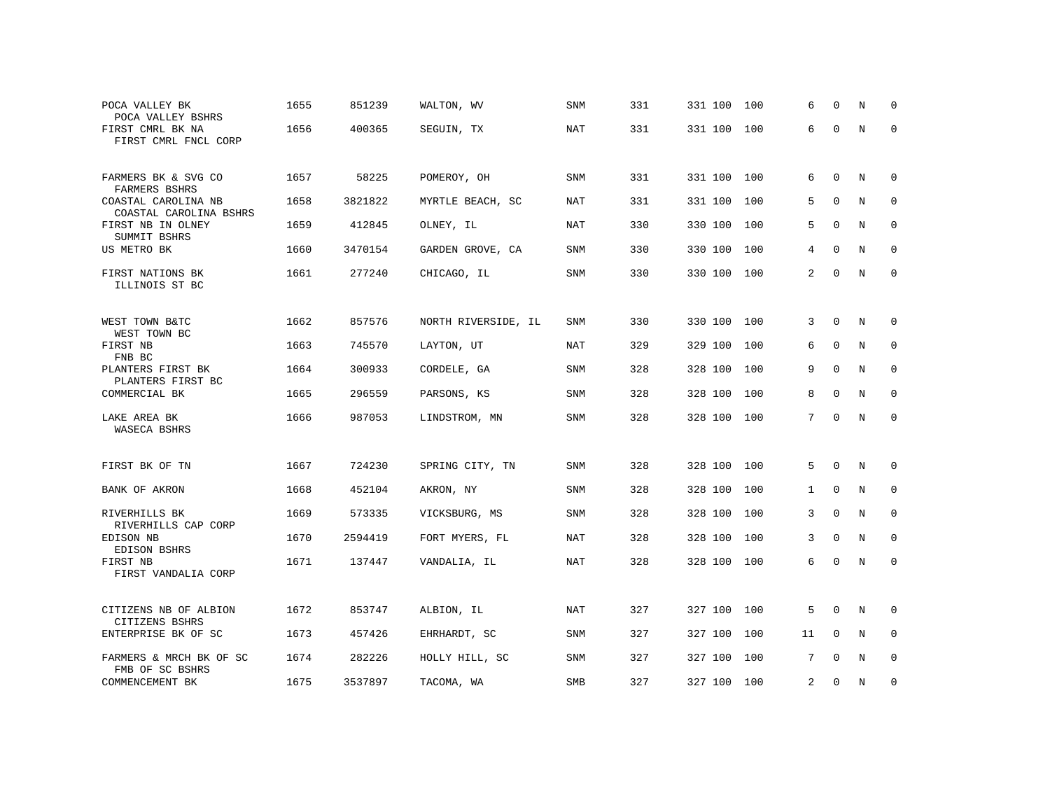| POCA VALLEY BK<br>POCA VALLEY BSHRS              | 1655 | 851239  | WALTON, WV          | SNM        | 331 | 331 100 | 100 | 6               | $\Omega$     | N       | $\Omega$     |
|--------------------------------------------------|------|---------|---------------------|------------|-----|---------|-----|-----------------|--------------|---------|--------------|
| FIRST CMRL BK NA<br>FIRST CMRL FNCL CORP         | 1656 | 400365  | SEGUIN, TX          | <b>NAT</b> | 331 | 331 100 | 100 | 6               | $\Omega$     | $\rm N$ | $\mathbf 0$  |
|                                                  |      |         |                     |            |     |         |     |                 |              |         |              |
| FARMERS BK & SVG CO<br>FARMERS BSHRS             | 1657 | 58225   | POMEROY, OH         | SNM        | 331 | 331 100 | 100 | 6               | $\mathbf 0$  | N       | $\mathbf 0$  |
| COASTAL CAROLINA NB<br>COASTAL CAROLINA BSHRS    | 1658 | 3821822 | MYRTLE BEACH, SC    | NAT        | 331 | 331 100 | 100 | 5               | $\mathbf 0$  | N       | 0            |
| FIRST NB IN OLNEY<br>SUMMIT BSHRS                | 1659 | 412845  | OLNEY, IL           | NAT        | 330 | 330 100 | 100 | 5               | $\mathbf 0$  | N       | 0            |
| US METRO BK                                      | 1660 | 3470154 | GARDEN GROVE, CA    | <b>SNM</b> | 330 | 330 100 | 100 | 4               | $\Omega$     | N       | $\mathbf 0$  |
| FIRST NATIONS BK<br>ILLINOIS ST BC               | 1661 | 277240  | CHICAGO, IL         | <b>SNM</b> | 330 | 330 100 | 100 | 2               | $\Omega$     | N       | $\mathbf 0$  |
| WEST TOWN B&TC                                   | 1662 | 857576  | NORTH RIVERSIDE, IL | SNM        | 330 | 330 100 | 100 | 3               | $\mathbf 0$  | N       | $\mathbf 0$  |
| WEST TOWN BC<br>FIRST NB                         | 1663 | 745570  | LAYTON, UT          | NAT        | 329 | 329 100 | 100 | 6               | $\mathbf{0}$ | N       | $\mathbf 0$  |
| FNB BC<br>PLANTERS FIRST BK                      | 1664 | 300933  | CORDELE, GA         | SNM        | 328 | 328 100 | 100 | 9               | $\mathbf{0}$ | N       | $\mathbf 0$  |
| PLANTERS FIRST BC<br>COMMERCIAL BK               | 1665 | 296559  | PARSONS, KS         | SNM        | 328 | 328 100 | 100 | 8               | $\Omega$     | N       | $\Omega$     |
| LAKE AREA BK<br>WASECA BSHRS                     | 1666 | 987053  | LINDSTROM, MN       | SNM        | 328 | 328 100 | 100 | $7\overline{ }$ | $\Omega$     | N       | $\Omega$     |
| FIRST BK OF TN                                   | 1667 | 724230  | SPRING CITY, TN     | SNM        | 328 | 328 100 | 100 | 5               | $\mathbf 0$  | N       | $\mathbf 0$  |
| BANK OF AKRON                                    | 1668 | 452104  | AKRON, NY           | SNM        | 328 | 328 100 | 100 | $\mathbf{1}$    | 0            | N       | 0            |
| RIVERHILLS BK                                    | 1669 | 573335  | VICKSBURG, MS       | SNM        | 328 | 328 100 | 100 | 3               | $\mathbf 0$  | N       | 0            |
| RIVERHILLS CAP CORP<br>EDISON NB<br>EDISON BSHRS | 1670 | 2594419 | FORT MYERS, FL      | NAT        | 328 | 328 100 | 100 | 3               | 0            | N       | 0            |
| FIRST NB<br>FIRST VANDALIA CORP                  | 1671 | 137447  | VANDALIA, IL        | <b>NAT</b> | 328 | 328 100 | 100 | 6               | $\mathbf{0}$ | N       | $\mathbf{0}$ |
| CITIZENS NB OF ALBION<br>CITIZENS BSHRS          | 1672 | 853747  | ALBION, IL          | NAT        | 327 | 327 100 | 100 | 5               | $\mathbf 0$  | N       | $\mathbf 0$  |
| ENTERPRISE BK OF SC                              | 1673 | 457426  | EHRHARDT, SC        | SNM        | 327 | 327 100 | 100 | 11              | 0            | N       | 0            |
| FARMERS & MRCH BK OF SC<br>FMB OF SC BSHRS       | 1674 | 282226  | HOLLY HILL, SC      | SNM        | 327 | 327 100 | 100 | 7               | $\mathbf 0$  | N       | 0            |
| COMMENCEMENT BK                                  | 1675 | 3537897 | TACOMA, WA          | SMB        | 327 | 327 100 | 100 | 2               | $\mathbf 0$  | $\rm N$ | 0            |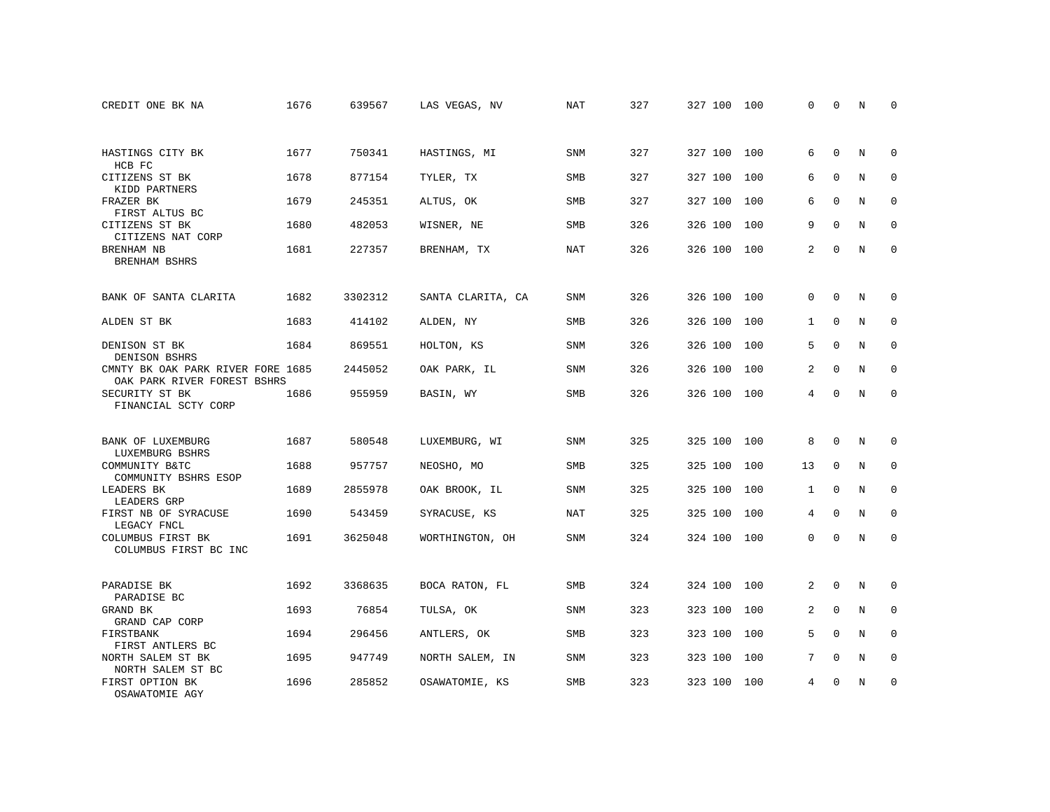| CREDIT ONE BK NA                                                 | 1676 | 639567  | LAS VEGAS, NV     | NAT        | 327 | 327 100 | 100 | 0              | $\mathbf 0$  | N | $\mathbf 0$ |
|------------------------------------------------------------------|------|---------|-------------------|------------|-----|---------|-----|----------------|--------------|---|-------------|
| HASTINGS CITY BK                                                 | 1677 | 750341  | HASTINGS, MI      | SNM        | 327 | 327 100 | 100 | 6              | $\Omega$     | N | $\Omega$    |
| HCB FC                                                           |      |         |                   |            |     |         |     |                |              |   |             |
| CITIZENS ST BK<br>KIDD PARTNERS                                  | 1678 | 877154  | TYLER, TX         | SMB        | 327 | 327 100 | 100 | 6              | $\mathbf{0}$ | N | $\mathbf 0$ |
| FRAZER BK<br>FIRST ALTUS BC                                      | 1679 | 245351  | ALTUS, OK         | <b>SMB</b> | 327 | 327 100 | 100 | 6              | $\Omega$     | N | $\mathbf 0$ |
| CITIZENS ST BK<br>CITIZENS NAT CORP                              | 1680 | 482053  | WISNER, NE        | <b>SMB</b> | 326 | 326 100 | 100 | 9              | $\Omega$     | N | $\mathbf 0$ |
| BRENHAM NB<br>BRENHAM BSHRS                                      | 1681 | 227357  | BRENHAM, TX       | NAT        | 326 | 326 100 | 100 | 2              | $\mathbf 0$  | N | $\mathbf 0$ |
| BANK OF SANTA CLARITA                                            | 1682 | 3302312 | SANTA CLARITA, CA | <b>SNM</b> | 326 | 326 100 | 100 | 0              | $\mathbf{0}$ | N | $\mathbf 0$ |
| ALDEN ST BK                                                      | 1683 | 414102  | ALDEN, NY         | SMB        | 326 | 326 100 | 100 | $\mathbf{1}$   | $\mathbf{0}$ | N | $\mathbf 0$ |
| DENISON ST BK<br>DENISON BSHRS                                   | 1684 | 869551  | HOLTON, KS        | SNM        | 326 | 326 100 | 100 | 5              | $\Omega$     | N | $\mathbf 0$ |
| CMNTY BK OAK PARK RIVER FORE 1685<br>OAK PARK RIVER FOREST BSHRS |      | 2445052 | OAK PARK, IL      | SNM        | 326 | 326 100 | 100 | 2              | $\mathbf 0$  | N | 0           |
| SECURITY ST BK<br>FINANCIAL SCTY CORP                            | 1686 | 955959  | BASIN, WY         | <b>SMB</b> | 326 | 326 100 | 100 | 4              | $\mathbf{0}$ | N | $\mathbf 0$ |
| BANK OF LUXEMBURG<br>LUXEMBURG BSHRS                             | 1687 | 580548  | LUXEMBURG, WI     | SNM        | 325 | 325 100 | 100 | 8              | $\mathbf 0$  | N | 0           |
| COMMUNITY B&TC<br>COMMUNITY BSHRS ESOP                           | 1688 | 957757  | NEOSHO, MO        | SMB        | 325 | 325 100 | 100 | 13             | $\mathbf 0$  | N | 0           |
| LEADERS BK<br>LEADERS GRP                                        | 1689 | 2855978 | OAK BROOK, IL     | SNM        | 325 | 325 100 | 100 | 1              | $\Omega$     | N | $\mathbf 0$ |
| FIRST NB OF SYRACUSE<br>LEGACY FNCL                              | 1690 | 543459  | SYRACUSE, KS      | NAT        | 325 | 325 100 | 100 | 4              | $\mathbf 0$  | N | 0           |
| COLUMBUS FIRST BK<br>COLUMBUS FIRST BC INC                       | 1691 | 3625048 | WORTHINGTON, OH   | <b>SNM</b> | 324 | 324 100 | 100 | $\Omega$       | $\Omega$     | N | $\mathbf 0$ |
| PARADISE BK<br>PARADISE BC                                       | 1692 | 3368635 | BOCA RATON, FL    | SMB        | 324 | 324 100 | 100 | 2              | $\mathbf 0$  | N | 0           |
| GRAND BK<br>GRAND CAP CORP                                       | 1693 | 76854   | TULSA, OK         | SNM        | 323 | 323 100 | 100 | $\overline{a}$ | $\mathbf 0$  | N | $\mathbf 0$ |
| FIRSTBANK<br>FIRST ANTLERS BC                                    | 1694 | 296456  | ANTLERS, OK       | SMB        | 323 | 323 100 | 100 | 5              | $\mathbf 0$  | N | $\mathbf 0$ |
| NORTH SALEM ST BK<br>NORTH SALEM ST BC                           | 1695 | 947749  | NORTH SALEM, IN   | <b>SNM</b> | 323 | 323 100 | 100 | 7              | $\mathbf 0$  | N | $\mathbf 0$ |
| FIRST OPTION BK<br>OSAWATOMIE AGY                                | 1696 | 285852  | OSAWATOMIE, KS    | <b>SMB</b> | 323 | 323 100 | 100 | 4              | $\Omega$     | N | $\mathbf 0$ |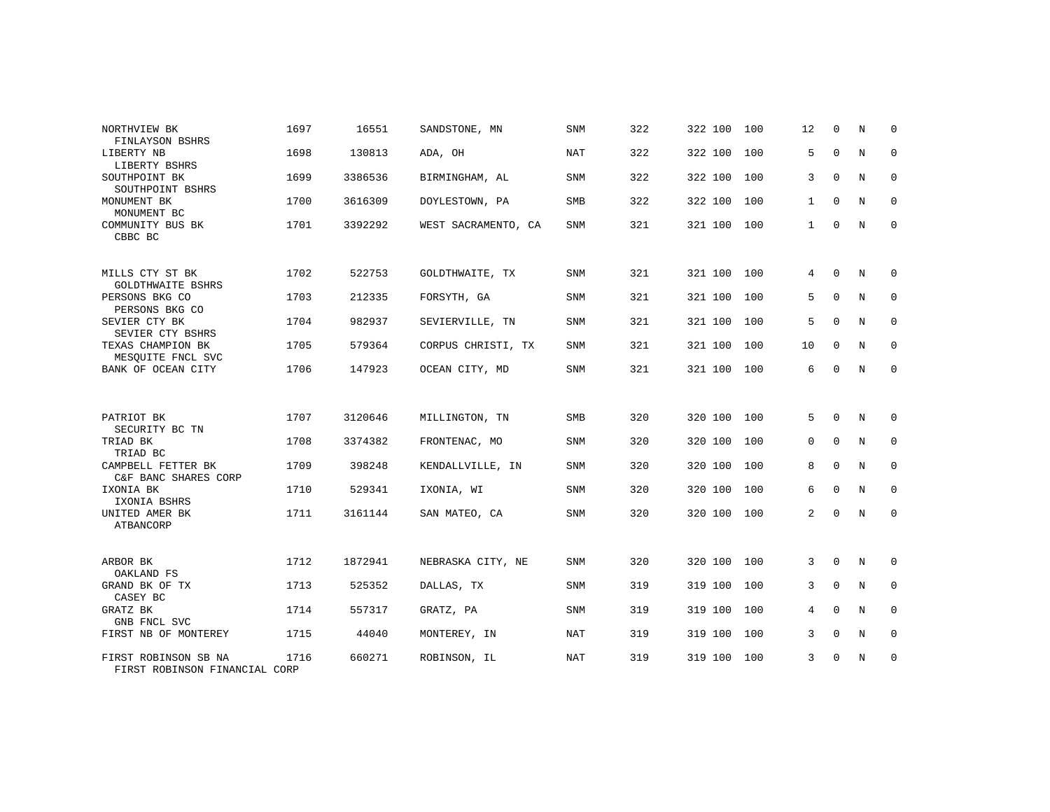| NORTHVIEW BK<br>FINLAYSON BSHRS                       | 1697 | 16551   | SANDSTONE, MN       | <b>SNM</b> | 322 | 322 100 | 100 | 12           | $\Omega$     | N              | $\Omega$    |
|-------------------------------------------------------|------|---------|---------------------|------------|-----|---------|-----|--------------|--------------|----------------|-------------|
| LIBERTY NB<br>LIBERTY BSHRS                           | 1698 | 130813  | ADA, OH             | <b>NAT</b> | 322 | 322 100 | 100 | 5            | $\mathbf 0$  | N              | $\mathbf 0$ |
| SOUTHPOINT BK<br>SOUTHPOINT BSHRS                     | 1699 | 3386536 | BIRMINGHAM, AL      | <b>SNM</b> | 322 | 322 100 | 100 | 3            | $\Omega$     | $\overline{N}$ | $\mathbf 0$ |
| MONUMENT BK<br>MONUMENT BC                            | 1700 | 3616309 | DOYLESTOWN, PA      | <b>SMB</b> | 322 | 322 100 | 100 | $\mathbf{1}$ | $\Omega$     | N              | $\mathbf 0$ |
| COMMUNITY BUS BK<br>CBBC BC                           | 1701 | 3392292 | WEST SACRAMENTO, CA | <b>SNM</b> | 321 | 321 100 | 100 | $\mathbf{1}$ | $\mathbf 0$  | N              | $\mathbf 0$ |
| MILLS CTY ST BK<br><b>GOLDTHWAITE BSHRS</b>           | 1702 | 522753  | GOLDTHWAITE, TX     | SNM        | 321 | 321 100 | 100 | 4            | $\Omega$     | N              | $\mathbf 0$ |
| PERSONS BKG CO<br>PERSONS BKG CO                      | 1703 | 212335  | FORSYTH, GA         | SNM        | 321 | 321 100 | 100 | 5            | $\Omega$     | N              | $\mathbf 0$ |
| SEVIER CTY BK<br>SEVIER CTY BSHRS                     | 1704 | 982937  | SEVIERVILLE, TN     | <b>SNM</b> | 321 | 321 100 | 100 | 5            | $\Omega$     | N              | $\mathbf 0$ |
| TEXAS CHAMPION BK<br>MESQUITE FNCL SVC                | 1705 | 579364  | CORPUS CHRISTI, TX  | SNM        | 321 | 321 100 | 100 | 10           | $\mathbf 0$  | N              | $\mathbf 0$ |
| BANK OF OCEAN CITY                                    | 1706 | 147923  | OCEAN CITY, MD      | <b>SNM</b> | 321 | 321 100 | 100 | 6            | $\mathbf 0$  | N              | $\mathbf 0$ |
|                                                       |      |         |                     |            |     |         |     |              |              |                |             |
| PATRIOT BK<br>SECURITY BC TN                          | 1707 | 3120646 | MILLINGTON, TN      | SMB        | 320 | 320 100 | 100 | 5            | $\Omega$     | N              | $\mathbf 0$ |
| TRIAD BK<br>TRIAD BC                                  | 1708 | 3374382 | FRONTENAC, MO       | SNM        | 320 | 320 100 | 100 | 0            | $\mathbf{0}$ | N              | $\mathbf 0$ |
| CAMPBELL FETTER BK<br>C&F BANC SHARES CORP            | 1709 | 398248  | KENDALLVILLE, IN    | <b>SNM</b> | 320 | 320 100 | 100 | 8            | $\mathbf 0$  | N              | $\mathbf 0$ |
| IXONIA BK<br>IXONIA BSHRS                             | 1710 | 529341  | IXONIA, WI          | SNM        | 320 | 320 100 | 100 | 6            | $\Omega$     | N              | $\mathbf 0$ |
| UNITED AMER BK<br>ATBANCORP                           | 1711 | 3161144 | SAN MATEO, CA       | <b>SNM</b> | 320 | 320 100 | 100 | 2            | $\mathbf 0$  | N              | $\mathbf 0$ |
|                                                       |      |         |                     |            |     |         |     |              |              |                |             |
| ARBOR BK<br>OAKLAND FS                                | 1712 | 1872941 | NEBRASKA CITY, NE   | SNM        | 320 | 320 100 | 100 | 3            | $\mathbf 0$  | N              | $\mathbf 0$ |
| GRAND BK OF TX<br>CASEY BC                            | 1713 | 525352  | DALLAS, TX          | <b>SNM</b> | 319 | 319 100 | 100 | 3            | $\Omega$     | N              | $\mathbf 0$ |
| GRATZ BK<br>GNB FNCL SVC                              | 1714 | 557317  | GRATZ, PA           | <b>SNM</b> | 319 | 319 100 | 100 | 4            | $\Omega$     | N              | $\mathbf 0$ |
| FIRST NB OF MONTEREY                                  | 1715 | 44040   | MONTEREY, IN        | NAT        | 319 | 319 100 | 100 | 3            | $\mathbf{0}$ | N              | $\mathbf 0$ |
| FIRST ROBINSON SB NA<br>FIRST ROBINSON FINANCIAL CORP | 1716 | 660271  | ROBINSON, IL        | <b>NAT</b> | 319 | 319 100 | 100 | 3            | $\mathbf 0$  | N              | $\mathbf 0$ |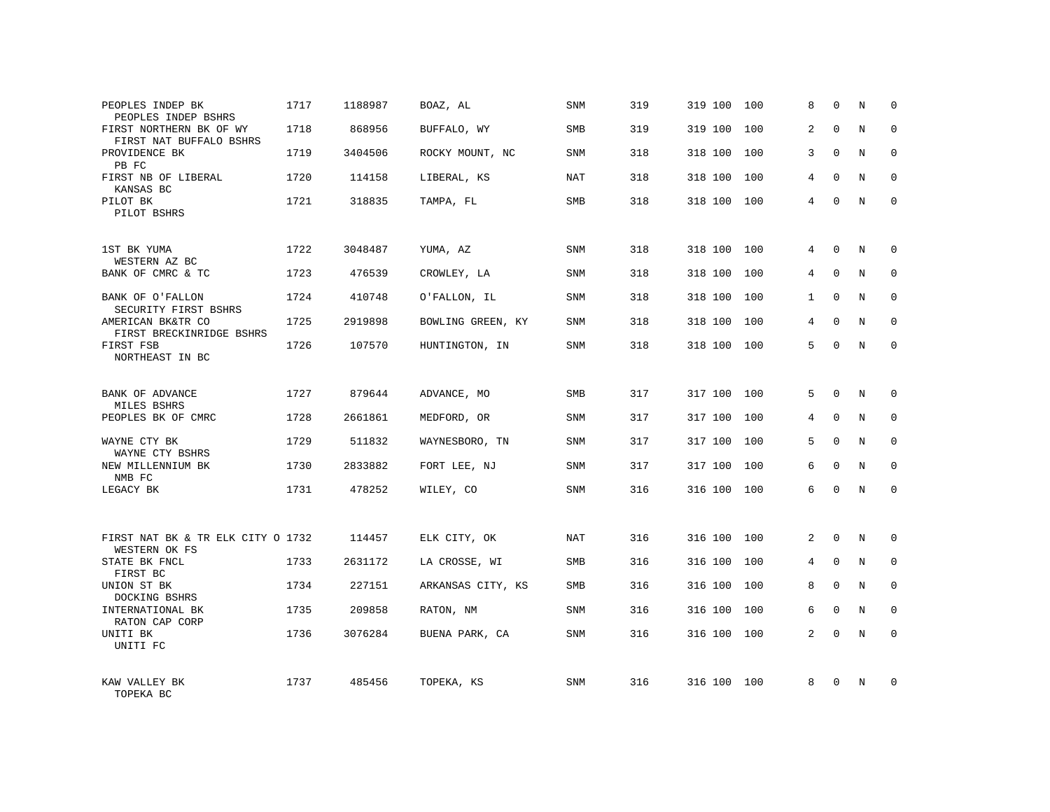| PEOPLES INDEP BK<br>PEOPLES INDEP BSHRS            | 1717 | 1188987 | BOAZ, AL          | SNM        | 319 | 319 100 | 100 | 8              | $\Omega$    | N | $\Omega$    |
|----------------------------------------------------|------|---------|-------------------|------------|-----|---------|-----|----------------|-------------|---|-------------|
| FIRST NORTHERN BK OF WY<br>FIRST NAT BUFFALO BSHRS | 1718 | 868956  | BUFFALO, WY       | <b>SMB</b> | 319 | 319 100 | 100 | 2              | $\Omega$    | N | $\Omega$    |
| PROVIDENCE BK<br>PB FC                             | 1719 | 3404506 | ROCKY MOUNT, NC   | <b>SNM</b> | 318 | 318 100 | 100 | 3              | $\Omega$    | N | $\mathbf 0$ |
| FIRST NB OF LIBERAL<br>KANSAS BC                   | 1720 | 114158  | LIBERAL, KS       | NAT        | 318 | 318 100 | 100 | 4              | $\Omega$    | N | $\Omega$    |
| PILOT BK<br>PILOT BSHRS                            | 1721 | 318835  | TAMPA, FL         | <b>SMB</b> | 318 | 318 100 | 100 | 4              | $\Omega$    | N | $\Omega$    |
| 1ST BK YUMA                                        | 1722 | 3048487 | YUMA, AZ          | SNM        | 318 | 318 100 | 100 | 4              | $\Omega$    | N | $\Omega$    |
| WESTERN AZ BC<br>BANK OF CMRC & TC                 | 1723 | 476539  | CROWLEY, LA       | SNM        | 318 | 318 100 | 100 | 4              | $\Omega$    | N | $\mathbf 0$ |
| BANK OF O'FALLON<br>SECURITY FIRST BSHRS           | 1724 | 410748  | O'FALLON, IL      | SNM        | 318 | 318 100 | 100 | $\mathbf{1}$   | $\Omega$    | N | $\Omega$    |
| AMERICAN BK&TR CO<br>FIRST BRECKINRIDGE BSHRS      | 1725 | 2919898 | BOWLING GREEN, KY | SNM        | 318 | 318 100 | 100 | 4              | $\Omega$    | N | $\mathbf 0$ |
| FIRST FSB<br>NORTHEAST IN BC                       | 1726 | 107570  | HUNTINGTON, IN    | <b>SNM</b> | 318 | 318 100 | 100 | 5              | $\Omega$    | N | $\Omega$    |
| BANK OF ADVANCE<br>MILES BSHRS                     | 1727 | 879644  | ADVANCE, MO       | <b>SMB</b> | 317 | 317 100 | 100 | 5              | $\Omega$    | N | $\Omega$    |
| PEOPLES BK OF CMRC                                 | 1728 | 2661861 | MEDFORD, OR       | <b>SNM</b> | 317 | 317 100 | 100 | 4              | $\Omega$    | N | $\mathbf 0$ |
| WAYNE CTY BK<br>WAYNE CTY BSHRS                    | 1729 | 511832  | WAYNESBORO, TN    | <b>SNM</b> | 317 | 317 100 | 100 | 5              | $\Omega$    | N | $\mathbf 0$ |
| NEW MILLENNIUM BK<br>NMB FC                        | 1730 | 2833882 | FORT LEE, NJ      | <b>SNM</b> | 317 | 317 100 | 100 | 6              | $\Omega$    | N | $\mathbf 0$ |
| LEGACY BK                                          | 1731 | 478252  | WILEY, CO         | SNM        | 316 | 316 100 | 100 | 6              | $\Omega$    | N | $\mathbf 0$ |
|                                                    |      |         |                   |            |     |         |     |                |             |   |             |
| FIRST NAT BK & TR ELK CITY O 1732<br>WESTERN OK FS |      | 114457  | ELK CITY, OK      | <b>NAT</b> | 316 | 316 100 | 100 | $\overline{a}$ | $\mathbf 0$ | N | $\mathbf 0$ |
| STATE BK FNCL<br>FIRST BC                          | 1733 | 2631172 | LA CROSSE, WI     | <b>SMB</b> | 316 | 316 100 | 100 | 4              | $\mathbf 0$ | N | $\mathbf 0$ |
| UNION ST BK<br>DOCKING BSHRS                       | 1734 | 227151  | ARKANSAS CITY, KS | SMB        | 316 | 316 100 | 100 | 8              | $\Omega$    | N | $\Omega$    |
| INTERNATIONAL BK<br>RATON CAP CORP                 | 1735 | 209858  | RATON, NM         | SNM        | 316 | 316 100 | 100 | 6              | $\mathbf 0$ | N | $\mathbf 0$ |
| UNITI BK<br>UNITI FC                               | 1736 | 3076284 | BUENA PARK, CA    | SNM        | 316 | 316 100 | 100 | $\overline{2}$ | $\Omega$    | N | $\Omega$    |
| KAW VALLEY BK<br>TOPEKA BC                         | 1737 | 485456  | TOPEKA, KS        | SNM        | 316 | 316 100 | 100 | 8              | $\Omega$    | N | $\Omega$    |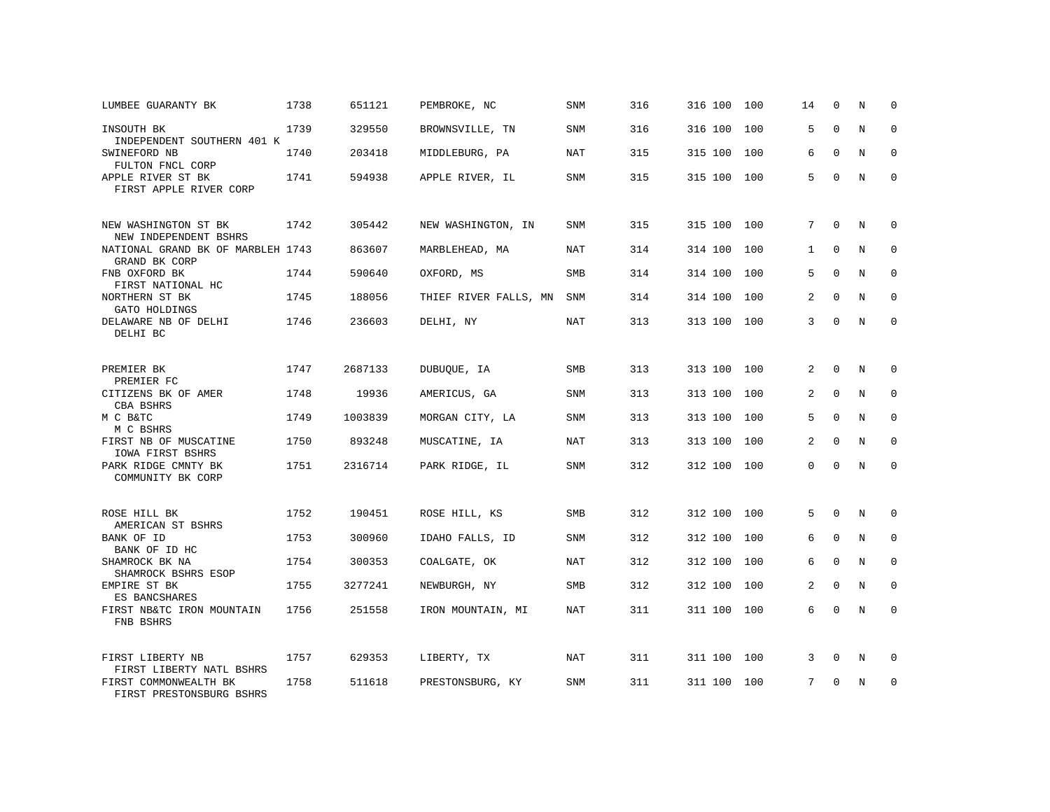| LUMBEE GUARANTY BK                                                          | 1738 | 651121  | PEMBROKE, NC          | SNM        | 316 | 316 100 | 100 | 14             | 0            | N | 0           |
|-----------------------------------------------------------------------------|------|---------|-----------------------|------------|-----|---------|-----|----------------|--------------|---|-------------|
| INSOUTH BK<br>INDEPENDENT SOUTHERN 401 K                                    | 1739 | 329550  | BROWNSVILLE, TN       | <b>SNM</b> | 316 | 316 100 | 100 | 5              | $\Omega$     | N | $\Omega$    |
| SWINEFORD NB<br>FULTON FNCL CORP                                            | 1740 | 203418  | MIDDLEBURG, PA        | <b>NAT</b> | 315 | 315 100 | 100 | 6              | $\Omega$     | N | $\mathbf 0$ |
| APPLE RIVER ST BK<br>FIRST APPLE RIVER CORP                                 | 1741 | 594938  | APPLE RIVER, IL       | SNM        | 315 | 315 100 | 100 | 5              | $\Omega$     | N | $\Omega$    |
| NEW WASHINGTON ST BK                                                        | 1742 | 305442  | NEW WASHINGTON, IN    | SNM        | 315 | 315 100 | 100 | 7              | $\mathbf 0$  | N | 0           |
| NEW INDEPENDENT BSHRS<br>NATIONAL GRAND BK OF MARBLEH 1743<br>GRAND BK CORP |      | 863607  | MARBLEHEAD, MA        | NAT        | 314 | 314 100 | 100 | $\mathbf{1}$   | $\Omega$     | N | $\Omega$    |
| FNB OXFORD BK<br>FIRST NATIONAL HC                                          | 1744 | 590640  | OXFORD, MS            | SMB        | 314 | 314 100 | 100 | 5              | $\Omega$     | N | $\mathbf 0$ |
| NORTHERN ST BK<br>GATO HOLDINGS                                             | 1745 | 188056  | THIEF RIVER FALLS, MN | <b>SNM</b> | 314 | 314 100 | 100 | $\overline{2}$ | $\Omega$     | N | $\Omega$    |
| DELAWARE NB OF DELHI<br>DELHI BC                                            | 1746 | 236603  | DELHI, NY             | NAT        | 313 | 313 100 | 100 | 3              | $\Omega$     | N | $\Omega$    |
| PREMIER BK<br>PREMIER FC                                                    | 1747 | 2687133 | DUBUQUE, IA           | SMB        | 313 | 313 100 | 100 | 2              | $\mathbf{0}$ | N | $\mathbf 0$ |
| CITIZENS BK OF AMER<br>CBA BSHRS                                            | 1748 | 19936   | AMERICUS, GA          | SNM        | 313 | 313 100 | 100 | 2              | $\Omega$     | N | $\Omega$    |
| M C B&TC<br>M C BSHRS                                                       | 1749 | 1003839 | MORGAN CITY, LA       | SNM        | 313 | 313 100 | 100 | 5.             | $\Omega$     | N | $\mathbf 0$ |
| FIRST NB OF MUSCATINE<br>IOWA FIRST BSHRS                                   | 1750 | 893248  | MUSCATINE, IA         | NAT        | 313 | 313 100 | 100 | 2              | $\Omega$     | N | $\mathbf 0$ |
| PARK RIDGE CMNTY BK<br>COMMUNITY BK CORP                                    | 1751 | 2316714 | PARK RIDGE, IL        | SNM        | 312 | 312 100 | 100 | $\Omega$       | $\Omega$     | N | $\mathbf 0$ |
| ROSE HILL BK<br>AMERICAN ST BSHRS                                           | 1752 | 190451  | ROSE HILL, KS         | <b>SMB</b> | 312 | 312 100 | 100 | 5              | $\mathbf{0}$ | N | $\mathbf 0$ |
| BANK OF ID<br>BANK OF ID HC                                                 | 1753 | 300960  | IDAHO FALLS, ID       | <b>SNM</b> | 312 | 312 100 | 100 | 6              | $\mathbf{0}$ | N | $\mathbf 0$ |
| SHAMROCK BK NA<br>SHAMROCK BSHRS ESOP                                       | 1754 | 300353  | COALGATE, OK          | NAT        | 312 | 312 100 | 100 | 6              | $\mathbf{0}$ | N | $\mathbf 0$ |
| EMPIRE ST BK<br>ES BANCSHARES                                               | 1755 | 3277241 | NEWBURGH, NY          | SMB        | 312 | 312 100 | 100 | $\overline{2}$ | $\Omega$     | N | $\Omega$    |
| FIRST NB&TC IRON MOUNTAIN<br>FNB BSHRS                                      | 1756 | 251558  | IRON MOUNTAIN, MI     | NAT        | 311 | 311 100 | 100 | 6              | $\Omega$     | N | $\mathbf 0$ |
| FIRST LIBERTY NB<br>FIRST LIBERTY NATL BSHRS                                | 1757 | 629353  | LIBERTY, TX           | NAT        | 311 | 311 100 | 100 | 3              | $\mathbf 0$  | N | 0           |
| FIRST COMMONWEALTH BK<br>FIRST PRESTONSBURG BSHRS                           | 1758 | 511618  | PRESTONSBURG, KY      | SNM        | 311 | 311 100 | 100 | 7              | $\Omega$     | N | $\mathbf 0$ |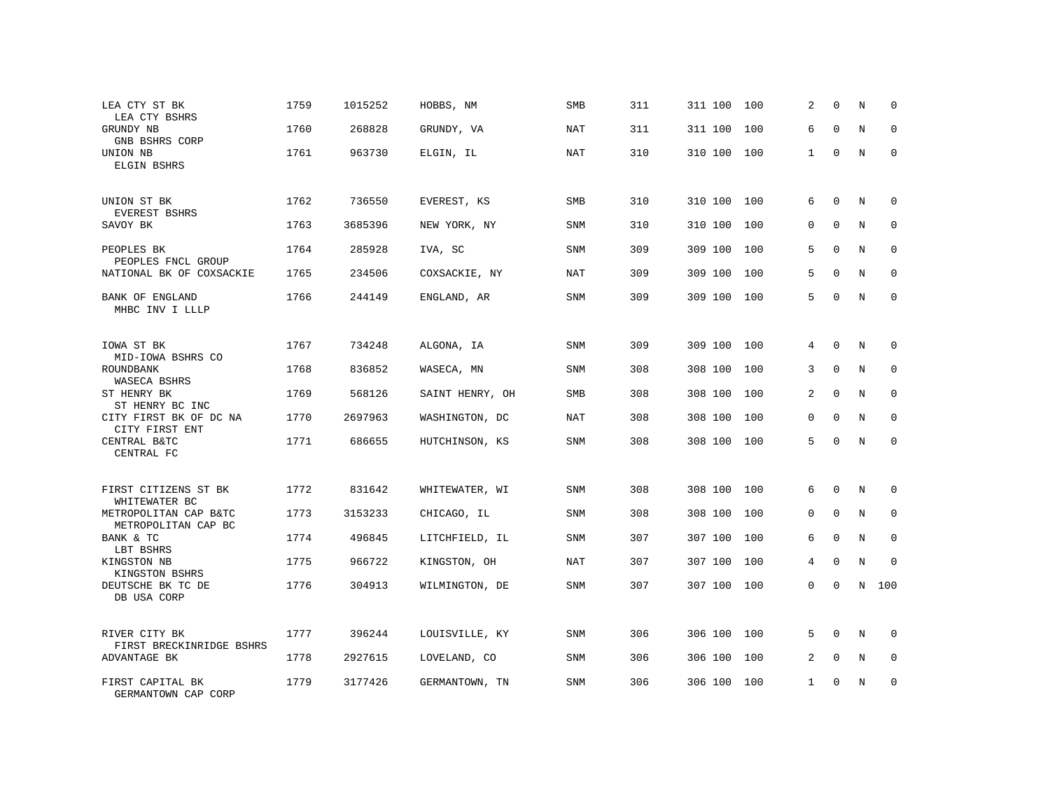| LEA CTY ST BK<br>LEA CTY BSHRS                               | 1759 | 1015252 | HOBBS, NM       | SMB        | 311 | 311 100 | 100 | 2            | $\Omega$     | N | 0           |
|--------------------------------------------------------------|------|---------|-----------------|------------|-----|---------|-----|--------------|--------------|---|-------------|
| GRUNDY NB<br>GNB BSHRS CORP                                  | 1760 | 268828  | GRUNDY, VA      | NAT        | 311 | 311 100 | 100 | 6            | $\Omega$     | N | $\Omega$    |
| UNION NB<br>ELGIN BSHRS                                      | 1761 | 963730  | ELGIN, IL       | NAT        | 310 | 310 100 | 100 | 1            | $\Omega$     | N | $\mathbf 0$ |
| UNION ST BK<br><b>EVEREST BSHRS</b>                          | 1762 | 736550  | EVEREST, KS     | SMB        | 310 | 310 100 | 100 | 6            | $\Omega$     | N | 0           |
| SAVOY BK                                                     | 1763 | 3685396 | NEW YORK, NY    | <b>SNM</b> | 310 | 310 100 | 100 | 0            | $\Omega$     | N | $\mathbf 0$ |
| PEOPLES BK                                                   | 1764 | 285928  | IVA, SC         | <b>SNM</b> | 309 | 309 100 | 100 | 5            | $\Omega$     | N | $\mathbf 0$ |
| PEOPLES FNCL GROUP<br>NATIONAL BK OF COXSACKIE               | 1765 | 234506  | COXSACKIE, NY   | NAT        | 309 | 309 100 | 100 | 5            | $\Omega$     | N | $\Omega$    |
| BANK OF ENGLAND<br>MHBC INV I LLLP                           | 1766 | 244149  | ENGLAND, AR     | <b>SNM</b> | 309 | 309 100 | 100 | 5            | $\mathbf 0$  | N | $\mathbf 0$ |
| IOWA ST BK<br>MID-IOWA BSHRS CO<br>ROUNDBANK<br>WASECA BSHRS | 1767 | 734248  | ALGONA, IA      | <b>SNM</b> | 309 | 309 100 | 100 | 4            | $\Omega$     | N | $\mathbf 0$ |
|                                                              | 1768 | 836852  | WASECA, MN      | <b>SNM</b> | 308 | 308 100 | 100 | 3            | $\mathbf 0$  | N | $\mathbf 0$ |
| ST HENRY BK<br>ST HENRY BC INC                               | 1769 | 568126  | SAINT HENRY, OH | SMB        | 308 | 308 100 | 100 | 2            | $\Omega$     | N | $\Omega$    |
| CITY FIRST BK OF DC NA<br>CITY FIRST ENT                     | 1770 | 2697963 | WASHINGTON, DC  | NAT        | 308 | 308 100 | 100 | 0            | $\Omega$     | N | $\mathbf 0$ |
| CENTRAL B&TC<br>CENTRAL FC                                   | 1771 | 686655  | HUTCHINSON, KS  | SNM        | 308 | 308 100 | 100 | 5            | $\Omega$     | N | $\Omega$    |
| FIRST CITIZENS ST BK<br>WHITEWATER BC                        | 1772 | 831642  | WHITEWATER, WI  | SNM        | 308 | 308 100 | 100 | 6            | $\Omega$     | N | $\Omega$    |
| METROPOLITAN CAP B&TC<br>METROPOLITAN CAP BC                 | 1773 | 3153233 | CHICAGO, IL     | SNM        | 308 | 308 100 | 100 | 0            | $\mathbf{0}$ | N | $\mathbf 0$ |
| BANK & TC<br>LBT BSHRS                                       | 1774 | 496845  | LITCHFIELD, IL  | <b>SNM</b> | 307 | 307 100 | 100 | 6            | $\Omega$     | N | $\mathbf 0$ |
| KINGSTON NB<br>KINGSTON BSHRS                                | 1775 | 966722  | KINGSTON, OH    | NAT        | 307 | 307 100 | 100 | 4            | $\mathbf 0$  | N | $\mathbf 0$ |
| DEUTSCHE BK TC DE<br>DB USA CORP                             | 1776 | 304913  | WILMINGTON, DE  | <b>SNM</b> | 307 | 307 100 | 100 | $\Omega$     | $\Omega$     | N | 100         |
| RIVER CITY BK<br>FIRST BRECKINRIDGE BSHRS                    | 1777 | 396244  | LOUISVILLE, KY  | <b>SNM</b> | 306 | 306 100 | 100 | 5            | $\mathbf 0$  | N | $\mathbf 0$ |
| ADVANTAGE BK                                                 | 1778 | 2927615 | LOVELAND, CO    | SNM        | 306 | 306 100 | 100 | 2            | $\mathbf 0$  | N | 0           |
| FIRST CAPITAL BK<br>GERMANTOWN CAP CORP                      | 1779 | 3177426 | GERMANTOWN, TN  | <b>SNM</b> | 306 | 306 100 | 100 | $\mathbf{1}$ | $\Omega$     | N | $\mathbf 0$ |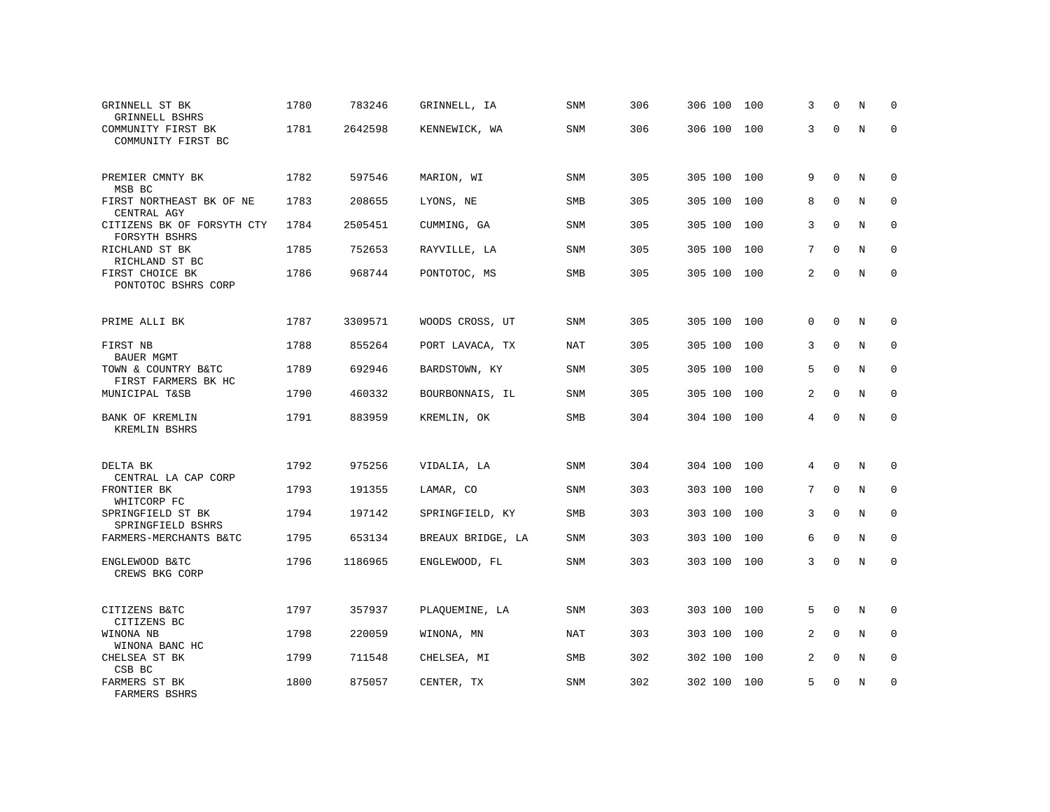| GRINNELL ST BK<br>GRINNELL BSHRS            | 1780 | 783246  | GRINNELL, IA      | SNM        | 306 | 306 100 | 100 | 3 | $\mathbf 0$  | N       | $\Omega$     |
|---------------------------------------------|------|---------|-------------------|------------|-----|---------|-----|---|--------------|---------|--------------|
| COMMUNITY FIRST BK<br>COMMUNITY FIRST BC    | 1781 | 2642598 | KENNEWICK, WA     | SNM        | 306 | 306 100 | 100 | 3 | $\mathbf 0$  | $\rm N$ | $\mathbf 0$  |
| PREMIER CMNTY BK                            | 1782 | 597546  | MARION, WI        | SNM        | 305 | 305 100 | 100 | 9 | $\mathbf{0}$ | N       | $\mathbf 0$  |
| MSB BC                                      |      |         |                   |            |     |         |     |   | $\mathbf{0}$ |         |              |
| FIRST NORTHEAST BK OF NE<br>CENTRAL AGY     | 1783 | 208655  | LYONS, NE         | SMB        | 305 | 305 100 | 100 | 8 |              | N       | $\mathbf 0$  |
| CITIZENS BK OF FORSYTH CTY<br>FORSYTH BSHRS | 1784 | 2505451 | CUMMING, GA       | SNM        | 305 | 305 100 | 100 | 3 | $\Omega$     | N       | $\mathbf 0$  |
| RICHLAND ST BK<br>RICHLAND ST BC            | 1785 | 752653  | RAYVILLE, LA      | SNM        | 305 | 305 100 | 100 | 7 | $\Omega$     | N       | $\mathbf 0$  |
| FIRST CHOICE BK<br>PONTOTOC BSHRS CORP      | 1786 | 968744  | PONTOTOC, MS      | SMB        | 305 | 305 100 | 100 | 2 | $\mathbf 0$  | N       | 0            |
|                                             |      |         |                   |            |     |         |     |   |              |         |              |
| PRIME ALLI BK                               | 1787 | 3309571 | WOODS CROSS, UT   | SNM        | 305 | 305 100 | 100 | 0 | $\mathbf 0$  | N       | $\mathbf 0$  |
| FIRST NB<br><b>BAUER MGMT</b>               | 1788 | 855264  | PORT LAVACA, TX   | NAT        | 305 | 305 100 | 100 | 3 | $\mathbf 0$  | N       | 0            |
| TOWN & COUNTRY B&TC<br>FIRST FARMERS BK HC  | 1789 | 692946  | BARDSTOWN, KY     | <b>SNM</b> | 305 | 305 100 | 100 | 5 | $\mathbf 0$  | N       | 0            |
| MUNICIPAL T&SB                              | 1790 | 460332  | BOURBONNAIS, IL   | <b>SNM</b> | 305 | 305 100 | 100 | 2 | $\Omega$     | N       | $\mathbf{0}$ |
| BANK OF KREMLIN<br>KREMLIN BSHRS            | 1791 | 883959  | KREMLIN, OK       | <b>SMB</b> | 304 | 304 100 | 100 | 4 | $\mathbf{0}$ | N       | $\mathbf{0}$ |
| DELTA BK                                    | 1792 | 975256  | VIDALIA, LA       | <b>SNM</b> | 304 | 304 100 | 100 | 4 | $\mathbf 0$  | N       | 0            |
| CENTRAL LA CAP CORP                         |      |         |                   |            |     |         |     |   |              |         |              |
| FRONTIER BK<br>WHITCORP FC                  | 1793 | 191355  | LAMAR, CO         | <b>SNM</b> | 303 | 303 100 | 100 | 7 | $\Omega$     | N       | $\mathbf 0$  |
| SPRINGFIELD ST BK<br>SPRINGFIELD BSHRS      | 1794 | 197142  | SPRINGFIELD, KY   | SMB        | 303 | 303 100 | 100 | 3 | $\mathbf 0$  | N       | $\mathbf 0$  |
| FARMERS-MERCHANTS B&TC                      | 1795 | 653134  | BREAUX BRIDGE, LA | <b>SNM</b> | 303 | 303 100 | 100 | 6 | $\mathbf 0$  | N       | $\mathbf 0$  |
| ENGLEWOOD B&TC<br>CREWS BKG CORP            | 1796 | 1186965 | ENGLEWOOD, FL     | <b>SNM</b> | 303 | 303 100 | 100 | 3 | $\Omega$     | N       | $\Omega$     |
| CITIZENS B&TC                               | 1797 | 357937  | PLAQUEMINE, LA    | SNM        | 303 | 303 100 | 100 | 5 | $\mathbf 0$  | N       | 0            |
| CITIZENS BC                                 |      |         |                   |            |     |         |     |   |              |         |              |
| WINONA NB<br>WINONA BANC HC                 | 1798 | 220059  | WINONA, MN        | NAT        | 303 | 303 100 | 100 | 2 | $\mathbf 0$  | N       | $\mathbf 0$  |
| CHELSEA ST BK<br>CSB BC                     | 1799 | 711548  | CHELSEA, MI       | <b>SMB</b> | 302 | 302 100 | 100 | 2 | $\mathbf 0$  | N       | $\mathbf 0$  |
| FARMERS ST BK<br>FARMERS BSHRS              | 1800 | 875057  | CENTER, TX        | SNM        | 302 | 302 100 | 100 | 5 | $\Omega$     | N       | $\mathbf 0$  |